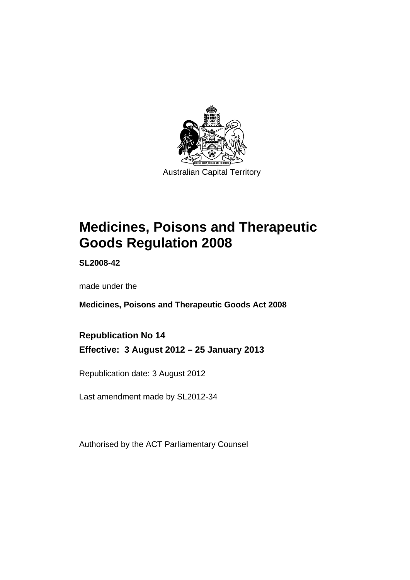

# **Medicines, Poisons and Therapeutic Goods Regulation 2008**

**SL2008-42** 

made under the

**Medicines, Poisons and Therapeutic Goods Act 2008** 

**Republication No 14 Effective: 3 August 2012 – 25 January 2013** 

Republication date: 3 August 2012

Last amendment made by SL2012-34

Authorised by the ACT Parliamentary Counsel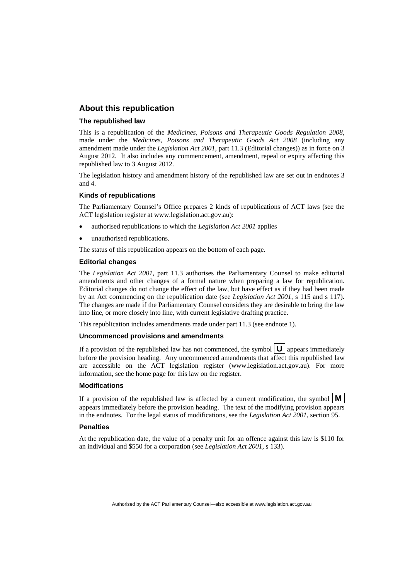### **About this republication**

### **The republished law**

This is a republication of the *Medicines, Poisons and Therapeutic Goods Regulation 2008*, made under the *Medicines, Poisons and Therapeutic Goods Act 2008* (including any amendment made under the *Legislation Act 2001*, part 11.3 (Editorial changes)) as in force on 3 August 2012*.* It also includes any commencement, amendment, repeal or expiry affecting this republished law to 3 August 2012.

The legislation history and amendment history of the republished law are set out in endnotes 3 and 4.

#### **Kinds of republications**

The Parliamentary Counsel's Office prepares 2 kinds of republications of ACT laws (see the ACT legislation register at www.legislation.act.gov.au):

- authorised republications to which the *Legislation Act 2001* applies
- unauthorised republications.

The status of this republication appears on the bottom of each page.

#### **Editorial changes**

The *Legislation Act 2001*, part 11.3 authorises the Parliamentary Counsel to make editorial amendments and other changes of a formal nature when preparing a law for republication. Editorial changes do not change the effect of the law, but have effect as if they had been made by an Act commencing on the republication date (see *Legislation Act 2001*, s 115 and s 117). The changes are made if the Parliamentary Counsel considers they are desirable to bring the law into line, or more closely into line, with current legislative drafting practice.

This republication includes amendments made under part 11.3 (see endnote 1).

### **Uncommenced provisions and amendments**

If a provision of the republished law has not commenced, the symbol  $\mathbf{U}$  appears immediately before the provision heading. Any uncommenced amendments that affect this republished law are accessible on the ACT legislation register (www.legislation.act.gov.au). For more information, see the home page for this law on the register.

### **Modifications**

If a provision of the republished law is affected by a current modification, the symbol  $\mathbf{M}$ appears immediately before the provision heading. The text of the modifying provision appears in the endnotes. For the legal status of modifications, see the *Legislation Act 2001*, section 95.

#### **Penalties**

At the republication date, the value of a penalty unit for an offence against this law is \$110 for an individual and \$550 for a corporation (see *Legislation Act 2001*, s 133).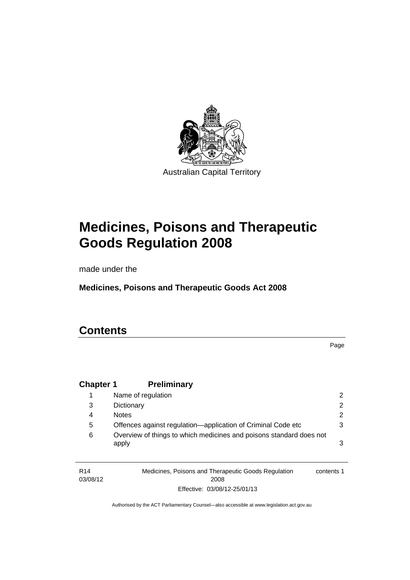

# **Medicines, Poisons and Therapeutic Goods Regulation 2008**

made under the

**Medicines, Poisons and Therapeutic Goods Act 2008** 

## **Contents**

| <b>Chapter 1</b> | <b>Preliminary</b>                                                           |                |
|------------------|------------------------------------------------------------------------------|----------------|
|                  | Name of regulation                                                           | 2              |
| 3                | Dictionary                                                                   | $\overline{2}$ |
| 4                | <b>Notes</b>                                                                 | $\overline{2}$ |
| 5                | Offences against regulation-application of Criminal Code etc                 | 3              |
| 6                | Overview of things to which medicines and poisons standard does not<br>apply | 3              |
|                  |                                                                              |                |

R14 03/08/12 Medicines, Poisons and Therapeutic Goods Regulation 2008 Effective: 03/08/12-25/01/13 contents 1

Page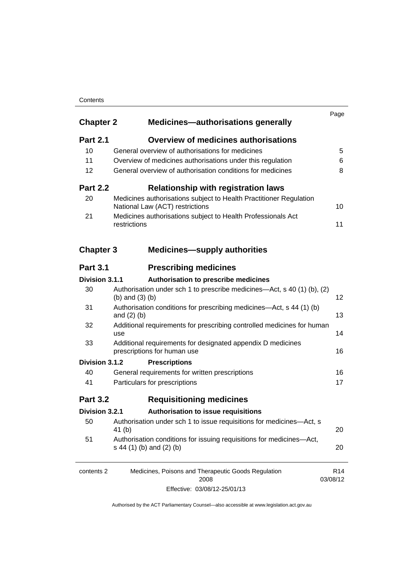### **Contents**

| <b>Chapter 2</b> | <b>Medicines-authorisations generally</b>                                                             | Page                        |  |  |  |
|------------------|-------------------------------------------------------------------------------------------------------|-----------------------------|--|--|--|
| <b>Part 2.1</b>  | <b>Overview of medicines authorisations</b>                                                           |                             |  |  |  |
| 10               | General overview of authorisations for medicines                                                      | 5                           |  |  |  |
| 11               | Overview of medicines authorisations under this regulation                                            | 6                           |  |  |  |
| 12               | General overview of authorisation conditions for medicines                                            |                             |  |  |  |
| <b>Part 2.2</b>  | <b>Relationship with registration laws</b>                                                            |                             |  |  |  |
| 20               | Medicines authorisations subject to Health Practitioner Regulation<br>National Law (ACT) restrictions | 10                          |  |  |  |
| 21               | Medicines authorisations subject to Health Professionals Act<br>restrictions                          | 11                          |  |  |  |
| <b>Chapter 3</b> | <b>Medicines—supply authorities</b>                                                                   |                             |  |  |  |
| <b>Part 3.1</b>  | <b>Prescribing medicines</b>                                                                          |                             |  |  |  |
| Division 3.1.1   | Authorisation to prescribe medicines                                                                  |                             |  |  |  |
| 30               | Authorisation under sch 1 to prescribe medicines—Act, s 40 (1) (b), (2)<br>(b) and $(3)$ (b)          | 12                          |  |  |  |
| 31               | Authorisation conditions for prescribing medicines—Act, s 44 (1) (b)<br>and $(2)$ $(b)$               |                             |  |  |  |
| 32               | Additional requirements for prescribing controlled medicines for human<br>use                         | 14                          |  |  |  |
| 33               | Additional requirements for designated appendix D medicines<br>prescriptions for human use            |                             |  |  |  |
| Division 3.1.2   | <b>Prescriptions</b>                                                                                  |                             |  |  |  |
| 40               | General requirements for written prescriptions                                                        | 16                          |  |  |  |
| 41               | Particulars for prescriptions                                                                         | 17                          |  |  |  |
| <b>Part 3.2</b>  | <b>Requisitioning medicines</b>                                                                       |                             |  |  |  |
| Division 3.2.1   | Authorisation to issue requisitions                                                                   |                             |  |  |  |
| 50               | Authorisation under sch 1 to issue requisitions for medicines-Act, s<br>41 (b)                        | 20                          |  |  |  |
| 51               | Authorisation conditions for issuing requisitions for medicines-Act,<br>s 44 (1) (b) and (2) (b)      | 20                          |  |  |  |
| contents 2       | Medicines, Poisons and Therapeutic Goods Regulation<br>2008                                           | R <sub>14</sub><br>03/08/12 |  |  |  |
|                  | 0.00140000140                                                                                         |                             |  |  |  |

Effective: 03/08/12-25/01/13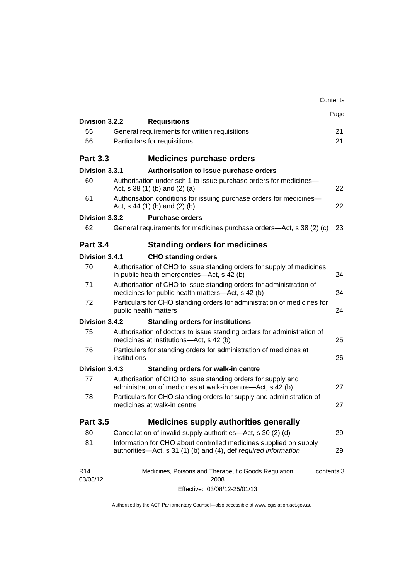|                             |                                                                                                                                      | Contents |
|-----------------------------|--------------------------------------------------------------------------------------------------------------------------------------|----------|
| Division 3.2.2              |                                                                                                                                      | Page     |
| 55                          | <b>Requisitions</b><br>General requirements for written requisitions                                                                 | 21       |
| 56                          | Particulars for requisitions                                                                                                         | 21       |
|                             |                                                                                                                                      |          |
| <b>Part 3.3</b>             | <b>Medicines purchase orders</b>                                                                                                     |          |
| Division 3.3.1              | Authorisation to issue purchase orders                                                                                               |          |
| 60                          | Authorisation under sch 1 to issue purchase orders for medicines-<br>Act, $s$ 38 (1) (b) and (2) (a)                                 | 22       |
| 61                          | Authorisation conditions for issuing purchase orders for medicines-<br>Act, $s$ 44 (1) (b) and (2) (b)                               | 22       |
| Division 3.3.2              | <b>Purchase orders</b>                                                                                                               |          |
| 62                          | General requirements for medicines purchase orders—Act, s 38 (2) (c)                                                                 | 23       |
| <b>Part 3.4</b>             | <b>Standing orders for medicines</b>                                                                                                 |          |
| Division 3.4.1              | <b>CHO standing orders</b>                                                                                                           |          |
| 70                          | Authorisation of CHO to issue standing orders for supply of medicines<br>in public health emergencies—Act, s 42 (b)                  | 24       |
| 71                          | Authorisation of CHO to issue standing orders for administration of<br>medicines for public health matters-Act, s 42 (b)             |          |
| 72                          | Particulars for CHO standing orders for administration of medicines for<br>public health matters                                     |          |
| Division 3.4.2              | <b>Standing orders for institutions</b>                                                                                              |          |
| 75                          | Authorisation of doctors to issue standing orders for administration of<br>medicines at institutions-Act, s 42 (b)                   | 25       |
| 76                          | Particulars for standing orders for administration of medicines at<br>institutions                                                   |          |
| Division 3.4.3              | <b>Standing orders for walk-in centre</b>                                                                                            |          |
| 77                          | Authorisation of CHO to issue standing orders for supply and<br>administration of medicines at walk-in centre-Act, s 42 (b)          | 27       |
| 78                          | Particulars for CHO standing orders for supply and administration of<br>medicines at walk-in centre                                  | 27       |
| <b>Part 3.5</b>             | <b>Medicines supply authorities generally</b>                                                                                        |          |
| 80                          | Cancellation of invalid supply authorities—Act, s 30 (2) (d)                                                                         | 29       |
| 81                          | Information for CHO about controlled medicines supplied on supply<br>authorities-Act, s 31 (1) (b) and (4), def required information | 29       |
| R <sub>14</sub><br>03/08/12 | Medicines, Poisons and Therapeutic Goods Regulation<br>contents 3<br>2008                                                            |          |
|                             | Effective: 03/08/12-25/01/13                                                                                                         |          |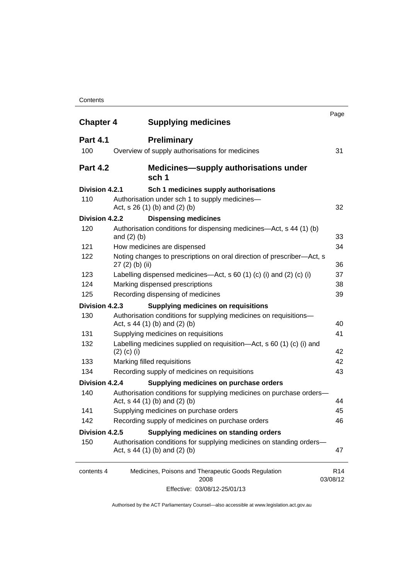### **Contents**

| <b>Chapter 4</b> | <b>Supplying medicines</b>                                                                              | Page                        |
|------------------|---------------------------------------------------------------------------------------------------------|-----------------------------|
| <b>Part 4.1</b>  | <b>Preliminary</b>                                                                                      |                             |
| 100              | Overview of supply authorisations for medicines                                                         | 31                          |
| <b>Part 4.2</b>  | <b>Medicines—supply authorisations under</b><br>sch 1                                                   |                             |
| Division 4.2.1   | Sch 1 medicines supply authorisations                                                                   |                             |
| 110              | Authorisation under sch 1 to supply medicines-<br>Act, s 26 (1) (b) and (2) (b)                         | 32                          |
| Division 4.2.2   | <b>Dispensing medicines</b>                                                                             |                             |
| 120              | Authorisation conditions for dispensing medicines—Act, s 44 (1) (b)<br>and $(2)$ $(b)$                  | 33                          |
| 121              | How medicines are dispensed                                                                             | 34                          |
| 122              | Noting changes to prescriptions on oral direction of prescriber-Act, s<br>$27(2)$ (b) (ii)              | 36                          |
| 123              | Labelling dispensed medicines—Act, s 60 (1) (c) (i) and (2) (c) (i)                                     | 37                          |
| 124              | Marking dispensed prescriptions                                                                         | 38                          |
| 125              | Recording dispensing of medicines                                                                       | 39                          |
| Division 4.2.3   | <b>Supplying medicines on requisitions</b>                                                              |                             |
| 130              | Authorisation conditions for supplying medicines on requisitions-<br>Act, $s$ 44 (1) (b) and (2) (b)    | 40                          |
| 131              | Supplying medicines on requisitions                                                                     | 41                          |
| 132              | Labelling medicines supplied on requisition-Act, s 60 (1) (c) (i) and<br>$(2)$ (c) (i)                  | 42                          |
| 133              | Marking filled requisitions                                                                             | 42                          |
| 134              | Recording supply of medicines on requisitions                                                           | 43                          |
| Division 4.2.4   | Supplying medicines on purchase orders                                                                  |                             |
| 140              | Authorisation conditions for supplying medicines on purchase orders-<br>Act, $s$ 44 (1) (b) and (2) (b) | 44                          |
| 141              | Supplying medicines on purchase orders                                                                  | 45                          |
| 142              | Recording supply of medicines on purchase orders                                                        | 46                          |
| Division 4.2.5   | Supplying medicines on standing orders                                                                  |                             |
| 150              | Authorisation conditions for supplying medicines on standing orders-<br>Act, s 44 (1) (b) and (2) (b)   | 47                          |
| contents 4       | Medicines, Poisons and Therapeutic Goods Regulation<br>2008                                             | R <sub>14</sub><br>03/08/12 |
|                  | Effective: 03/08/12-25/01/13                                                                            |                             |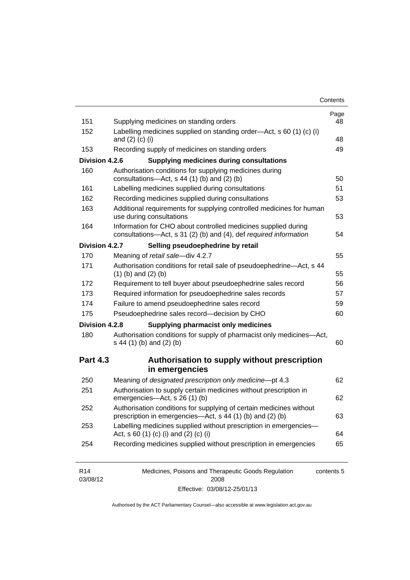| Contents |
|----------|
|----------|

| 151<br>152      | Supplying medicines on standing orders                                                                                              |    |  |  |  |  |
|-----------------|-------------------------------------------------------------------------------------------------------------------------------------|----|--|--|--|--|
|                 | Labelling medicines supplied on standing order-Act, s 60 (1) (c) (i)<br>and $(2)$ $(c)$ $(i)$                                       |    |  |  |  |  |
| 153             | Recording supply of medicines on standing orders                                                                                    |    |  |  |  |  |
| Division 4.2.6  | <b>Supplying medicines during consultations</b>                                                                                     |    |  |  |  |  |
| 160             | Authorisation conditions for supplying medicines during<br>consultations-Act, s 44 (1) (b) and (2) (b)                              | 50 |  |  |  |  |
| 161             | Labelling medicines supplied during consultations                                                                                   | 51 |  |  |  |  |
| 162             | Recording medicines supplied during consultations                                                                                   | 53 |  |  |  |  |
| 163             | Additional requirements for supplying controlled medicines for human<br>use during consultations                                    | 53 |  |  |  |  |
| 164             | Information for CHO about controlled medicines supplied during<br>consultations-Act, s 31 (2) (b) and (4), def required information | 54 |  |  |  |  |
| Division 4.2.7  | Selling pseudoephedrine by retail                                                                                                   |    |  |  |  |  |
| 170             | Meaning of retail sale-div 4.2.7                                                                                                    | 55 |  |  |  |  |
| 171             | Authorisation conditions for retail sale of pseudoephedrine-Act, s 44<br>$(1)$ (b) and $(2)$ (b)                                    | 55 |  |  |  |  |
| 172             | Requirement to tell buyer about pseudoephedrine sales record                                                                        | 56 |  |  |  |  |
| 173             | Required information for pseudoephedrine sales records                                                                              | 57 |  |  |  |  |
| 174             | Failure to amend pseudoephedrine sales record                                                                                       | 59 |  |  |  |  |
| 175             | Pseudoephedrine sales record-decision by CHO                                                                                        | 60 |  |  |  |  |
| Division 4.2.8  | <b>Supplying pharmacist only medicines</b>                                                                                          |    |  |  |  |  |
| 180             | Authorisation conditions for supply of pharmacist only medicines-Act,<br>s 44 (1) (b) and (2) (b)                                   | 60 |  |  |  |  |
| <b>Part 4.3</b> | Authorisation to supply without prescription<br>in emergencies                                                                      |    |  |  |  |  |
| 250             | Meaning of designated prescription only medicine-pt 4.3                                                                             | 62 |  |  |  |  |
| 251             | Authorisation to supply certain medicines without prescription in<br>emergencies-Act, s 26 (1) (b)                                  | 62 |  |  |  |  |
| 252             | Authorisation conditions for supplying of certain medicines without<br>prescription in emergencies—Act, s 44 (1) (b) and (2) (b)    | 63 |  |  |  |  |
| 253             | Labelling medicines supplied without prescription in emergencies-<br>Act, s 60 (1) (c) (i) and (2) (c) (i)                          | 64 |  |  |  |  |
| 254             | Recording medicines supplied without prescription in emergencies                                                                    | 65 |  |  |  |  |

| R14      | Medicines, Poisons and Therapeutic Goods Regulation | contents 5 |
|----------|-----------------------------------------------------|------------|
| 03/08/12 | 2008                                                |            |
|          | Effective: 03/08/12-25/01/13                        |            |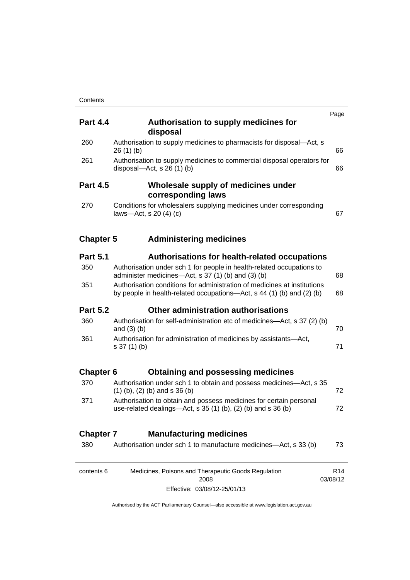| <b>Part 4.4</b>  | Authorisation to supply medicines for<br>disposal                                                                                                 | Page                        |  |  |
|------------------|---------------------------------------------------------------------------------------------------------------------------------------------------|-----------------------------|--|--|
| 260              | Authorisation to supply medicines to pharmacists for disposal-Act, s<br>26(1)(b)                                                                  | 66                          |  |  |
| 261              | Authorisation to supply medicines to commercial disposal operators for<br>disposal—Act, s $26(1)(b)$                                              | 66                          |  |  |
| <b>Part 4.5</b>  | Wholesale supply of medicines under<br>corresponding laws                                                                                         |                             |  |  |
| 270              | Conditions for wholesalers supplying medicines under corresponding<br>laws-Act, s $20(4)(c)$                                                      | 67                          |  |  |
| <b>Chapter 5</b> | <b>Administering medicines</b>                                                                                                                    |                             |  |  |
| <b>Part 5.1</b>  | <b>Authorisations for health-related occupations</b>                                                                                              |                             |  |  |
| 350              | Authorisation under sch 1 for people in health-related occupations to<br>administer medicines—Act, s 37 (1) (b) and (3) (b)                       | 68                          |  |  |
| 351              | Authorisation conditions for administration of medicines at institutions<br>by people in health-related occupations—Act, s 44 (1) (b) and (2) (b) |                             |  |  |
| <b>Part 5.2</b>  | Other administration authorisations                                                                                                               |                             |  |  |
| 360              | Authorisation for self-administration etc of medicines—Act, s 37 (2) (b)<br>and $(3)$ $(b)$                                                       | 70                          |  |  |
| 361              | Authorisation for administration of medicines by assistants-Act,<br>$s 37(1)$ (b)                                                                 | 71                          |  |  |
| <b>Chapter 6</b> | <b>Obtaining and possessing medicines</b>                                                                                                         |                             |  |  |
| 370              | Authorisation under sch 1 to obtain and possess medicines—Act, s 35<br>$(1)$ (b), (2) (b) and s 36 (b)                                            | 72                          |  |  |
| 371              | Authorisation to obtain and possess medicines for certain personal<br>use-related dealings-Act, s 35 (1) (b), (2) (b) and s 36 (b)                | 72                          |  |  |
| <b>Chapter 7</b> | <b>Manufacturing medicines</b>                                                                                                                    |                             |  |  |
| 380              | Authorisation under sch 1 to manufacture medicines-Act, s 33 (b)                                                                                  | 73                          |  |  |
| contents 6       | Medicines, Poisons and Therapeutic Goods Regulation<br>2008                                                                                       | R <sub>14</sub><br>03/08/12 |  |  |
|                  | Effective: 03/08/12-25/01/13                                                                                                                      |                             |  |  |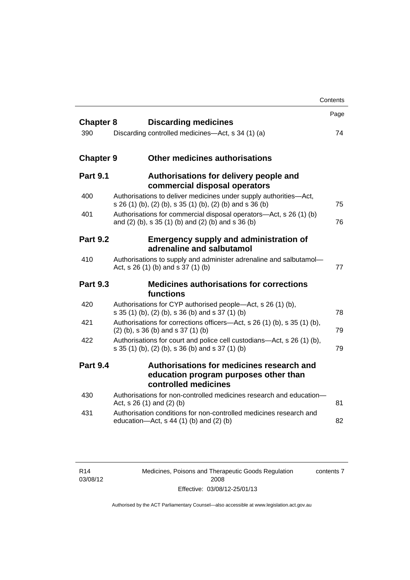|                  |                                                                                                                                | Contents |
|------------------|--------------------------------------------------------------------------------------------------------------------------------|----------|
| <b>Chapter 8</b> | <b>Discarding medicines</b>                                                                                                    | Page     |
| 390              | Discarding controlled medicines—Act, s 34 (1) (a)                                                                              | 74       |
| <b>Chapter 9</b> | <b>Other medicines authorisations</b>                                                                                          |          |
| <b>Part 9.1</b>  | Authorisations for delivery people and<br>commercial disposal operators                                                        |          |
| 400              | Authorisations to deliver medicines under supply authorities-Act,<br>s 26 (1) (b), (2) (b), s 35 (1) (b), (2) (b) and s 36 (b) | 75       |
| 401              | Authorisations for commercial disposal operators-Act, s 26 (1) (b)<br>and (2) (b), s 35 (1) (b) and (2) (b) and s 36 (b)       | 76       |
| <b>Part 9.2</b>  | <b>Emergency supply and administration of</b><br>adrenaline and salbutamol                                                     |          |
| 410              | Authorisations to supply and administer adrenaline and salbutamol-<br>Act, s 26 (1) (b) and s 37 (1) (b)                       | 77       |
| <b>Part 9.3</b>  | <b>Medicines authorisations for corrections</b><br>functions                                                                   |          |
| 420              | Authorisations for CYP authorised people—Act, s 26 (1) (b),<br>s 35 (1) (b), (2) (b), s 36 (b) and s 37 (1) (b)                | 78       |
| 421              | Authorisations for corrections officers—Act, s 26 (1) (b), s 35 (1) (b),<br>$(2)$ (b), s 36 (b) and s 37 (1) (b)               | 79       |
| 422              | Authorisations for court and police cell custodians-Act, s 26 (1) (b),<br>s 35 (1) (b), (2) (b), s 36 (b) and s 37 (1) (b)     | 79       |
| <b>Part 9.4</b>  | Authorisations for medicines research and<br>education program purposes other than<br>controlled medicines                     |          |
| 430              | Authorisations for non-controlled medicines research and education-<br>Act, $s$ 26 (1) and (2) (b)                             | 81       |
| 431              | Authorisation conditions for non-controlled medicines research and<br>education- $Act$ , s 44 (1) (b) and (2) (b)              | 82       |

Medicines, Poisons and Therapeutic Goods Regulation 2008 Effective: 03/08/12-25/01/13 contents 7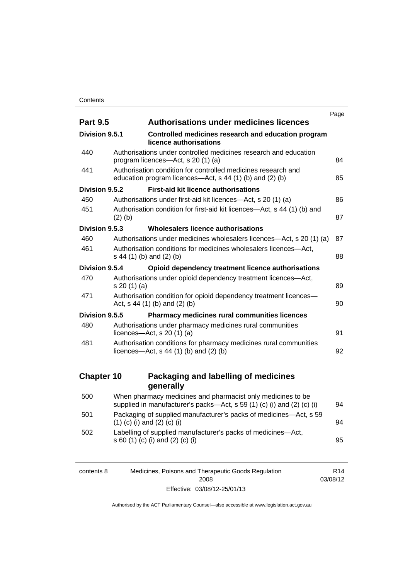|                   |                                                                                                                                       | Page |  |  |
|-------------------|---------------------------------------------------------------------------------------------------------------------------------------|------|--|--|
| <b>Part 9.5</b>   | <b>Authorisations under medicines licences</b>                                                                                        |      |  |  |
| Division 9.5.1    | Controlled medicines research and education program<br>licence authorisations                                                         |      |  |  |
| 440               | Authorisations under controlled medicines research and education<br>program licences-Act, s 20 (1) (a)                                |      |  |  |
| 441               | Authorisation condition for controlled medicines research and<br>education program licences—Act, s 44 (1) (b) and (2) (b)             | 85   |  |  |
| Division 9.5.2    | <b>First-aid kit licence authorisations</b>                                                                                           |      |  |  |
| 450               | Authorisations under first-aid kit licences—Act, s 20 (1) (a)                                                                         | 86   |  |  |
| 451               | Authorisation condition for first-aid kit licences—Act, s 44 (1) (b) and<br>$(2)$ (b)                                                 | 87   |  |  |
| Division 9.5.3    | Wholesalers licence authorisations                                                                                                    |      |  |  |
| 460               | Authorisations under medicines wholesalers licences—Act, s 20 (1) (a)                                                                 | 87   |  |  |
| 461               | Authorisation conditions for medicines wholesalers licences-Act,<br>s 44 (1) (b) and (2) (b)                                          | 88   |  |  |
| Division 9.5.4    | Opioid dependency treatment licence authorisations                                                                                    |      |  |  |
| 470               | Authorisations under opioid dependency treatment licences-Act,<br>s 20(1)(a)                                                          | 89   |  |  |
| 471               | Authorisation condition for opioid dependency treatment licences-<br>Act, $s$ 44 (1) (b) and (2) (b)                                  | 90   |  |  |
| Division 9.5.5    | Pharmacy medicines rural communities licences                                                                                         |      |  |  |
| 480               | Authorisations under pharmacy medicines rural communities<br>licences- $-\text{Act}$ , s 20 (1) (a)                                   | 91   |  |  |
| 481               | Authorisation conditions for pharmacy medicines rural communities<br>licences—Act, $s$ 44 (1) (b) and (2) (b)                         | 92   |  |  |
| <b>Chapter 10</b> | Packaging and labelling of medicines                                                                                                  |      |  |  |
|                   | generally                                                                                                                             |      |  |  |
| 500               | When pharmacy medicines and pharmacist only medicines to be<br>supplied in manufacturer's packs-Act, s 59 (1) (c) (i) and (2) (c) (i) | 94   |  |  |
| 501               | Packaging of supplied manufacturer's packs of medicines—Act, s 59<br>$(1)$ (c) (i) and (2) (c) (i)                                    | 94   |  |  |
| 502               | Labelling of supplied manufacturer's packs of medicines-Act,<br>s 60 (1) (c) (i) and (2) (c) (i)                                      | 95   |  |  |

| contents 8 | Medicines, Poisons and Therapeutic Goods Regulation | R14      |
|------------|-----------------------------------------------------|----------|
|            | 2008                                                | 03/08/12 |
|            | Effective: 03/08/12-25/01/13                        |          |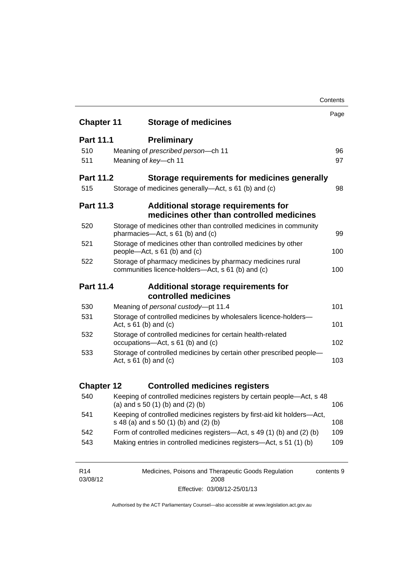|                   |                                                                                                                |                                                                                                                  | Contents |
|-------------------|----------------------------------------------------------------------------------------------------------------|------------------------------------------------------------------------------------------------------------------|----------|
| <b>Chapter 11</b> |                                                                                                                | <b>Storage of medicines</b>                                                                                      | Page     |
|                   |                                                                                                                |                                                                                                                  |          |
| <b>Part 11.1</b>  |                                                                                                                | <b>Preliminary</b>                                                                                               |          |
| 510               |                                                                                                                | Meaning of prescribed person-ch 11                                                                               | 96       |
| 511               |                                                                                                                | Meaning of key-ch 11                                                                                             | 97       |
| <b>Part 11.2</b>  |                                                                                                                | Storage requirements for medicines generally                                                                     |          |
| 515               |                                                                                                                | Storage of medicines generally—Act, s 61 (b) and (c)                                                             | 98       |
| <b>Part 11.3</b>  |                                                                                                                | Additional storage requirements for<br>medicines other than controlled medicines                                 |          |
| 520               |                                                                                                                | Storage of medicines other than controlled medicines in community<br>pharmacies-Act, s 61 (b) and (c)            | 99       |
| 521               |                                                                                                                | Storage of medicines other than controlled medicines by other<br>people—Act, s 61 (b) and (c)                    | 100      |
| 522               | Storage of pharmacy medicines by pharmacy medicines rural<br>communities licence-holders—Act, s 61 (b) and (c) |                                                                                                                  | 100      |
| Part 11.4         |                                                                                                                | Additional storage requirements for                                                                              |          |
|                   |                                                                                                                | controlled medicines                                                                                             |          |
| 530               |                                                                                                                | Meaning of personal custody-pt 11.4                                                                              | 101      |
| 531               |                                                                                                                | Storage of controlled medicines by wholesalers licence-holders-<br>Act, $s \ 61$ (b) and (c)                     | 101      |
| 532               |                                                                                                                | Storage of controlled medicines for certain health-related<br>occupations-Act, s 61 (b) and (c)                  | 102      |
| 533               |                                                                                                                | Storage of controlled medicines by certain other prescribed people-<br>Act, $s 61$ (b) and (c)                   | 103      |
| <b>Chapter 12</b> |                                                                                                                | <b>Controlled medicines registers</b>                                                                            |          |
| 540               |                                                                                                                | Keeping of controlled medicines registers by certain people-Act, s 48<br>(a) and $s$ 50 (1) (b) and (2) (b)      | 106      |
| 541               |                                                                                                                | Keeping of controlled medicines registers by first-aid kit holders-Act,<br>s 48 (a) and s 50 (1) (b) and (2) (b) | 108      |
| 542               |                                                                                                                | Form of controlled medicines registers—Act, s 49 (1) (b) and (2) (b)                                             | 109      |
| 543               |                                                                                                                | Making entries in controlled medicines registers-Act, s 51 (1) (b)                                               | 109      |
|                   |                                                                                                                |                                                                                                                  |          |

| R <sub>14</sub> | Medicines, Poisons and Therapeutic Goods Regulation | contents 9 |
|-----------------|-----------------------------------------------------|------------|
| 03/08/12        | 2008                                                |            |
|                 | Effective: 03/08/12-25/01/13                        |            |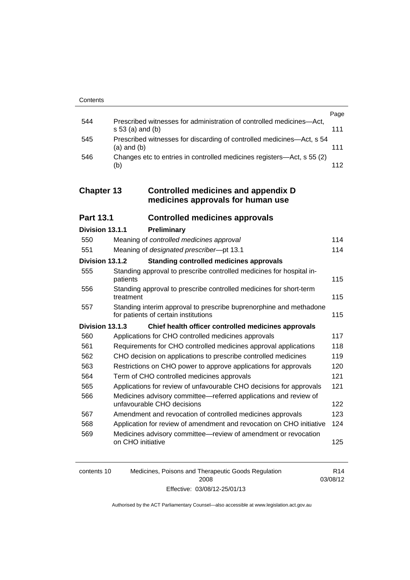|     |                                                                                            | Page |
|-----|--------------------------------------------------------------------------------------------|------|
| 544 | Prescribed witnesses for administration of controlled medicines-Act,<br>$s 53$ (a) and (b) | 111  |
| 545 | Prescribed witnesses for discarding of controlled medicines—Act, s 54<br>$(a)$ and $(b)$   | 111  |
| 546 | Changes etc to entries in controlled medicines registers—Act, s 55 (2)<br>(b)              | 112  |

### **Chapter 13 [Controlled medicines and appendix D](#page-135-0)  [medicines approvals for human use](#page-135-0)**

| <b>Part 13.1</b> | <b>Controlled medicines approvals</b> |  |
|------------------|---------------------------------------|--|
|------------------|---------------------------------------|--|

| Division 13.1.1 |                   | Preliminary                                                                                                |     |
|-----------------|-------------------|------------------------------------------------------------------------------------------------------------|-----|
| 550             |                   | Meaning of controlled medicines approval                                                                   | 114 |
| 551             |                   | Meaning of designated prescriber-pt 13.1                                                                   | 114 |
| Division 13.1.2 |                   | <b>Standing controlled medicines approvals</b>                                                             |     |
| 555             | patients          | Standing approval to prescribe controlled medicines for hospital in-                                       | 115 |
| 556             | treatment         | Standing approval to prescribe controlled medicines for short-term                                         | 115 |
| 557             |                   | Standing interim approval to prescribe buprenorphine and methadone<br>for patients of certain institutions | 115 |
| Division 13.1.3 |                   | Chief health officer controlled medicines approvals                                                        |     |
| 560             |                   | Applications for CHO controlled medicines approvals                                                        | 117 |
| 561             |                   | Requirements for CHO controlled medicines approval applications                                            | 118 |
| 562             |                   | CHO decision on applications to prescribe controlled medicines                                             | 119 |
| 563             |                   | Restrictions on CHO power to approve applications for approvals                                            | 120 |
| 564             |                   | Term of CHO controlled medicines approvals                                                                 | 121 |
| 565             |                   | Applications for review of unfavourable CHO decisions for approvals                                        | 121 |
| 566             |                   | Medicines advisory committee—referred applications and review of<br>unfavourable CHO decisions             | 122 |
| 567             |                   | Amendment and revocation of controlled medicines approvals                                                 | 123 |
| 568             |                   | Application for review of amendment and revocation on CHO initiative                                       | 124 |
| 569             | on CHO initiative | Medicines advisory committee—review of amendment or revocation                                             | 125 |

| contents 10 | Medicines, Poisons and Therapeutic Goods Regulation | R <sub>14</sub> |
|-------------|-----------------------------------------------------|-----------------|
|             | 2008                                                | 03/08/12        |
|             | Effective: 03/08/12-25/01/13                        |                 |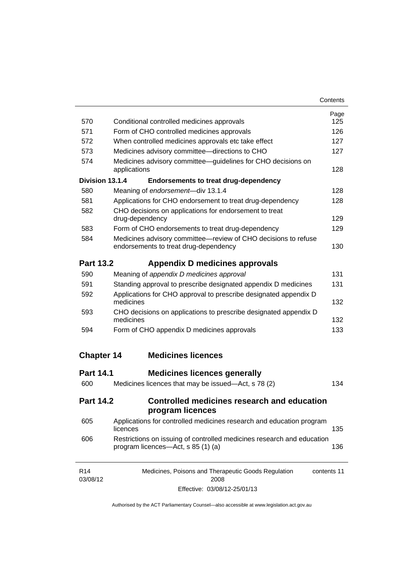| Contents |
|----------|
|----------|

| 570                         | Conditional controlled medicines approvals                                                                   | Page<br>125 |
|-----------------------------|--------------------------------------------------------------------------------------------------------------|-------------|
| 571                         | Form of CHO controlled medicines approvals                                                                   | 126         |
| 572                         | When controlled medicines approvals etc take effect                                                          | 127         |
| 573                         | Medicines advisory committee-directions to CHO                                                               | 127         |
| 574                         | Medicines advisory committee-guidelines for CHO decisions on<br>applications                                 | 128         |
| Division 13.1.4             | <b>Endorsements to treat drug-dependency</b>                                                                 |             |
| 580                         | Meaning of endorsement-div 13.1.4                                                                            | 128         |
| 581                         | Applications for CHO endorsement to treat drug-dependency                                                    | 128         |
| 582                         | CHO decisions on applications for endorsement to treat<br>drug-dependency                                    | 129         |
| 583                         | Form of CHO endorsements to treat drug-dependency                                                            | 129         |
| 584                         | Medicines advisory committee-review of CHO decisions to refuse<br>endorsements to treat drug-dependency      | 130         |
| <b>Part 13.2</b>            | Appendix D medicines approvals                                                                               |             |
| 590                         | Meaning of appendix D medicines approval                                                                     | 131         |
| 591                         | Standing approval to prescribe designated appendix D medicines                                               | 131         |
| 592                         | Applications for CHO approval to prescribe designated appendix D<br>medicines                                | 132         |
| 593                         | CHO decisions on applications to prescribe designated appendix D<br>medicines                                | 132         |
| 594                         | Form of CHO appendix D medicines approvals                                                                   | 133         |
| <b>Chapter 14</b>           | <b>Medicines licences</b>                                                                                    |             |
| <b>Part 14.1</b>            | <b>Medicines licences generally</b>                                                                          |             |
| 600                         | Medicines licences that may be issued—Act, s 78 (2)                                                          | 134         |
| <b>Part 14.2</b>            | <b>Controlled medicines research and education</b><br>program licences                                       |             |
| 605                         | Applications for controlled medicines research and education program<br>licences                             | 135         |
| 606                         | Restrictions on issuing of controlled medicines research and education<br>program licences—Act, s 85 (1) (a) | 136         |
| R <sub>14</sub><br>03/08/12 | Medicines, Poisons and Therapeutic Goods Regulation<br>2008                                                  | contents 11 |

Effective: 03/08/12-25/01/13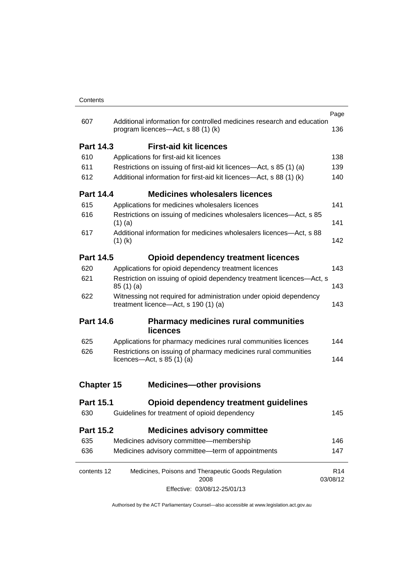|                   |                                                                                                              | Page                        |
|-------------------|--------------------------------------------------------------------------------------------------------------|-----------------------------|
| 607               | Additional information for controlled medicines research and education<br>program licences—Act, s 88 (1) (k) | 136                         |
| <b>Part 14.3</b>  | <b>First-aid kit licences</b>                                                                                |                             |
| 610               | Applications for first-aid kit licences                                                                      | 138                         |
| 611               | Restrictions on issuing of first-aid kit licences—Act, s 85 (1) (a)                                          | 139                         |
| 612               | Additional information for first-aid kit licences—Act, s 88 (1) (k)                                          | 140                         |
| <b>Part 14.4</b>  | <b>Medicines wholesalers licences</b>                                                                        |                             |
| 615               | Applications for medicines wholesalers licences                                                              | 141                         |
| 616               | Restrictions on issuing of medicines wholesalers licences—Act, s 85<br>$(1)$ (a)                             | 141                         |
| 617               | Additional information for medicines wholesalers licences—Act, s 88<br>$(1)$ (k)                             | 142                         |
| <b>Part 14.5</b>  | <b>Opioid dependency treatment licences</b>                                                                  |                             |
| 620               | Applications for opioid dependency treatment licences                                                        | 143                         |
| 621               | Restriction on issuing of opioid dependency treatment licences-Act, s<br>85(1)(a)                            | 143                         |
| 622               | Witnessing not required for administration under opioid dependency<br>treatment licence-Act, s 190 (1) (a)   | 143                         |
| <b>Part 14.6</b>  | <b>Pharmacy medicines rural communities</b><br><b>licences</b>                                               |                             |
| 625               | Applications for pharmacy medicines rural communities licences                                               | 144                         |
| 626               | Restrictions on issuing of pharmacy medicines rural communities<br>licences- $-\text{Act}$ , s 85 (1) (a)    | 144                         |
| <b>Chapter 15</b> | <b>Medicines-other provisions</b>                                                                            |                             |
| <b>Part 15.1</b>  | <b>Opioid dependency treatment guidelines</b>                                                                |                             |
| 630               | Guidelines for treatment of opioid dependency                                                                | 145                         |
| Part 15.2         | <b>Medicines advisory committee</b>                                                                          |                             |
| 635               | Medicines advisory committee-membership                                                                      | 146                         |
| 636               | Medicines advisory committee-term of appointments                                                            | 147                         |
| contents 12       | Medicines, Poisons and Therapeutic Goods Regulation<br>2008                                                  | R <sub>14</sub><br>03/08/12 |
|                   | Effective: 03/08/12-25/01/13                                                                                 |                             |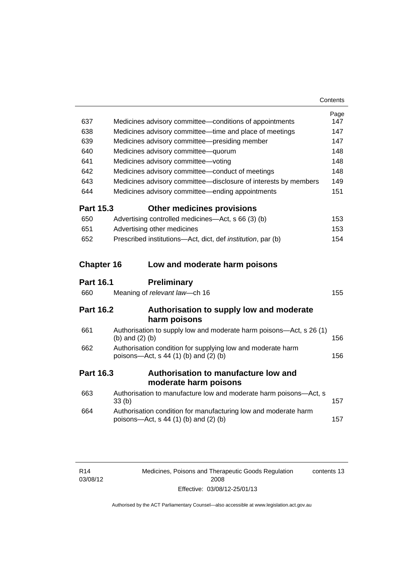| 637              | Medicines advisory committee—conditions of appointments                                                    | Page<br>147 |
|------------------|------------------------------------------------------------------------------------------------------------|-------------|
| 638              | Medicines advisory committee—time and place of meetings                                                    | 147         |
| 639              | Medicines advisory committee-presiding member                                                              | 147         |
| 640              | Medicines advisory committee-quorum                                                                        | 148         |
| 641              | Medicines advisory committee-voting                                                                        | 148         |
| 642              | Medicines advisory committee-conduct of meetings                                                           | 148         |
| 643              | Medicines advisory committee-disclosure of interests by members                                            | 149         |
| 644              | Medicines advisory committee—ending appointments                                                           | 151         |
| <b>Part 15.3</b> | <b>Other medicines provisions</b>                                                                          |             |
| 650              | Advertising controlled medicines—Act, s 66 (3) (b)                                                         | 153         |
| 651              | Advertising other medicines                                                                                | 153         |
| 652              | Prescribed institutions—Act, dict, def <i>institution</i> , par (b)                                        | 154         |
|                  | <b>Chapter 16</b><br>Low and moderate harm poisons                                                         |             |
|                  |                                                                                                            |             |
| <b>Part 16.1</b> | <b>Preliminary</b>                                                                                         |             |
| 660              | Meaning of relevant law-ch 16                                                                              | 155         |
| <b>Part 16.2</b> | Authorisation to supply low and moderate                                                                   |             |
|                  | harm poisons                                                                                               |             |
| 661              | Authorisation to supply low and moderate harm poisons-Act, s 26 (1)<br>(b) and $(2)$ (b)                   | 156         |
| 662              | Authorisation condition for supplying low and moderate harm<br>poisons-Act, s 44 (1) (b) and (2) (b)       | 156         |
| <b>Part 16.3</b> | Authorisation to manufacture low and                                                                       |             |
|                  | moderate harm poisons                                                                                      |             |
| 663              | Authorisation to manufacture low and moderate harm poisons-Act, s<br>33 <sub>(b)</sub>                     | 157         |
| 664              | Authorisation condition for manufacturing low and moderate harm<br>poisons-Act, $s$ 44 (1) (b) and (2) (b) | 157         |

Medicines, Poisons and Therapeutic Goods Regulation 2008 Effective: 03/08/12-25/01/13 contents 13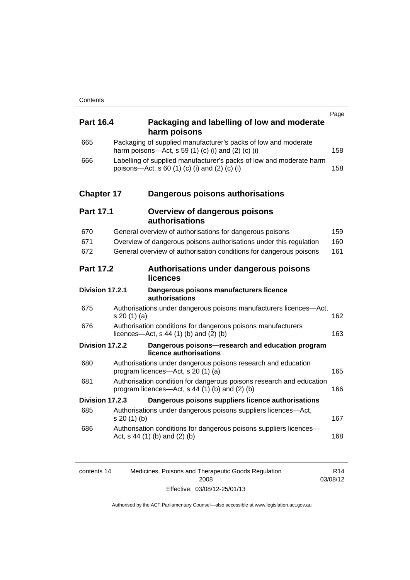| <b>Part 16.4</b>  | Packaging and labelling of low and moderate<br>harm poisons                                                              | Page |
|-------------------|--------------------------------------------------------------------------------------------------------------------------|------|
| 665               | Packaging of supplied manufacturer's packs of low and moderate<br>harm poisons—Act, s 59 (1) (c) (i) and (2) (c) (i)     | 158  |
| 666               | Labelling of supplied manufacturer's packs of low and moderate harm<br>poisons—Act, s 60 (1) (c) (i) and (2) (c) (i)     | 158  |
| <b>Chapter 17</b> | Dangerous poisons authorisations                                                                                         |      |
| <b>Part 17.1</b>  | <b>Overview of dangerous poisons</b><br>authorisations                                                                   |      |
| 670               | General overview of authorisations for dangerous poisons                                                                 | 159  |
| 671               | Overview of dangerous poisons authorisations under this regulation                                                       | 160  |
| 672               | General overview of authorisation conditions for dangerous poisons                                                       | 161  |
| <b>Part 17.2</b>  | Authorisations under dangerous poisons<br>licences                                                                       |      |
| Division 17.2.1   | Dangerous poisons manufacturers licence<br>authorisations                                                                |      |
| 675               | Authorisations under dangerous poisons manufacturers licences-Act,<br>s 20 (1) (a)                                       | 162  |
| 676               | Authorisation conditions for dangerous poisons manufacturers<br>licences—Act, $s$ 44 (1) (b) and (2) (b)                 | 163  |
| Division 17.2.2   | Dangerous poisons-research and education program<br>licence authorisations                                               |      |
| 680               | Authorisations under dangerous poisons research and education<br>program licences-Act, s 20 (1) (a)                      | 165  |
| 681               | Authorisation condition for dangerous poisons research and education<br>program licences—Act, $s$ 44 (1) (b) and (2) (b) | 166  |
| Division 17.2.3   | Dangerous poisons suppliers licence authorisations                                                                       |      |
| 685               | Authorisations under dangerous poisons suppliers licences—Act,<br>s 20(1)(b)                                             | 167  |
| 686               | Authorisation conditions for dangerous poisons suppliers licences-<br>Act, $s$ 44 (1) (b) and (2) (b)                    | 168  |
|                   |                                                                                                                          |      |

| contents 14 | Medicines, Poisons and Therapeutic Goods Regulation | R <sub>14</sub> |
|-------------|-----------------------------------------------------|-----------------|
|             | 2008                                                | 03/08/12        |
|             | Effective: 03/08/12-25/01/13                        |                 |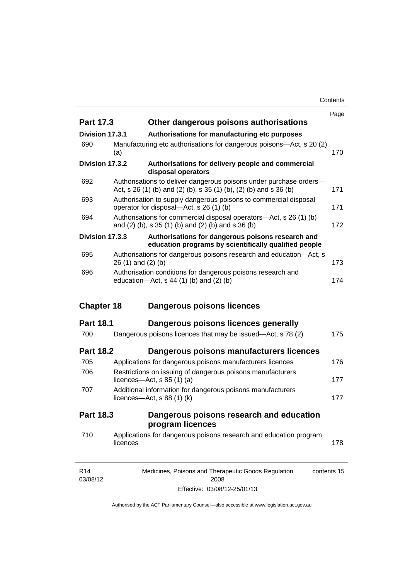**Contents** 

|                   |          |                                                                                                                                             | Page |
|-------------------|----------|---------------------------------------------------------------------------------------------------------------------------------------------|------|
| Part 17.3         |          | Other dangerous poisons authorisations                                                                                                      |      |
| Division 17.3.1   |          | Authorisations for manufacturing etc purposes                                                                                               |      |
| 690               | (a)      | Manufacturing etc authorisations for dangerous poisons-Act, s 20 (2)                                                                        | 170  |
| Division 17.3.2   |          | Authorisations for delivery people and commercial<br>disposal operators                                                                     |      |
| 692               |          | Authorisations to deliver dangerous poisons under purchase orders-<br>Act, s $26(1)$ (b) and (2) (b), s $35(1)$ (b), (2) (b) and s $36($ b) | 171  |
| 693               |          | Authorisation to supply dangerous poisons to commercial disposal<br>operator for disposal—Act, s 26 (1) (b)                                 | 171  |
| 694               |          | Authorisations for commercial disposal operators—Act, s 26 (1) (b)<br>and (2) (b), s 35 (1) (b) and (2) (b) and s 36 (b)                    | 172  |
| Division 17.3.3   |          | Authorisations for dangerous poisons research and<br>education programs by scientifically qualified people                                  |      |
| 695               |          | Authorisations for dangerous poisons research and education-Act, s<br>$26(1)$ and $(2)(b)$                                                  | 173  |
| 696               |          | Authorisation conditions for dangerous poisons research and<br>education- $Act$ , s 44 (1) (b) and (2) (b)                                  | 174  |
| <b>Chapter 18</b> |          | Dangerous poisons licences                                                                                                                  |      |
|                   |          |                                                                                                                                             |      |
| <b>Part 18.1</b>  |          | Dangerous poisons licences generally                                                                                                        |      |
| 700               |          | Dangerous poisons licences that may be issued-Act, s 78 (2)                                                                                 | 175  |
| <b>Part 18.2</b>  |          |                                                                                                                                             |      |
| 705               |          | Dangerous poisons manufacturers licences<br>Applications for dangerous poisons manufacturers licences                                       | 176  |
| 706               |          | Restrictions on issuing of dangerous poisons manufacturers<br>licences- $-\text{Act}$ , s 85 (1) (a)                                        | 177  |
| 707               |          | Additional information for dangerous poisons manufacturers<br>licences- $-\text{Act}$ , s 88 (1) (k)                                        | 177  |
| Part 18.3         |          | Dangerous poisons research and education                                                                                                    |      |
| 710               | licences | program licences<br>Applications for dangerous poisons research and education program                                                       | 178  |

Effective: 03/08/12-25/01/13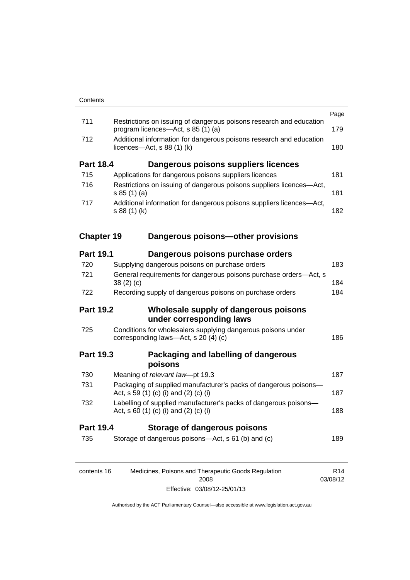|                   |                                                                                                           | Page            |  |  |
|-------------------|-----------------------------------------------------------------------------------------------------------|-----------------|--|--|
| 711               | Restrictions on issuing of dangerous poisons research and education<br>program licences—Act, s 85 (1) (a) | 179             |  |  |
| 712               | Additional information for dangerous poisons research and education<br>licences—Act, $s$ 88 (1) (k)       |                 |  |  |
| <b>Part 18.4</b>  | Dangerous poisons suppliers licences                                                                      |                 |  |  |
| 715               | Applications for dangerous poisons suppliers licences                                                     | 181             |  |  |
| 716               | Restrictions on issuing of dangerous poisons suppliers licences-Act,<br>s 85(1)(a)                        | 181             |  |  |
| 717               | Additional information for dangerous poisons suppliers licences-Act,<br>s 88 (1) (k)                      | 182             |  |  |
| <b>Chapter 19</b> | Dangerous poisons-other provisions                                                                        |                 |  |  |
| <b>Part 19.1</b>  | Dangerous poisons purchase orders                                                                         |                 |  |  |
| 720               | Supplying dangerous poisons on purchase orders                                                            | 183             |  |  |
| 721               | General requirements for dangerous poisons purchase orders-Act, s<br>38(2)(c)                             | 184             |  |  |
| 722               | Recording supply of dangerous poisons on purchase orders                                                  | 184             |  |  |
| <b>Part 19.2</b>  | Wholesale supply of dangerous poisons<br>under corresponding laws                                         |                 |  |  |
| 725               | Conditions for wholesalers supplying dangerous poisons under<br>corresponding laws-Act, s 20 (4) (c)      | 186             |  |  |
| <b>Part 19.3</b>  | Packaging and labelling of dangerous<br>poisons                                                           |                 |  |  |
| 730               | Meaning of relevant law-pt 19.3                                                                           | 187             |  |  |
| 731               | Packaging of supplied manufacturer's packs of dangerous poisons-<br>Act, s 59 (1) (c) (i) and (2) (c) (i) | 187             |  |  |
| 732               | Labelling of supplied manufacturer's packs of dangerous poisons-<br>Act, s 60 (1) (c) (i) and (2) (c) (i) | 188             |  |  |
| <b>Part 19.4</b>  | <b>Storage of dangerous poisons</b>                                                                       |                 |  |  |
| 735               | Storage of dangerous poisons—Act, s 61 (b) and (c)                                                        | 189             |  |  |
| contents 16       | Medicines, Poisons and Therapeutic Goods Regulation                                                       | R <sub>14</sub> |  |  |

03/08/12

2008 Effective: 03/08/12-25/01/13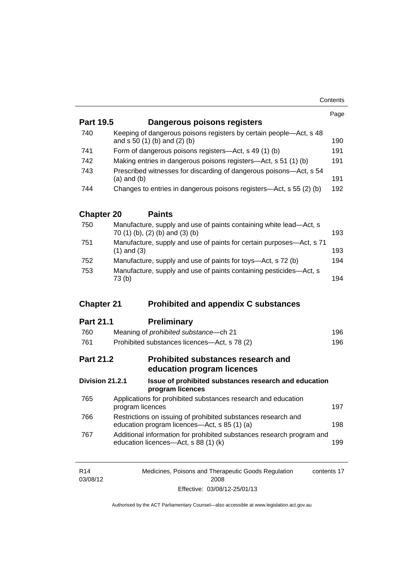| <b>Part 19.5</b>  | Dangerous poisons registers                                                                                   | Page |  |  |
|-------------------|---------------------------------------------------------------------------------------------------------------|------|--|--|
|                   |                                                                                                               |      |  |  |
| 740               | Keeping of dangerous poisons registers by certain people-Act, s 48<br>and s 50 (1) (b) and (2) (b)            | 190  |  |  |
| 741               | Form of dangerous poisons registers—Act, s 49 (1) (b)                                                         |      |  |  |
| 742               | Making entries in dangerous poisons registers—Act, s 51 (1) (b)                                               | 191  |  |  |
| 743               | Prescribed witnesses for discarding of dangerous poisons-Act, s 54<br>$(a)$ and $(b)$                         | 191  |  |  |
| 744               | Changes to entries in dangerous poisons registers—Act, s 55 (2) (b)                                           | 192  |  |  |
| <b>Chapter 20</b> | <b>Paints</b>                                                                                                 |      |  |  |
| 750               | Manufacture, supply and use of paints containing white lead-Act, s<br>70 (1) (b), (2) (b) and (3) (b)         | 193  |  |  |
| 751               | Manufacture, supply and use of paints for certain purposes-Act, s 71<br>$(1)$ and $(3)$                       | 193  |  |  |
| 752               | Manufacture, supply and use of paints for toys—Act, s 72 (b)                                                  | 194  |  |  |
| 753               | Manufacture, supply and use of paints containing pesticides—Act, s<br>73(b)                                   | 194  |  |  |
| <b>Chapter 21</b> | <b>Prohibited and appendix C substances</b>                                                                   |      |  |  |
| <b>Part 21.1</b>  | <b>Preliminary</b>                                                                                            |      |  |  |
| 760               | Meaning of prohibited substance-ch 21                                                                         | 196  |  |  |
| 761               | Prohibited substances licences-Act, s 78 (2)                                                                  | 196  |  |  |
| <b>Part 21.2</b>  | Prohibited substances research and<br>education program licences                                              |      |  |  |
| Division 21.2.1   | Issue of prohibited substances research and education<br>program licences                                     |      |  |  |
| 765               | Applications for prohibited substances research and education<br>program licences                             | 197  |  |  |
| 766               | Restrictions on issuing of prohibited substances research and                                                 | 198  |  |  |
|                   | education program licences—Act, s 85 (1) (a)                                                                  |      |  |  |
| 767               | Additional information for prohibited substances research program and<br>education licences-Act, s 88 (1) (k) | 199  |  |  |

| R <sub>14</sub> | Medicines, Poisons and Therapeutic Goods Regulation | contents 17 |
|-----------------|-----------------------------------------------------|-------------|
| 03/08/12        | 2008                                                |             |
|                 | Effective: 03/08/12-25/01/13                        |             |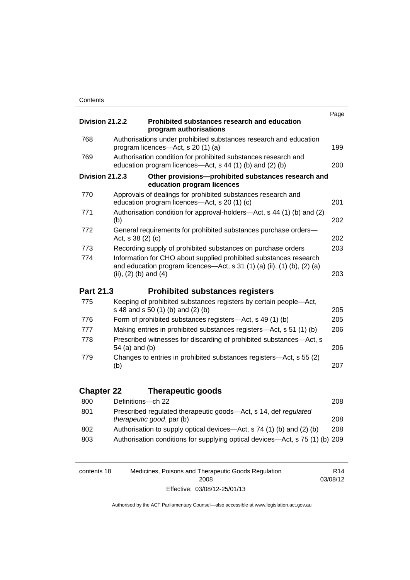|                   |                                                                                                                                                                           | Page |
|-------------------|---------------------------------------------------------------------------------------------------------------------------------------------------------------------------|------|
| Division 21.2.2   | Prohibited substances research and education<br>program authorisations                                                                                                    |      |
| 768               | Authorisations under prohibited substances research and education<br>program licences—Act, s 20 (1) (a)                                                                   | 199  |
| 769               | Authorisation condition for prohibited substances research and<br>education program licences—Act, s 44 (1) (b) and (2) (b)                                                | 200  |
| Division 21.2.3   | Other provisions-prohibited substances research and<br>education program licences                                                                                         |      |
| 770               | Approvals of dealings for prohibited substances research and<br>education program licences—Act, s 20 (1) (c)                                                              | 201  |
| 771               | Authorisation condition for approval-holders-Act, s 44 (1) (b) and (2)<br>(b)                                                                                             | 202  |
| 772               | General requirements for prohibited substances purchase orders-<br>Act, s 38 (2) (c)                                                                                      | 202  |
| 773               | Recording supply of prohibited substances on purchase orders                                                                                                              | 203  |
| 774               | Information for CHO about supplied prohibited substances research<br>and education program licences-Act, s 31 (1) (a) (ii), (1) (b), (2) (a)<br>(ii), $(2)$ (b) and $(4)$ | 203  |
| Part 21.3         | <b>Prohibited substances registers</b>                                                                                                                                    |      |
| 775               | Keeping of prohibited substances registers by certain people-Act,<br>s 48 and s 50 (1) (b) and (2) (b)                                                                    | 205  |
| 776               | Form of prohibited substances registers—Act, s 49 (1) (b)                                                                                                                 | 205  |
| 777               | Making entries in prohibited substances registers—Act, s 51 (1) (b)                                                                                                       | 206  |
| 778               | Prescribed witnesses for discarding of prohibited substances-Act, s<br>54 (a) and (b)                                                                                     | 206  |
| 779               | Changes to entries in prohibited substances registers-Act, s 55 (2)<br>(b)                                                                                                | 207  |
| <b>Chapter 22</b> |                                                                                                                                                                           |      |
|                   |                                                                                                                                                                           |      |
|                   | <b>Therapeutic goods</b>                                                                                                                                                  |      |
| 800               | Definitions-ch 22                                                                                                                                                         | 208  |
| 801               | Prescribed regulated therapeutic goods-Act, s 14, def regulated<br>therapeutic good, par (b)                                                                              | 208  |
| 802<br>803        | Authorisation to supply optical devices—Act, s 74 (1) (b) and (2) (b)<br>Authorisation conditions for supplying optical devices-Act, s 75 (1) (b) 209                     | 208  |

| contents 18 | R14                          |          |
|-------------|------------------------------|----------|
|             | 2008                         | 03/08/12 |
|             | Effective: 03/08/12-25/01/13 |          |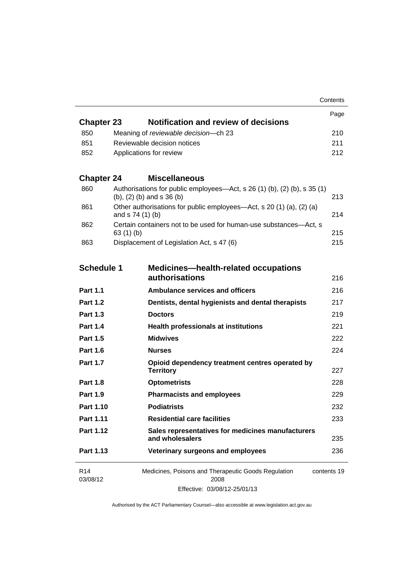|                             |                                                                                                                | Contents    |  |
|-----------------------------|----------------------------------------------------------------------------------------------------------------|-------------|--|
|                             |                                                                                                                | Page        |  |
| <b>Chapter 23</b>           | Notification and review of decisions                                                                           |             |  |
| 850                         | Meaning of reviewable decision--- ch 23                                                                        | 210         |  |
| 851                         | Reviewable decision notices                                                                                    |             |  |
| 852                         | Applications for review                                                                                        | 212         |  |
| <b>Chapter 24</b>           | <b>Miscellaneous</b>                                                                                           |             |  |
| 860                         | Authorisations for public employees—Act, s 26 (1) (b), (2) (b), s 35 (1)<br>$(b)$ , $(2)$ $(b)$ and s 36 $(b)$ | 213         |  |
| 861                         | Other authorisations for public employees—Act, s 20 (1) (a), (2) (a)<br>and s 74 (1) (b)                       | 214         |  |
| 862                         | Certain containers not to be used for human-use substances—Act, s<br>63(1)(b)                                  | 215         |  |
| 863                         | Displacement of Legislation Act, s 47 (6)                                                                      | 215         |  |
| <b>Schedule 1</b>           | <b>Medicines-health-related occupations</b>                                                                    |             |  |
|                             | authorisations                                                                                                 | 216         |  |
| <b>Part 1.1</b>             | <b>Ambulance services and officers</b>                                                                         | 216         |  |
| <b>Part 1.2</b>             | Dentists, dental hygienists and dental therapists                                                              | 217         |  |
| <b>Part 1.3</b>             | <b>Doctors</b>                                                                                                 | 219         |  |
| <b>Part 1.4</b>             | <b>Health professionals at institutions</b>                                                                    | 221         |  |
| <b>Part 1.5</b>             | <b>Midwives</b>                                                                                                | 222         |  |
| <b>Part 1.6</b>             | <b>Nurses</b>                                                                                                  | 224         |  |
| <b>Part 1.7</b>             | Opioid dependency treatment centres operated by<br><b>Territory</b>                                            | 227         |  |
| <b>Part 1.8</b>             | <b>Optometrists</b>                                                                                            | 228         |  |
| <b>Part 1.9</b>             | <b>Pharmacists and employees</b>                                                                               | 229         |  |
| <b>Part 1.10</b>            | <b>Podiatrists</b>                                                                                             | 232         |  |
| Part 1.11                   | <b>Residential care facilities</b>                                                                             | 233         |  |
| Part 1.12                   | Sales representatives for medicines manufacturers<br>and wholesalers                                           | 235         |  |
| Part 1.13                   | Veterinary surgeons and employees                                                                              | 236         |  |
| R <sub>14</sub><br>03/08/12 | Medicines, Poisons and Therapeutic Goods Regulation<br>2008<br>Effective: 03/08/12-25/01/13                    | contents 19 |  |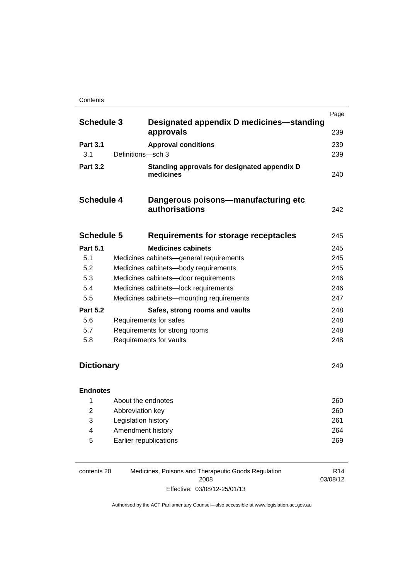#### **Contents**

|                   |                   |                                                              | Page |
|-------------------|-------------------|--------------------------------------------------------------|------|
| <b>Schedule 3</b> |                   | Designated appendix D medicines—standing<br>approvals        | 239  |
| <b>Part 3.1</b>   |                   | <b>Approval conditions</b>                                   | 239  |
| 3.1               | Definitions-sch 3 |                                                              | 239  |
| <b>Part 3.2</b>   |                   | Standing approvals for designated appendix D<br>medicines    | 240  |
| <b>Schedule 4</b> |                   | Dangerous poisons—manufacturing etc<br><b>authorisations</b> | 242  |
| <b>Schedule 5</b> |                   | Requirements for storage receptacles                         | 245  |
| <b>Part 5.1</b>   |                   | <b>Medicines cabinets</b>                                    | 245  |
| 5.1               |                   | Medicines cabinets—general requirements                      | 245  |
| 5.2               |                   | Medicines cabinets-body requirements                         | 245  |
| 5.3               |                   | Medicines cabinets-door requirements                         | 246  |
| 5.4               |                   | Medicines cabinets-lock requirements                         | 246  |
| 5.5               |                   | Medicines cabinets-mounting requirements                     | 247  |
| <b>Part 5.2</b>   |                   | Safes, strong rooms and vaults                               | 248  |
| 5.6               |                   | Requirements for safes                                       | 248  |
| 5.7               |                   | Requirements for strong rooms                                | 248  |
| 5.8               |                   | Requirements for vaults                                      | 248  |

## **[Dictionary](#page-270-0)** [249](#page-270-0)

## **[Endnotes](#page-281-0)**

|   | About the endnotes     | 260 |
|---|------------------------|-----|
| 2 | Abbreviation key       | 260 |
| 3 | Legislation history    | 261 |
| 4 | Amendment history      | 264 |
| 5 | Earlier republications | 269 |

| contents 20 | Medicines, Poisons and Therapeutic Goods Regulation | R <sub>14</sub> |
|-------------|-----------------------------------------------------|-----------------|
|             | 2008                                                | 03/08/12        |
|             | Effective: 03/08/12-25/01/13                        |                 |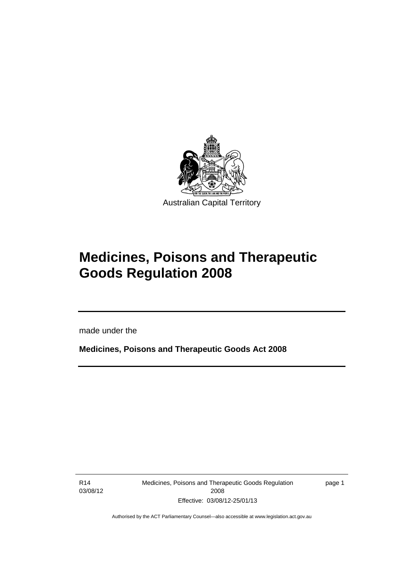

# **Medicines, Poisons and Therapeutic Goods Regulation 2008**

made under the

**Medicines, Poisons and Therapeutic Goods Act 2008** 

R14 03/08/12

l

Medicines, Poisons and Therapeutic Goods Regulation 2008 Effective: 03/08/12-25/01/13

page 1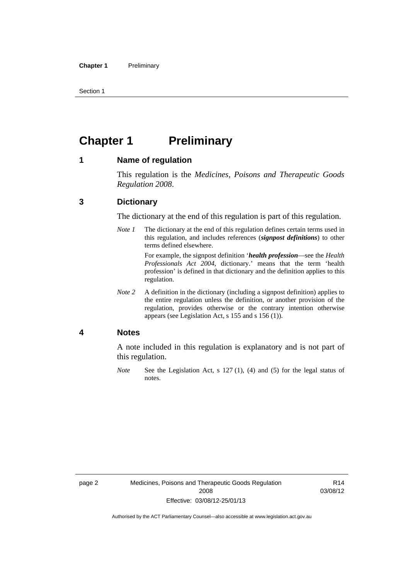Section 1

## <span id="page-23-0"></span>**Chapter 1** Preliminary

### <span id="page-23-1"></span>**1 Name of regulation**

This regulation is the *Medicines, Poisons and Therapeutic Goods Regulation 2008*.

### <span id="page-23-2"></span>**3 Dictionary**

The dictionary at the end of this regulation is part of this regulation.

*Note 1* The dictionary at the end of this regulation defines certain terms used in this regulation, and includes references (*signpost definitions*) to other terms defined elsewhere.

> For example, the signpost definition '*health profession*—see the *Health Professionals Act 2004*, dictionary.' means that the term 'health profession' is defined in that dictionary and the definition applies to this regulation.

*Note 2* A definition in the dictionary (including a signpost definition) applies to the entire regulation unless the definition, or another provision of the regulation, provides otherwise or the contrary intention otherwise appears (see Legislation Act, s 155 and s 156 (1)).

### <span id="page-23-3"></span>**4 Notes**

A note included in this regulation is explanatory and is not part of this regulation.

*Note* See the Legislation Act, s 127 (1), (4) and (5) for the legal status of notes.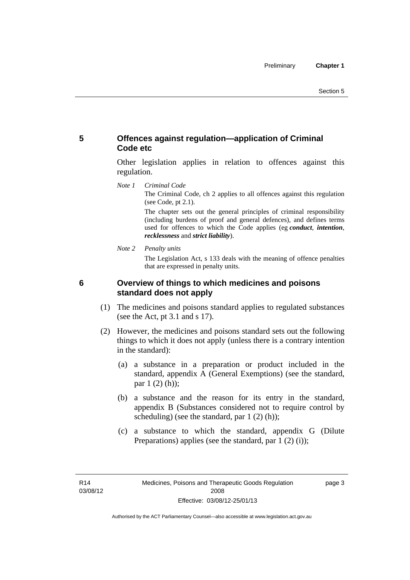## <span id="page-24-0"></span>**5 Offences against regulation—application of Criminal Code etc**

Other legislation applies in relation to offences against this regulation.

*Note 1 Criminal Code*

The Criminal Code, ch 2 applies to all offences against this regulation (see Code, pt 2.1).

The chapter sets out the general principles of criminal responsibility (including burdens of proof and general defences), and defines terms used for offences to which the Code applies (eg *conduct*, *intention*, *recklessness* and *strict liability*).

*Note 2 Penalty units* 

The Legislation Act, s 133 deals with the meaning of offence penalties that are expressed in penalty units.

<span id="page-24-1"></span>

## **6 Overview of things to which medicines and poisons standard does not apply**

- (1) The medicines and poisons standard applies to regulated substances (see the Act, pt 3.1 and s 17).
- (2) However, the medicines and poisons standard sets out the following things to which it does not apply (unless there is a contrary intention in the standard):
	- (a) a substance in a preparation or product included in the standard, appendix A (General Exemptions) (see the standard, par 1 (2) (h));
	- (b) a substance and the reason for its entry in the standard, appendix B (Substances considered not to require control by scheduling) (see the standard, par 1 (2) (h));
	- (c) a substance to which the standard, appendix G (Dilute Preparations) applies (see the standard, par 1 (2) (i));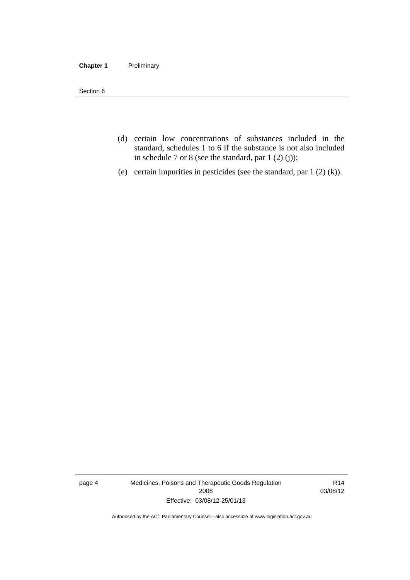### **Chapter 1** Preliminary

Section 6

- (d) certain low concentrations of substances included in the standard, schedules 1 to 6 if the substance is not also included in schedule 7 or 8 (see the standard, par 1 (2) (j));
- (e) certain impurities in pesticides (see the standard, par 1 (2) (k)).

page 4 Medicines, Poisons and Therapeutic Goods Regulation 2008 Effective: 03/08/12-25/01/13

R14 03/08/12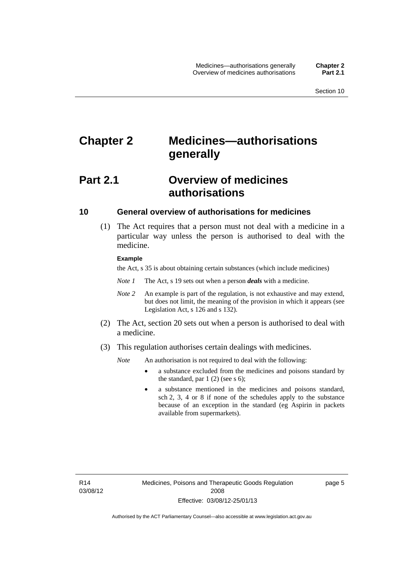## <span id="page-26-0"></span>**Chapter 2 Medicines—authorisations generally**

## <span id="page-26-1"></span>**Part 2.1 Overview of medicines authorisations**

### <span id="page-26-2"></span>**10 General overview of authorisations for medicines**

 (1) The Act requires that a person must not deal with a medicine in a particular way unless the person is authorised to deal with the medicine.

### **Example**

the Act, s 35 is about obtaining certain substances (which include medicines)

- *Note 1* The Act, s 19 sets out when a person *deals* with a medicine.
- *Note 2* An example is part of the regulation, is not exhaustive and may extend, but does not limit, the meaning of the provision in which it appears (see Legislation Act, s 126 and s 132).
- (2) The Act, section 20 sets out when a person is authorised to deal with a medicine.
- (3) This regulation authorises certain dealings with medicines.

*Note* An authorisation is not required to deal with the following:

- a substance excluded from the medicines and poisons standard by the standard, par  $1(2)$  (see s 6);
- a substance mentioned in the medicines and poisons standard, sch 2, 3, 4 or 8 if none of the schedules apply to the substance because of an exception in the standard (eg Aspirin in packets available from supermarkets).

R14 03/08/12 page 5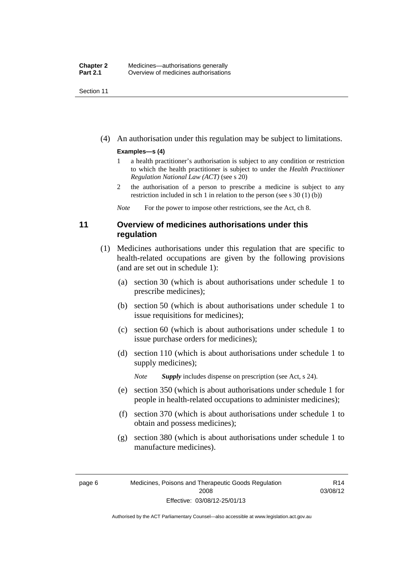Section 11

(4) An authorisation under this regulation may be subject to limitations.

### **Examples—s (4)**

- 1 a health practitioner's authorisation is subject to any condition or restriction to which the health practitioner is subject to under the *Health Practitioner Regulation National Law (ACT)* (see s 20)
- 2 the authorisation of a person to prescribe a medicine is subject to any restriction included in sch 1 in relation to the person (see s 30 (1) (b))

*Note* For the power to impose other restrictions, see the Act, ch 8.

## <span id="page-27-0"></span>**11 Overview of medicines authorisations under this regulation**

- (1) Medicines authorisations under this regulation that are specific to health-related occupations are given by the following provisions (and are set out in schedule 1):
	- (a) section 30 (which is about authorisations under schedule 1 to prescribe medicines);
	- (b) section 50 (which is about authorisations under schedule 1 to issue requisitions for medicines);
	- (c) section 60 (which is about authorisations under schedule 1 to issue purchase orders for medicines);
	- (d) section 110 (which is about authorisations under schedule 1 to supply medicines);

*Note Supply* includes dispense on prescription (see Act, s 24).

- (e) section 350 (which is about authorisations under schedule 1 for people in health-related occupations to administer medicines);
- (f) section 370 (which is about authorisations under schedule 1 to obtain and possess medicines);
- (g) section 380 (which is about authorisations under schedule 1 to manufacture medicines).

R14 03/08/12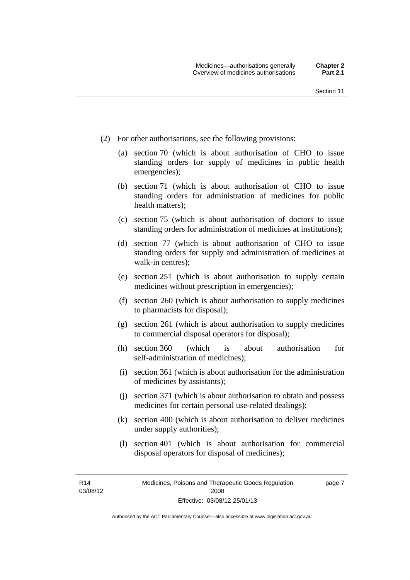- (2) For other authorisations, see the following provisions:
	- (a) section 70 (which is about authorisation of CHO to issue standing orders for supply of medicines in public health emergencies);
	- (b) section 71 (which is about authorisation of CHO to issue standing orders for administration of medicines for public health matters);
	- (c) section 75 (which is about authorisation of doctors to issue standing orders for administration of medicines at institutions);
	- (d) section 77 (which is about authorisation of CHO to issue standing orders for supply and administration of medicines at walk-in centres);
	- (e) section 251 (which is about authorisation to supply certain medicines without prescription in emergencies);
	- (f) section 260 (which is about authorisation to supply medicines to pharmacists for disposal);
	- (g) section 261 (which is about authorisation to supply medicines to commercial disposal operators for disposal);
	- (h) section 360 (which is about authorisation for self-administration of medicines);
	- (i) section 361 (which is about authorisation for the administration of medicines by assistants);
	- (j) section 371 (which is about authorisation to obtain and possess medicines for certain personal use-related dealings);
	- (k) section 400 (which is about authorisation to deliver medicines under supply authorities);
	- (l) section 401 (which is about authorisation for commercial disposal operators for disposal of medicines);

R14 03/08/12 page 7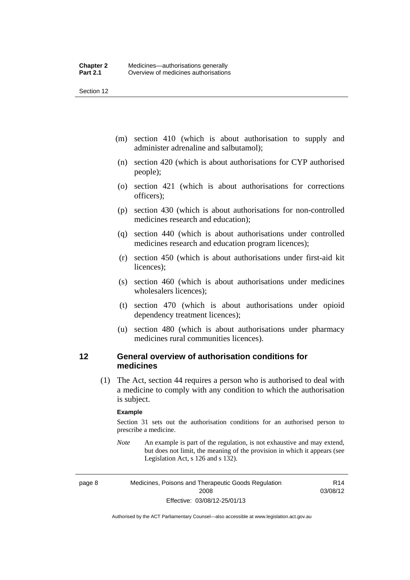Section 12

- (m) section 410 (which is about authorisation to supply and administer adrenaline and salbutamol);
- (n) section 420 (which is about authorisations for CYP authorised people);
- (o) section 421 (which is about authorisations for corrections officers);
- (p) section 430 (which is about authorisations for non-controlled medicines research and education);
- (q) section 440 (which is about authorisations under controlled medicines research and education program licences);
- (r) section 450 (which is about authorisations under first-aid kit licences);
- (s) section 460 (which is about authorisations under medicines wholesalers licences);
- (t) section 470 (which is about authorisations under opioid dependency treatment licences);
- (u) section 480 (which is about authorisations under pharmacy medicines rural communities licences).

## <span id="page-29-0"></span>**12 General overview of authorisation conditions for medicines**

(1) The Act, section 44 requires a person who is authorised to deal with a medicine to comply with any condition to which the authorisation is subject.

### **Example**

Section 31 sets out the authorisation conditions for an authorised person to prescribe a medicine.

*Note* An example is part of the regulation, is not exhaustive and may extend, but does not limit, the meaning of the provision in which it appears (see Legislation Act, s 126 and s 132).

page 8 Medicines, Poisons and Therapeutic Goods Regulation 2008 Effective: 03/08/12-25/01/13

R14 03/08/12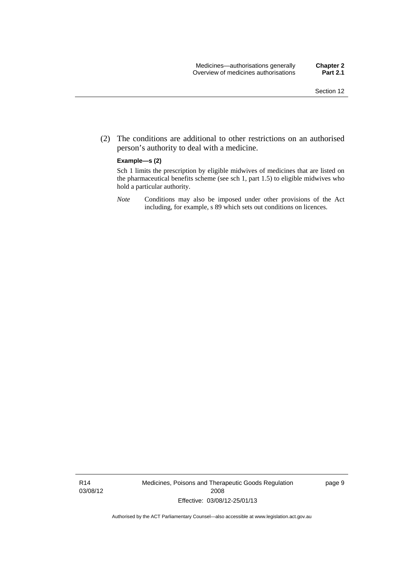(2) The conditions are additional to other restrictions on an authorised person's authority to deal with a medicine.

### **Example—s (2)**

Sch 1 limits the prescription by eligible midwives of medicines that are listed on the pharmaceutical benefits scheme (see sch 1, part 1.5) to eligible midwives who hold a particular authority.

*Note* Conditions may also be imposed under other provisions of the Act including, for example, s 89 which sets out conditions on licences.

R14 03/08/12 Medicines, Poisons and Therapeutic Goods Regulation 2008 Effective: 03/08/12-25/01/13

page 9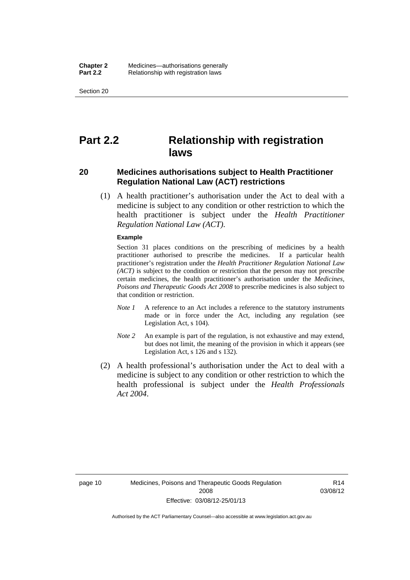Section 20

## <span id="page-31-0"></span>**Part 2.2 Relationship with registration laws**

### <span id="page-31-1"></span>**20 Medicines authorisations subject to Health Practitioner Regulation National Law (ACT) restrictions**

 (1) A health practitioner's authorisation under the Act to deal with a medicine is subject to any condition or other restriction to which the health practitioner is subject under the *Health Practitioner Regulation National Law (ACT)*.

#### **Example**

Section 31 places conditions on the prescribing of medicines by a health practitioner authorised to prescribe the medicines. If a particular health practitioner's registration under the *Health Practitioner Regulation National Law (ACT)* is subject to the condition or restriction that the person may not prescribe certain medicines, the health practitioner's authorisation under the *Medicines, Poisons and Therapeutic Goods Act 2008* to prescribe medicines is also subject to that condition or restriction.

- *Note 1* A reference to an Act includes a reference to the statutory instruments made or in force under the Act, including any regulation (see Legislation Act, s 104).
- *Note 2* An example is part of the regulation, is not exhaustive and may extend, but does not limit, the meaning of the provision in which it appears (see Legislation Act, s 126 and s 132).
- (2) A health professional's authorisation under the Act to deal with a medicine is subject to any condition or other restriction to which the health professional is subject under the *Health Professionals Act 2004*.

R14 03/08/12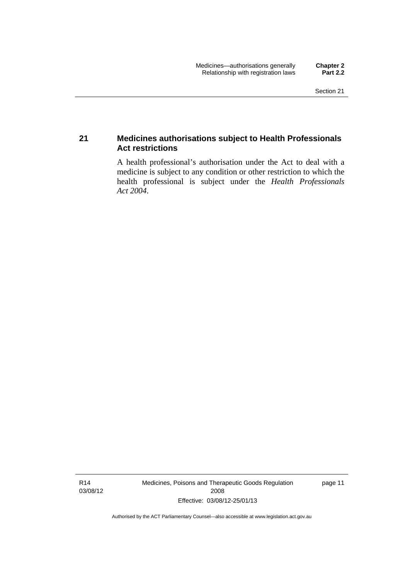## <span id="page-32-0"></span>**21 Medicines authorisations subject to Health Professionals Act restrictions**

A health professional's authorisation under the Act to deal with a medicine is subject to any condition or other restriction to which the health professional is subject under the *Health Professionals Act 2004*.

R14 03/08/12 Medicines, Poisons and Therapeutic Goods Regulation 2008 Effective: 03/08/12-25/01/13

page 11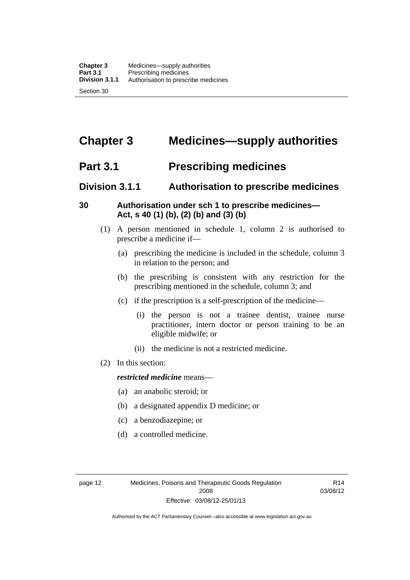## <span id="page-33-0"></span>**Chapter 3 Medicines—supply authorities**

## <span id="page-33-1"></span>**Part 3.1 Prescribing medicines**

## <span id="page-33-2"></span>**Division 3.1.1 Authorisation to prescribe medicines**

## <span id="page-33-3"></span>**30 Authorisation under sch 1 to prescribe medicines— Act, s 40 (1) (b), (2) (b) and (3) (b)**

- (1) A person mentioned in schedule 1, column 2 is authorised to prescribe a medicine if—
	- (a) prescribing the medicine is included in the schedule, column 3 in relation to the person; and
	- (b) the prescribing is consistent with any restriction for the prescribing mentioned in the schedule, column 3; and
	- (c) if the prescription is a self-prescription of the medicine—
		- (i) the person is not a trainee dentist, trainee nurse practitioner, intern doctor or person training to be an eligible midwife; or
		- (ii) the medicine is not a restricted medicine.
- (2) In this section:

### *restricted medicine* means—

- (a) an anabolic steroid; or
- (b) a designated appendix D medicine; or
- (c) a benzodiazepine; or
- (d) a controlled medicine.

R14 03/08/12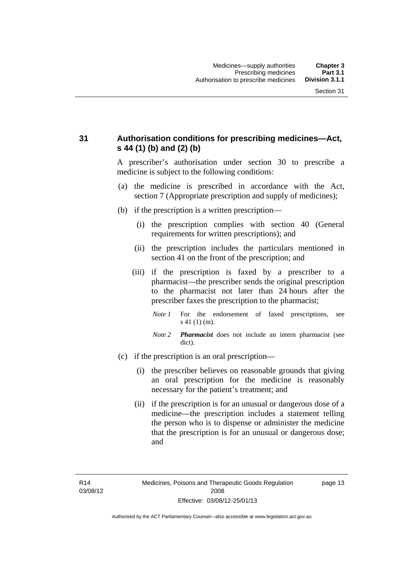## <span id="page-34-0"></span>**31 Authorisation conditions for prescribing medicines—Act, s 44 (1) (b) and (2) (b)**

A prescriber's authorisation under section 30 to prescribe a medicine is subject to the following conditions:

- (a) the medicine is prescribed in accordance with the Act, section 7 (Appropriate prescription and supply of medicines);
- (b) if the prescription is a written prescription—
	- (i) the prescription complies with section 40 (General requirements for written prescriptions); and
	- (ii) the prescription includes the particulars mentioned in section 41 on the front of the prescription; and
	- (iii) if the prescription is faxed by a prescriber to a pharmacist—the prescriber sends the original prescription to the pharmacist not later than 24 hours after the prescriber faxes the prescription to the pharmacist;
		- *Note 1* For the endorsement of faxed prescriptions, see s 41 (1) (m).
		- *Note 2 Pharmacist* does not include an intern pharmacist (see dict).
- (c) if the prescription is an oral prescription—
	- (i) the prescriber believes on reasonable grounds that giving an oral prescription for the medicine is reasonably necessary for the patient's treatment; and
	- (ii) if the prescription is for an unusual or dangerous dose of a medicine—the prescription includes a statement telling the person who is to dispense or administer the medicine that the prescription is for an unusual or dangerous dose; and

page 13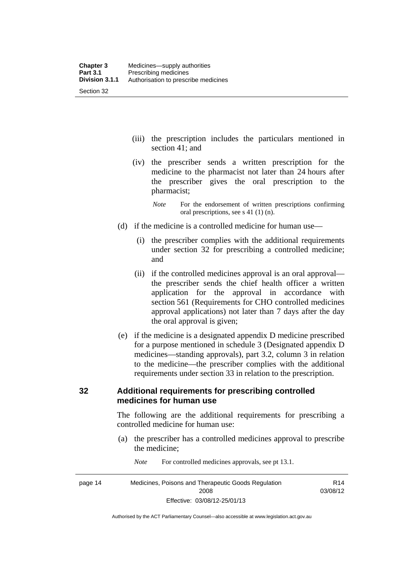- (iii) the prescription includes the particulars mentioned in section 41; and
- (iv) the prescriber sends a written prescription for the medicine to the pharmacist not later than 24 hours after the prescriber gives the oral prescription to the pharmacist;
	- *Note* For the endorsement of written prescriptions confirming oral prescriptions, see s 41 (1) (n).
- (d) if the medicine is a controlled medicine for human use—
	- (i) the prescriber complies with the additional requirements under section 32 for prescribing a controlled medicine; and
	- (ii) if the controlled medicines approval is an oral approval the prescriber sends the chief health officer a written application for the approval in accordance with section 561 (Requirements for CHO controlled medicines approval applications) not later than 7 days after the day the oral approval is given;
- (e) if the medicine is a designated appendix D medicine prescribed for a purpose mentioned in schedule 3 (Designated appendix D medicines—standing approvals), part 3.2, column 3 in relation to the medicine—the prescriber complies with the additional requirements under section 33 in relation to the prescription.

## <span id="page-35-0"></span>**32 Additional requirements for prescribing controlled medicines for human use**

The following are the additional requirements for prescribing a controlled medicine for human use:

- (a) the prescriber has a controlled medicines approval to prescribe the medicine;
- page 14 Medicines, Poisons and Therapeutic Goods Regulation 2008 Effective: 03/08/12-25/01/13 R14 03/08/12
- *Note* For controlled medicines approvals, see pt 13.1.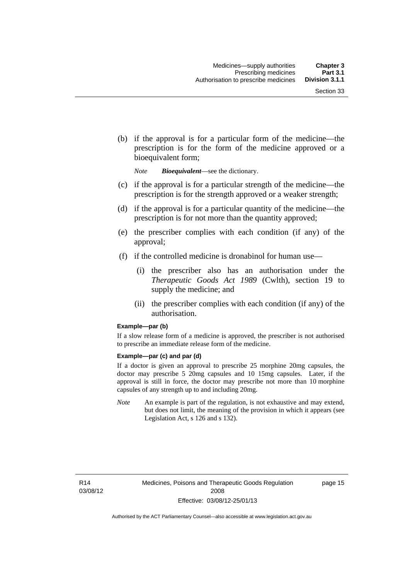(b) if the approval is for a particular form of the medicine—the prescription is for the form of the medicine approved or a bioequivalent form;

*Note Bioequivalent*—see the dictionary.

- (c) if the approval is for a particular strength of the medicine—the prescription is for the strength approved or a weaker strength;
- (d) if the approval is for a particular quantity of the medicine—the prescription is for not more than the quantity approved;
- (e) the prescriber complies with each condition (if any) of the approval;
- (f) if the controlled medicine is dronabinol for human use—
	- (i) the prescriber also has an authorisation under the *Therapeutic Goods Act 1989* (Cwlth), section 19 to supply the medicine; and
	- (ii) the prescriber complies with each condition (if any) of the authorisation.

#### **Example—par (b)**

If a slow release form of a medicine is approved, the prescriber is not authorised to prescribe an immediate release form of the medicine.

#### **Example—par (c) and par (d)**

If a doctor is given an approval to prescribe 25 morphine 20mg capsules, the doctor may prescribe 5 20mg capsules and 10 15mg capsules. Later, if the approval is still in force, the doctor may prescribe not more than 10 morphine capsules of any strength up to and including 20mg.

*Note* An example is part of the regulation, is not exhaustive and may extend, but does not limit, the meaning of the provision in which it appears (see Legislation Act, s 126 and s 132).

R14 03/08/12 page 15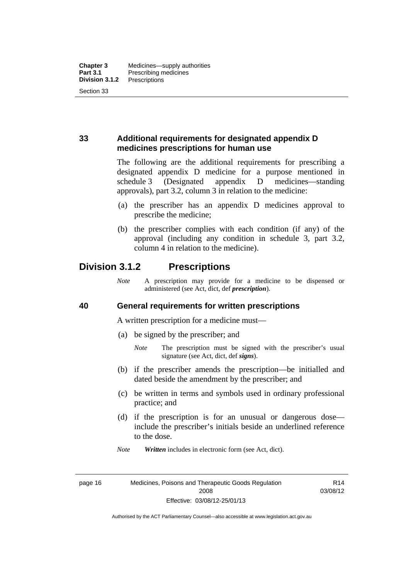### **33 Additional requirements for designated appendix D medicines prescriptions for human use**

The following are the additional requirements for prescribing a designated appendix D medicine for a purpose mentioned in schedule 3 (Designated appendix D medicines—standing approvals), part 3.2, column 3 in relation to the medicine:

- (a) the prescriber has an appendix D medicines approval to prescribe the medicine;
- (b) the prescriber complies with each condition (if any) of the approval (including any condition in schedule 3, part 3.2, column 4 in relation to the medicine).

# **Division 3.1.2 Prescriptions**

*Note* A prescription may provide for a medicine to be dispensed or administered (see Act, dict, def *prescription*).

### **40 General requirements for written prescriptions**

A written prescription for a medicine must—

- (a) be signed by the prescriber; and
	- *Note* The prescription must be signed with the prescriber's usual signature (see Act, dict, def *signs*).
- (b) if the prescriber amends the prescription—be initialled and dated beside the amendment by the prescriber; and
- (c) be written in terms and symbols used in ordinary professional practice; and
- (d) if the prescription is for an unusual or dangerous dose include the prescriber's initials beside an underlined reference to the dose.
- *Note Written* includes in electronic form (see Act, dict).

page 16 Medicines, Poisons and Therapeutic Goods Regulation 2008 Effective: 03/08/12-25/01/13

R14 03/08/12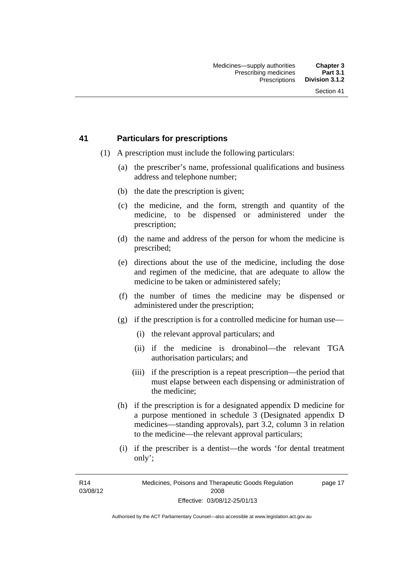### **41 Particulars for prescriptions**

- (1) A prescription must include the following particulars:
	- (a) the prescriber's name, professional qualifications and business address and telephone number;
	- (b) the date the prescription is given;
	- (c) the medicine, and the form, strength and quantity of the medicine, to be dispensed or administered under the prescription;
	- (d) the name and address of the person for whom the medicine is prescribed;
	- (e) directions about the use of the medicine, including the dose and regimen of the medicine, that are adequate to allow the medicine to be taken or administered safely;
	- (f) the number of times the medicine may be dispensed or administered under the prescription;
	- (g) if the prescription is for a controlled medicine for human use—
		- (i) the relevant approval particulars; and
		- (ii) if the medicine is dronabinol—the relevant TGA authorisation particulars; and
		- (iii) if the prescription is a repeat prescription—the period that must elapse between each dispensing or administration of the medicine;
	- (h) if the prescription is for a designated appendix D medicine for a purpose mentioned in schedule 3 (Designated appendix D medicines—standing approvals), part 3.2, column 3 in relation to the medicine—the relevant approval particulars;
	- (i) if the prescriber is a dentist—the words 'for dental treatment only';

R14 03/08/12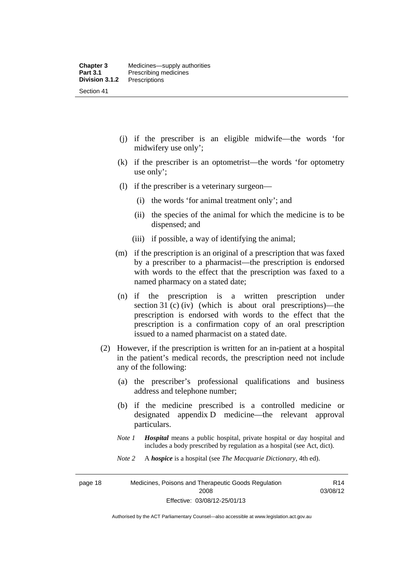- (j) if the prescriber is an eligible midwife—the words 'for midwifery use only';
- (k) if the prescriber is an optometrist—the words 'for optometry use only';
- (l) if the prescriber is a veterinary surgeon—
	- (i) the words 'for animal treatment only'; and
	- (ii) the species of the animal for which the medicine is to be dispensed; and
	- (iii) if possible, a way of identifying the animal;
- (m) if the prescription is an original of a prescription that was faxed by a prescriber to a pharmacist—the prescription is endorsed with words to the effect that the prescription was faxed to a named pharmacy on a stated date;
- (n) if the prescription is a written prescription under section 31 (c) (iv) (which is about oral prescriptions)—the prescription is endorsed with words to the effect that the prescription is a confirmation copy of an oral prescription issued to a named pharmacist on a stated date.
- (2) However, if the prescription is written for an in-patient at a hospital in the patient's medical records, the prescription need not include any of the following:
	- (a) the prescriber's professional qualifications and business address and telephone number;
	- (b) if the medicine prescribed is a controlled medicine or designated appendix D medicine—the relevant approval particulars.
	- *Note 1 Hospital* means a public hospital, private hospital or day hospital and includes a body prescribed by regulation as a hospital (see Act, dict).
	- *Note 2* A *hospice* is a hospital (see *The Macquarie Dictionary*, 4th ed).

page 18 Medicines, Poisons and Therapeutic Goods Regulation 2008 Effective: 03/08/12-25/01/13

R14 03/08/12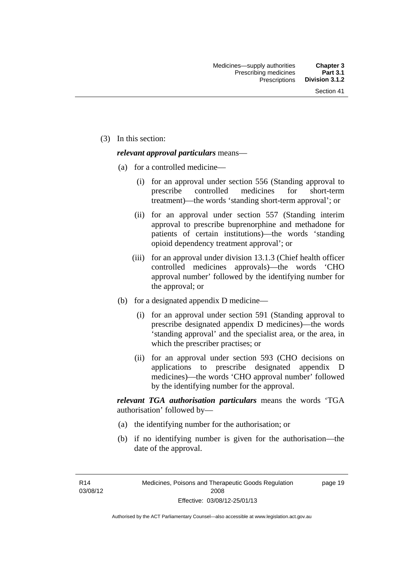(3) In this section:

### *relevant approval particulars* means—

- (a) for a controlled medicine—
	- (i) for an approval under section 556 (Standing approval to prescribe controlled medicines for short-term treatment)—the words 'standing short-term approval'; or
	- (ii) for an approval under section 557 (Standing interim approval to prescribe buprenorphine and methadone for patients of certain institutions)—the words 'standing opioid dependency treatment approval'; or
	- (iii) for an approval under division 13.1.3 (Chief health officer controlled medicines approvals)—the words 'CHO approval number' followed by the identifying number for the approval; or
- (b) for a designated appendix D medicine—
	- (i) for an approval under section 591 (Standing approval to prescribe designated appendix D medicines)—the words 'standing approval' and the specialist area, or the area, in which the prescriber practises; or
	- (ii) for an approval under section 593 (CHO decisions on applications to prescribe designated appendix D medicines)—the words 'CHO approval number' followed by the identifying number for the approval.

*relevant TGA authorisation particulars* means the words 'TGA authorisation' followed by—

- (a) the identifying number for the authorisation; or
- (b) if no identifying number is given for the authorisation—the date of the approval.

R14 03/08/12 page 19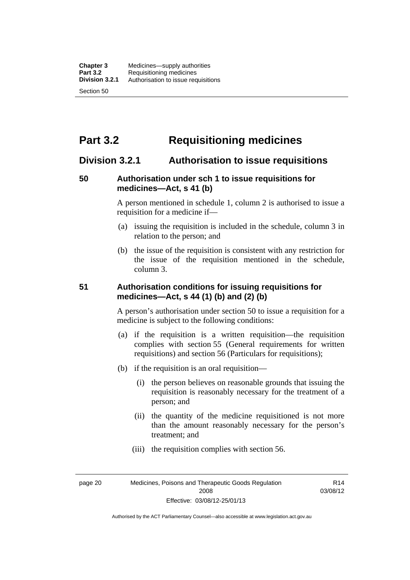# **Part 3.2 Requisitioning medicines**

### **Division 3.2.1 Authorisation to issue requisitions**

### **50 Authorisation under sch 1 to issue requisitions for medicines—Act, s 41 (b)**

A person mentioned in schedule 1, column 2 is authorised to issue a requisition for a medicine if—

- (a) issuing the requisition is included in the schedule, column 3 in relation to the person; and
- (b) the issue of the requisition is consistent with any restriction for the issue of the requisition mentioned in the schedule, column 3.

### **51 Authorisation conditions for issuing requisitions for medicines—Act, s 44 (1) (b) and (2) (b)**

A person's authorisation under section 50 to issue a requisition for a medicine is subject to the following conditions:

- (a) if the requisition is a written requisition—the requisition complies with section 55 (General requirements for written requisitions) and section 56 (Particulars for requisitions);
- (b) if the requisition is an oral requisition—
	- (i) the person believes on reasonable grounds that issuing the requisition is reasonably necessary for the treatment of a person; and
	- (ii) the quantity of the medicine requisitioned is not more than the amount reasonably necessary for the person's treatment; and
	- (iii) the requisition complies with section 56.

page 20 Medicines, Poisons and Therapeutic Goods Regulation 2008 Effective: 03/08/12-25/01/13

R14 03/08/12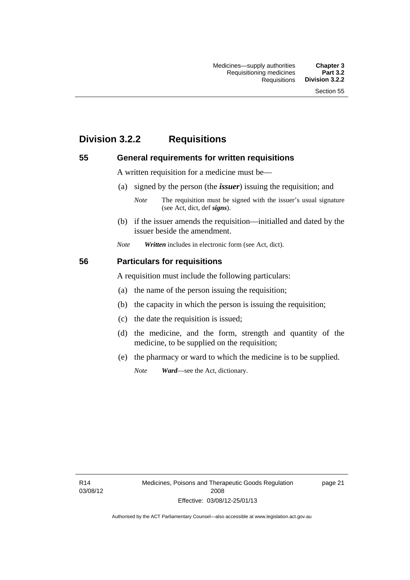# **Division 3.2.2 Requisitions**

### **55 General requirements for written requisitions**

A written requisition for a medicine must be—

(a) signed by the person (the *issuer*) issuing the requisition; and

 (b) if the issuer amends the requisition—initialled and dated by the issuer beside the amendment.

*Note Written* includes in electronic form (see Act, dict).

### **56 Particulars for requisitions**

A requisition must include the following particulars:

- (a) the name of the person issuing the requisition;
- (b) the capacity in which the person is issuing the requisition;
- (c) the date the requisition is issued;
- (d) the medicine, and the form, strength and quantity of the medicine, to be supplied on the requisition;
- (e) the pharmacy or ward to which the medicine is to be supplied.

*Note Ward*—see the Act, dictionary.

R14 03/08/12

*Note* The requisition must be signed with the issuer's usual signature (see Act, dict, def *signs*).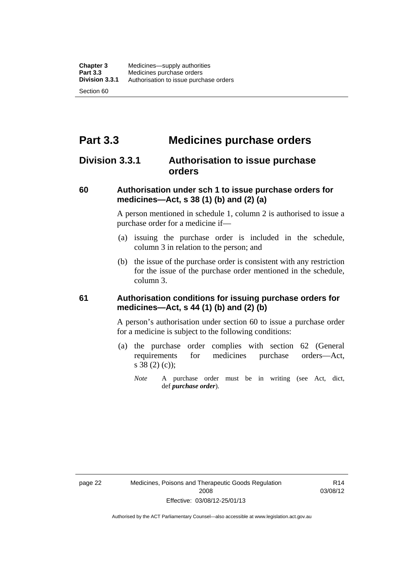# **Part 3.3 Medicines purchase orders**

# **Division 3.3.1 Authorisation to issue purchase orders**

### **60 Authorisation under sch 1 to issue purchase orders for medicines—Act, s 38 (1) (b) and (2) (a)**

A person mentioned in schedule 1, column 2 is authorised to issue a purchase order for a medicine if—

- (a) issuing the purchase order is included in the schedule, column 3 in relation to the person; and
- (b) the issue of the purchase order is consistent with any restriction for the issue of the purchase order mentioned in the schedule, column 3.

### **61 Authorisation conditions for issuing purchase orders for medicines—Act, s 44 (1) (b) and (2) (b)**

A person's authorisation under section 60 to issue a purchase order for a medicine is subject to the following conditions:

- (a) the purchase order complies with section 62 (General requirements for medicines purchase orders—Act, s 38 (2) (c));
	- *Note* A purchase order must be in writing (see Act, dict, def *purchase order*).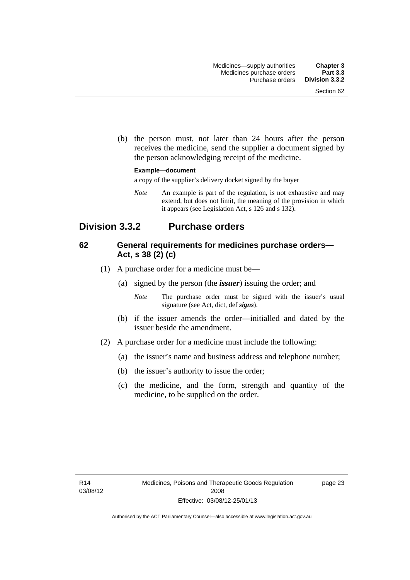(b) the person must, not later than 24 hours after the person receives the medicine, send the supplier a document signed by the person acknowledging receipt of the medicine.

#### **Example—document**

a copy of the supplier's delivery docket signed by the buyer

*Note* An example is part of the regulation, is not exhaustive and may extend, but does not limit, the meaning of the provision in which it appears (see Legislation Act, s 126 and s 132).

# **Division 3.3.2 Purchase orders**

### **62 General requirements for medicines purchase orders— Act, s 38 (2) (c)**

- (1) A purchase order for a medicine must be—
	- (a) signed by the person (the *issuer*) issuing the order; and
		- *Note* The purchase order must be signed with the issuer's usual signature (see Act, dict, def *signs*).
	- (b) if the issuer amends the order—initialled and dated by the issuer beside the amendment.
- (2) A purchase order for a medicine must include the following:
	- (a) the issuer's name and business address and telephone number;
	- (b) the issuer's authority to issue the order;
	- (c) the medicine, and the form, strength and quantity of the medicine, to be supplied on the order.

page 23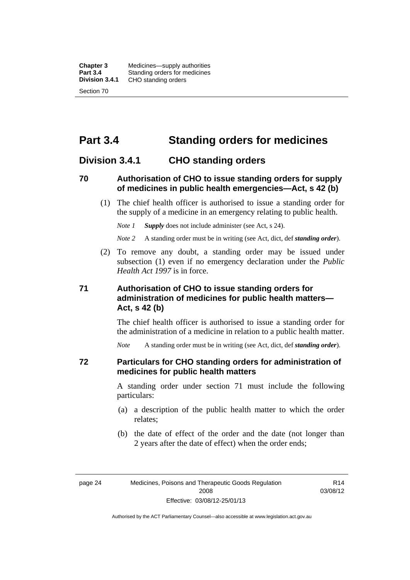**Chapter 3** Medicines—supply authorities<br>**Part 3.4** Standing orders for medicines **Part 3.4 Standing orders for medicines<br>
<b>Division 3.4.1** CHO standing orders **Division 3.4.1** CHO standing orders Section 70

# **Part 3.4 Standing orders for medicines**

### **Division 3.4.1 CHO standing orders**

### **70 Authorisation of CHO to issue standing orders for supply of medicines in public health emergencies—Act, s 42 (b)**

 (1) The chief health officer is authorised to issue a standing order for the supply of a medicine in an emergency relating to public health.

*Note 1 Supply* does not include administer (see Act, s 24).

*Note 2* A standing order must be in writing (see Act, dict, def *standing order*).

 (2) To remove any doubt, a standing order may be issued under subsection (1) even if no emergency declaration under the *Public Health Act 1997* is in force.

### **71 Authorisation of CHO to issue standing orders for administration of medicines for public health matters— Act, s 42 (b)**

The chief health officer is authorised to issue a standing order for the administration of a medicine in relation to a public health matter.

*Note* A standing order must be in writing (see Act, dict, def *standing order*).

### **72 Particulars for CHO standing orders for administration of medicines for public health matters**

A standing order under section 71 must include the following particulars:

- (a) a description of the public health matter to which the order relates;
- (b) the date of effect of the order and the date (not longer than 2 years after the date of effect) when the order ends;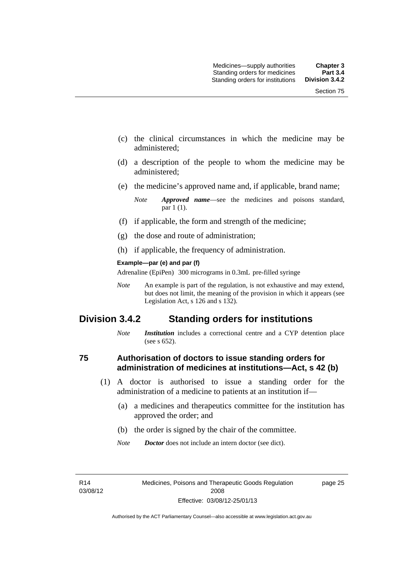- (c) the clinical circumstances in which the medicine may be administered;
- (d) a description of the people to whom the medicine may be administered;
- (e) the medicine's approved name and, if applicable, brand name;

- (f) if applicable, the form and strength of the medicine;
- (g) the dose and route of administration;
- (h) if applicable, the frequency of administration.

#### **Example—par (e) and par (f)**

Adrenaline (EpiPen) 300 micrograms in 0.3mL pre-filled syringe

*Note* An example is part of the regulation, is not exhaustive and may extend, but does not limit, the meaning of the provision in which it appears (see Legislation Act, s 126 and s 132).

# **Division 3.4.2 Standing orders for institutions**

*Note Institution* includes a correctional centre and a CYP detention place (see s 652).

### **75 Authorisation of doctors to issue standing orders for administration of medicines at institutions—Act, s 42 (b)**

- (1) A doctor is authorised to issue a standing order for the administration of a medicine to patients at an institution if—
	- (a) a medicines and therapeutics committee for the institution has approved the order; and
	- (b) the order is signed by the chair of the committee.
	- *Note Doctor* does not include an intern doctor (see dict).

R14 03/08/12 page 25

*Note Approved name*—see the medicines and poisons standard, par 1 (1).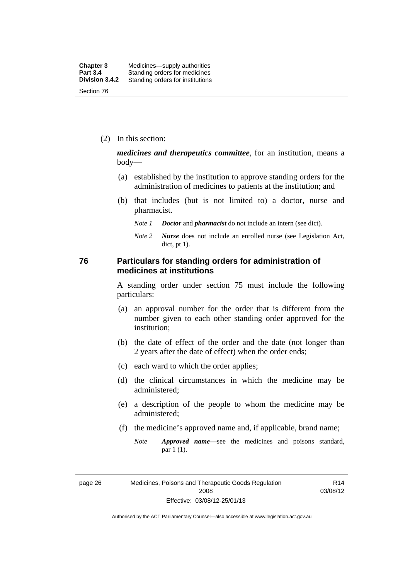(2) In this section:

*medicines and therapeutics committee*, for an institution, means a body—

- (a) established by the institution to approve standing orders for the administration of medicines to patients at the institution; and
- (b) that includes (but is not limited to) a doctor, nurse and pharmacist.
	- *Note 1 Doctor* and *pharmacist* do not include an intern (see dict).
	- *Note 2 Nurse* does not include an enrolled nurse (see Legislation Act, dict, pt 1).

### **76 Particulars for standing orders for administration of medicines at institutions**

A standing order under section 75 must include the following particulars:

- (a) an approval number for the order that is different from the number given to each other standing order approved for the institution;
- (b) the date of effect of the order and the date (not longer than 2 years after the date of effect) when the order ends;
- (c) each ward to which the order applies;
- (d) the clinical circumstances in which the medicine may be administered;
- (e) a description of the people to whom the medicine may be administered;
- (f) the medicine's approved name and, if applicable, brand name;
	- *Note Approved name*—see the medicines and poisons standard, par 1 (1).

page 26 Medicines, Poisons and Therapeutic Goods Regulation 2008 Effective: 03/08/12-25/01/13

R14 03/08/12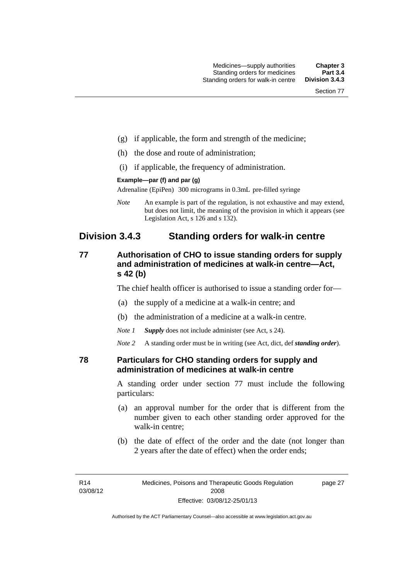- (g) if applicable, the form and strength of the medicine;
- (h) the dose and route of administration;
- (i) if applicable, the frequency of administration.

#### **Example—par (f) and par (g)**

Adrenaline (EpiPen) 300 micrograms in 0.3mL pre-filled syringe

*Note* An example is part of the regulation, is not exhaustive and may extend, but does not limit, the meaning of the provision in which it appears (see Legislation Act, s 126 and s 132).

### **Division 3.4.3 Standing orders for walk-in centre**

### **77 Authorisation of CHO to issue standing orders for supply and administration of medicines at walk-in centre—Act, s 42 (b)**

The chief health officer is authorised to issue a standing order for—

- (a) the supply of a medicine at a walk-in centre; and
- (b) the administration of a medicine at a walk-in centre.

*Note 1 Supply* does not include administer (see Act, s 24).

*Note 2* A standing order must be in writing (see Act, dict, def *standing order*).

### **78 Particulars for CHO standing orders for supply and administration of medicines at walk-in centre**

A standing order under section 77 must include the following particulars:

- (a) an approval number for the order that is different from the number given to each other standing order approved for the walk-in centre;
- (b) the date of effect of the order and the date (not longer than 2 years after the date of effect) when the order ends;

page 27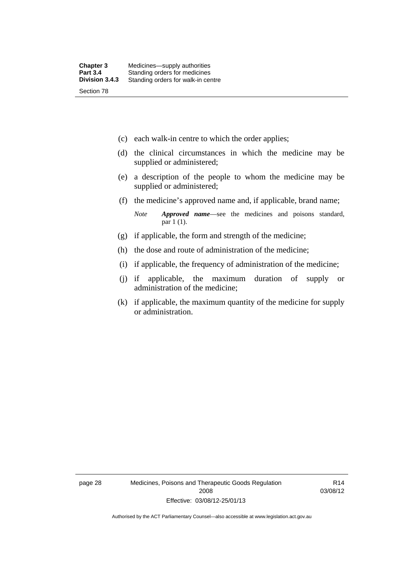- (c) each walk-in centre to which the order applies;
- (d) the clinical circumstances in which the medicine may be supplied or administered;
- (e) a description of the people to whom the medicine may be supplied or administered;
- (f) the medicine's approved name and, if applicable, brand name;

*Note Approved name*—see the medicines and poisons standard, par 1 (1).

- (g) if applicable, the form and strength of the medicine;
- (h) the dose and route of administration of the medicine;
- (i) if applicable, the frequency of administration of the medicine;
- (j) if applicable, the maximum duration of supply or administration of the medicine;
- (k) if applicable, the maximum quantity of the medicine for supply or administration.

page 28 Medicines, Poisons and Therapeutic Goods Regulation 2008 Effective: 03/08/12-25/01/13

R14 03/08/12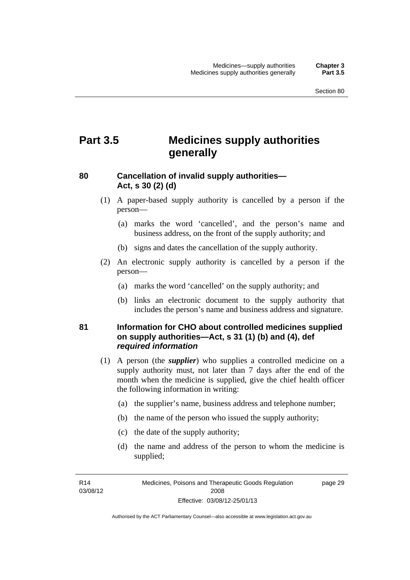# **Part 3.5 Medicines supply authorities generally**

### **80 Cancellation of invalid supply authorities— Act, s 30 (2) (d)**

- (1) A paper-based supply authority is cancelled by a person if the person—
	- (a) marks the word 'cancelled', and the person's name and business address, on the front of the supply authority; and
	- (b) signs and dates the cancellation of the supply authority.
- (2) An electronic supply authority is cancelled by a person if the person—
	- (a) marks the word 'cancelled' on the supply authority; and
	- (b) links an electronic document to the supply authority that includes the person's name and business address and signature.

### **81 Information for CHO about controlled medicines supplied on supply authorities—Act, s 31 (1) (b) and (4), def**  *required information*

- (1) A person (the *supplier*) who supplies a controlled medicine on a supply authority must, not later than 7 days after the end of the month when the medicine is supplied, give the chief health officer the following information in writing:
	- (a) the supplier's name, business address and telephone number;
	- (b) the name of the person who issued the supply authority;
	- (c) the date of the supply authority;
	- (d) the name and address of the person to whom the medicine is supplied;

R14 03/08/12 page 29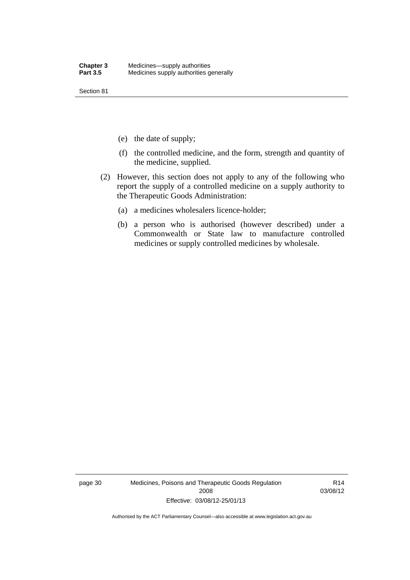Section 81

- (e) the date of supply;
- (f) the controlled medicine, and the form, strength and quantity of the medicine, supplied.
- (2) However, this section does not apply to any of the following who report the supply of a controlled medicine on a supply authority to the Therapeutic Goods Administration:
	- (a) a medicines wholesalers licence-holder;
	- (b) a person who is authorised (however described) under a Commonwealth or State law to manufacture controlled medicines or supply controlled medicines by wholesale.

page 30 Medicines, Poisons and Therapeutic Goods Regulation 2008 Effective: 03/08/12-25/01/13

R14 03/08/12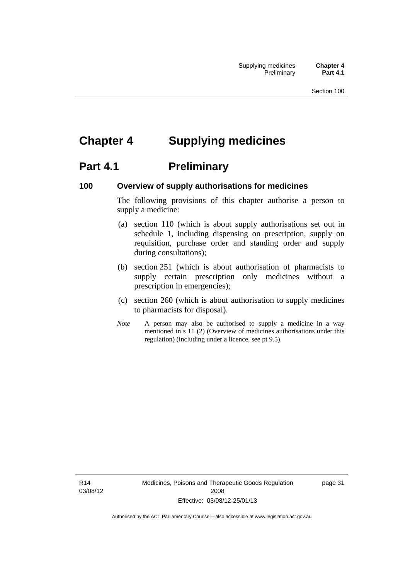# **Chapter 4 Supplying medicines**

# **Part 4.1** Preliminary

### **100 Overview of supply authorisations for medicines**

The following provisions of this chapter authorise a person to supply a medicine:

- (a) section 110 (which is about supply authorisations set out in schedule 1, including dispensing on prescription, supply on requisition, purchase order and standing order and supply during consultations);
- (b) section 251 (which is about authorisation of pharmacists to supply certain prescription only medicines without a prescription in emergencies);
- (c) section 260 (which is about authorisation to supply medicines to pharmacists for disposal).
- *Note* A person may also be authorised to supply a medicine in a way mentioned in s 11 (2) (Overview of medicines authorisations under this regulation) (including under a licence, see pt 9.5).

R14 03/08/12 Medicines, Poisons and Therapeutic Goods Regulation 2008 Effective: 03/08/12-25/01/13

page 31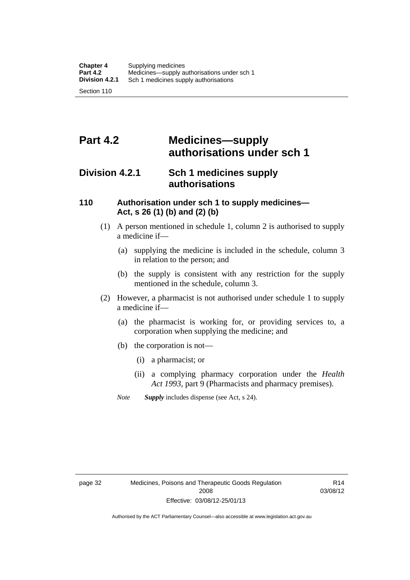# **Part 4.2 Medicines—supply authorisations under sch 1**

# **Division 4.2.1 Sch 1 medicines supply authorisations**

### **110 Authorisation under sch 1 to supply medicines— Act, s 26 (1) (b) and (2) (b)**

- (1) A person mentioned in schedule 1, column 2 is authorised to supply a medicine if—
	- (a) supplying the medicine is included in the schedule, column 3 in relation to the person; and
	- (b) the supply is consistent with any restriction for the supply mentioned in the schedule, column 3.
- (2) However, a pharmacist is not authorised under schedule 1 to supply a medicine if—
	- (a) the pharmacist is working for, or providing services to, a corporation when supplying the medicine; and
	- (b) the corporation is not—
		- (i) a pharmacist; or
		- (ii) a complying pharmacy corporation under the *Health Act 1993*, part 9 (Pharmacists and pharmacy premises).
	- *Note Supply* includes dispense (see Act, s 24).

R14 03/08/12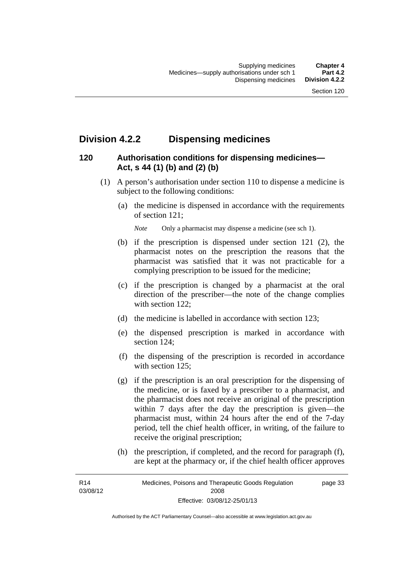# **Division 4.2.2 Dispensing medicines**

### **120 Authorisation conditions for dispensing medicines— Act, s 44 (1) (b) and (2) (b)**

- (1) A person's authorisation under section 110 to dispense a medicine is subject to the following conditions:
	- (a) the medicine is dispensed in accordance with the requirements of section 121;

*Note* Only a pharmacist may dispense a medicine (see sch 1).

- (b) if the prescription is dispensed under section 121 (2), the pharmacist notes on the prescription the reasons that the pharmacist was satisfied that it was not practicable for a complying prescription to be issued for the medicine;
- (c) if the prescription is changed by a pharmacist at the oral direction of the prescriber—the note of the change complies with section 122:
- (d) the medicine is labelled in accordance with section 123;
- (e) the dispensed prescription is marked in accordance with section 124;
- (f) the dispensing of the prescription is recorded in accordance with section 125:
- (g) if the prescription is an oral prescription for the dispensing of the medicine, or is faxed by a prescriber to a pharmacist, and the pharmacist does not receive an original of the prescription within 7 days after the day the prescription is given—the pharmacist must, within 24 hours after the end of the 7-day period, tell the chief health officer, in writing, of the failure to receive the original prescription;
- (h) the prescription, if completed, and the record for paragraph (f), are kept at the pharmacy or, if the chief health officer approves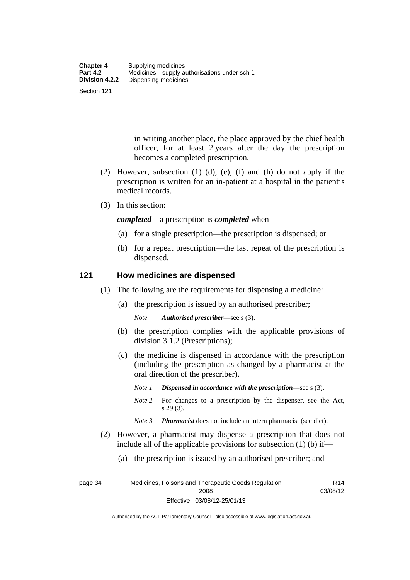Section 121

in writing another place, the place approved by the chief health officer, for at least 2 years after the day the prescription becomes a completed prescription.

- (2) However, subsection (1) (d), (e), (f) and (h) do not apply if the prescription is written for an in-patient at a hospital in the patient's medical records.
- (3) In this section:

*completed*—a prescription is *completed* when—

- (a) for a single prescription—the prescription is dispensed; or
- (b) for a repeat prescription—the last repeat of the prescription is dispensed.

### **121 How medicines are dispensed**

- (1) The following are the requirements for dispensing a medicine:
	- (a) the prescription is issued by an authorised prescriber;

*Note Authorised prescriber*—see s (3).

- (b) the prescription complies with the applicable provisions of division 3.1.2 (Prescriptions);
- (c) the medicine is dispensed in accordance with the prescription (including the prescription as changed by a pharmacist at the oral direction of the prescriber).
	- *Note 1 Dispensed in accordance with the prescription*—see s (3).
	- *Note* 2 For changes to a prescription by the dispenser, see the Act, s 29 (3).
	- *Note 3 Pharmacist* does not include an intern pharmacist (see dict).
- (2) However, a pharmacist may dispense a prescription that does not include all of the applicable provisions for subsection (1) (b) if—
	- (a) the prescription is issued by an authorised prescriber; and

page 34 Medicines, Poisons and Therapeutic Goods Regulation 2008 Effective: 03/08/12-25/01/13 R14 03/08/12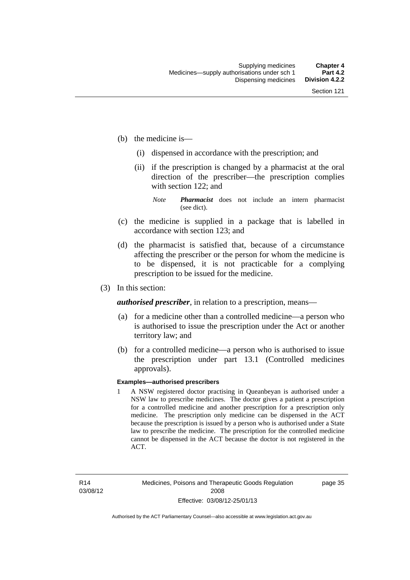- (b) the medicine is—
	- (i) dispensed in accordance with the prescription; and
	- (ii) if the prescription is changed by a pharmacist at the oral direction of the prescriber—the prescription complies with section 122; and

*Note Pharmacist* does not include an intern pharmacist (see dict).

- (c) the medicine is supplied in a package that is labelled in accordance with section 123; and
- (d) the pharmacist is satisfied that, because of a circumstance affecting the prescriber or the person for whom the medicine is to be dispensed, it is not practicable for a complying prescription to be issued for the medicine.
- (3) In this section:

*authorised prescriber*, in relation to a prescription, means—

- (a) for a medicine other than a controlled medicine—a person who is authorised to issue the prescription under the Act or another territory law; and
- (b) for a controlled medicine—a person who is authorised to issue the prescription under part 13.1 (Controlled medicines approvals).

#### **Examples—authorised prescribers**

1 A NSW registered doctor practising in Queanbeyan is authorised under a NSW law to prescribe medicines. The doctor gives a patient a prescription for a controlled medicine and another prescription for a prescription only medicine. The prescription only medicine can be dispensed in the ACT because the prescription is issued by a person who is authorised under a State law to prescribe the medicine. The prescription for the controlled medicine cannot be dispensed in the ACT because the doctor is not registered in the ACT.

page 35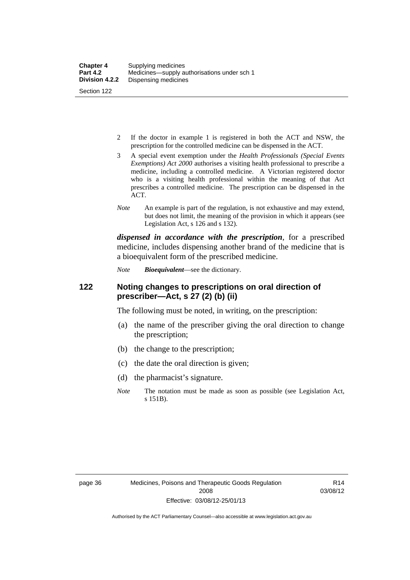- 2 If the doctor in example 1 is registered in both the ACT and NSW, the prescription for the controlled medicine can be dispensed in the ACT.
- 3 A special event exemption under the *Health Professionals (Special Events Exemptions) Act 2000* authorises a visiting health professional to prescribe a medicine, including a controlled medicine. A Victorian registered doctor who is a visiting health professional within the meaning of that Act prescribes a controlled medicine. The prescription can be dispensed in the ACT.
- *Note* An example is part of the regulation, is not exhaustive and may extend, but does not limit, the meaning of the provision in which it appears (see Legislation Act, s 126 and s 132).

*dispensed in accordance with the prescription*, for a prescribed medicine, includes dispensing another brand of the medicine that is a bioequivalent form of the prescribed medicine.

*Note Bioequivalent*—see the dictionary.

### **122 Noting changes to prescriptions on oral direction of prescriber—Act, s 27 (2) (b) (ii)**

The following must be noted, in writing, on the prescription:

- (a) the name of the prescriber giving the oral direction to change the prescription;
- (b) the change to the prescription;
- (c) the date the oral direction is given;
- (d) the pharmacist's signature.
- *Note* The notation must be made as soon as possible (see Legislation Act, s 151B).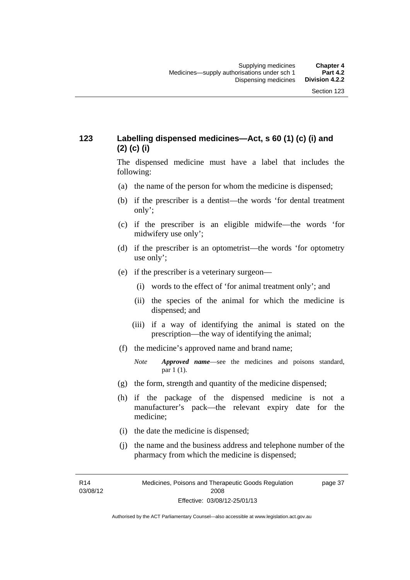### **123 Labelling dispensed medicines—Act, s 60 (1) (c) (i) and (2) (c) (i)**

The dispensed medicine must have a label that includes the following:

- (a) the name of the person for whom the medicine is dispensed;
- (b) if the prescriber is a dentist—the words 'for dental treatment only';
- (c) if the prescriber is an eligible midwife—the words 'for midwifery use only';
- (d) if the prescriber is an optometrist—the words 'for optometry use only';
- (e) if the prescriber is a veterinary surgeon—
	- (i) words to the effect of 'for animal treatment only'; and
	- (ii) the species of the animal for which the medicine is dispensed; and
	- (iii) if a way of identifying the animal is stated on the prescription—the way of identifying the animal;
- (f) the medicine's approved name and brand name;
	- *Note Approved name*—see the medicines and poisons standard, par 1 (1).
- (g) the form, strength and quantity of the medicine dispensed;
- (h) if the package of the dispensed medicine is not a manufacturer's pack—the relevant expiry date for the medicine;
- (i) the date the medicine is dispensed;
- (j) the name and the business address and telephone number of the pharmacy from which the medicine is dispensed;

R14 03/08/12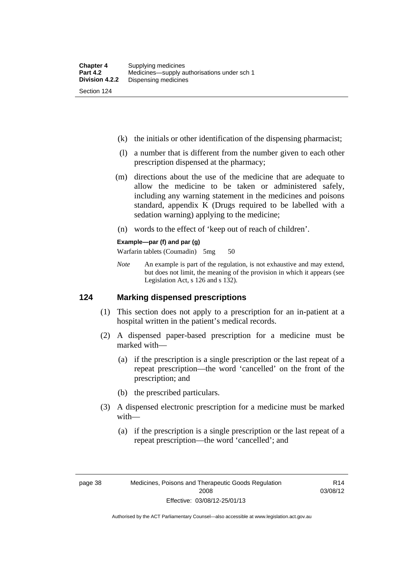- (k) the initials or other identification of the dispensing pharmacist;
- (l) a number that is different from the number given to each other prescription dispensed at the pharmacy;
- (m) directions about the use of the medicine that are adequate to allow the medicine to be taken or administered safely, including any warning statement in the medicines and poisons standard, appendix K (Drugs required to be labelled with a sedation warning) applying to the medicine;
- (n) words to the effect of 'keep out of reach of children'.

### **Example—par (f) and par (g)**

Warfarin tablets (Coumadin) 5mg 50

*Note* An example is part of the regulation, is not exhaustive and may extend, but does not limit, the meaning of the provision in which it appears (see Legislation Act, s 126 and s 132).

### **124 Marking dispensed prescriptions**

- (1) This section does not apply to a prescription for an in-patient at a hospital written in the patient's medical records.
- (2) A dispensed paper-based prescription for a medicine must be marked with—
	- (a) if the prescription is a single prescription or the last repeat of a repeat prescription—the word 'cancelled' on the front of the prescription; and
	- (b) the prescribed particulars.
- (3) A dispensed electronic prescription for a medicine must be marked with—
	- (a) if the prescription is a single prescription or the last repeat of a repeat prescription—the word 'cancelled'; and

R14 03/08/12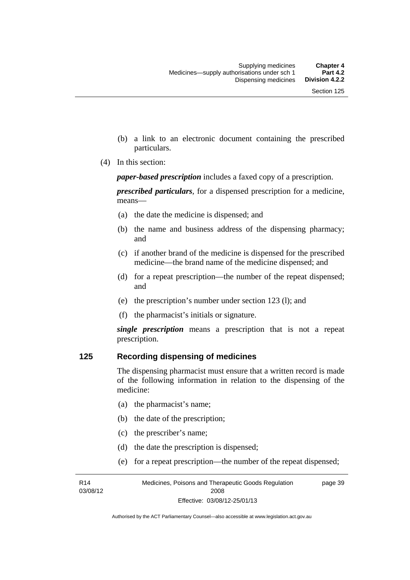- (b) a link to an electronic document containing the prescribed particulars.
- (4) In this section:

*paper-based prescription* includes a faxed copy of a prescription.

*prescribed particulars*, for a dispensed prescription for a medicine, means—

- (a) the date the medicine is dispensed; and
- (b) the name and business address of the dispensing pharmacy; and
- (c) if another brand of the medicine is dispensed for the prescribed medicine—the brand name of the medicine dispensed; and
- (d) for a repeat prescription—the number of the repeat dispensed; and
- (e) the prescription's number under section 123 (l); and
- (f) the pharmacist's initials or signature.

*single prescription* means a prescription that is not a repeat prescription.

### **125 Recording dispensing of medicines**

The dispensing pharmacist must ensure that a written record is made of the following information in relation to the dispensing of the medicine:

- (a) the pharmacist's name;
- (b) the date of the prescription;
- (c) the prescriber's name;

R14 03/08/12

- (d) the date the prescription is dispensed;
- (e) for a repeat prescription—the number of the repeat dispensed;

Medicines, Poisons and Therapeutic Goods Regulation 2008 Effective: 03/08/12-25/01/13 page 39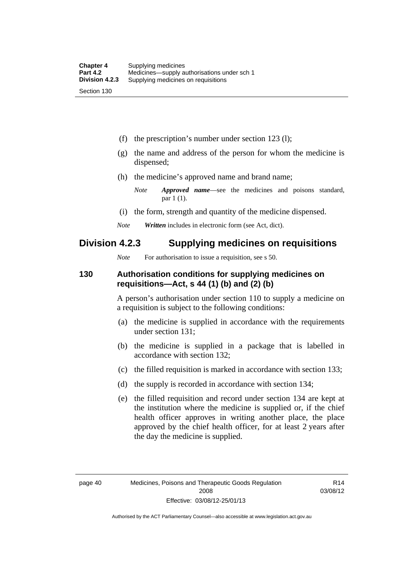(f) the prescription's number under section 123 (l);

- (g) the name and address of the person for whom the medicine is dispensed;
- (h) the medicine's approved name and brand name;
	- *Note Approved name*—see the medicines and poisons standard, par 1 (1).
- (i) the form, strength and quantity of the medicine dispensed.
- *Note Written* includes in electronic form (see Act, dict).

# **Division 4.2.3 Supplying medicines on requisitions**

*Note* For authorisation to issue a requisition, see s 50.

### **130 Authorisation conditions for supplying medicines on requisitions—Act, s 44 (1) (b) and (2) (b)**

A person's authorisation under section 110 to supply a medicine on a requisition is subject to the following conditions:

- (a) the medicine is supplied in accordance with the requirements under section 131;
- (b) the medicine is supplied in a package that is labelled in accordance with section 132;
- (c) the filled requisition is marked in accordance with section 133;
- (d) the supply is recorded in accordance with section 134;
- (e) the filled requisition and record under section 134 are kept at the institution where the medicine is supplied or, if the chief health officer approves in writing another place, the place approved by the chief health officer, for at least 2 years after the day the medicine is supplied.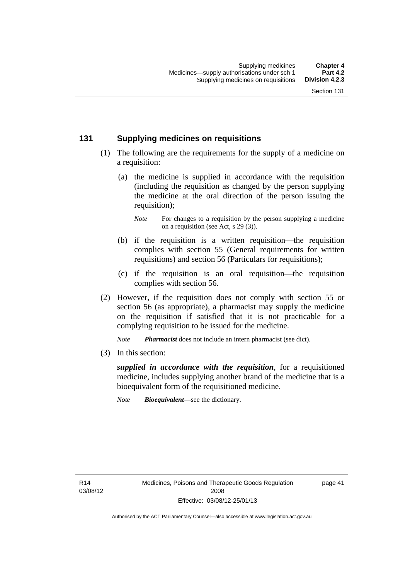### **131 Supplying medicines on requisitions**

- (1) The following are the requirements for the supply of a medicine on a requisition:
	- (a) the medicine is supplied in accordance with the requisition (including the requisition as changed by the person supplying the medicine at the oral direction of the person issuing the requisition);

- (b) if the requisition is a written requisition—the requisition complies with section 55 (General requirements for written requisitions) and section 56 (Particulars for requisitions);
- (c) if the requisition is an oral requisition—the requisition complies with section 56.
- (2) However, if the requisition does not comply with section 55 or section 56 (as appropriate), a pharmacist may supply the medicine on the requisition if satisfied that it is not practicable for a complying requisition to be issued for the medicine.

*Note Pharmacist* does not include an intern pharmacist (see dict).

(3) In this section:

*supplied in accordance with the requisition*, for a requisitioned medicine, includes supplying another brand of the medicine that is a bioequivalent form of the requisitioned medicine.

*Note Bioequivalent*—see the dictionary.

R14 03/08/12 page 41

*Note* For changes to a requisition by the person supplying a medicine on a requisition (see Act, s 29 (3)).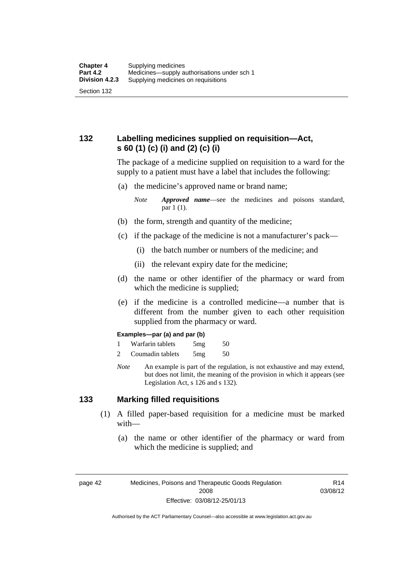### **132 Labelling medicines supplied on requisition—Act, s 60 (1) (c) (i) and (2) (c) (i)**

The package of a medicine supplied on requisition to a ward for the supply to a patient must have a label that includes the following:

(a) the medicine's approved name or brand name;

*Note Approved name*—see the medicines and poisons standard, par 1 (1).

- (b) the form, strength and quantity of the medicine;
- (c) if the package of the medicine is not a manufacturer's pack—
	- (i) the batch number or numbers of the medicine; and
	- (ii) the relevant expiry date for the medicine;
- (d) the name or other identifier of the pharmacy or ward from which the medicine is supplied;
- (e) if the medicine is a controlled medicine—a number that is different from the number given to each other requisition supplied from the pharmacy or ward.

#### **Examples—par (a) and par (b)**

- 1 Warfarin tablets 5mg 50
- 2 Coumadin tablets 5mg 50
- *Note* An example is part of the regulation, is not exhaustive and may extend, but does not limit, the meaning of the provision in which it appears (see Legislation Act, s 126 and s 132).

### **133 Marking filled requisitions**

- (1) A filled paper-based requisition for a medicine must be marked with—
	- (a) the name or other identifier of the pharmacy or ward from which the medicine is supplied; and

page 42 Medicines, Poisons and Therapeutic Goods Regulation 2008 Effective: 03/08/12-25/01/13

R14 03/08/12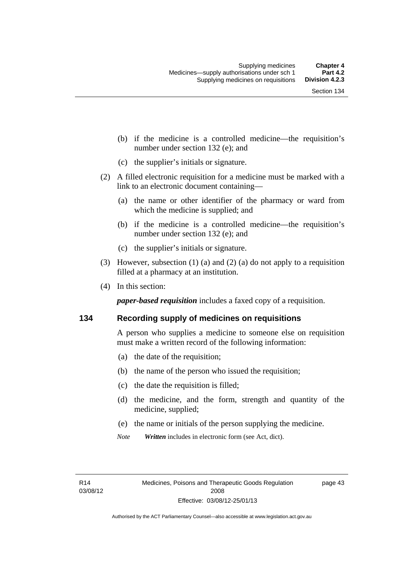- (b) if the medicine is a controlled medicine—the requisition's number under section 132 (e); and
- (c) the supplier's initials or signature.
- (2) A filled electronic requisition for a medicine must be marked with a link to an electronic document containing—
	- (a) the name or other identifier of the pharmacy or ward from which the medicine is supplied; and
	- (b) if the medicine is a controlled medicine—the requisition's number under section 132 (e); and
	- (c) the supplier's initials or signature.
- (3) However, subsection (1) (a) and (2) (a) do not apply to a requisition filled at a pharmacy at an institution.
- (4) In this section:

*paper-based requisition* includes a faxed copy of a requisition.

### **134 Recording supply of medicines on requisitions**

A person who supplies a medicine to someone else on requisition must make a written record of the following information:

- (a) the date of the requisition;
- (b) the name of the person who issued the requisition;
- (c) the date the requisition is filled;
- (d) the medicine, and the form, strength and quantity of the medicine, supplied;
- (e) the name or initials of the person supplying the medicine.
- *Note Written* includes in electronic form (see Act, dict).

R14 03/08/12 page 43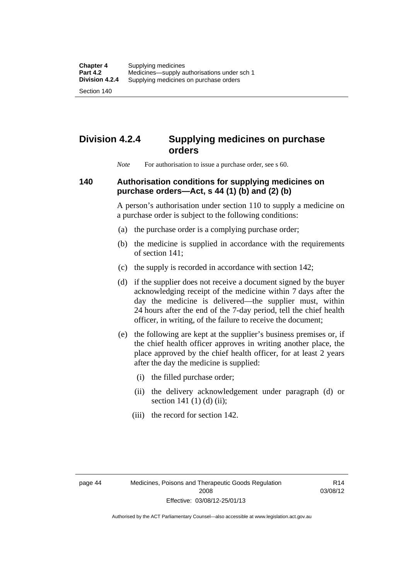Section 140

# **Division 4.2.4 Supplying medicines on purchase orders**

*Note* For authorisation to issue a purchase order, see s 60.

### **140 Authorisation conditions for supplying medicines on purchase orders—Act, s 44 (1) (b) and (2) (b)**

A person's authorisation under section 110 to supply a medicine on a purchase order is subject to the following conditions:

- (a) the purchase order is a complying purchase order;
- (b) the medicine is supplied in accordance with the requirements of section 141;
- (c) the supply is recorded in accordance with section 142;
- (d) if the supplier does not receive a document signed by the buyer acknowledging receipt of the medicine within 7 days after the day the medicine is delivered—the supplier must, within 24 hours after the end of the 7-day period, tell the chief health officer, in writing, of the failure to receive the document;
- (e) the following are kept at the supplier's business premises or, if the chief health officer approves in writing another place, the place approved by the chief health officer, for at least 2 years after the day the medicine is supplied:
	- (i) the filled purchase order;
	- (ii) the delivery acknowledgement under paragraph (d) or section 141 $(1)$  $(d)$  $(ii)$ ;
	- (iii) the record for section 142.

R14 03/08/12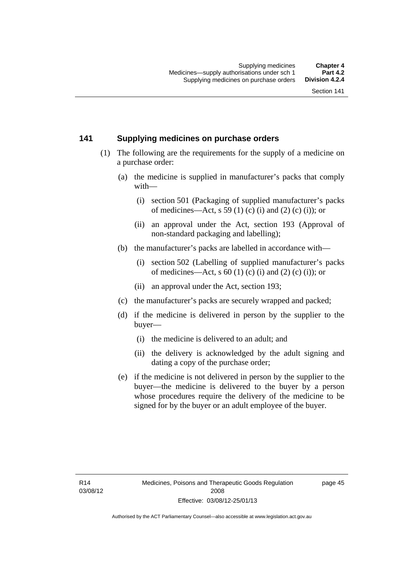### **141 Supplying medicines on purchase orders**

- (1) The following are the requirements for the supply of a medicine on a purchase order:
	- (a) the medicine is supplied in manufacturer's packs that comply with—
		- (i) section 501 (Packaging of supplied manufacturer's packs of medicines—Act, s 59 (1) (c) (i) and (2) (c) (i)); or
		- (ii) an approval under the Act, section 193 (Approval of non-standard packaging and labelling);
	- (b) the manufacturer's packs are labelled in accordance with—
		- (i) section 502 (Labelling of supplied manufacturer's packs of medicines—Act, s  $60(1)$  (c) (i) and (2) (c) (i)); or
		- (ii) an approval under the Act, section 193;
	- (c) the manufacturer's packs are securely wrapped and packed;
	- (d) if the medicine is delivered in person by the supplier to the buyer—
		- (i) the medicine is delivered to an adult; and
		- (ii) the delivery is acknowledged by the adult signing and dating a copy of the purchase order;
	- (e) if the medicine is not delivered in person by the supplier to the buyer—the medicine is delivered to the buyer by a person whose procedures require the delivery of the medicine to be signed for by the buyer or an adult employee of the buyer.

page 45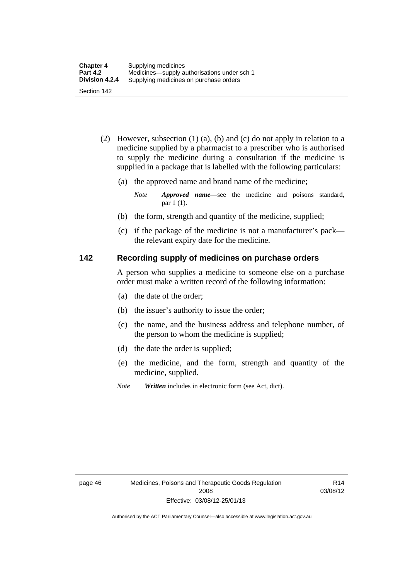- (2) However, subsection (1) (a), (b) and (c) do not apply in relation to a medicine supplied by a pharmacist to a prescriber who is authorised to supply the medicine during a consultation if the medicine is supplied in a package that is labelled with the following particulars:
	- (a) the approved name and brand name of the medicine;

*Note Approved name*—see the medicine and poisons standard, par 1 (1).

- (b) the form, strength and quantity of the medicine, supplied;
- (c) if the package of the medicine is not a manufacturer's pack the relevant expiry date for the medicine.

### **142 Recording supply of medicines on purchase orders**

A person who supplies a medicine to someone else on a purchase order must make a written record of the following information:

- (a) the date of the order;
- (b) the issuer's authority to issue the order;
- (c) the name, and the business address and telephone number, of the person to whom the medicine is supplied;
- (d) the date the order is supplied;
- (e) the medicine, and the form, strength and quantity of the medicine, supplied.
- *Note Written* includes in electronic form (see Act, dict).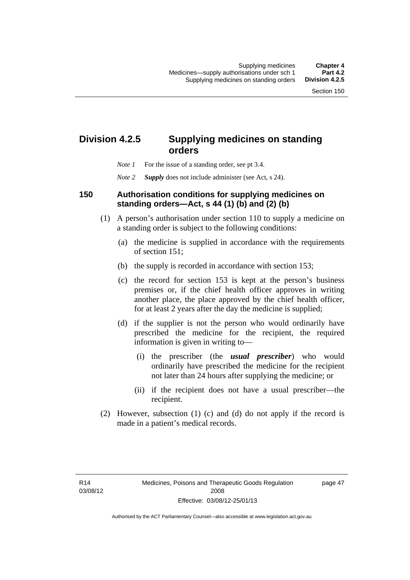# **Division 4.2.5 Supplying medicines on standing orders**

- *Note 1* For the issue of a standing order, see pt 3.4.
- *Note 2 Supply* does not include administer (see Act, s 24).

### **150 Authorisation conditions for supplying medicines on standing orders—Act, s 44 (1) (b) and (2) (b)**

- (1) A person's authorisation under section 110 to supply a medicine on a standing order is subject to the following conditions:
	- (a) the medicine is supplied in accordance with the requirements of section 151;
	- (b) the supply is recorded in accordance with section 153;
	- (c) the record for section 153 is kept at the person's business premises or, if the chief health officer approves in writing another place, the place approved by the chief health officer, for at least 2 years after the day the medicine is supplied;
	- (d) if the supplier is not the person who would ordinarily have prescribed the medicine for the recipient, the required information is given in writing to—
		- (i) the prescriber (the *usual prescriber*) who would ordinarily have prescribed the medicine for the recipient not later than 24 hours after supplying the medicine; or
		- (ii) if the recipient does not have a usual prescriber—the recipient.
- (2) However, subsection (1) (c) and (d) do not apply if the record is made in a patient's medical records.

page 47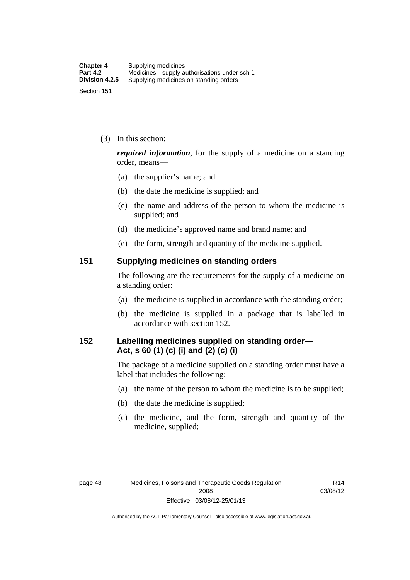(3) In this section:

*required information*, for the supply of a medicine on a standing order, means—

- (a) the supplier's name; and
- (b) the date the medicine is supplied; and
- (c) the name and address of the person to whom the medicine is supplied; and
- (d) the medicine's approved name and brand name; and
- (e) the form, strength and quantity of the medicine supplied.

### **151 Supplying medicines on standing orders**

The following are the requirements for the supply of a medicine on a standing order:

- (a) the medicine is supplied in accordance with the standing order;
- (b) the medicine is supplied in a package that is labelled in accordance with section 152.

### **152 Labelling medicines supplied on standing order— Act, s 60 (1) (c) (i) and (2) (c) (i)**

The package of a medicine supplied on a standing order must have a label that includes the following:

- (a) the name of the person to whom the medicine is to be supplied;
- (b) the date the medicine is supplied;
- (c) the medicine, and the form, strength and quantity of the medicine, supplied;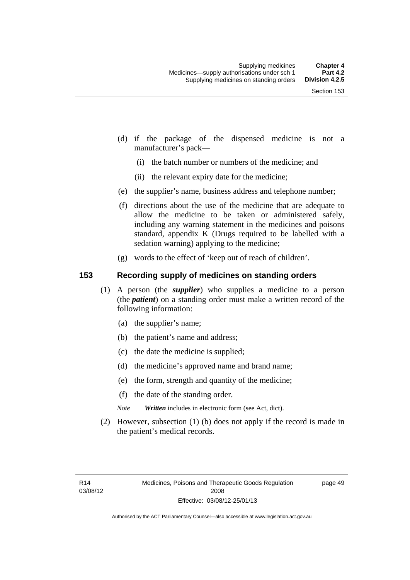- (d) if the package of the dispensed medicine is not a manufacturer's pack—
	- (i) the batch number or numbers of the medicine; and
	- (ii) the relevant expiry date for the medicine;
- (e) the supplier's name, business address and telephone number;
- (f) directions about the use of the medicine that are adequate to allow the medicine to be taken or administered safely, including any warning statement in the medicines and poisons standard, appendix K (Drugs required to be labelled with a sedation warning) applying to the medicine;
- (g) words to the effect of 'keep out of reach of children'.

### **153 Recording supply of medicines on standing orders**

- (1) A person (the *supplier*) who supplies a medicine to a person (the *patient*) on a standing order must make a written record of the following information:
	- (a) the supplier's name;
	- (b) the patient's name and address;
	- (c) the date the medicine is supplied;
	- (d) the medicine's approved name and brand name;
	- (e) the form, strength and quantity of the medicine;
	- (f) the date of the standing order.
	- *Note Written* includes in electronic form (see Act, dict).
- (2) However, subsection (1) (b) does not apply if the record is made in the patient's medical records.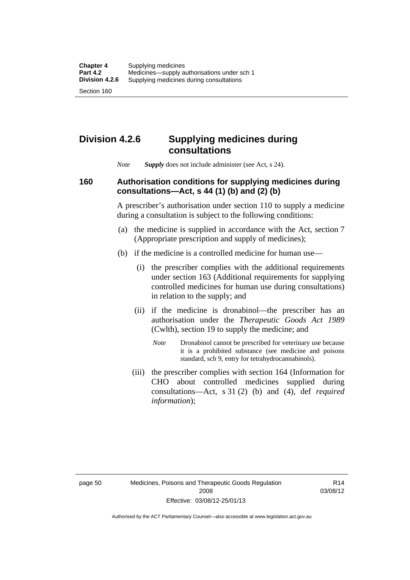Section 160

# **Division 4.2.6 Supplying medicines during consultations**

*Note Supply* does not include administer (see Act, s 24).

### **160 Authorisation conditions for supplying medicines during consultations—Act, s 44 (1) (b) and (2) (b)**

A prescriber's authorisation under section 110 to supply a medicine during a consultation is subject to the following conditions:

- (a) the medicine is supplied in accordance with the Act, section 7 (Appropriate prescription and supply of medicines);
- (b) if the medicine is a controlled medicine for human use—
	- (i) the prescriber complies with the additional requirements under section 163 (Additional requirements for supplying controlled medicines for human use during consultations) in relation to the supply; and
	- (ii) if the medicine is dronabinol—the prescriber has an authorisation under the *Therapeutic Goods Act 1989* (Cwlth), section 19 to supply the medicine; and
		- *Note* Dronabinol cannot be prescribed for veterinary use because it is a prohibited substance (see medicine and poisons standard, sch 9, entry for tetrahydrocannabinols).
	- (iii) the prescriber complies with section 164 (Information for CHO about controlled medicines supplied during consultations—Act, s 31 (2) (b) and (4), def *required information*);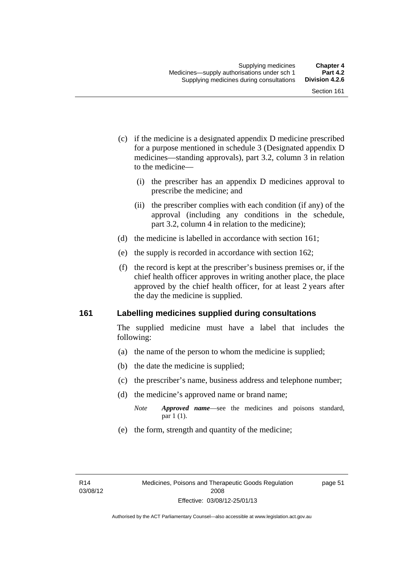- (c) if the medicine is a designated appendix D medicine prescribed for a purpose mentioned in schedule 3 (Designated appendix D medicines—standing approvals), part 3.2, column 3 in relation to the medicine—
	- (i) the prescriber has an appendix D medicines approval to prescribe the medicine; and
	- (ii) the prescriber complies with each condition (if any) of the approval (including any conditions in the schedule, part 3.2, column 4 in relation to the medicine);
- (d) the medicine is labelled in accordance with section 161;
- (e) the supply is recorded in accordance with section 162;
- (f) the record is kept at the prescriber's business premises or, if the chief health officer approves in writing another place, the place approved by the chief health officer, for at least 2 years after the day the medicine is supplied.

### **161 Labelling medicines supplied during consultations**

The supplied medicine must have a label that includes the following:

- (a) the name of the person to whom the medicine is supplied;
- (b) the date the medicine is supplied;
- (c) the prescriber's name, business address and telephone number;
- (d) the medicine's approved name or brand name;
	- *Note Approved name*—see the medicines and poisons standard, par 1 (1).
- (e) the form, strength and quantity of the medicine;

page 51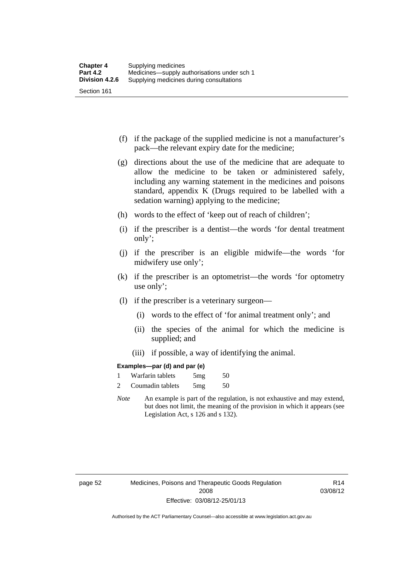- (f) if the package of the supplied medicine is not a manufacturer's pack—the relevant expiry date for the medicine;
- (g) directions about the use of the medicine that are adequate to allow the medicine to be taken or administered safely, including any warning statement in the medicines and poisons standard, appendix K (Drugs required to be labelled with a sedation warning) applying to the medicine;
- (h) words to the effect of 'keep out of reach of children';
- (i) if the prescriber is a dentist—the words 'for dental treatment only';
- (j) if the prescriber is an eligible midwife—the words 'for midwifery use only';
- (k) if the prescriber is an optometrist—the words 'for optometry use only';
- (l) if the prescriber is a veterinary surgeon—
	- (i) words to the effect of 'for animal treatment only'; and
	- (ii) the species of the animal for which the medicine is supplied; and
	- (iii) if possible, a way of identifying the animal.

#### **Examples—par (d) and par (e)**

| Warfarin tablets | 5mg | 50 |
|------------------|-----|----|
| Coumadin tablets | 5mg | 50 |

*Note* An example is part of the regulation, is not exhaustive and may extend, but does not limit, the meaning of the provision in which it appears (see Legislation Act, s 126 and s 132).

page 52 Medicines, Poisons and Therapeutic Goods Regulation 2008 Effective: 03/08/12-25/01/13

R14 03/08/12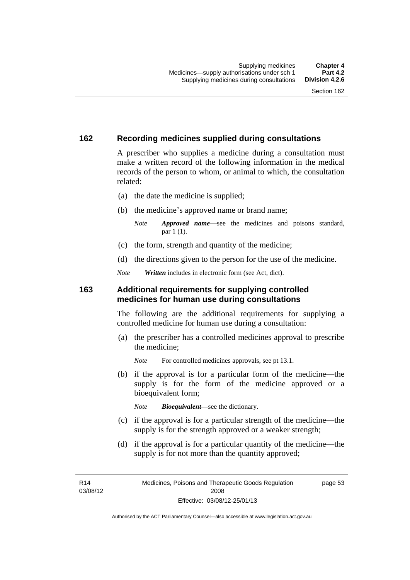### **162 Recording medicines supplied during consultations**

A prescriber who supplies a medicine during a consultation must make a written record of the following information in the medical records of the person to whom, or animal to which, the consultation related:

- (a) the date the medicine is supplied;
- (b) the medicine's approved name or brand name;

*Note Approved name*—see the medicines and poisons standard, par 1 (1).

- (c) the form, strength and quantity of the medicine;
- (d) the directions given to the person for the use of the medicine.

*Note Written* includes in electronic form (see Act, dict).

#### **163 Additional requirements for supplying controlled medicines for human use during consultations**

The following are the additional requirements for supplying a controlled medicine for human use during a consultation:

- (a) the prescriber has a controlled medicines approval to prescribe the medicine;
	- *Note* For controlled medicines approvals, see pt 13.1.
- (b) if the approval is for a particular form of the medicine—the supply is for the form of the medicine approved or a bioequivalent form;

*Note Bioequivalent*—see the dictionary.

- (c) if the approval is for a particular strength of the medicine—the supply is for the strength approved or a weaker strength;
- (d) if the approval is for a particular quantity of the medicine—the supply is for not more than the quantity approved;

R14 03/08/12 page 53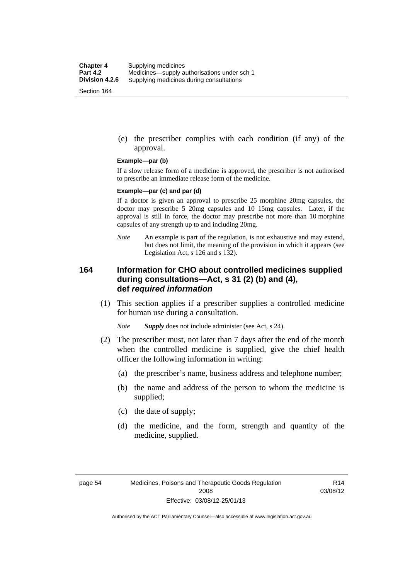(e) the prescriber complies with each condition (if any) of the approval.

#### **Example—par (b)**

If a slow release form of a medicine is approved, the prescriber is not authorised to prescribe an immediate release form of the medicine.

#### **Example—par (c) and par (d)**

If a doctor is given an approval to prescribe 25 morphine 20mg capsules, the doctor may prescribe 5 20mg capsules and 10 15mg capsules. Later, if the approval is still in force, the doctor may prescribe not more than 10 morphine capsules of any strength up to and including 20mg.

*Note* An example is part of the regulation, is not exhaustive and may extend, but does not limit, the meaning of the provision in which it appears (see Legislation Act, s 126 and s 132).

### **164 Information for CHO about controlled medicines supplied during consultations—Act, s 31 (2) (b) and (4), def** *required information*

 (1) This section applies if a prescriber supplies a controlled medicine for human use during a consultation.

*Note Supply* does not include administer (see Act, s 24).

- (2) The prescriber must, not later than 7 days after the end of the month when the controlled medicine is supplied, give the chief health officer the following information in writing:
	- (a) the prescriber's name, business address and telephone number;
	- (b) the name and address of the person to whom the medicine is supplied;
	- (c) the date of supply;
	- (d) the medicine, and the form, strength and quantity of the medicine, supplied.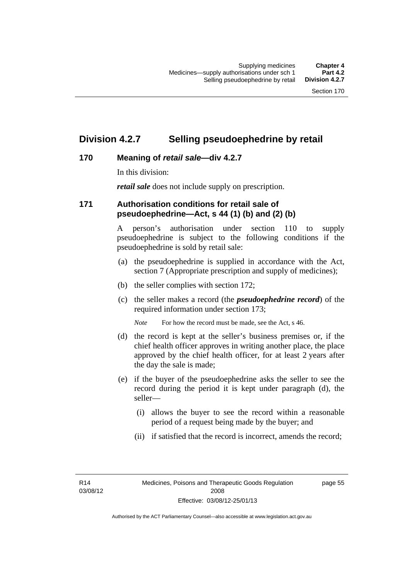### **Division 4.2.7 Selling pseudoephedrine by retail**

### **170 Meaning of** *retail sale***—div 4.2.7**

In this division:

*retail sale* does not include supply on prescription.

### **171 Authorisation conditions for retail sale of pseudoephedrine—Act, s 44 (1) (b) and (2) (b)**

A person's authorisation under section 110 to supply pseudoephedrine is subject to the following conditions if the pseudoephedrine is sold by retail sale:

- (a) the pseudoephedrine is supplied in accordance with the Act, section 7 (Appropriate prescription and supply of medicines);
- (b) the seller complies with section 172;
- (c) the seller makes a record (the *pseudoephedrine record*) of the required information under section 173;

*Note* For how the record must be made, see the Act, s 46.

- (d) the record is kept at the seller's business premises or, if the chief health officer approves in writing another place, the place approved by the chief health officer, for at least 2 years after the day the sale is made;
- (e) if the buyer of the pseudoephedrine asks the seller to see the record during the period it is kept under paragraph (d), the seller—
	- (i) allows the buyer to see the record within a reasonable period of a request being made by the buyer; and
	- (ii) if satisfied that the record is incorrect, amends the record;

R14 03/08/12 page 55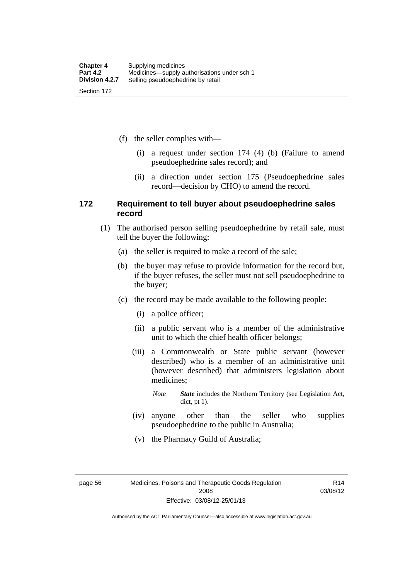(f) the seller complies with—

- (i) a request under section 174 (4) (b) (Failure to amend pseudoephedrine sales record); and
- (ii) a direction under section 175 (Pseudoephedrine sales record—decision by CHO) to amend the record.

### **172 Requirement to tell buyer about pseudoephedrine sales record**

- (1) The authorised person selling pseudoephedrine by retail sale, must tell the buyer the following:
	- (a) the seller is required to make a record of the sale;
	- (b) the buyer may refuse to provide information for the record but, if the buyer refuses, the seller must not sell pseudoephedrine to the buyer;
	- (c) the record may be made available to the following people:
		- (i) a police officer;
		- (ii) a public servant who is a member of the administrative unit to which the chief health officer belongs;
		- (iii) a Commonwealth or State public servant (however described) who is a member of an administrative unit (however described) that administers legislation about medicines;
			- *Note State* includes the Northern Territory (see Legislation Act, dict, pt 1).
		- (iv) anyone other than the seller who supplies pseudoephedrine to the public in Australia;
		- (v) the Pharmacy Guild of Australia;

page 56 Medicines, Poisons and Therapeutic Goods Regulation 2008 Effective: 03/08/12-25/01/13

R14 03/08/12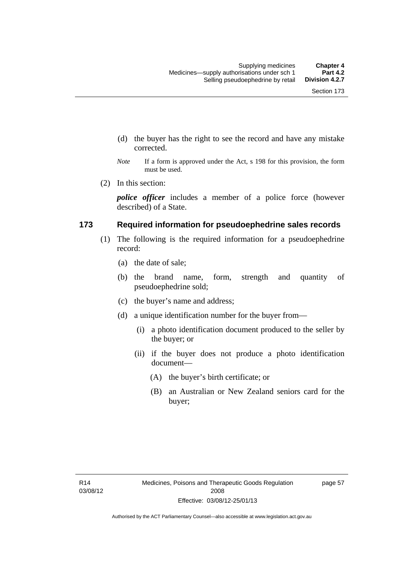- (d) the buyer has the right to see the record and have any mistake corrected.
- *Note* If a form is approved under the Act, s 198 for this provision, the form must be used.
- (2) In this section:

*police officer* includes a member of a police force (however described) of a State.

#### **173 Required information for pseudoephedrine sales records**

- (1) The following is the required information for a pseudoephedrine record:
	- (a) the date of sale;
	- (b) the brand name, form, strength and quantity of pseudoephedrine sold;
	- (c) the buyer's name and address;
	- (d) a unique identification number for the buyer from—
		- (i) a photo identification document produced to the seller by the buyer; or
		- (ii) if the buyer does not produce a photo identification document—
			- (A) the buyer's birth certificate; or
			- (B) an Australian or New Zealand seniors card for the buyer;

page 57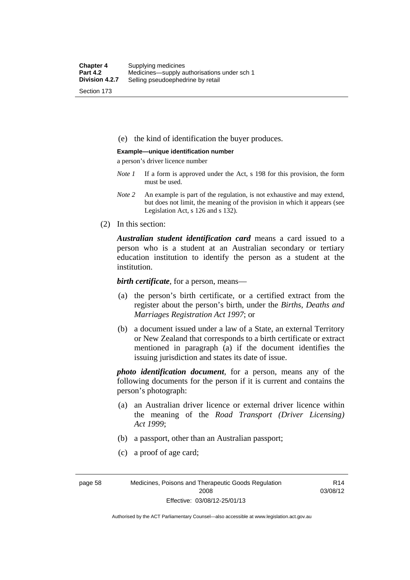(e) the kind of identification the buyer produces.

#### **Example—unique identification number**

a person's driver licence number

- *Note 1* If a form is approved under the Act, s 198 for this provision, the form must be used.
- *Note 2* An example is part of the regulation, is not exhaustive and may extend, but does not limit, the meaning of the provision in which it appears (see Legislation Act, s 126 and s 132).
- (2) In this section:

*Australian student identification card* means a card issued to a person who is a student at an Australian secondary or tertiary education institution to identify the person as a student at the institution.

*birth certificate*, for a person, means—

- (a) the person's birth certificate, or a certified extract from the register about the person's birth, under the *Births, Deaths and Marriages Registration Act 1997*; or
- (b) a document issued under a law of a State, an external Territory or New Zealand that corresponds to a birth certificate or extract mentioned in paragraph (a) if the document identifies the issuing jurisdiction and states its date of issue.

*photo identification document*, for a person, means any of the following documents for the person if it is current and contains the person's photograph:

- (a) an Australian driver licence or external driver licence within the meaning of the *Road Transport (Driver Licensing) Act 1999*;
- (b) a passport, other than an Australian passport;
- (c) a proof of age card;

page 58 Medicines, Poisons and Therapeutic Goods Regulation 2008 Effective: 03/08/12-25/01/13

R14 03/08/12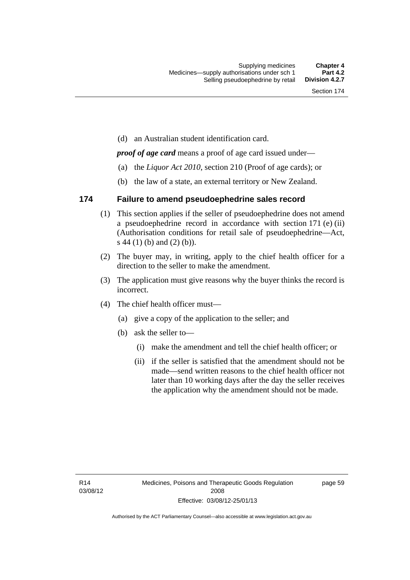(d) an Australian student identification card.

*proof of age card* means a proof of age card issued under—

- (a) the *Liquor Act 2010*, section 210 (Proof of age cards); or
- (b) the law of a state, an external territory or New Zealand.

### **174 Failure to amend pseudoephedrine sales record**

- (1) This section applies if the seller of pseudoephedrine does not amend a pseudoephedrine record in accordance with section 171 (e) (ii) (Authorisation conditions for retail sale of pseudoephedrine—Act, s 44 (1) (b) and (2) (b)).
- (2) The buyer may, in writing, apply to the chief health officer for a direction to the seller to make the amendment.
- (3) The application must give reasons why the buyer thinks the record is incorrect.
- (4) The chief health officer must—
	- (a) give a copy of the application to the seller; and
	- (b) ask the seller to—
		- (i) make the amendment and tell the chief health officer; or
		- (ii) if the seller is satisfied that the amendment should not be made—send written reasons to the chief health officer not later than 10 working days after the day the seller receives the application why the amendment should not be made.

page 59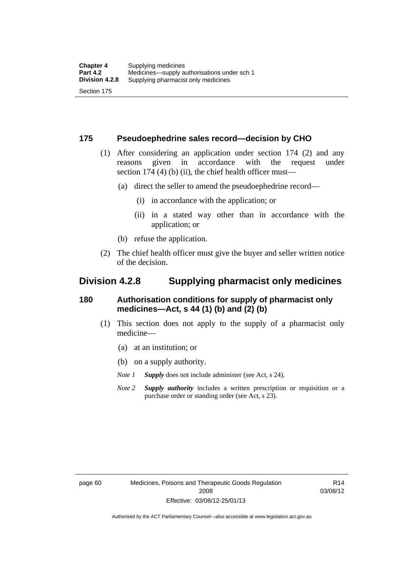### **175 Pseudoephedrine sales record—decision by CHO**

- (1) After considering an application under section 174 (2) and any reasons given in accordance with the request under section 174  $(4)$  (b)  $(ii)$ , the chief health officer must—
	- (a) direct the seller to amend the pseudoephedrine record—
		- (i) in accordance with the application; or
		- (ii) in a stated way other than in accordance with the application; or
	- (b) refuse the application.
- (2) The chief health officer must give the buyer and seller written notice of the decision.

### **Division 4.2.8 Supplying pharmacist only medicines**

### **180 Authorisation conditions for supply of pharmacist only medicines—Act, s 44 (1) (b) and (2) (b)**

- (1) This section does not apply to the supply of a pharmacist only medicine—
	- (a) at an institution; or
	- (b) on a supply authority.
	- *Note 1 Supply* does not include administer (see Act, s 24).
	- *Note 2 Supply authority* includes a written prescription or requisition or a purchase order or standing order (see Act, s 23).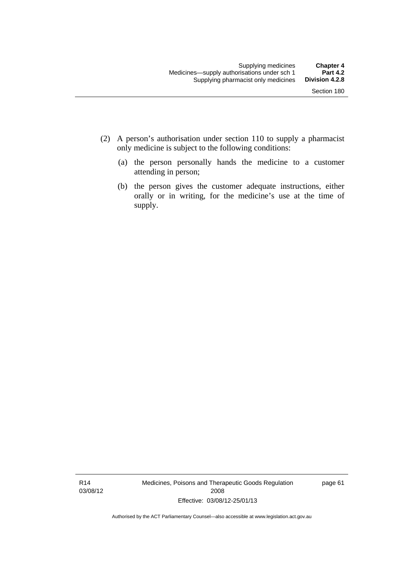- (2) A person's authorisation under section 110 to supply a pharmacist only medicine is subject to the following conditions:
	- (a) the person personally hands the medicine to a customer attending in person;
	- (b) the person gives the customer adequate instructions, either orally or in writing, for the medicine's use at the time of supply.

R14 03/08/12 Medicines, Poisons and Therapeutic Goods Regulation 2008 Effective: 03/08/12-25/01/13

page 61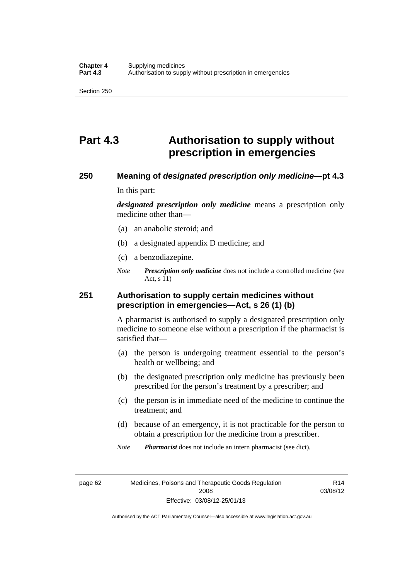# **Part 4.3 Authorisation to supply without prescription in emergencies**

### **250 Meaning of** *designated prescription only medicine***—pt 4.3**

In this part:

*designated prescription only medicine* means a prescription only medicine other than—

- (a) an anabolic steroid; and
- (b) a designated appendix D medicine; and
- (c) a benzodiazepine.
- *Note Prescription only medicine* does not include a controlled medicine (see Act, s 11)

### **251 Authorisation to supply certain medicines without prescription in emergencies—Act, s 26 (1) (b)**

A pharmacist is authorised to supply a designated prescription only medicine to someone else without a prescription if the pharmacist is satisfied that—

- (a) the person is undergoing treatment essential to the person's health or wellbeing; and
- (b) the designated prescription only medicine has previously been prescribed for the person's treatment by a prescriber; and
- (c) the person is in immediate need of the medicine to continue the treatment; and
- (d) because of an emergency, it is not practicable for the person to obtain a prescription for the medicine from a prescriber.

*Note Pharmacist* does not include an intern pharmacist (see dict).

page 62 Medicines, Poisons and Therapeutic Goods Regulation 2008 Effective: 03/08/12-25/01/13

R14 03/08/12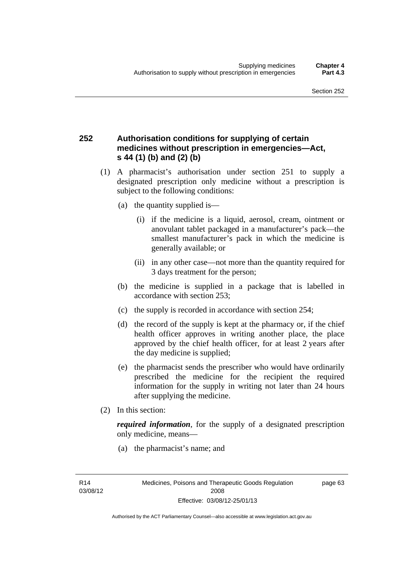### **252 Authorisation conditions for supplying of certain medicines without prescription in emergencies—Act, s 44 (1) (b) and (2) (b)**

- (1) A pharmacist's authorisation under section 251 to supply a designated prescription only medicine without a prescription is subject to the following conditions:
	- (a) the quantity supplied is—
		- (i) if the medicine is a liquid, aerosol, cream, ointment or anovulant tablet packaged in a manufacturer's pack—the smallest manufacturer's pack in which the medicine is generally available; or
		- (ii) in any other case—not more than the quantity required for 3 days treatment for the person;
	- (b) the medicine is supplied in a package that is labelled in accordance with section 253;
	- (c) the supply is recorded in accordance with section 254;
	- (d) the record of the supply is kept at the pharmacy or, if the chief health officer approves in writing another place, the place approved by the chief health officer, for at least 2 years after the day medicine is supplied;
	- (e) the pharmacist sends the prescriber who would have ordinarily prescribed the medicine for the recipient the required information for the supply in writing not later than 24 hours after supplying the medicine.
- (2) In this section:

*required information*, for the supply of a designated prescription only medicine, means—

(a) the pharmacist's name; and

page 63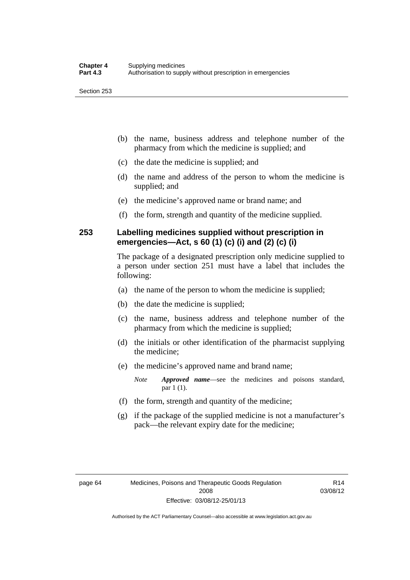- (b) the name, business address and telephone number of the pharmacy from which the medicine is supplied; and
- (c) the date the medicine is supplied; and
- (d) the name and address of the person to whom the medicine is supplied; and
- (e) the medicine's approved name or brand name; and
- (f) the form, strength and quantity of the medicine supplied.

### **253 Labelling medicines supplied without prescription in emergencies—Act, s 60 (1) (c) (i) and (2) (c) (i)**

The package of a designated prescription only medicine supplied to a person under section 251 must have a label that includes the following:

- (a) the name of the person to whom the medicine is supplied;
- (b) the date the medicine is supplied;
- (c) the name, business address and telephone number of the pharmacy from which the medicine is supplied;
- (d) the initials or other identification of the pharmacist supplying the medicine;
- (e) the medicine's approved name and brand name;

*Note Approved name*—see the medicines and poisons standard, par 1 (1).

- (f) the form, strength and quantity of the medicine;
- (g) if the package of the supplied medicine is not a manufacturer's pack—the relevant expiry date for the medicine;

R14 03/08/12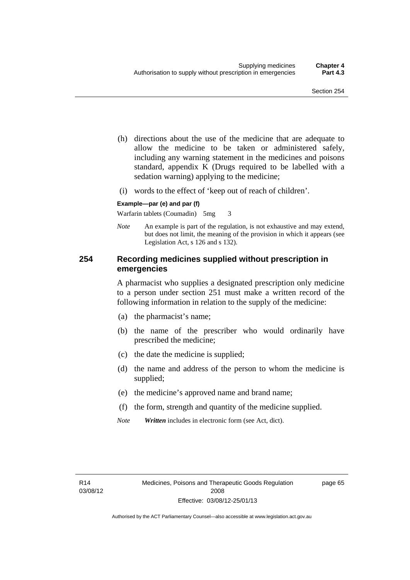- (h) directions about the use of the medicine that are adequate to allow the medicine to be taken or administered safely, including any warning statement in the medicines and poisons standard, appendix K (Drugs required to be labelled with a sedation warning) applying to the medicine;
- (i) words to the effect of 'keep out of reach of children'.

#### **Example—par (e) and par (f)**

Warfarin tablets (Coumadin) 5mg 3

*Note* An example is part of the regulation, is not exhaustive and may extend, but does not limit, the meaning of the provision in which it appears (see Legislation Act, s 126 and s 132).

### **254 Recording medicines supplied without prescription in emergencies**

A pharmacist who supplies a designated prescription only medicine to a person under section 251 must make a written record of the following information in relation to the supply of the medicine:

- (a) the pharmacist's name;
- (b) the name of the prescriber who would ordinarily have prescribed the medicine;
- (c) the date the medicine is supplied;
- (d) the name and address of the person to whom the medicine is supplied;
- (e) the medicine's approved name and brand name;
- (f) the form, strength and quantity of the medicine supplied.
- *Note Written* includes in electronic form (see Act, dict).

page 65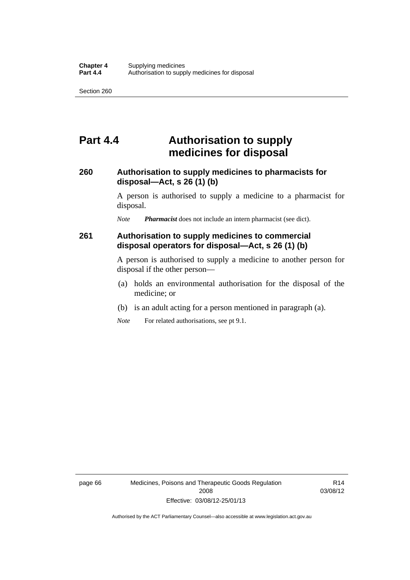## **Part 4.4 Authorisation to supply medicines for disposal**

### **260 Authorisation to supply medicines to pharmacists for disposal—Act, s 26 (1) (b)**

A person is authorised to supply a medicine to a pharmacist for disposal.

*Note Pharmacist* does not include an intern pharmacist (see dict).

### **261 Authorisation to supply medicines to commercial disposal operators for disposal—Act, s 26 (1) (b)**

A person is authorised to supply a medicine to another person for disposal if the other person—

- (a) holds an environmental authorisation for the disposal of the medicine; or
- (b) is an adult acting for a person mentioned in paragraph (a).
- *Note* For related authorisations, see pt 9.1.

page 66 Medicines, Poisons and Therapeutic Goods Regulation 2008 Effective: 03/08/12-25/01/13

R14 03/08/12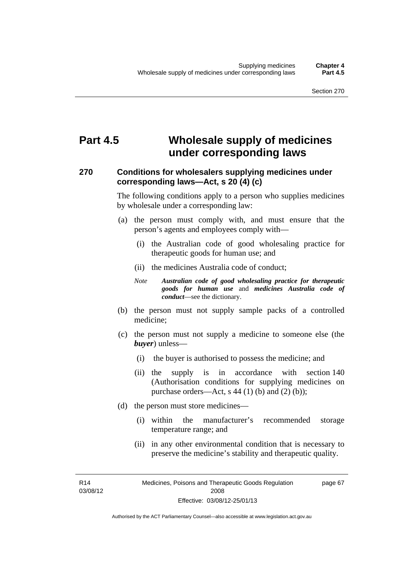# **Part 4.5 Wholesale supply of medicines under corresponding laws**

### **270 Conditions for wholesalers supplying medicines under corresponding laws—Act, s 20 (4) (c)**

The following conditions apply to a person who supplies medicines by wholesale under a corresponding law:

- (a) the person must comply with, and must ensure that the person's agents and employees comply with—
	- (i) the Australian code of good wholesaling practice for therapeutic goods for human use; and
	- (ii) the medicines Australia code of conduct;
	- *Note Australian code of good wholesaling practice for therapeutic goods for human use* and *medicines Australia code of conduct*—see the dictionary.
- (b) the person must not supply sample packs of a controlled medicine;
- (c) the person must not supply a medicine to someone else (the *buyer*) unless—
	- (i) the buyer is authorised to possess the medicine; and
	- (ii) the supply is in accordance with section 140 (Authorisation conditions for supplying medicines on purchase orders—Act, s  $44$  (1) (b) and (2) (b));
- (d) the person must store medicines—
	- (i) within the manufacturer's recommended storage temperature range; and
	- (ii) in any other environmental condition that is necessary to preserve the medicine's stability and therapeutic quality.

R14 03/08/12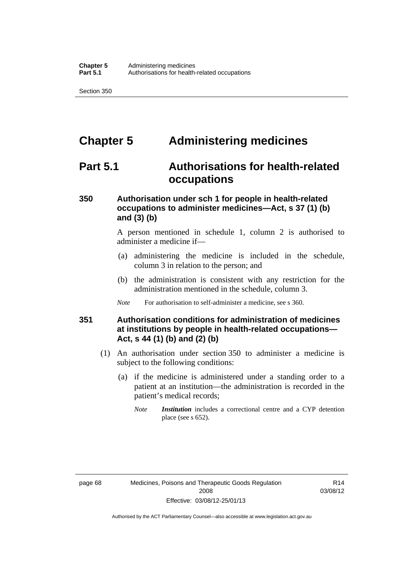# **Chapter 5 Administering medicines**

## **Part 5.1 Authorisations for health-related occupations**

### **350 Authorisation under sch 1 for people in health-related occupations to administer medicines—Act, s 37 (1) (b) and (3) (b)**

A person mentioned in schedule 1, column 2 is authorised to administer a medicine if—

- (a) administering the medicine is included in the schedule, column 3 in relation to the person; and
- (b) the administration is consistent with any restriction for the administration mentioned in the schedule, column 3.
- *Note* For authorisation to self-administer a medicine, see s 360.

### **351 Authorisation conditions for administration of medicines at institutions by people in health-related occupations— Act, s 44 (1) (b) and (2) (b)**

- (1) An authorisation under section 350 to administer a medicine is subject to the following conditions:
	- (a) if the medicine is administered under a standing order to a patient at an institution—the administration is recorded in the patient's medical records;
		- *Note Institution* includes a correctional centre and a CYP detention place (see s 652).

R14 03/08/12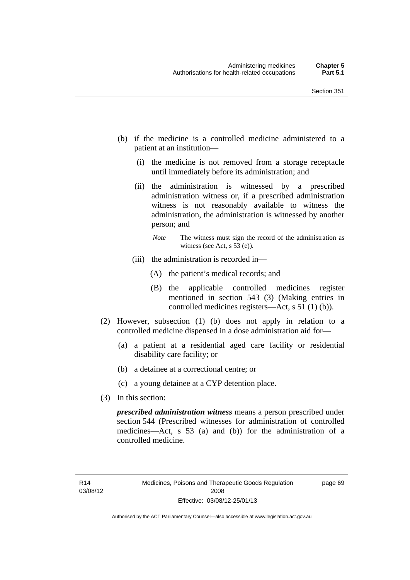- (b) if the medicine is a controlled medicine administered to a patient at an institution—
	- (i) the medicine is not removed from a storage receptacle until immediately before its administration; and
	- (ii) the administration is witnessed by a prescribed administration witness or, if a prescribed administration witness is not reasonably available to witness the administration, the administration is witnessed by another person; and
		- *Note* The witness must sign the record of the administration as witness (see Act, s 53 (e)).
	- (iii) the administration is recorded in—
		- (A) the patient's medical records; and
		- (B) the applicable controlled medicines register mentioned in section 543 (3) (Making entries in controlled medicines registers—Act, s 51 (1) (b)).
- (2) However, subsection (1) (b) does not apply in relation to a controlled medicine dispensed in a dose administration aid for—
	- (a) a patient at a residential aged care facility or residential disability care facility; or
	- (b) a detainee at a correctional centre; or
	- (c) a young detainee at a CYP detention place.
- (3) In this section:

*prescribed administration witness* means a person prescribed under section 544 (Prescribed witnesses for administration of controlled medicines—Act, s 53 (a) and (b)) for the administration of a controlled medicine.

page 69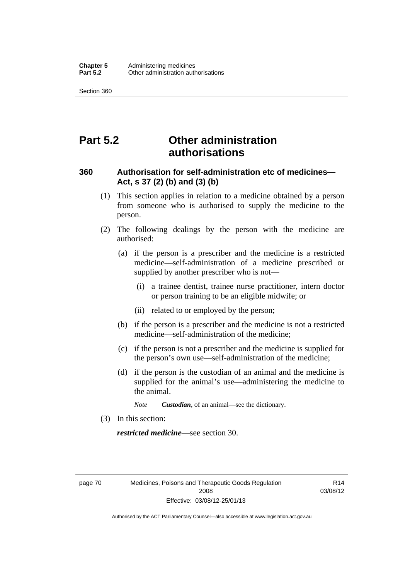# **Part 5.2 Other administration authorisations**

### **360 Authorisation for self-administration etc of medicines— Act, s 37 (2) (b) and (3) (b)**

- (1) This section applies in relation to a medicine obtained by a person from someone who is authorised to supply the medicine to the person.
- (2) The following dealings by the person with the medicine are authorised:
	- (a) if the person is a prescriber and the medicine is a restricted medicine—self-administration of a medicine prescribed or supplied by another prescriber who is not—
		- (i) a trainee dentist, trainee nurse practitioner, intern doctor or person training to be an eligible midwife; or
		- (ii) related to or employed by the person;
	- (b) if the person is a prescriber and the medicine is not a restricted medicine—self-administration of the medicine;
	- (c) if the person is not a prescriber and the medicine is supplied for the person's own use—self-administration of the medicine;
	- (d) if the person is the custodian of an animal and the medicine is supplied for the animal's use—administering the medicine to the animal.
		- *Note Custodian*, of an animal—see the dictionary.
- (3) In this section:

*restricted medicine*—see section 30.

page 70 Medicines, Poisons and Therapeutic Goods Regulation 2008 Effective: 03/08/12-25/01/13

R14 03/08/12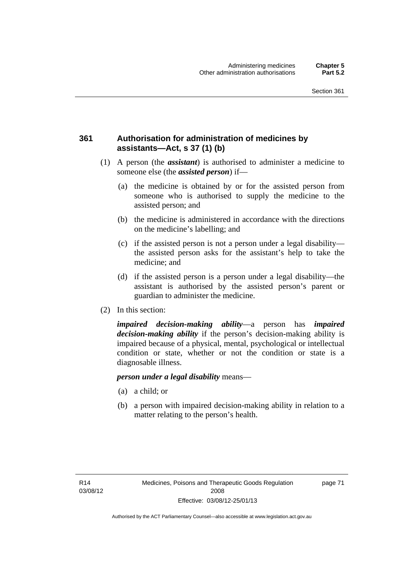### **361 Authorisation for administration of medicines by assistants—Act, s 37 (1) (b)**

- (1) A person (the *assistant*) is authorised to administer a medicine to someone else (the *assisted person*) if—
	- (a) the medicine is obtained by or for the assisted person from someone who is authorised to supply the medicine to the assisted person; and
	- (b) the medicine is administered in accordance with the directions on the medicine's labelling; and
	- (c) if the assisted person is not a person under a legal disability the assisted person asks for the assistant's help to take the medicine; and
	- (d) if the assisted person is a person under a legal disability—the assistant is authorised by the assisted person's parent or guardian to administer the medicine.
- (2) In this section:

*impaired decision-making ability*—a person has *impaired decision-making ability* if the person's decision-making ability is impaired because of a physical, mental, psychological or intellectual condition or state, whether or not the condition or state is a diagnosable illness.

#### *person under a legal disability* means—

- (a) a child; or
- (b) a person with impaired decision-making ability in relation to a matter relating to the person's health.

page 71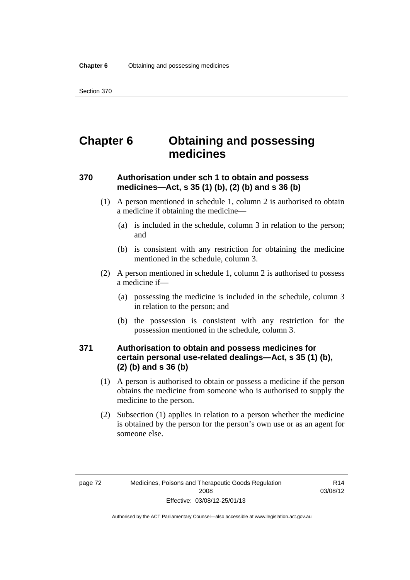# **Chapter 6 Obtaining and possessing medicines**

### **370 Authorisation under sch 1 to obtain and possess medicines—Act, s 35 (1) (b), (2) (b) and s 36 (b)**

- (1) A person mentioned in schedule 1, column 2 is authorised to obtain a medicine if obtaining the medicine—
	- (a) is included in the schedule, column 3 in relation to the person; and
	- (b) is consistent with any restriction for obtaining the medicine mentioned in the schedule, column 3.
- (2) A person mentioned in schedule 1, column 2 is authorised to possess a medicine if—
	- (a) possessing the medicine is included in the schedule, column 3 in relation to the person; and
	- (b) the possession is consistent with any restriction for the possession mentioned in the schedule, column 3.

### **371 Authorisation to obtain and possess medicines for certain personal use-related dealings—Act, s 35 (1) (b), (2) (b) and s 36 (b)**

- (1) A person is authorised to obtain or possess a medicine if the person obtains the medicine from someone who is authorised to supply the medicine to the person.
- (2) Subsection (1) applies in relation to a person whether the medicine is obtained by the person for the person's own use or as an agent for someone else.

R14 03/08/12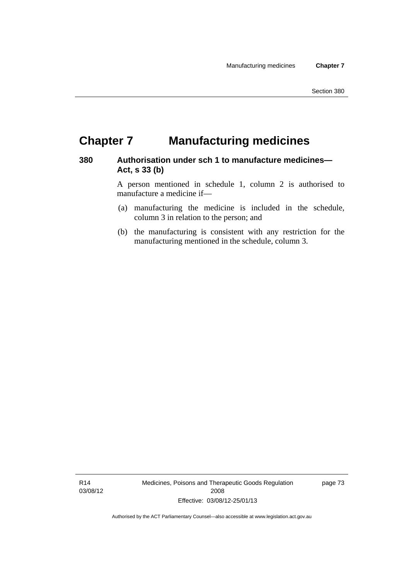# **Chapter 7 Manufacturing medicines**

### **380 Authorisation under sch 1 to manufacture medicines— Act, s 33 (b)**

A person mentioned in schedule 1, column 2 is authorised to manufacture a medicine if—

- (a) manufacturing the medicine is included in the schedule, column 3 in relation to the person; and
- (b) the manufacturing is consistent with any restriction for the manufacturing mentioned in the schedule, column 3.

R14 03/08/12 Medicines, Poisons and Therapeutic Goods Regulation 2008 Effective: 03/08/12-25/01/13

page 73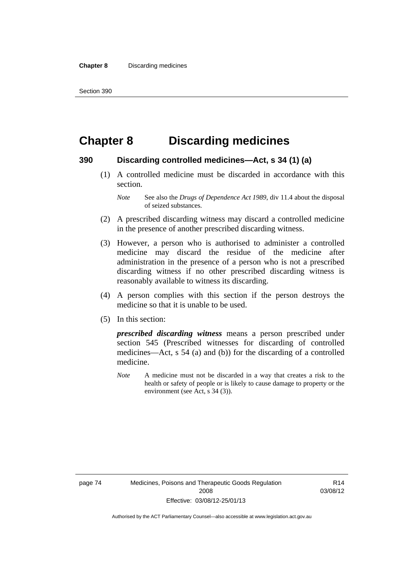# **Chapter 8 Discarding medicines**

#### **390 Discarding controlled medicines—Act, s 34 (1) (a)**

 (1) A controlled medicine must be discarded in accordance with this section.

- (2) A prescribed discarding witness may discard a controlled medicine in the presence of another prescribed discarding witness.
- (3) However, a person who is authorised to administer a controlled medicine may discard the residue of the medicine after administration in the presence of a person who is not a prescribed discarding witness if no other prescribed discarding witness is reasonably available to witness its discarding.
- (4) A person complies with this section if the person destroys the medicine so that it is unable to be used.
- (5) In this section:

*prescribed discarding witness* means a person prescribed under section 545 (Prescribed witnesses for discarding of controlled medicines—Act, s 54 (a) and (b)) for the discarding of a controlled medicine.

*Note* A medicine must not be discarded in a way that creates a risk to the health or safety of people or is likely to cause damage to property or the environment (see Act, s 34 (3)).

*Note* See also the *Drugs of Dependence Act 1989*, div 11.4 about the disposal of seized substances.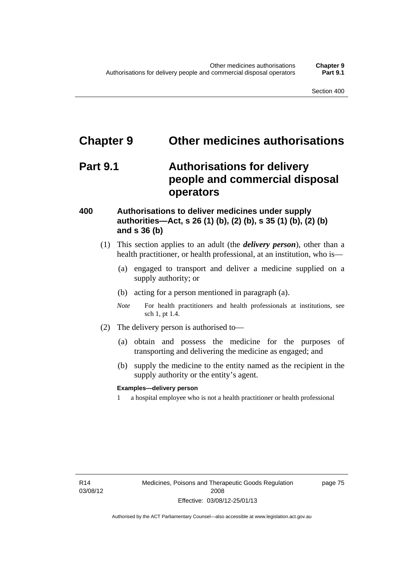# **Chapter 9 Other medicines authorisations**

## **Part 9.1 Authorisations for delivery people and commercial disposal operators**

### **400 Authorisations to deliver medicines under supply authorities—Act, s 26 (1) (b), (2) (b), s 35 (1) (b), (2) (b) and s 36 (b)**

- (1) This section applies to an adult (the *delivery person*), other than a health practitioner, or health professional, at an institution, who is—
	- (a) engaged to transport and deliver a medicine supplied on a supply authority; or
	- (b) acting for a person mentioned in paragraph (a).
	- *Note* For health practitioners and health professionals at institutions, see sch 1, pt 1.4.
- (2) The delivery person is authorised to—
	- (a) obtain and possess the medicine for the purposes of transporting and delivering the medicine as engaged; and
	- (b) supply the medicine to the entity named as the recipient in the supply authority or the entity's agent.

#### **Examples—delivery person**

1 a hospital employee who is not a health practitioner or health professional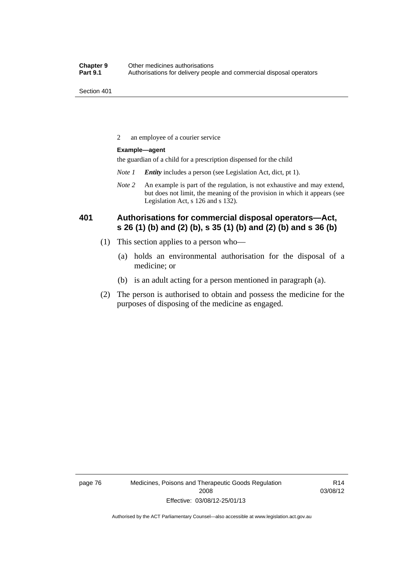2 an employee of a courier service

#### **Example—agent**

the guardian of a child for a prescription dispensed for the child

- *Note 1 Entity* includes a person (see Legislation Act, dict, pt 1).
- *Note 2* An example is part of the regulation, is not exhaustive and may extend, but does not limit, the meaning of the provision in which it appears (see Legislation Act, s 126 and s 132).

### **401 Authorisations for commercial disposal operators—Act, s 26 (1) (b) and (2) (b), s 35 (1) (b) and (2) (b) and s 36 (b)**

- (1) This section applies to a person who—
	- (a) holds an environmental authorisation for the disposal of a medicine; or
	- (b) is an adult acting for a person mentioned in paragraph (a).
- (2) The person is authorised to obtain and possess the medicine for the purposes of disposing of the medicine as engaged.

page 76 Medicines, Poisons and Therapeutic Goods Regulation 2008 Effective: 03/08/12-25/01/13

R14 03/08/12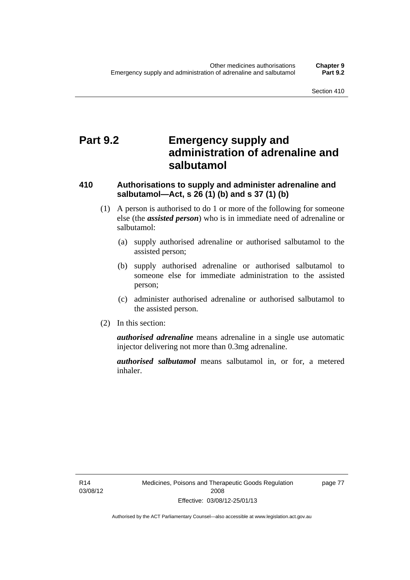# **Part 9.2 Emergency supply and administration of adrenaline and salbutamol**

### **410 Authorisations to supply and administer adrenaline and salbutamol—Act, s 26 (1) (b) and s 37 (1) (b)**

- (1) A person is authorised to do 1 or more of the following for someone else (the *assisted person*) who is in immediate need of adrenaline or salbutamol:
	- (a) supply authorised adrenaline or authorised salbutamol to the assisted person;
	- (b) supply authorised adrenaline or authorised salbutamol to someone else for immediate administration to the assisted person;
	- (c) administer authorised adrenaline or authorised salbutamol to the assisted person.
- (2) In this section:

*authorised adrenaline* means adrenaline in a single use automatic injector delivering not more than 0.3mg adrenaline.

*authorised salbutamol* means salbutamol in, or for, a metered inhaler.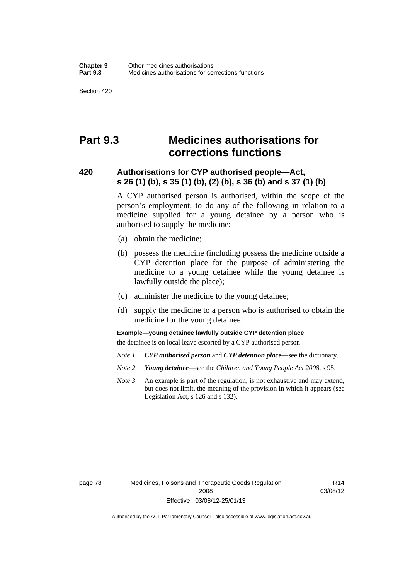# **Part 9.3 Medicines authorisations for corrections functions**

### **420 Authorisations for CYP authorised people—Act, s 26 (1) (b), s 35 (1) (b), (2) (b), s 36 (b) and s 37 (1) (b)**

A CYP authorised person is authorised, within the scope of the person's employment, to do any of the following in relation to a medicine supplied for a young detainee by a person who is authorised to supply the medicine:

- (a) obtain the medicine;
- (b) possess the medicine (including possess the medicine outside a CYP detention place for the purpose of administering the medicine to a young detainee while the young detainee is lawfully outside the place);
- (c) administer the medicine to the young detainee;
- (d) supply the medicine to a person who is authorised to obtain the medicine for the young detainee.

#### **Example—young detainee lawfully outside CYP detention place**

the detainee is on local leave escorted by a CYP authorised person

- *Note 1 CYP authorised person* and *CYP detention place*—see the dictionary.
- *Note 2 Young detainee*—see the *Children and Young People Act 2008*, s 95.
- *Note 3* An example is part of the regulation, is not exhaustive and may extend, but does not limit, the meaning of the provision in which it appears (see Legislation Act, s 126 and s 132).

page 78 Medicines, Poisons and Therapeutic Goods Regulation 2008 Effective: 03/08/12-25/01/13

R14 03/08/12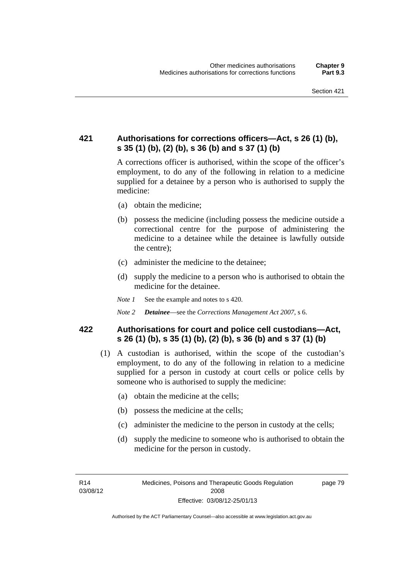### **421 Authorisations for corrections officers—Act, s 26 (1) (b), s 35 (1) (b), (2) (b), s 36 (b) and s 37 (1) (b)**

A corrections officer is authorised, within the scope of the officer's employment, to do any of the following in relation to a medicine supplied for a detainee by a person who is authorised to supply the medicine:

- (a) obtain the medicine;
- (b) possess the medicine (including possess the medicine outside a correctional centre for the purpose of administering the medicine to a detainee while the detainee is lawfully outside the centre);
- (c) administer the medicine to the detainee;
- (d) supply the medicine to a person who is authorised to obtain the medicine for the detainee.
- *Note 1* See the example and notes to s 420.
- *Note 2 Detainee*—see the *Corrections Management Act 2007*, s 6.

### **422 Authorisations for court and police cell custodians—Act, s 26 (1) (b), s 35 (1) (b), (2) (b), s 36 (b) and s 37 (1) (b)**

- (1) A custodian is authorised, within the scope of the custodian's employment, to do any of the following in relation to a medicine supplied for a person in custody at court cells or police cells by someone who is authorised to supply the medicine:
	- (a) obtain the medicine at the cells;
	- (b) possess the medicine at the cells;
	- (c) administer the medicine to the person in custody at the cells;
	- (d) supply the medicine to someone who is authorised to obtain the medicine for the person in custody.

R14 03/08/12 page 79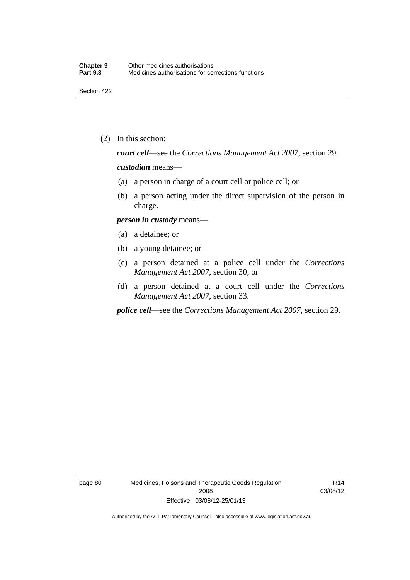(2) In this section:

*court cell*—see the *Corrections Management Act 2007*, section 29.

#### *custodian* means—

- (a) a person in charge of a court cell or police cell; or
- (b) a person acting under the direct supervision of the person in charge.

#### *person in custody* means—

- (a) a detainee; or
- (b) a young detainee; or
- (c) a person detained at a police cell under the *Corrections Management Act 2007*, section 30; or
- (d) a person detained at a court cell under the *Corrections Management Act 2007*, section 33.

*police cell*—see the *Corrections Management Act 2007*, section 29.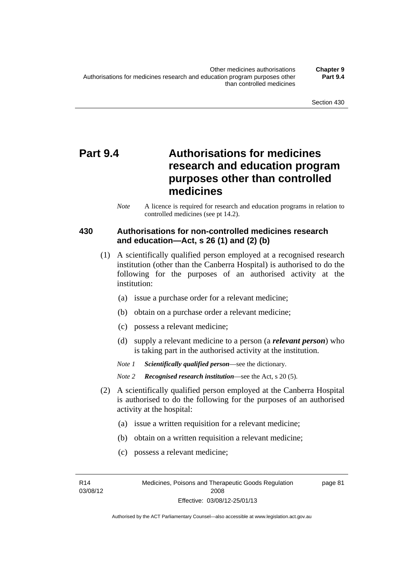# **Part 9.4 Authorisations for medicines research and education program purposes other than controlled medicines**

*Note* A licence is required for research and education programs in relation to controlled medicines (see pt 14.2).

### **430 Authorisations for non-controlled medicines research and education—Act, s 26 (1) and (2) (b)**

- (1) A scientifically qualified person employed at a recognised research institution (other than the Canberra Hospital) is authorised to do the following for the purposes of an authorised activity at the institution:
	- (a) issue a purchase order for a relevant medicine;
	- (b) obtain on a purchase order a relevant medicine;
	- (c) possess a relevant medicine;
	- (d) supply a relevant medicine to a person (a *relevant person*) who is taking part in the authorised activity at the institution.
	- *Note 1 Scientifically qualified person*—see the dictionary.

*Note 2 Recognised research institution*—see the Act, s 20 (5).

- (2) A scientifically qualified person employed at the Canberra Hospital is authorised to do the following for the purposes of an authorised activity at the hospital:
	- (a) issue a written requisition for a relevant medicine;
	- (b) obtain on a written requisition a relevant medicine;
	- (c) possess a relevant medicine;

R14 03/08/12 page 81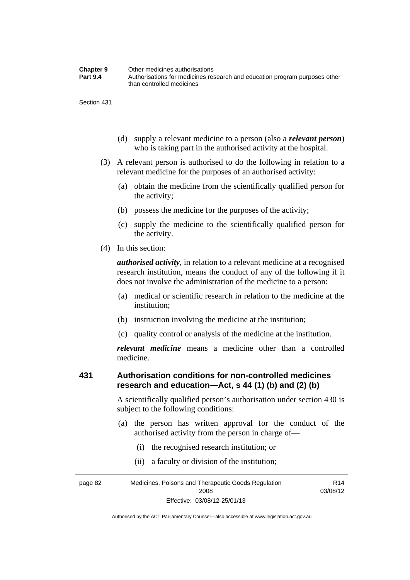| <b>Chapter 9</b> | Other medicines authorisations                                             |
|------------------|----------------------------------------------------------------------------|
| <b>Part 9.4</b>  | Authorisations for medicines research and education program purposes other |
|                  | than controlled medicines                                                  |

- (d) supply a relevant medicine to a person (also a *relevant person*) who is taking part in the authorised activity at the hospital.
- (3) A relevant person is authorised to do the following in relation to a relevant medicine for the purposes of an authorised activity:
	- (a) obtain the medicine from the scientifically qualified person for the activity;
	- (b) possess the medicine for the purposes of the activity;
	- (c) supply the medicine to the scientifically qualified person for the activity.
- (4) In this section:

*authorised activity*, in relation to a relevant medicine at a recognised research institution, means the conduct of any of the following if it does not involve the administration of the medicine to a person:

- (a) medical or scientific research in relation to the medicine at the institution;
- (b) instruction involving the medicine at the institution;
- (c) quality control or analysis of the medicine at the institution.

*relevant medicine* means a medicine other than a controlled medicine.

### **431 Authorisation conditions for non-controlled medicines research and education—Act, s 44 (1) (b) and (2) (b)**

A scientifically qualified person's authorisation under section 430 is subject to the following conditions:

- (a) the person has written approval for the conduct of the authorised activity from the person in charge of—
	- (i) the recognised research institution; or
	- (ii) a faculty or division of the institution;

page 82 Medicines, Poisons and Therapeutic Goods Regulation 2008 Effective: 03/08/12-25/01/13 R14 03/08/12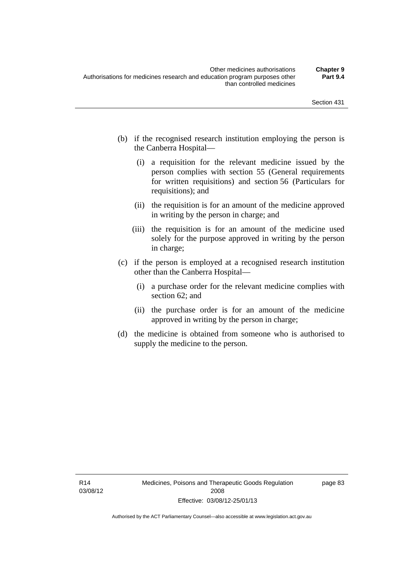- (b) if the recognised research institution employing the person is the Canberra Hospital—
	- (i) a requisition for the relevant medicine issued by the person complies with section 55 (General requirements for written requisitions) and section 56 (Particulars for requisitions); and
	- (ii) the requisition is for an amount of the medicine approved in writing by the person in charge; and
	- (iii) the requisition is for an amount of the medicine used solely for the purpose approved in writing by the person in charge;
- (c) if the person is employed at a recognised research institution other than the Canberra Hospital—
	- (i) a purchase order for the relevant medicine complies with section 62; and
	- (ii) the purchase order is for an amount of the medicine approved in writing by the person in charge;
- (d) the medicine is obtained from someone who is authorised to supply the medicine to the person.

page 83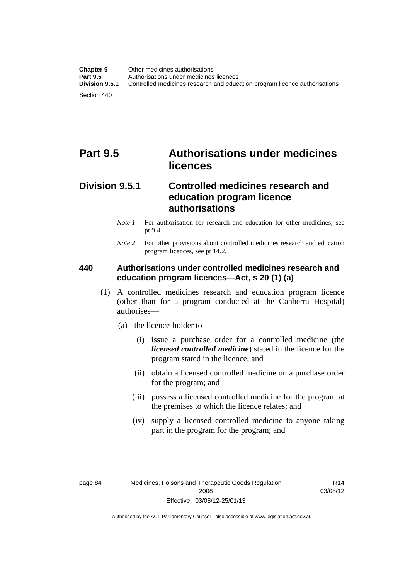# **Part 9.5 Authorisations under medicines licences**

### **Division 9.5.1 Controlled medicines research and education program licence authorisations**

- *Note 1* For authorisation for research and education for other medicines, see pt 9.4.
- *Note 2* For other provisions about controlled medicines research and education program licences, see pt 14.2.

### **440 Authorisations under controlled medicines research and education program licences—Act, s 20 (1) (a)**

- (1) A controlled medicines research and education program licence (other than for a program conducted at the Canberra Hospital) authorises—
	- (a) the licence-holder to—
		- (i) issue a purchase order for a controlled medicine (the *licensed controlled medicine*) stated in the licence for the program stated in the licence; and
		- (ii) obtain a licensed controlled medicine on a purchase order for the program; and
		- (iii) possess a licensed controlled medicine for the program at the premises to which the licence relates; and
		- (iv) supply a licensed controlled medicine to anyone taking part in the program for the program; and

R14 03/08/12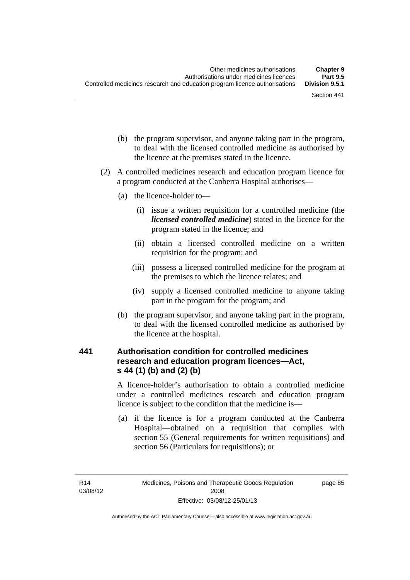- (b) the program supervisor, and anyone taking part in the program, to deal with the licensed controlled medicine as authorised by the licence at the premises stated in the licence.
- (2) A controlled medicines research and education program licence for a program conducted at the Canberra Hospital authorises—
	- (a) the licence-holder to—
		- (i) issue a written requisition for a controlled medicine (the *licensed controlled medicine*) stated in the licence for the program stated in the licence; and
		- (ii) obtain a licensed controlled medicine on a written requisition for the program; and
		- (iii) possess a licensed controlled medicine for the program at the premises to which the licence relates; and
		- (iv) supply a licensed controlled medicine to anyone taking part in the program for the program; and
	- (b) the program supervisor, and anyone taking part in the program, to deal with the licensed controlled medicine as authorised by the licence at the hospital.

### **441 Authorisation condition for controlled medicines research and education program licences—Act, s 44 (1) (b) and (2) (b)**

A licence-holder's authorisation to obtain a controlled medicine under a controlled medicines research and education program licence is subject to the condition that the medicine is—

 (a) if the licence is for a program conducted at the Canberra Hospital—obtained on a requisition that complies with section 55 (General requirements for written requisitions) and section 56 (Particulars for requisitions); or

page 85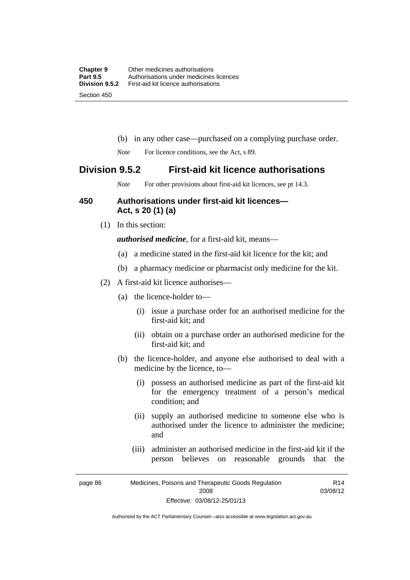- (b) in any other case—purchased on a complying purchase order.
- *Note* For licence conditions, see the Act, s 89.

### **Division 9.5.2 First-aid kit licence authorisations**

*Note* For other provisions about first-aid kit licences, see pt 14.3.

### **450 Authorisations under first-aid kit licences— Act, s 20 (1) (a)**

(1) In this section:

*authorised medicine*, for a first-aid kit, means—

- (a) a medicine stated in the first-aid kit licence for the kit; and
- (b) a pharmacy medicine or pharmacist only medicine for the kit.
- (2) A first-aid kit licence authorises—
	- (a) the licence-holder to—
		- (i) issue a purchase order for an authorised medicine for the first-aid kit; and
		- (ii) obtain on a purchase order an authorised medicine for the first-aid kit; and
	- (b) the licence-holder, and anyone else authorised to deal with a medicine by the licence, to—
		- (i) possess an authorised medicine as part of the first-aid kit for the emergency treatment of a person's medical condition; and
		- (ii) supply an authorised medicine to someone else who is authorised under the licence to administer the medicine; and
		- (iii) administer an authorised medicine in the first-aid kit if the person believes on reasonable grounds that the

R14

page 86 Medicines, Poisons and Therapeutic Goods Regulation 2008 Effective: 03/08/12-25/01/13 03/08/12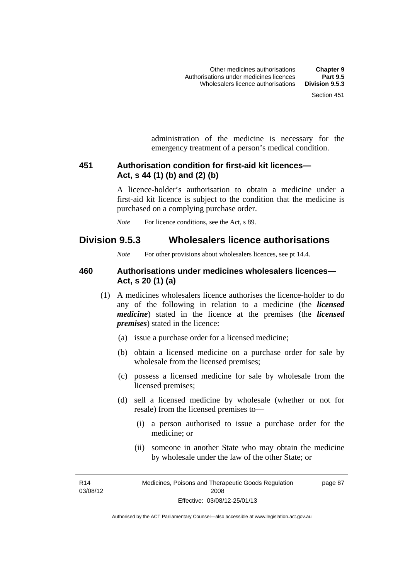administration of the medicine is necessary for the emergency treatment of a person's medical condition.

### **451 Authorisation condition for first-aid kit licences— Act, s 44 (1) (b) and (2) (b)**

A licence-holder's authorisation to obtain a medicine under a first-aid kit licence is subject to the condition that the medicine is purchased on a complying purchase order.

*Note* For licence conditions, see the Act, s 89.

### **Division 9.5.3 Wholesalers licence authorisations**

*Note* For other provisions about wholesalers licences, see pt 14.4.

### **460 Authorisations under medicines wholesalers licences— Act, s 20 (1) (a)**

- (1) A medicines wholesalers licence authorises the licence-holder to do any of the following in relation to a medicine (the *licensed medicine*) stated in the licence at the premises (the *licensed premises*) stated in the licence:
	- (a) issue a purchase order for a licensed medicine;
	- (b) obtain a licensed medicine on a purchase order for sale by wholesale from the licensed premises;
	- (c) possess a licensed medicine for sale by wholesale from the licensed premises;
	- (d) sell a licensed medicine by wholesale (whether or not for resale) from the licensed premises to—
		- (i) a person authorised to issue a purchase order for the medicine; or
		- (ii) someone in another State who may obtain the medicine by wholesale under the law of the other State; or

R14 03/08/12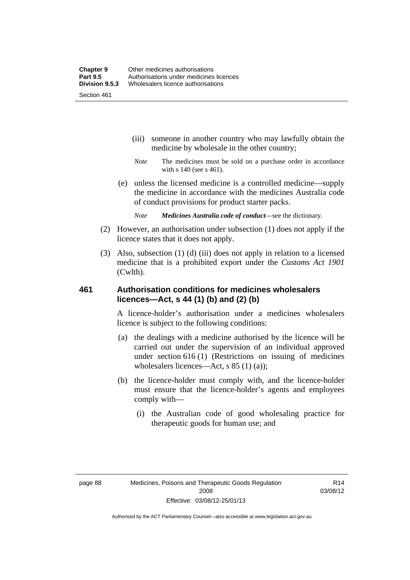- (iii) someone in another country who may lawfully obtain the medicine by wholesale in the other country;
- *Note* The medicines must be sold on a purchase order in accordance with s 140 (see s 461).
- (e) unless the licensed medicine is a controlled medicine—supply the medicine in accordance with the medicines Australia code of conduct provisions for product starter packs.
	- *Note Medicines Australia code of conduct*—see the dictionary.
- (2) However, an authorisation under subsection (1) does not apply if the licence states that it does not apply.
- (3) Also, subsection (1) (d) (iii) does not apply in relation to a licensed medicine that is a prohibited export under the *Customs Act 1901* (Cwlth).

### **461 Authorisation conditions for medicines wholesalers licences—Act, s 44 (1) (b) and (2) (b)**

A licence-holder's authorisation under a medicines wholesalers licence is subject to the following conditions:

- (a) the dealings with a medicine authorised by the licence will be carried out under the supervision of an individual approved under section 616 (1) (Restrictions on issuing of medicines wholesalers licences—Act, s 85 (1) (a));
- (b) the licence-holder must comply with, and the licence-holder must ensure that the licence-holder's agents and employees comply with—
	- (i) the Australian code of good wholesaling practice for therapeutic goods for human use; and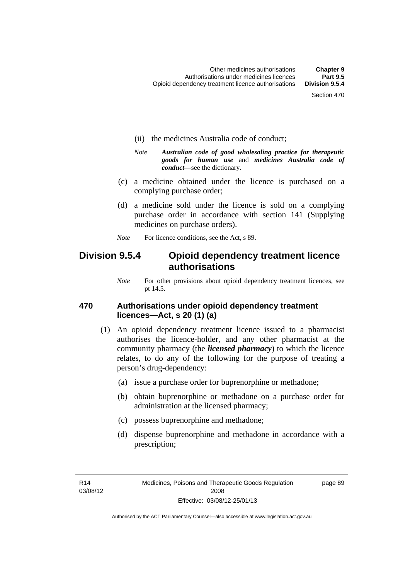- (ii) the medicines Australia code of conduct;
- *Note Australian code of good wholesaling practice for therapeutic goods for human use* and *medicines Australia code of conduct*—see the dictionary.
- (c) a medicine obtained under the licence is purchased on a complying purchase order;
- (d) a medicine sold under the licence is sold on a complying purchase order in accordance with section 141 (Supplying medicines on purchase orders).
- *Note* For licence conditions, see the Act, s 89.

### **Division 9.5.4 Opioid dependency treatment licence authorisations**

*Note* For other provisions about opioid dependency treatment licences, see pt 14.5.

### **470 Authorisations under opioid dependency treatment licences—Act, s 20 (1) (a)**

- (1) An opioid dependency treatment licence issued to a pharmacist authorises the licence-holder, and any other pharmacist at the community pharmacy (the *licensed pharmacy*) to which the licence relates, to do any of the following for the purpose of treating a person's drug-dependency:
	- (a) issue a purchase order for buprenorphine or methadone;
	- (b) obtain buprenorphine or methadone on a purchase order for administration at the licensed pharmacy;
	- (c) possess buprenorphine and methadone;
	- (d) dispense buprenorphine and methadone in accordance with a prescription;

R14 03/08/12 page 89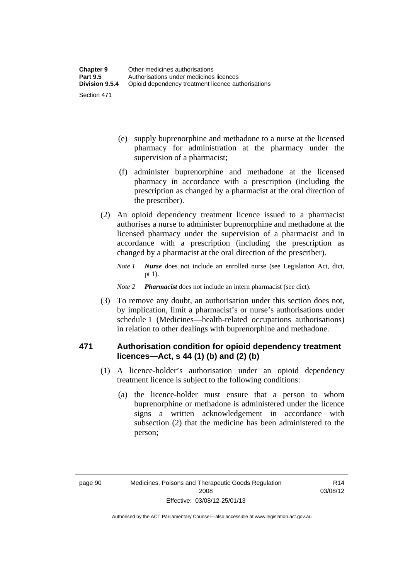- (e) supply buprenorphine and methadone to a nurse at the licensed pharmacy for administration at the pharmacy under the supervision of a pharmacist;
- (f) administer buprenorphine and methadone at the licensed pharmacy in accordance with a prescription (including the prescription as changed by a pharmacist at the oral direction of the prescriber).
- (2) An opioid dependency treatment licence issued to a pharmacist authorises a nurse to administer buprenorphine and methadone at the licensed pharmacy under the supervision of a pharmacist and in accordance with a prescription (including the prescription as changed by a pharmacist at the oral direction of the prescriber).
	- *Note 1 Nurse* does not include an enrolled nurse (see Legislation Act, dict, pt 1).

#### *Note 2 Pharmacist* does not include an intern pharmacist (see dict).

 (3) To remove any doubt, an authorisation under this section does not, by implication, limit a pharmacist's or nurse's authorisations under schedule 1 (Medicines—health-related occupations authorisations) in relation to other dealings with buprenorphine and methadone.

### **471 Authorisation condition for opioid dependency treatment licences—Act, s 44 (1) (b) and (2) (b)**

- (1) A licence-holder's authorisation under an opioid dependency treatment licence is subject to the following conditions:
	- (a) the licence-holder must ensure that a person to whom buprenorphine or methadone is administered under the licence signs a written acknowledgement in accordance with subsection (2) that the medicine has been administered to the person;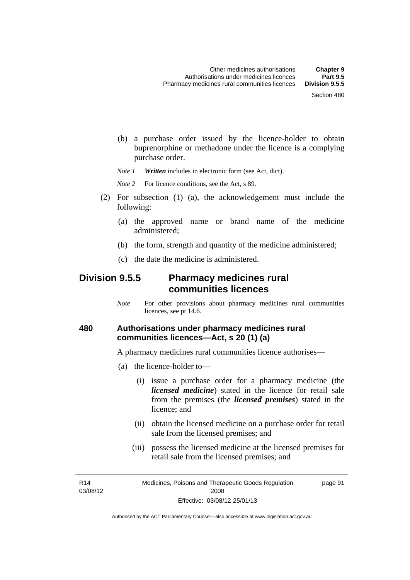(b) a purchase order issued by the licence-holder to obtain buprenorphine or methadone under the licence is a complying purchase order.

*Note 1 Written* includes in electronic form (see Act, dict).

*Note* 2 For licence conditions, see the Act, s 89.

- (2) For subsection (1) (a), the acknowledgement must include the following:
	- (a) the approved name or brand name of the medicine administered;
	- (b) the form, strength and quantity of the medicine administered;
	- (c) the date the medicine is administered.

### **Division 9.5.5 Pharmacy medicines rural communities licences**

*Note* For other provisions about pharmacy medicines rural communities licences, see pt 14.6.

### **480 Authorisations under pharmacy medicines rural communities licences—Act, s 20 (1) (a)**

A pharmacy medicines rural communities licence authorises—

- (a) the licence-holder to—
	- (i) issue a purchase order for a pharmacy medicine (the *licensed medicine*) stated in the licence for retail sale from the premises (the *licensed premises*) stated in the licence; and
	- (ii) obtain the licensed medicine on a purchase order for retail sale from the licensed premises; and
	- (iii) possess the licensed medicine at the licensed premises for retail sale from the licensed premises; and

R14 03/08/12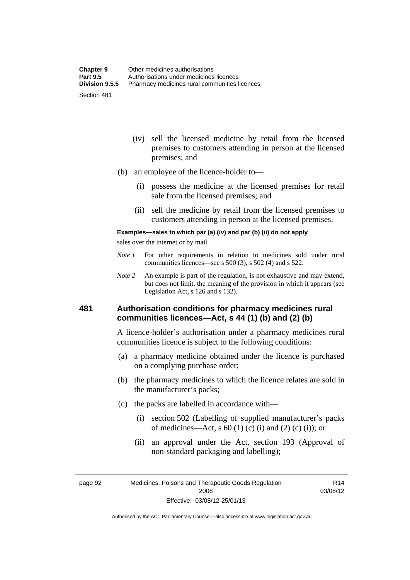- (iv) sell the licensed medicine by retail from the licensed premises to customers attending in person at the licensed premises; and
- (b) an employee of the licence-holder to—
	- (i) possess the medicine at the licensed premises for retail sale from the licensed premises; and
	- (ii) sell the medicine by retail from the licensed premises to customers attending in person at the licensed premises.

#### **Examples—sales to which par (a) (iv) and par (b) (ii) do not apply**

sales over the internet or by mail

- *Note 1* For other requirements in relation to medicines sold under rural communities licences—see s 500 (3), s 502 (4) and s 522.
- *Note 2* An example is part of the regulation, is not exhaustive and may extend, but does not limit, the meaning of the provision in which it appears (see Legislation Act, s 126 and s 132).

### **481 Authorisation conditions for pharmacy medicines rural communities licences—Act, s 44 (1) (b) and (2) (b)**

A licence-holder's authorisation under a pharmacy medicines rural communities licence is subject to the following conditions:

- (a) a pharmacy medicine obtained under the licence is purchased on a complying purchase order;
- (b) the pharmacy medicines to which the licence relates are sold in the manufacturer's packs;
- (c) the packs are labelled in accordance with—
	- (i) section 502 (Labelling of supplied manufacturer's packs of medicines—Act, s  $60(1)$  (c) (i) and (2) (c) (i)); or
	- (ii) an approval under the Act, section 193 (Approval of non-standard packaging and labelling);

page 92 Medicines, Poisons and Therapeutic Goods Regulation 2008 Effective: 03/08/12-25/01/13

R14 03/08/12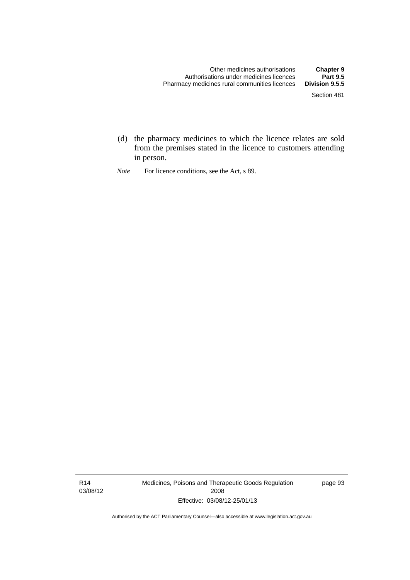- (d) the pharmacy medicines to which the licence relates are sold from the premises stated in the licence to customers attending in person.
- *Note* For licence conditions, see the Act, s 89.

R14 03/08/12 Medicines, Poisons and Therapeutic Goods Regulation 2008 Effective: 03/08/12-25/01/13

page 93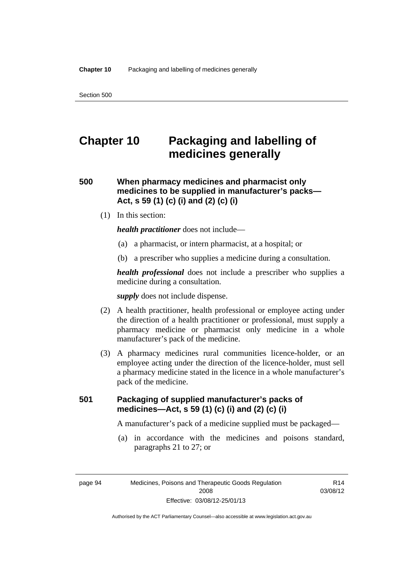# **Chapter 10 Packaging and labelling of medicines generally**

### **500 When pharmacy medicines and pharmacist only medicines to be supplied in manufacturer's packs— Act, s 59 (1) (c) (i) and (2) (c) (i)**

(1) In this section:

*health practitioner* does not include—

- (a) a pharmacist, or intern pharmacist, at a hospital; or
- (b) a prescriber who supplies a medicine during a consultation.

*health professional* does not include a prescriber who supplies a medicine during a consultation.

*supply* does not include dispense.

- (2) A health practitioner, health professional or employee acting under the direction of a health practitioner or professional, must supply a pharmacy medicine or pharmacist only medicine in a whole manufacturer's pack of the medicine.
- (3) A pharmacy medicines rural communities licence-holder, or an employee acting under the direction of the licence-holder, must sell a pharmacy medicine stated in the licence in a whole manufacturer's pack of the medicine.

### **501 Packaging of supplied manufacturer's packs of medicines—Act, s 59 (1) (c) (i) and (2) (c) (i)**

A manufacturer's pack of a medicine supplied must be packaged—

 (a) in accordance with the medicines and poisons standard, paragraphs 21 to 27; or

page 94 Medicines, Poisons and Therapeutic Goods Regulation 2008 Effective: 03/08/12-25/01/13

R14 03/08/12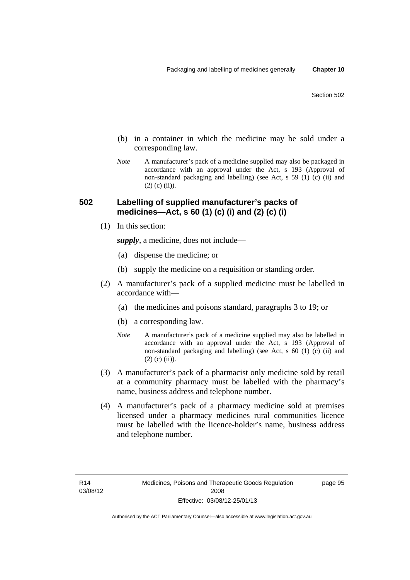- (b) in a container in which the medicine may be sold under a corresponding law.
- *Note* A manufacturer's pack of a medicine supplied may also be packaged in accordance with an approval under the Act, s 193 (Approval of non-standard packaging and labelling) (see Act, s 59 (1) (c) (ii) and  $(2)$  (c) (ii)).

### **502 Labelling of supplied manufacturer's packs of medicines—Act, s 60 (1) (c) (i) and (2) (c) (i)**

(1) In this section:

*supply*, a medicine, does not include—

- (a) dispense the medicine; or
- (b) supply the medicine on a requisition or standing order.
- (2) A manufacturer's pack of a supplied medicine must be labelled in accordance with—
	- (a) the medicines and poisons standard, paragraphs 3 to 19; or
	- (b) a corresponding law.
	- *Note* A manufacturer's pack of a medicine supplied may also be labelled in accordance with an approval under the Act, s 193 (Approval of non-standard packaging and labelling) (see Act, s 60 (1) (c) (ii) and  $(2)$  (c) (ii)).
- (3) A manufacturer's pack of a pharmacist only medicine sold by retail at a community pharmacy must be labelled with the pharmacy's name, business address and telephone number.
- (4) A manufacturer's pack of a pharmacy medicine sold at premises licensed under a pharmacy medicines rural communities licence must be labelled with the licence-holder's name, business address and telephone number.

page 95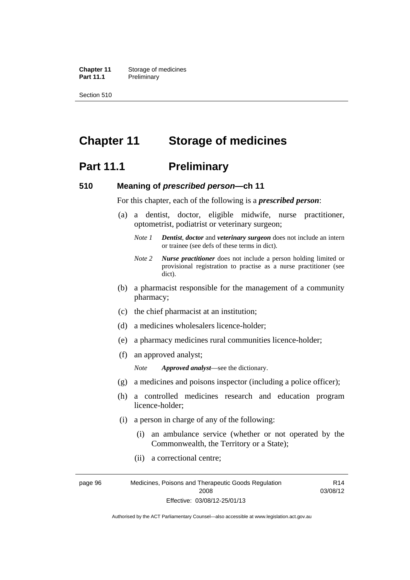**Chapter 11** Storage of medicines Part 11.1 Preliminary

Section 510

# **Chapter 11 Storage of medicines**

## **Part 11.1** Preliminary

### **510 Meaning of** *prescribed person***—ch 11**

For this chapter, each of the following is a *prescribed person*:

- (a) a dentist, doctor, eligible midwife, nurse practitioner, optometrist, podiatrist or veterinary surgeon;
	- *Note 1 Dentist*, *doctor* and *veterinary surgeon* does not include an intern or trainee (see defs of these terms in dict).
	- *Note 2 Nurse practitioner* does not include a person holding limited or provisional registration to practise as a nurse practitioner (see dict).
- (b) a pharmacist responsible for the management of a community pharmacy;
- (c) the chief pharmacist at an institution;
- (d) a medicines wholesalers licence-holder;
- (e) a pharmacy medicines rural communities licence-holder;
- (f) an approved analyst;

*Note Approved analyst*—see the dictionary.

- (g) a medicines and poisons inspector (including a police officer);
- (h) a controlled medicines research and education program licence-holder;
- (i) a person in charge of any of the following:
	- (i) an ambulance service (whether or not operated by the Commonwealth, the Territory or a State);
	- (ii) a correctional centre;

page 96 Medicines, Poisons and Therapeutic Goods Regulation 2008 Effective: 03/08/12-25/01/13 R14 03/08/12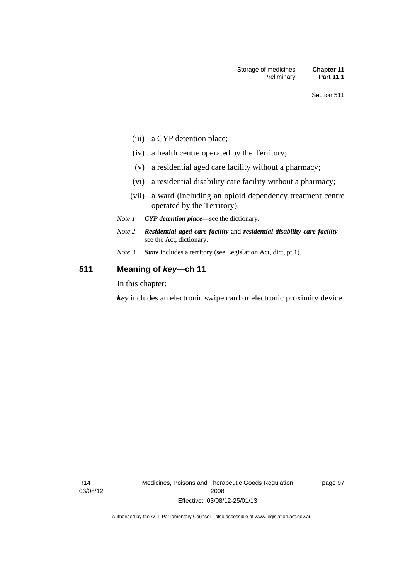- (iii) a CYP detention place;
- (iv) a health centre operated by the Territory;
- (v) a residential aged care facility without a pharmacy;
- (vi) a residential disability care facility without a pharmacy;
- (vii) a ward (including an opioid dependency treatment centre operated by the Territory).
- *Note 1 CYP detention place*—see the dictionary.
- *Note 2 Residential aged care facility* and *residential disability care facility* see the Act, dictionary.
- *Note 3 State* includes a territory (see Legislation Act, dict, pt 1).

### **511 Meaning of** *key***—ch 11**

In this chapter:

*key* includes an electronic swipe card or electronic proximity device.

page 97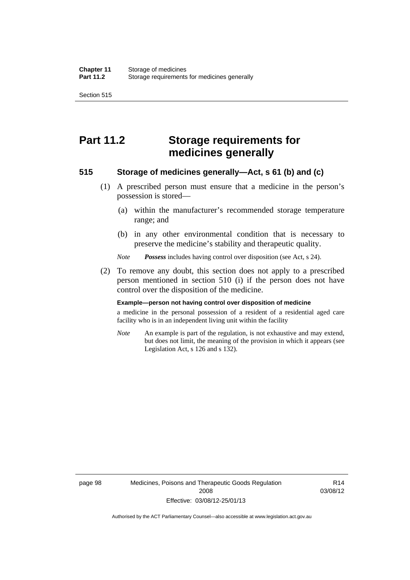Section 515

# **Part 11.2 Storage requirements for medicines generally**

### **515 Storage of medicines generally—Act, s 61 (b) and (c)**

- (1) A prescribed person must ensure that a medicine in the person's possession is stored—
	- (a) within the manufacturer's recommended storage temperature range; and
	- (b) in any other environmental condition that is necessary to preserve the medicine's stability and therapeutic quality.

*Note Possess* includes having control over disposition (see Act, s 24).

 (2) To remove any doubt, this section does not apply to a prescribed person mentioned in section 510 (i) if the person does not have control over the disposition of the medicine.

#### **Example—person not having control over disposition of medicine**

a medicine in the personal possession of a resident of a residential aged care facility who is in an independent living unit within the facility

*Note* An example is part of the regulation, is not exhaustive and may extend, but does not limit, the meaning of the provision in which it appears (see Legislation Act, s 126 and s 132).

R14 03/08/12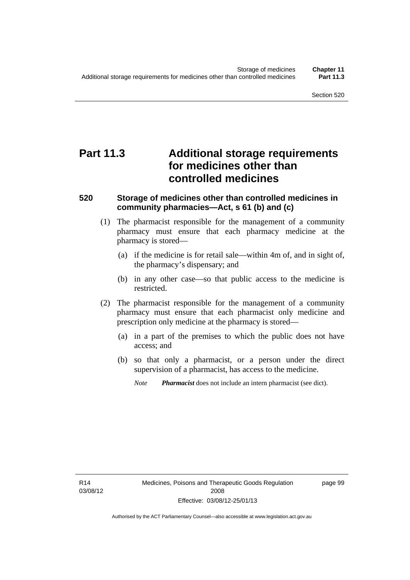# **Part 11.3 Additional storage requirements for medicines other than controlled medicines**

### **520 Storage of medicines other than controlled medicines in community pharmacies—Act, s 61 (b) and (c)**

- (1) The pharmacist responsible for the management of a community pharmacy must ensure that each pharmacy medicine at the pharmacy is stored—
	- (a) if the medicine is for retail sale—within 4m of, and in sight of, the pharmacy's dispensary; and
	- (b) in any other case—so that public access to the medicine is restricted.
- (2) The pharmacist responsible for the management of a community pharmacy must ensure that each pharmacist only medicine and prescription only medicine at the pharmacy is stored—
	- (a) in a part of the premises to which the public does not have access; and
	- (b) so that only a pharmacist, or a person under the direct supervision of a pharmacist, has access to the medicine.

page 99

*Note Pharmacist* does not include an intern pharmacist (see dict).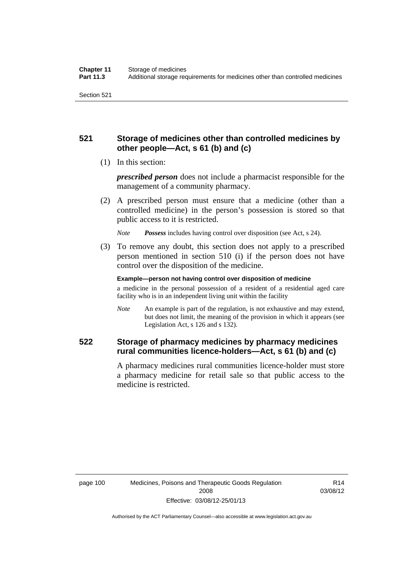### **521 Storage of medicines other than controlled medicines by other people—Act, s 61 (b) and (c)**

(1) In this section:

*prescribed person* does not include a pharmacist responsible for the management of a community pharmacy.

 (2) A prescribed person must ensure that a medicine (other than a controlled medicine) in the person's possession is stored so that public access to it is restricted.

*Note Possess* includes having control over disposition (see Act, s 24).

 (3) To remove any doubt, this section does not apply to a prescribed person mentioned in section 510 (i) if the person does not have control over the disposition of the medicine.

**Example—person not having control over disposition of medicine** 

a medicine in the personal possession of a resident of a residential aged care facility who is in an independent living unit within the facility

*Note* An example is part of the regulation, is not exhaustive and may extend, but does not limit, the meaning of the provision in which it appears (see Legislation Act, s 126 and s 132).

### **522 Storage of pharmacy medicines by pharmacy medicines rural communities licence-holders—Act, s 61 (b) and (c)**

A pharmacy medicines rural communities licence-holder must store a pharmacy medicine for retail sale so that public access to the medicine is restricted.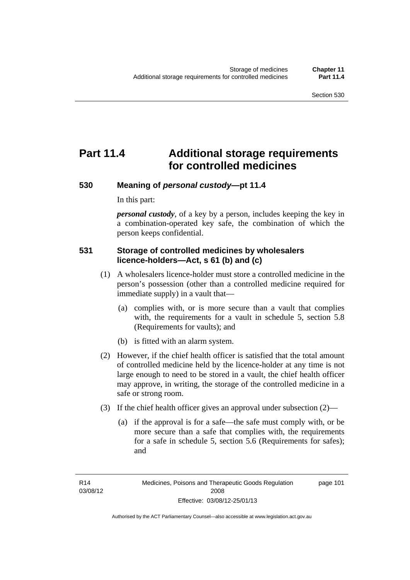# **Part 11.4 Additional storage requirements for controlled medicines**

### **530 Meaning of** *personal custody***—pt 11.4**

In this part:

*personal custody*, of a key by a person, includes keeping the key in a combination-operated key safe, the combination of which the person keeps confidential.

### **531 Storage of controlled medicines by wholesalers licence-holders—Act, s 61 (b) and (c)**

- (1) A wholesalers licence-holder must store a controlled medicine in the person's possession (other than a controlled medicine required for immediate supply) in a vault that—
	- (a) complies with, or is more secure than a vault that complies with, the requirements for a vault in schedule 5, section 5.8 (Requirements for vaults); and
	- (b) is fitted with an alarm system.
- (2) However, if the chief health officer is satisfied that the total amount of controlled medicine held by the licence-holder at any time is not large enough to need to be stored in a vault, the chief health officer may approve, in writing, the storage of the controlled medicine in a safe or strong room.
- (3) If the chief health officer gives an approval under subsection (2)—
	- (a) if the approval is for a safe—the safe must comply with, or be more secure than a safe that complies with, the requirements for a safe in schedule 5, section 5.6 (Requirements for safes); and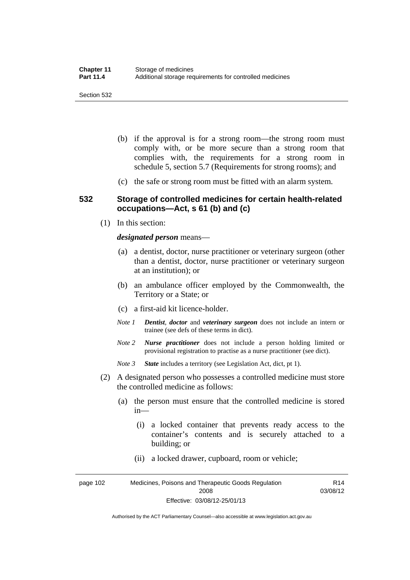- (b) if the approval is for a strong room—the strong room must comply with, or be more secure than a strong room that complies with, the requirements for a strong room in schedule 5, section 5.7 (Requirements for strong rooms); and
- (c) the safe or strong room must be fitted with an alarm system.

### **532 Storage of controlled medicines for certain health-related occupations—Act, s 61 (b) and (c)**

(1) In this section:

#### *designated person* means—

- (a) a dentist, doctor, nurse practitioner or veterinary surgeon (other than a dentist, doctor, nurse practitioner or veterinary surgeon at an institution); or
- (b) an ambulance officer employed by the Commonwealth, the Territory or a State; or
- (c) a first-aid kit licence-holder.
- *Note 1 Dentist*, *doctor* and *veterinary surgeon* does not include an intern or trainee (see defs of these terms in dict).
- *Note 2 Nurse practitioner* does not include a person holding limited or provisional registration to practise as a nurse practitioner (see dict).
- *Note 3 State* includes a territory (see Legislation Act, dict, pt 1).
- (2) A designated person who possesses a controlled medicine must store the controlled medicine as follows:
	- (a) the person must ensure that the controlled medicine is stored in—
		- (i) a locked container that prevents ready access to the container's contents and is securely attached to a building; or
		- (ii) a locked drawer, cupboard, room or vehicle;

page 102 Medicines, Poisons and Therapeutic Goods Regulation 2008 Effective: 03/08/12-25/01/13 R14 03/08/12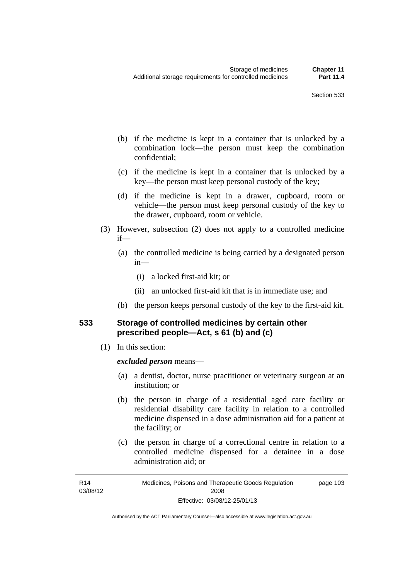- (b) if the medicine is kept in a container that is unlocked by a combination lock—the person must keep the combination confidential;
- (c) if the medicine is kept in a container that is unlocked by a key—the person must keep personal custody of the key;
- (d) if the medicine is kept in a drawer, cupboard, room or vehicle—the person must keep personal custody of the key to the drawer, cupboard, room or vehicle.
- (3) However, subsection (2) does not apply to a controlled medicine if—
	- (a) the controlled medicine is being carried by a designated person in—
		- (i) a locked first-aid kit; or
		- (ii) an unlocked first-aid kit that is in immediate use; and
	- (b) the person keeps personal custody of the key to the first-aid kit.

### **533 Storage of controlled medicines by certain other prescribed people—Act, s 61 (b) and (c)**

(1) In this section:

#### *excluded person* means—

- (a) a dentist, doctor, nurse practitioner or veterinary surgeon at an institution; or
- (b) the person in charge of a residential aged care facility or residential disability care facility in relation to a controlled medicine dispensed in a dose administration aid for a patient at the facility; or
- (c) the person in charge of a correctional centre in relation to a controlled medicine dispensed for a detainee in a dose administration aid; or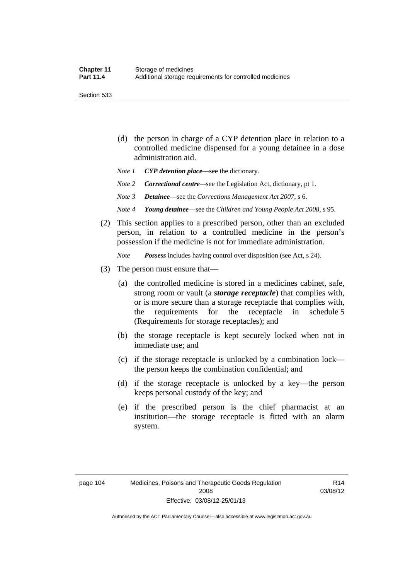Section 533

- (d) the person in charge of a CYP detention place in relation to a controlled medicine dispensed for a young detainee in a dose administration aid.
- *Note 1 CYP detention place*—see the dictionary.
- *Note 2 Correctional centre—see the Legislation Act, dictionary, pt 1.*
- *Note 3 Detainee*—see the *Corrections Management Act 2007*, s 6.
- *Note 4 Young detainee*—see the *Children and Young People Act 2008*, s 95.
- (2) This section applies to a prescribed person, other than an excluded person, in relation to a controlled medicine in the person's possession if the medicine is not for immediate administration.

*Note Possess* includes having control over disposition (see Act, s 24).

- (3) The person must ensure that—
	- (a) the controlled medicine is stored in a medicines cabinet, safe, strong room or vault (a *storage receptacle*) that complies with, or is more secure than a storage receptacle that complies with, the requirements for the receptacle in schedule 5 (Requirements for storage receptacles); and
	- (b) the storage receptacle is kept securely locked when not in immediate use; and
	- (c) if the storage receptacle is unlocked by a combination lock the person keeps the combination confidential; and
	- (d) if the storage receptacle is unlocked by a key—the person keeps personal custody of the key; and
	- (e) if the prescribed person is the chief pharmacist at an institution—the storage receptacle is fitted with an alarm system.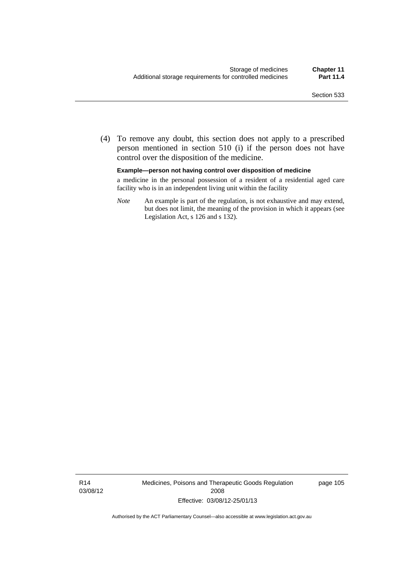(4) To remove any doubt, this section does not apply to a prescribed person mentioned in section 510 (i) if the person does not have control over the disposition of the medicine.

**Example—person not having control over disposition of medicine** 

a medicine in the personal possession of a resident of a residential aged care facility who is in an independent living unit within the facility

*Note* An example is part of the regulation, is not exhaustive and may extend, but does not limit, the meaning of the provision in which it appears (see Legislation Act, s 126 and s 132).

R14 03/08/12 Medicines, Poisons and Therapeutic Goods Regulation 2008 Effective: 03/08/12-25/01/13

page 105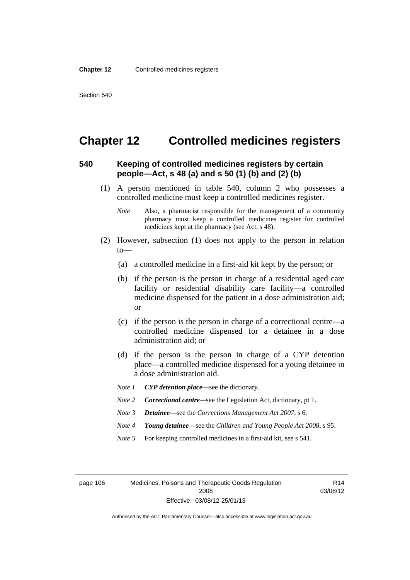# **Chapter 12 Controlled medicines registers**

### **540 Keeping of controlled medicines registers by certain people—Act, s 48 (a) and s 50 (1) (b) and (2) (b)**

- (1) A person mentioned in table 540, column 2 who possesses a controlled medicine must keep a controlled medicines register.
	- *Note* Also, a pharmacist responsible for the management of a community pharmacy must keep a controlled medicines register for controlled medicines kept at the pharmacy (see Act, s 48).
- (2) However, subsection (1) does not apply to the person in relation  $to$ —
	- (a) a controlled medicine in a first-aid kit kept by the person; or
	- (b) if the person is the person in charge of a residential aged care facility or residential disability care facility—a controlled medicine dispensed for the patient in a dose administration aid; or
	- (c) if the person is the person in charge of a correctional centre—a controlled medicine dispensed for a detainee in a dose administration aid; or
	- (d) if the person is the person in charge of a CYP detention place—a controlled medicine dispensed for a young detainee in a dose administration aid.
	- *Note 1 CYP detention place*—see the dictionary.
	- *Note 2 Correctional centre*—see the Legislation Act, dictionary, pt 1.
	- *Note 3 Detainee*—see the *Corrections Management Act 2007*, s 6.
	- *Note 4 Young detainee*—see the *Children and Young People Act 2008*, s 95.
	- *Note* 5 For keeping controlled medicines in a first-aid kit, see s 541.

page 106 Medicines, Poisons and Therapeutic Goods Regulation 2008 Effective: 03/08/12-25/01/13

R14 03/08/12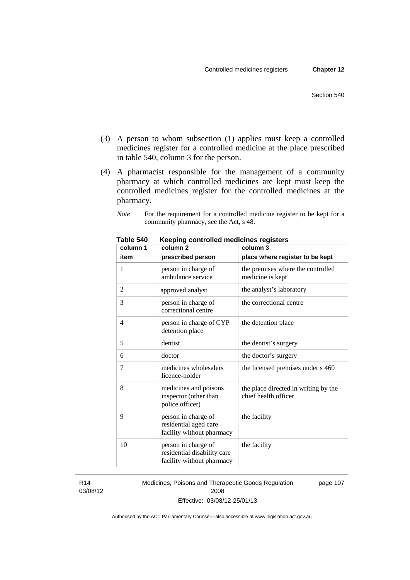- (3) A person to whom subsection (1) applies must keep a controlled medicines register for a controlled medicine at the place prescribed in table 540, column 3 for the person.
- (4) A pharmacist responsible for the management of a community pharmacy at which controlled medicines are kept must keep the controlled medicines register for the controlled medicines at the pharmacy.
	- *Note* For the requirement for a controlled medicine register to be kept for a community pharmacy, see the Act, s 48.

| column 1 | column 2                                                                        | column 3                                                     |
|----------|---------------------------------------------------------------------------------|--------------------------------------------------------------|
| item     | prescribed person                                                               | place where register to be kept                              |
| 1        | person in charge of<br>ambulance service                                        | the premises where the controlled<br>medicine is kept        |
| 2        | approved analyst                                                                | the analyst's laboratory                                     |
| 3        | person in charge of<br>correctional centre                                      | the correctional centre                                      |
| 4        | person in charge of CYP<br>detention place                                      | the detention place                                          |
| 5        | dentist                                                                         | the dentist's surgery                                        |
| 6        | doctor                                                                          | the doctor's surgery                                         |
| 7        | medicines wholesalers<br>licence-holder                                         | the licensed premises under s 460                            |
| 8        | medicines and poisons<br>inspector (other than<br>police officer)               | the place directed in writing by the<br>chief health officer |
| 9        | person in charge of<br>residential aged care<br>facility without pharmacy       | the facility                                                 |
| 10       | person in charge of<br>residential disability care<br>facility without pharmacy | the facility                                                 |

**Table 540 Keeping controlled medicines registers** 

R14 03/08/12 Medicines, Poisons and Therapeutic Goods Regulation 2008 Effective: 03/08/12-25/01/13 page 107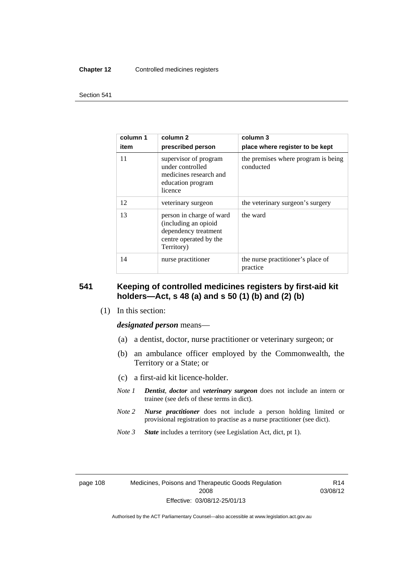#### **Chapter 12** Controlled medicines registers

#### Section 541

| column 1<br>item | column 2<br>prescribed person                                                                                    | column 3<br>place where register to be kept      |
|------------------|------------------------------------------------------------------------------------------------------------------|--------------------------------------------------|
| 11               | supervisor of program<br>under controlled<br>medicines research and<br>education program<br>licence              | the premises where program is being<br>conducted |
| 12               | veterinary surgeon                                                                                               | the veterinary surgeon's surgery                 |
| 13               | person in charge of ward<br>(including an opioid<br>dependency treatment<br>centre operated by the<br>Territory) | the ward                                         |
| 14               | nurse practitioner                                                                                               | the nurse practitioner's place of<br>practice    |

### **541 Keeping of controlled medicines registers by first-aid kit holders—Act, s 48 (a) and s 50 (1) (b) and (2) (b)**

(1) In this section:

*designated person* means—

- (a) a dentist, doctor, nurse practitioner or veterinary surgeon; or
- (b) an ambulance officer employed by the Commonwealth, the Territory or a State; or
- (c) a first-aid kit licence-holder.
- *Note 1 Dentist*, *doctor* and *veterinary surgeon* does not include an intern or trainee (see defs of these terms in dict).
- *Note 2 Nurse practitioner* does not include a person holding limited or provisional registration to practise as a nurse practitioner (see dict).
- *Note 3 State* includes a territory (see Legislation Act, dict, pt 1).

R14 03/08/12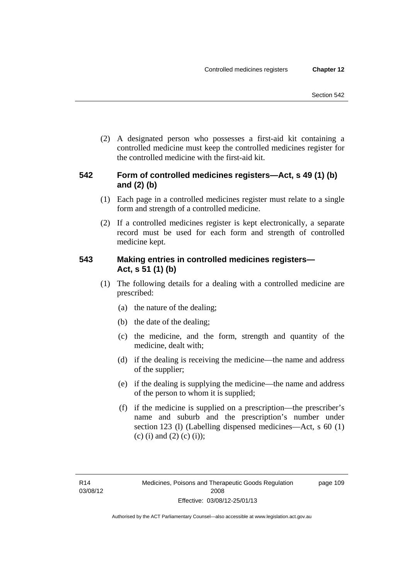(2) A designated person who possesses a first-aid kit containing a controlled medicine must keep the controlled medicines register for the controlled medicine with the first-aid kit.

### **542 Form of controlled medicines registers—Act, s 49 (1) (b) and (2) (b)**

- (1) Each page in a controlled medicines register must relate to a single form and strength of a controlled medicine.
- (2) If a controlled medicines register is kept electronically, a separate record must be used for each form and strength of controlled medicine kept.

### **543 Making entries in controlled medicines registers— Act, s 51 (1) (b)**

- (1) The following details for a dealing with a controlled medicine are prescribed:
	- (a) the nature of the dealing;
	- (b) the date of the dealing;
	- (c) the medicine, and the form, strength and quantity of the medicine, dealt with;
	- (d) if the dealing is receiving the medicine—the name and address of the supplier;
	- (e) if the dealing is supplying the medicine—the name and address of the person to whom it is supplied;
	- (f) if the medicine is supplied on a prescription—the prescriber's name and suburb and the prescription's number under section 123 (l) (Labelling dispensed medicines—Act, s 60 (1) (c) (i) and (2) (c) (i));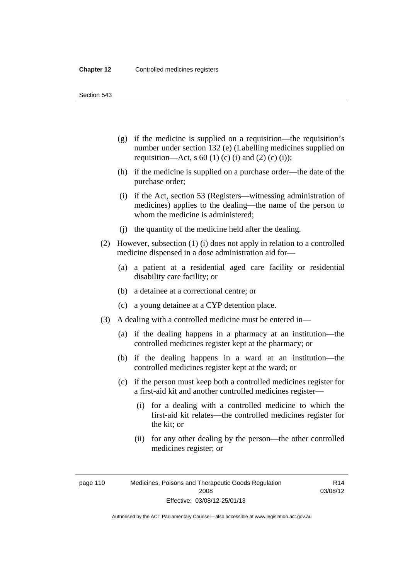Section 543

- (g) if the medicine is supplied on a requisition—the requisition's number under section 132 (e) (Labelling medicines supplied on requisition—Act, s 60 (1) (c) (i) and (2) (c) (i));
- (h) if the medicine is supplied on a purchase order—the date of the purchase order;
- (i) if the Act, section 53 (Registers—witnessing administration of medicines) applies to the dealing—the name of the person to whom the medicine is administered;
- (j) the quantity of the medicine held after the dealing.
- (2) However, subsection (1) (i) does not apply in relation to a controlled medicine dispensed in a dose administration aid for—
	- (a) a patient at a residential aged care facility or residential disability care facility; or
	- (b) a detainee at a correctional centre; or
	- (c) a young detainee at a CYP detention place.
- (3) A dealing with a controlled medicine must be entered in—
	- (a) if the dealing happens in a pharmacy at an institution—the controlled medicines register kept at the pharmacy; or
	- (b) if the dealing happens in a ward at an institution—the controlled medicines register kept at the ward; or
	- (c) if the person must keep both a controlled medicines register for a first-aid kit and another controlled medicines register—
		- (i) for a dealing with a controlled medicine to which the first-aid kit relates—the controlled medicines register for the kit; or
		- (ii) for any other dealing by the person—the other controlled medicines register; or

page 110 Medicines, Poisons and Therapeutic Goods Regulation 2008 Effective: 03/08/12-25/01/13

R14 03/08/12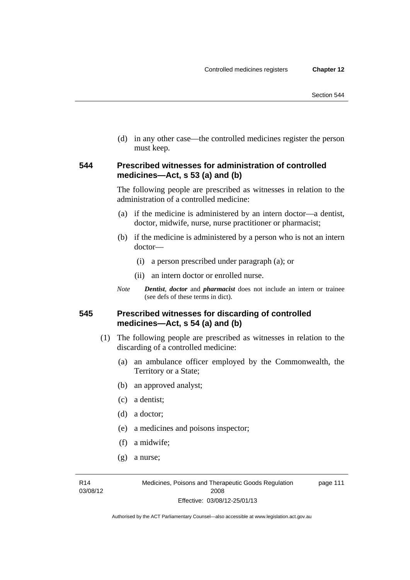(d) in any other case—the controlled medicines register the person must keep.

### **544 Prescribed witnesses for administration of controlled medicines—Act, s 53 (a) and (b)**

The following people are prescribed as witnesses in relation to the administration of a controlled medicine:

- (a) if the medicine is administered by an intern doctor—a dentist, doctor, midwife, nurse, nurse practitioner or pharmacist;
- (b) if the medicine is administered by a person who is not an intern doctor—
	- (i) a person prescribed under paragraph (a); or
	- (ii) an intern doctor or enrolled nurse.
- *Note Dentist*, *doctor* and *pharmacist* does not include an intern or trainee (see defs of these terms in dict).

### **545 Prescribed witnesses for discarding of controlled medicines—Act, s 54 (a) and (b)**

- (1) The following people are prescribed as witnesses in relation to the discarding of a controlled medicine:
	- (a) an ambulance officer employed by the Commonwealth, the Territory or a State;
	- (b) an approved analyst;
	- (c) a dentist;
	- (d) a doctor;
	- (e) a medicines and poisons inspector;
	- (f) a midwife;
	- (g) a nurse;

R14 03/08/12 page 111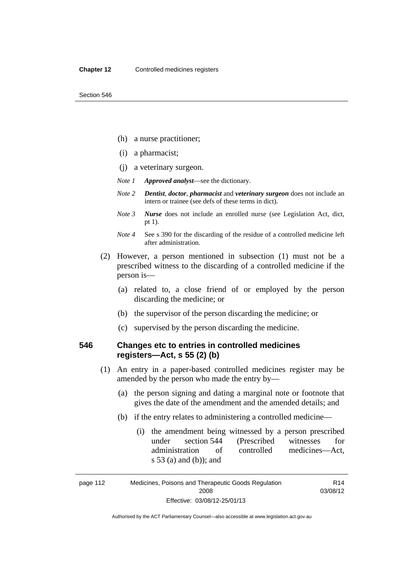- (h) a nurse practitioner;
- (i) a pharmacist;
- (j) a veterinary surgeon.
- *Note 1 Approved analyst*—see the dictionary.
- *Note 2 Dentist*, *doctor*, *pharmacist* and *veterinary surgeon* does not include an intern or trainee (see defs of these terms in dict).
- *Note 3 Nurse* does not include an enrolled nurse (see Legislation Act, dict, pt 1).
- *Note 4* See s 390 for the discarding of the residue of a controlled medicine left after administration.
- (2) However, a person mentioned in subsection (1) must not be a prescribed witness to the discarding of a controlled medicine if the person is—
	- (a) related to, a close friend of or employed by the person discarding the medicine; or
	- (b) the supervisor of the person discarding the medicine; or
	- (c) supervised by the person discarding the medicine.

### **546 Changes etc to entries in controlled medicines registers—Act, s 55 (2) (b)**

- (1) An entry in a paper-based controlled medicines register may be amended by the person who made the entry by—
	- (a) the person signing and dating a marginal note or footnote that gives the date of the amendment and the amended details; and
	- (b) if the entry relates to administering a controlled medicine—
		- (i) the amendment being witnessed by a person prescribed under section 544 (Prescribed witnesses for administration of controlled medicines—Act, s 53 (a) and (b)); and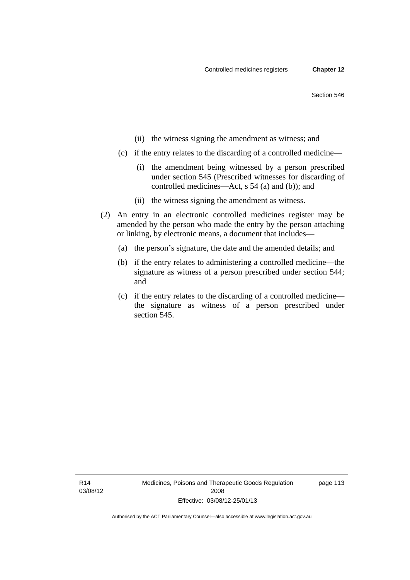- (ii) the witness signing the amendment as witness; and
- (c) if the entry relates to the discarding of a controlled medicine—
	- (i) the amendment being witnessed by a person prescribed under section 545 (Prescribed witnesses for discarding of controlled medicines—Act, s 54 (a) and (b)); and
	- (ii) the witness signing the amendment as witness.
- (2) An entry in an electronic controlled medicines register may be amended by the person who made the entry by the person attaching or linking, by electronic means, a document that includes—
	- (a) the person's signature, the date and the amended details; and
	- (b) if the entry relates to administering a controlled medicine—the signature as witness of a person prescribed under section 544; and
	- (c) if the entry relates to the discarding of a controlled medicine the signature as witness of a person prescribed under section 545.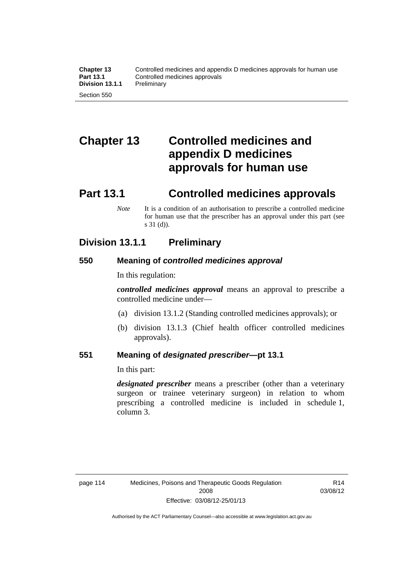# **Chapter 13 Controlled medicines and appendix D medicines approvals for human use**

# **Part 13.1 Controlled medicines approvals**

*Note* It is a condition of an authorisation to prescribe a controlled medicine for human use that the prescriber has an approval under this part (see s 31 (d)).

# **Division 13.1.1 Preliminary**

### **550 Meaning of** *controlled medicines approval*

In this regulation:

*controlled medicines approval* means an approval to prescribe a controlled medicine under—

- (a) division 13.1.2 (Standing controlled medicines approvals); or
- (b) division 13.1.3 (Chief health officer controlled medicines approvals).

### **551 Meaning of** *designated prescriber***—pt 13.1**

In this part:

*designated prescriber* means a prescriber (other than a veterinary surgeon or trainee veterinary surgeon) in relation to whom prescribing a controlled medicine is included in schedule 1, column 3.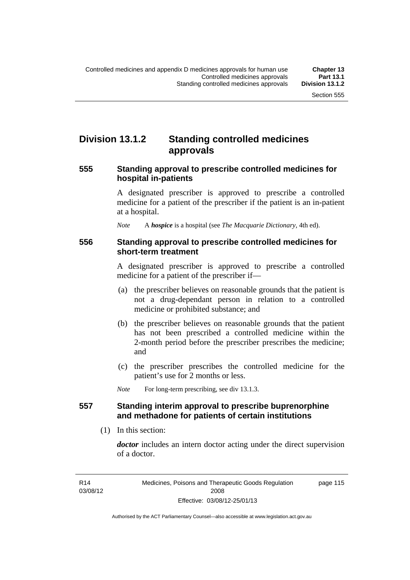# **Division 13.1.2 Standing controlled medicines approvals**

### **555 Standing approval to prescribe controlled medicines for hospital in-patients**

A designated prescriber is approved to prescribe a controlled medicine for a patient of the prescriber if the patient is an in-patient at a hospital.

*Note* A *hospice* is a hospital (see *The Macquarie Dictionary*, 4th ed).

### **556 Standing approval to prescribe controlled medicines for short-term treatment**

A designated prescriber is approved to prescribe a controlled medicine for a patient of the prescriber if—

- (a) the prescriber believes on reasonable grounds that the patient is not a drug-dependant person in relation to a controlled medicine or prohibited substance; and
- (b) the prescriber believes on reasonable grounds that the patient has not been prescribed a controlled medicine within the 2-month period before the prescriber prescribes the medicine; and
- (c) the prescriber prescribes the controlled medicine for the patient's use for 2 months or less.

*Note* For long-term prescribing, see div 13.1.3.

### **557 Standing interim approval to prescribe buprenorphine and methadone for patients of certain institutions**

(1) In this section:

*doctor* includes an intern doctor acting under the direct supervision of a doctor.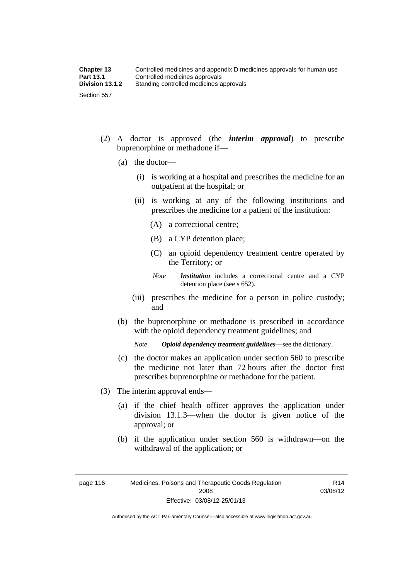- (2) A doctor is approved (the *interim approval*) to prescribe buprenorphine or methadone if—
	- (a) the doctor—
		- (i) is working at a hospital and prescribes the medicine for an outpatient at the hospital; or
		- (ii) is working at any of the following institutions and prescribes the medicine for a patient of the institution:
			- (A) a correctional centre;
			- (B) a CYP detention place;
			- (C) an opioid dependency treatment centre operated by the Territory; or
			- *Note Institution* includes a correctional centre and a CYP detention place (see s 652).
		- (iii) prescribes the medicine for a person in police custody; and
	- (b) the buprenorphine or methadone is prescribed in accordance with the opioid dependency treatment guidelines; and

*Note Opioid dependency treatment guidelines*—see the dictionary.

- (c) the doctor makes an application under section 560 to prescribe the medicine not later than 72 hours after the doctor first prescribes buprenorphine or methadone for the patient.
- (3) The interim approval ends—
	- (a) if the chief health officer approves the application under division 13.1.3—when the doctor is given notice of the approval; or
	- (b) if the application under section 560 is withdrawn—on the withdrawal of the application; or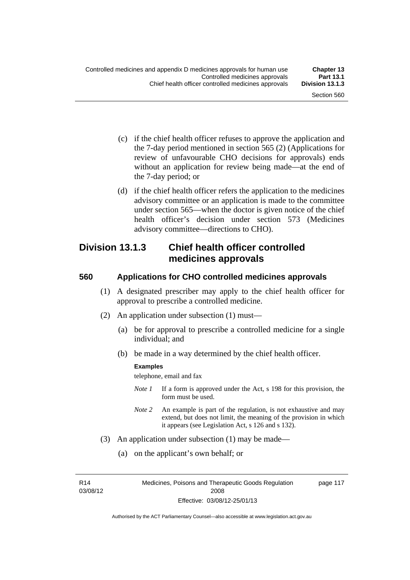- (c) if the chief health officer refuses to approve the application and the 7-day period mentioned in section 565 (2) (Applications for review of unfavourable CHO decisions for approvals) ends without an application for review being made—at the end of the 7-day period; or
- (d) if the chief health officer refers the application to the medicines advisory committee or an application is made to the committee under section 565—when the doctor is given notice of the chief health officer's decision under section 573 (Medicines advisory committee—directions to CHO).

### **Division 13.1.3 Chief health officer controlled medicines approvals**

### **560 Applications for CHO controlled medicines approvals**

- (1) A designated prescriber may apply to the chief health officer for approval to prescribe a controlled medicine.
- (2) An application under subsection (1) must—
	- (a) be for approval to prescribe a controlled medicine for a single individual; and
	- (b) be made in a way determined by the chief health officer.

#### **Examples**

telephone, email and fax

- *Note 1* If a form is approved under the Act, s 198 for this provision, the form must be used.
- *Note 2* An example is part of the regulation, is not exhaustive and may extend, but does not limit, the meaning of the provision in which it appears (see Legislation Act, s 126 and s 132).
- (3) An application under subsection (1) may be made—
	- (a) on the applicant's own behalf; or

R14 03/08/12 page 117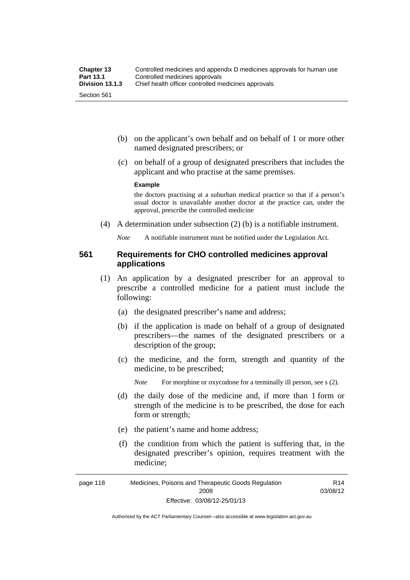- (b) on the applicant's own behalf and on behalf of 1 or more other named designated prescribers; or
- (c) on behalf of a group of designated prescribers that includes the applicant and who practise at the same premises.

#### **Example**

the doctors practising at a suburban medical practice so that if a person's usual doctor is unavailable another doctor at the practice can, under the approval, prescribe the controlled medicine

(4) A determination under subsection (2) (b) is a notifiable instrument.

*Note* A notifiable instrument must be notified under the Legislation Act.

### **561 Requirements for CHO controlled medicines approval applications**

- (1) An application by a designated prescriber for an approval to prescribe a controlled medicine for a patient must include the following:
	- (a) the designated prescriber's name and address;
	- (b) if the application is made on behalf of a group of designated prescribers—the names of the designated prescribers or a description of the group;
	- (c) the medicine, and the form, strength and quantity of the medicine, to be prescribed;

*Note* For morphine or oxycodone for a terminally ill person, see s (2).

- (d) the daily dose of the medicine and, if more than 1 form or strength of the medicine is to be prescribed, the dose for each form or strength;
- (e) the patient's name and home address;
- (f) the condition from which the patient is suffering that, in the designated prescriber's opinion, requires treatment with the medicine;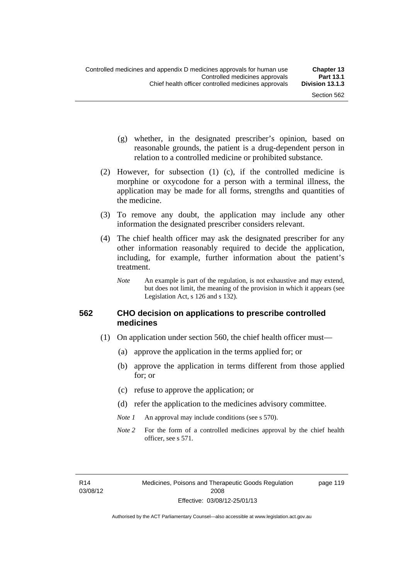page 119

- (g) whether, in the designated prescriber's opinion, based on reasonable grounds, the patient is a drug-dependent person in relation to a controlled medicine or prohibited substance.
- (2) However, for subsection (1) (c), if the controlled medicine is morphine or oxycodone for a person with a terminal illness, the application may be made for all forms, strengths and quantities of the medicine.
- (3) To remove any doubt, the application may include any other information the designated prescriber considers relevant.
- (4) The chief health officer may ask the designated prescriber for any other information reasonably required to decide the application, including, for example, further information about the patient's treatment.
	- *Note* An example is part of the regulation, is not exhaustive and may extend, but does not limit, the meaning of the provision in which it appears (see Legislation Act, s 126 and s 132).

### **562 CHO decision on applications to prescribe controlled medicines**

- (1) On application under section 560, the chief health officer must—
	- (a) approve the application in the terms applied for; or
	- (b) approve the application in terms different from those applied for; or
	- (c) refuse to approve the application; or
	- (d) refer the application to the medicines advisory committee.
	- *Note 1* An approval may include conditions (see s 570).
	- *Note* 2 For the form of a controlled medicines approval by the chief health officer, see s 571.

R14 03/08/12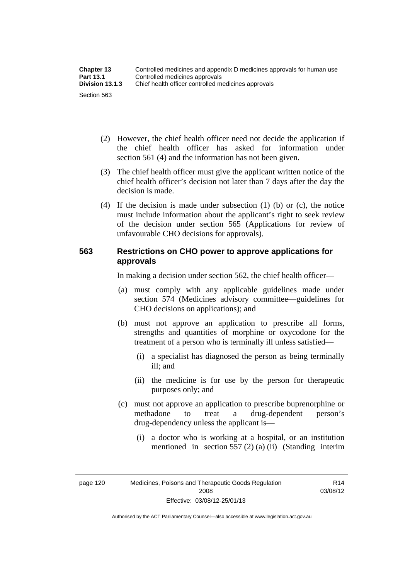| <b>Chapter 13</b> | Controlled medicines and appendix D medicines approvals for human use |  |
|-------------------|-----------------------------------------------------------------------|--|
| <b>Part 13.1</b>  | Controlled medicines approvals                                        |  |
| Division 13.1.3   | Chief health officer controlled medicines approvals                   |  |
| Section 563       |                                                                       |  |

- (2) However, the chief health officer need not decide the application if the chief health officer has asked for information under section 561 (4) and the information has not been given.
- (3) The chief health officer must give the applicant written notice of the chief health officer's decision not later than 7 days after the day the decision is made.
- (4) If the decision is made under subsection (1) (b) or (c), the notice must include information about the applicant's right to seek review of the decision under section 565 (Applications for review of unfavourable CHO decisions for approvals).

### **563 Restrictions on CHO power to approve applications for approvals**

In making a decision under section 562, the chief health officer—

- (a) must comply with any applicable guidelines made under section 574 (Medicines advisory committee—guidelines for CHO decisions on applications); and
- (b) must not approve an application to prescribe all forms, strengths and quantities of morphine or oxycodone for the treatment of a person who is terminally ill unless satisfied—
	- (i) a specialist has diagnosed the person as being terminally ill; and
	- (ii) the medicine is for use by the person for therapeutic purposes only; and
- (c) must not approve an application to prescribe buprenorphine or methadone to treat a drug-dependent person's drug-dependency unless the applicant is—
	- (i) a doctor who is working at a hospital, or an institution mentioned in section 557 (2) (a) (ii) (Standing interim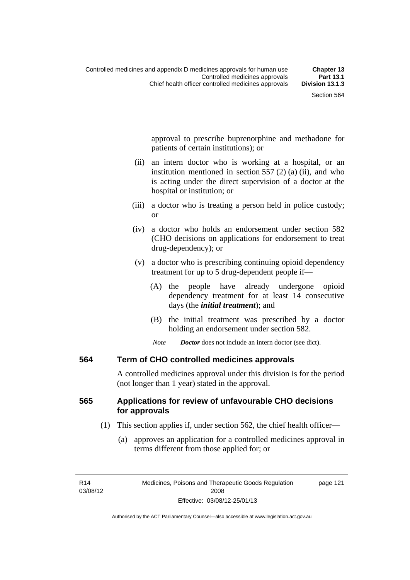approval to prescribe buprenorphine and methadone for patients of certain institutions); or

- (ii) an intern doctor who is working at a hospital, or an institution mentioned in section 557 (2) (a) (ii), and who is acting under the direct supervision of a doctor at the hospital or institution; or
- (iii) a doctor who is treating a person held in police custody; or
- (iv) a doctor who holds an endorsement under section 582 (CHO decisions on applications for endorsement to treat drug-dependency); or
- (v) a doctor who is prescribing continuing opioid dependency treatment for up to 5 drug-dependent people if—
	- (A) the people have already undergone opioid dependency treatment for at least 14 consecutive days (the *initial treatment*); and
	- (B) the initial treatment was prescribed by a doctor holding an endorsement under section 582.
	- *Note Doctor* does not include an intern doctor (see dict).

### **564 Term of CHO controlled medicines approvals**

A controlled medicines approval under this division is for the period (not longer than 1 year) stated in the approval.

### **565 Applications for review of unfavourable CHO decisions for approvals**

- (1) This section applies if, under section 562, the chief health officer—
	- (a) approves an application for a controlled medicines approval in terms different from those applied for; or

page 121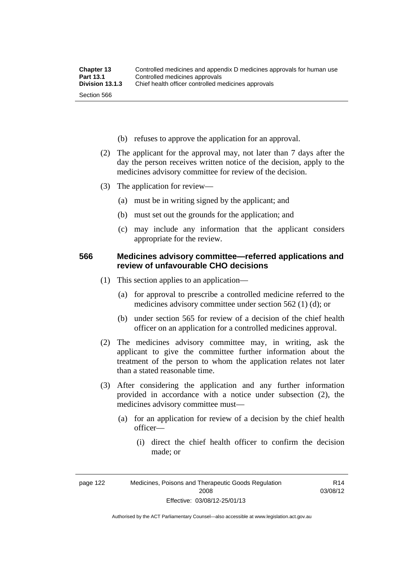- (b) refuses to approve the application for an approval.
- (2) The applicant for the approval may, not later than 7 days after the day the person receives written notice of the decision, apply to the medicines advisory committee for review of the decision.
- (3) The application for review—
	- (a) must be in writing signed by the applicant; and
	- (b) must set out the grounds for the application; and
	- (c) may include any information that the applicant considers appropriate for the review.

### **566 Medicines advisory committee—referred applications and review of unfavourable CHO decisions**

- (1) This section applies to an application—
	- (a) for approval to prescribe a controlled medicine referred to the medicines advisory committee under section 562 (1) (d); or
	- (b) under section 565 for review of a decision of the chief health officer on an application for a controlled medicines approval.
- (2) The medicines advisory committee may, in writing, ask the applicant to give the committee further information about the treatment of the person to whom the application relates not later than a stated reasonable time.
- (3) After considering the application and any further information provided in accordance with a notice under subsection (2), the medicines advisory committee must—
	- (a) for an application for review of a decision by the chief health officer—
		- (i) direct the chief health officer to confirm the decision made; or

R14 03/08/12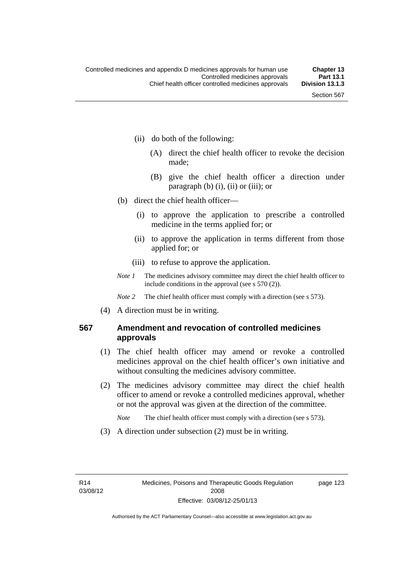- (ii) do both of the following:
	- (A) direct the chief health officer to revoke the decision made;
	- (B) give the chief health officer a direction under paragraph  $(b)$   $(i)$ ,  $(ii)$  or  $(iii)$ ; or
- (b) direct the chief health officer—
	- (i) to approve the application to prescribe a controlled medicine in the terms applied for; or
	- (ii) to approve the application in terms different from those applied for; or
	- (iii) to refuse to approve the application.
- *Note 1* The medicines advisory committee may direct the chief health officer to include conditions in the approval (see s 570 (2)).

*Note* 2 The chief health officer must comply with a direction (see s 573).

(4) A direction must be in writing.

### **567 Amendment and revocation of controlled medicines approvals**

- (1) The chief health officer may amend or revoke a controlled medicines approval on the chief health officer's own initiative and without consulting the medicines advisory committee.
- (2) The medicines advisory committee may direct the chief health officer to amend or revoke a controlled medicines approval, whether or not the approval was given at the direction of the committee.

*Note* The chief health officer must comply with a direction (see s 573).

(3) A direction under subsection (2) must be in writing.

page 123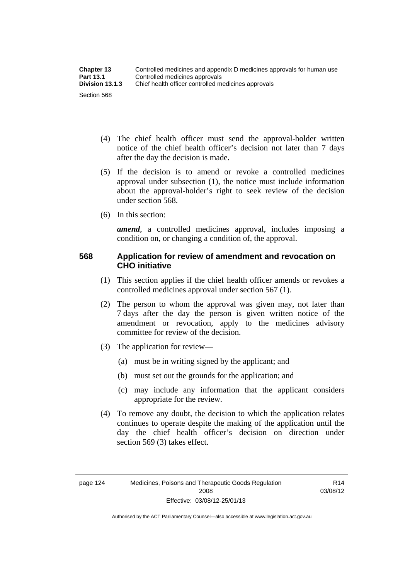- (4) The chief health officer must send the approval-holder written notice of the chief health officer's decision not later than 7 days after the day the decision is made.
- (5) If the decision is to amend or revoke a controlled medicines approval under subsection (1), the notice must include information about the approval-holder's right to seek review of the decision under section 568.
- (6) In this section:

*amend*, a controlled medicines approval, includes imposing a condition on, or changing a condition of, the approval.

## **568 Application for review of amendment and revocation on CHO initiative**

- (1) This section applies if the chief health officer amends or revokes a controlled medicines approval under section 567 (1).
- (2) The person to whom the approval was given may, not later than 7 days after the day the person is given written notice of the amendment or revocation, apply to the medicines advisory committee for review of the decision.
- (3) The application for review—
	- (a) must be in writing signed by the applicant; and
	- (b) must set out the grounds for the application; and
	- (c) may include any information that the applicant considers appropriate for the review.
- (4) To remove any doubt, the decision to which the application relates continues to operate despite the making of the application until the day the chief health officer's decision on direction under section 569 (3) takes effect.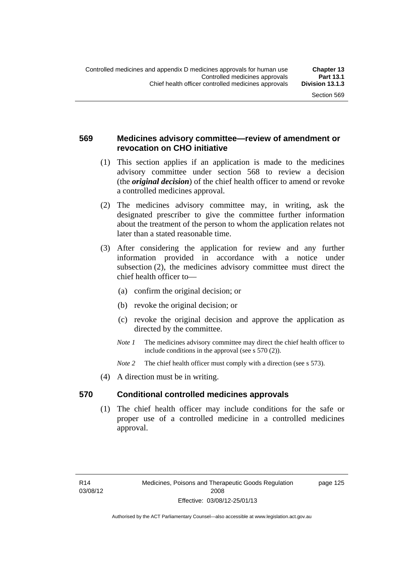## **569 Medicines advisory committee—review of amendment or revocation on CHO initiative**

- (1) This section applies if an application is made to the medicines advisory committee under section 568 to review a decision (the *original decision*) of the chief health officer to amend or revoke a controlled medicines approval.
- (2) The medicines advisory committee may, in writing, ask the designated prescriber to give the committee further information about the treatment of the person to whom the application relates not later than a stated reasonable time.
- (3) After considering the application for review and any further information provided in accordance with a notice under subsection (2), the medicines advisory committee must direct the chief health officer to—
	- (a) confirm the original decision; or
	- (b) revoke the original decision; or
	- (c) revoke the original decision and approve the application as directed by the committee.
	- *Note 1* The medicines advisory committee may direct the chief health officer to include conditions in the approval (see s 570 (2)).
	- *Note* 2 The chief health officer must comply with a direction (see s 573).
- (4) A direction must be in writing.

#### **570 Conditional controlled medicines approvals**

(1) The chief health officer may include conditions for the safe or proper use of a controlled medicine in a controlled medicines approval.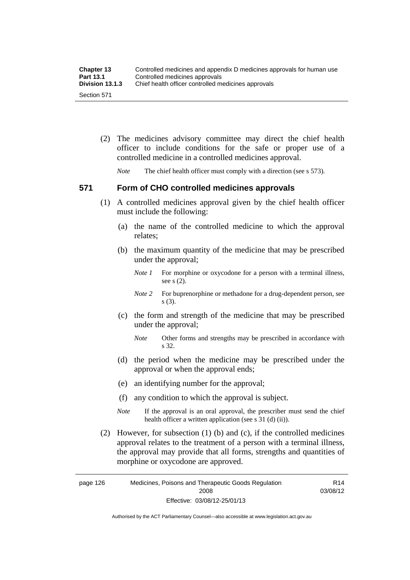| <b>Chapter 13</b> | Controlled medicines and appendix D medicines approvals for human use |
|-------------------|-----------------------------------------------------------------------|
| <b>Part 13.1</b>  | Controlled medicines approvals                                        |
| Division 13.1.3   | Chief health officer controlled medicines approvals                   |
| Section 571       |                                                                       |

 (2) The medicines advisory committee may direct the chief health officer to include conditions for the safe or proper use of a controlled medicine in a controlled medicines approval.

*Note* The chief health officer must comply with a direction (see s 573).

#### **571 Form of CHO controlled medicines approvals**

- (1) A controlled medicines approval given by the chief health officer must include the following:
	- (a) the name of the controlled medicine to which the approval relates;
	- (b) the maximum quantity of the medicine that may be prescribed under the approval;
		- *Note 1* For morphine or oxycodone for a person with a terminal illness, see s (2).
		- *Note* 2 For buprenorphine or methadone for a drug-dependent person, see s (3).
	- (c) the form and strength of the medicine that may be prescribed under the approval;
		- *Note* Other forms and strengths may be prescribed in accordance with s 32.
	- (d) the period when the medicine may be prescribed under the approval or when the approval ends;
	- (e) an identifying number for the approval;
	- (f) any condition to which the approval is subject.
	- *Note* If the approval is an oral approval, the prescriber must send the chief health officer a written application (see s  $31$  (d) (ii)).
- (2) However, for subsection (1) (b) and (c), if the controlled medicines approval relates to the treatment of a person with a terminal illness, the approval may provide that all forms, strengths and quantities of morphine or oxycodone are approved.

page 126 Medicines, Poisons and Therapeutic Goods Regulation 2008 Effective: 03/08/12-25/01/13 R14 03/08/12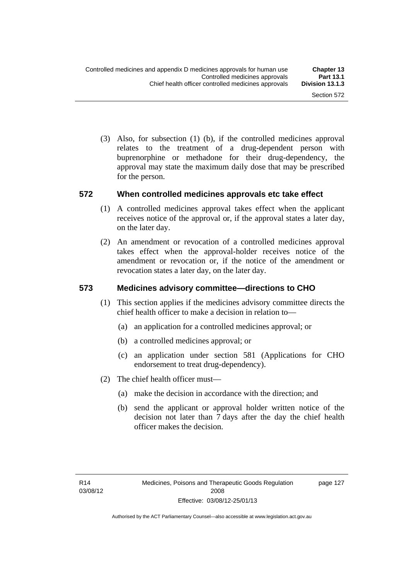(3) Also, for subsection (1) (b), if the controlled medicines approval relates to the treatment of a drug-dependent person with buprenorphine or methadone for their drug-dependency, the approval may state the maximum daily dose that may be prescribed for the person.

#### **572 When controlled medicines approvals etc take effect**

- (1) A controlled medicines approval takes effect when the applicant receives notice of the approval or, if the approval states a later day, on the later day.
- (2) An amendment or revocation of a controlled medicines approval takes effect when the approval-holder receives notice of the amendment or revocation or, if the notice of the amendment or revocation states a later day, on the later day.

### **573 Medicines advisory committee—directions to CHO**

- (1) This section applies if the medicines advisory committee directs the chief health officer to make a decision in relation to—
	- (a) an application for a controlled medicines approval; or
	- (b) a controlled medicines approval; or
	- (c) an application under section 581 (Applications for CHO endorsement to treat drug-dependency).
- (2) The chief health officer must—
	- (a) make the decision in accordance with the direction; and
	- (b) send the applicant or approval holder written notice of the decision not later than 7 days after the day the chief health officer makes the decision.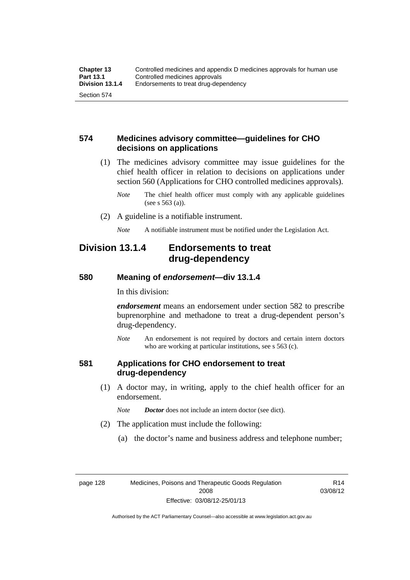### **574 Medicines advisory committee—guidelines for CHO decisions on applications**

 (1) The medicines advisory committee may issue guidelines for the chief health officer in relation to decisions on applications under section 560 (Applications for CHO controlled medicines approvals).

- (2) A guideline is a notifiable instrument.
	- *Note* A notifiable instrument must be notified under the Legislation Act.

## **Division 13.1.4 Endorsements to treat drug-dependency**

#### **580 Meaning of** *endorsement***—div 13.1.4**

In this division:

*endorsement* means an endorsement under section 582 to prescribe buprenorphine and methadone to treat a drug-dependent person's drug-dependency.

*Note* An endorsement is not required by doctors and certain intern doctors who are working at particular institutions, see s 563 (c).

#### **581 Applications for CHO endorsement to treat drug-dependency**

 (1) A doctor may, in writing, apply to the chief health officer for an endorsement.

*Note Doctor* does not include an intern doctor (see dict).

- (2) The application must include the following:
	- (a) the doctor's name and business address and telephone number;

page 128 Medicines, Poisons and Therapeutic Goods Regulation 2008 Effective: 03/08/12-25/01/13

R14 03/08/12

*Note* The chief health officer must comply with any applicable guidelines (see s 563 (a)).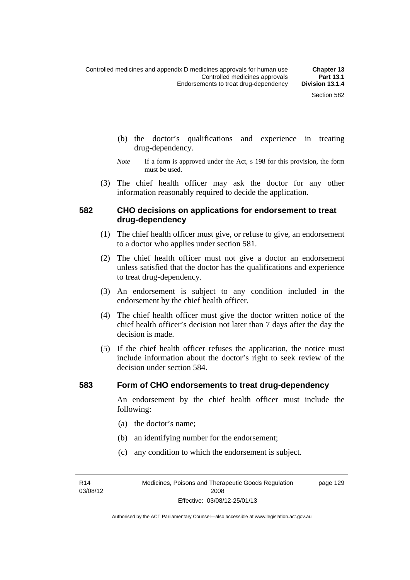- (b) the doctor's qualifications and experience in treating drug-dependency.
- *Note* If a form is approved under the Act, s 198 for this provision, the form must be used.
- (3) The chief health officer may ask the doctor for any other information reasonably required to decide the application.

#### **582 CHO decisions on applications for endorsement to treat drug-dependency**

- (1) The chief health officer must give, or refuse to give, an endorsement to a doctor who applies under section 581.
- (2) The chief health officer must not give a doctor an endorsement unless satisfied that the doctor has the qualifications and experience to treat drug-dependency.
- (3) An endorsement is subject to any condition included in the endorsement by the chief health officer.
- (4) The chief health officer must give the doctor written notice of the chief health officer's decision not later than 7 days after the day the decision is made.
- (5) If the chief health officer refuses the application, the notice must include information about the doctor's right to seek review of the decision under section 584.

#### **583 Form of CHO endorsements to treat drug-dependency**

An endorsement by the chief health officer must include the following:

- (a) the doctor's name;
- (b) an identifying number for the endorsement;
- (c) any condition to which the endorsement is subject.

R14 03/08/12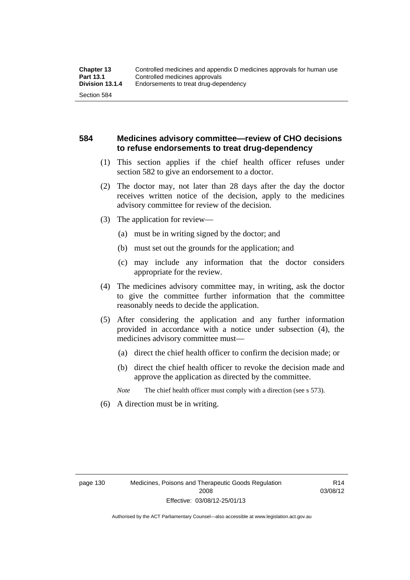## **584 Medicines advisory committee—review of CHO decisions to refuse endorsements to treat drug-dependency**

- (1) This section applies if the chief health officer refuses under section 582 to give an endorsement to a doctor.
- (2) The doctor may, not later than 28 days after the day the doctor receives written notice of the decision, apply to the medicines advisory committee for review of the decision.
- (3) The application for review—
	- (a) must be in writing signed by the doctor; and
	- (b) must set out the grounds for the application; and
	- (c) may include any information that the doctor considers appropriate for the review.
- (4) The medicines advisory committee may, in writing, ask the doctor to give the committee further information that the committee reasonably needs to decide the application.
- (5) After considering the application and any further information provided in accordance with a notice under subsection (4), the medicines advisory committee must—
	- (a) direct the chief health officer to confirm the decision made; or
	- (b) direct the chief health officer to revoke the decision made and approve the application as directed by the committee.

*Note* The chief health officer must comply with a direction (see s 573).

(6) A direction must be in writing.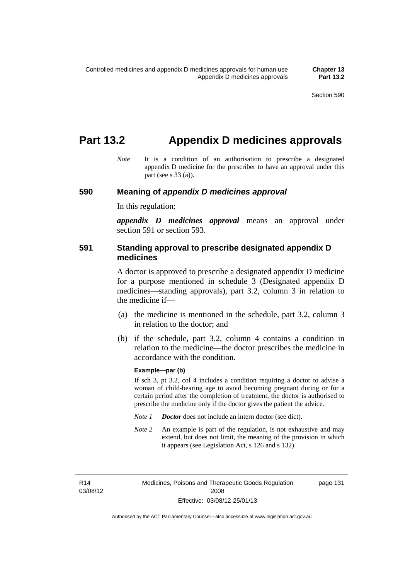## **Part 13.2 Appendix D medicines approvals**

*Note* It is a condition of an authorisation to prescribe a designated appendix D medicine for the prescriber to have an approval under this part (see s 33 (a)).

#### **590 Meaning of** *appendix D medicines approval*

In this regulation:

*appendix D medicines approval* means an approval under section 591 or section 593.

### **591 Standing approval to prescribe designated appendix D medicines**

A doctor is approved to prescribe a designated appendix D medicine for a purpose mentioned in schedule 3 (Designated appendix D medicines—standing approvals), part 3.2, column 3 in relation to the medicine if—

- (a) the medicine is mentioned in the schedule, part 3.2, column 3 in relation to the doctor; and
- (b) if the schedule, part 3.2, column 4 contains a condition in relation to the medicine—the doctor prescribes the medicine in accordance with the condition.

#### **Example—par (b)**

If sch 3, pt 3.2, col 4 includes a condition requiring a doctor to advise a woman of child-bearing age to avoid becoming pregnant during or for a certain period after the completion of treatment, the doctor is authorised to prescribe the medicine only if the doctor gives the patient the advice.

- *Note 1 Doctor* does not include an intern doctor (see dict).
- *Note 2* An example is part of the regulation, is not exhaustive and may extend, but does not limit, the meaning of the provision in which it appears (see Legislation Act, s 126 and s 132).

R14 03/08/12 page 131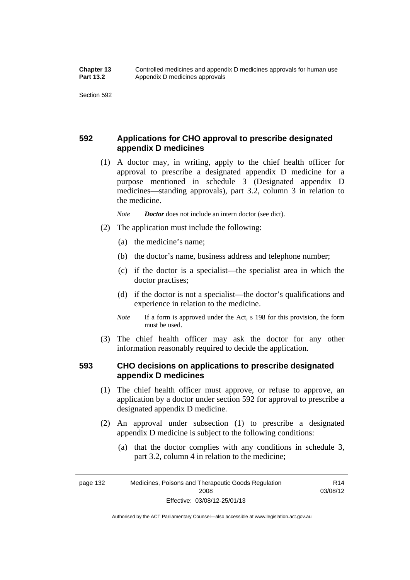## **592 Applications for CHO approval to prescribe designated appendix D medicines**

 (1) A doctor may, in writing, apply to the chief health officer for approval to prescribe a designated appendix D medicine for a purpose mentioned in schedule 3 (Designated appendix D medicines—standing approvals), part 3.2, column 3 in relation to the medicine.

*Note Doctor* does not include an intern doctor (see dict).

- (2) The application must include the following:
	- (a) the medicine's name;
	- (b) the doctor's name, business address and telephone number;
	- (c) if the doctor is a specialist—the specialist area in which the doctor practises;
	- (d) if the doctor is not a specialist—the doctor's qualifications and experience in relation to the medicine.
	- *Note* If a form is approved under the Act, s 198 for this provision, the form must be used.
- (3) The chief health officer may ask the doctor for any other information reasonably required to decide the application.

#### **593 CHO decisions on applications to prescribe designated appendix D medicines**

- (1) The chief health officer must approve, or refuse to approve, an application by a doctor under section 592 for approval to prescribe a designated appendix D medicine.
- (2) An approval under subsection (1) to prescribe a designated appendix D medicine is subject to the following conditions:
	- (a) that the doctor complies with any conditions in schedule 3, part 3.2, column 4 in relation to the medicine;

R14 03/08/12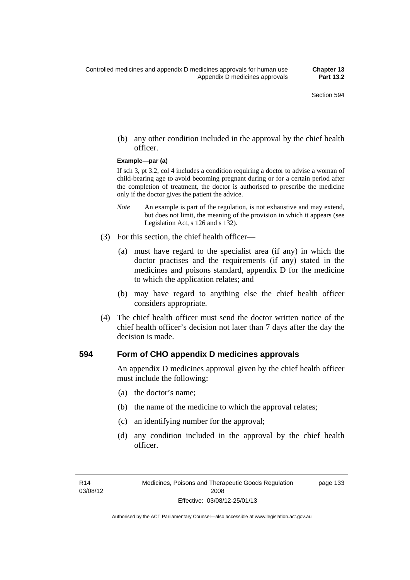(b) any other condition included in the approval by the chief health officer.

#### **Example—par (a)**

If sch 3, pt 3.2, col 4 includes a condition requiring a doctor to advise a woman of child-bearing age to avoid becoming pregnant during or for a certain period after the completion of treatment, the doctor is authorised to prescribe the medicine only if the doctor gives the patient the advice.

- *Note* An example is part of the regulation, is not exhaustive and may extend, but does not limit, the meaning of the provision in which it appears (see Legislation Act, s 126 and s 132).
- (3) For this section, the chief health officer—
	- (a) must have regard to the specialist area (if any) in which the doctor practises and the requirements (if any) stated in the medicines and poisons standard, appendix D for the medicine to which the application relates; and
	- (b) may have regard to anything else the chief health officer considers appropriate.
- (4) The chief health officer must send the doctor written notice of the chief health officer's decision not later than 7 days after the day the decision is made.

#### **594 Form of CHO appendix D medicines approvals**

An appendix D medicines approval given by the chief health officer must include the following:

- (a) the doctor's name;
- (b) the name of the medicine to which the approval relates;
- (c) an identifying number for the approval;
- (d) any condition included in the approval by the chief health officer.

page 133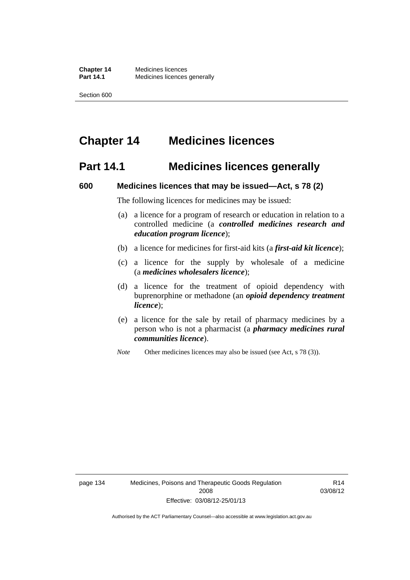# **Chapter 14 Medicines licences**

## **Part 14.1 Medicines licences generally**

#### **600 Medicines licences that may be issued—Act, s 78 (2)**

The following licences for medicines may be issued:

- (a) a licence for a program of research or education in relation to a controlled medicine (a *controlled medicines research and education program licence*);
- (b) a licence for medicines for first-aid kits (a *first-aid kit licence*);
- (c) a licence for the supply by wholesale of a medicine (a *medicines wholesalers licence*);
- (d) a licence for the treatment of opioid dependency with buprenorphine or methadone (an *opioid dependency treatment licence*);
- (e) a licence for the sale by retail of pharmacy medicines by a person who is not a pharmacist (a *pharmacy medicines rural communities licence*).
- *Note* Other medicines licences may also be issued (see Act, s 78 (3)).

R14 03/08/12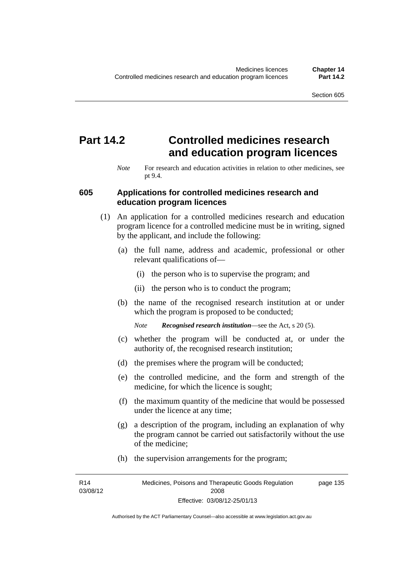# **Part 14.2 Controlled medicines research and education program licences**

*Note* For research and education activities in relation to other medicines, see pt 9.4.

#### **605 Applications for controlled medicines research and education program licences**

- (1) An application for a controlled medicines research and education program licence for a controlled medicine must be in writing, signed by the applicant, and include the following:
	- (a) the full name, address and academic, professional or other relevant qualifications of—
		- (i) the person who is to supervise the program; and
		- (ii) the person who is to conduct the program;
	- (b) the name of the recognised research institution at or under which the program is proposed to be conducted;
		- *Note Recognised research institution*—see the Act, s 20 (5).
	- (c) whether the program will be conducted at, or under the authority of, the recognised research institution;
	- (d) the premises where the program will be conducted;
	- (e) the controlled medicine, and the form and strength of the medicine, for which the licence is sought;
	- (f) the maximum quantity of the medicine that would be possessed under the licence at any time;
	- (g) a description of the program, including an explanation of why the program cannot be carried out satisfactorily without the use of the medicine;
	- (h) the supervision arrangements for the program;

R14 03/08/12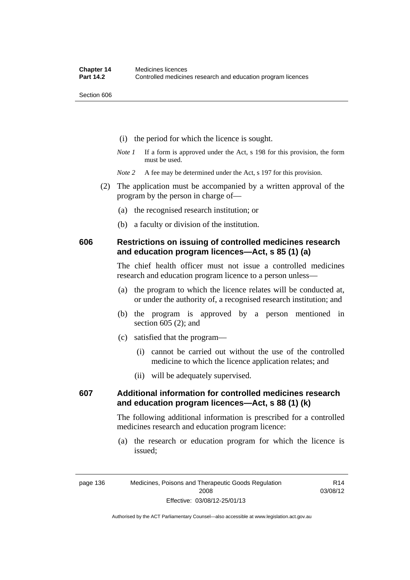- (i) the period for which the licence is sought.
- *Note 1* If a form is approved under the Act, s 198 for this provision, the form must be used.
- *Note* 2 A fee may be determined under the Act, s 197 for this provision.
- (2) The application must be accompanied by a written approval of the program by the person in charge of—
	- (a) the recognised research institution; or
	- (b) a faculty or division of the institution.

#### **606 Restrictions on issuing of controlled medicines research and education program licences—Act, s 85 (1) (a)**

The chief health officer must not issue a controlled medicines research and education program licence to a person unless—

- (a) the program to which the licence relates will be conducted at, or under the authority of, a recognised research institution; and
- (b) the program is approved by a person mentioned in section 605 (2); and
- (c) satisfied that the program—
	- (i) cannot be carried out without the use of the controlled medicine to which the licence application relates; and
	- (ii) will be adequately supervised.

## **607 Additional information for controlled medicines research and education program licences—Act, s 88 (1) (k)**

The following additional information is prescribed for a controlled medicines research and education program licence:

 (a) the research or education program for which the licence is issued;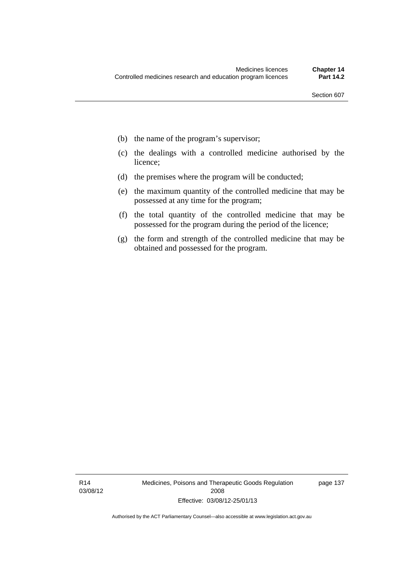- (b) the name of the program's supervisor;
- (c) the dealings with a controlled medicine authorised by the licence;
- (d) the premises where the program will be conducted;
- (e) the maximum quantity of the controlled medicine that may be possessed at any time for the program;
- (f) the total quantity of the controlled medicine that may be possessed for the program during the period of the licence;
- (g) the form and strength of the controlled medicine that may be obtained and possessed for the program.

R14 03/08/12 Medicines, Poisons and Therapeutic Goods Regulation 2008 Effective: 03/08/12-25/01/13

page 137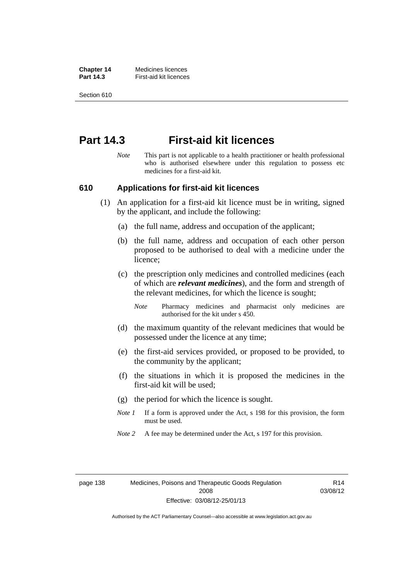**Chapter 14** Medicines licences **Part 14.3 First-aid kit licences** 

Section 610

## **Part 14.3 First-aid kit licences**

*Note* This part is not applicable to a health practitioner or health professional who is authorised elsewhere under this regulation to possess etc medicines for a first-aid kit.

#### **610 Applications for first-aid kit licences**

- (1) An application for a first-aid kit licence must be in writing, signed by the applicant, and include the following:
	- (a) the full name, address and occupation of the applicant;
	- (b) the full name, address and occupation of each other person proposed to be authorised to deal with a medicine under the licence;
	- (c) the prescription only medicines and controlled medicines (each of which are *relevant medicines*), and the form and strength of the relevant medicines, for which the licence is sought;

*Note* Pharmacy medicines and pharmacist only medicines are authorised for the kit under s 450.

- (d) the maximum quantity of the relevant medicines that would be possessed under the licence at any time;
- (e) the first-aid services provided, or proposed to be provided, to the community by the applicant;
- (f) the situations in which it is proposed the medicines in the first-aid kit will be used;
- (g) the period for which the licence is sought.
- *Note 1* If a form is approved under the Act, s 198 for this provision, the form must be used.
- *Note* 2 A fee may be determined under the Act, s 197 for this provision.

page 138 Medicines, Poisons and Therapeutic Goods Regulation 2008 Effective: 03/08/12-25/01/13

R14 03/08/12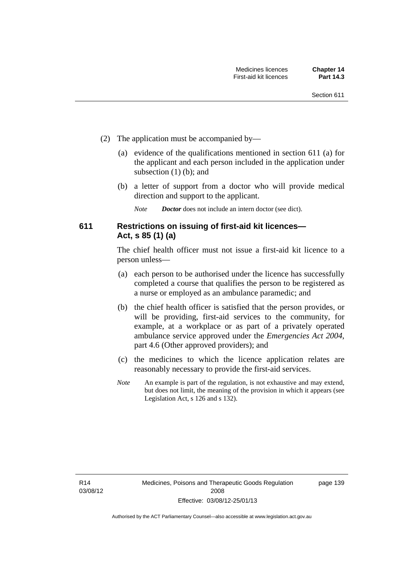- (2) The application must be accompanied by—
	- (a) evidence of the qualifications mentioned in section 611 (a) for the applicant and each person included in the application under subsection (1) (b); and
	- (b) a letter of support from a doctor who will provide medical direction and support to the applicant.
		- *Note Doctor* does not include an intern doctor (see dict).

## **611 Restrictions on issuing of first-aid kit licences— Act, s 85 (1) (a)**

The chief health officer must not issue a first-aid kit licence to a person unless—

- (a) each person to be authorised under the licence has successfully completed a course that qualifies the person to be registered as a nurse or employed as an ambulance paramedic; and
- (b) the chief health officer is satisfied that the person provides, or will be providing, first-aid services to the community, for example, at a workplace or as part of a privately operated ambulance service approved under the *Emergencies Act 2004*, part 4.6 (Other approved providers); and
- (c) the medicines to which the licence application relates are reasonably necessary to provide the first-aid services.
- *Note* An example is part of the regulation, is not exhaustive and may extend, but does not limit, the meaning of the provision in which it appears (see Legislation Act, s 126 and s 132).

page 139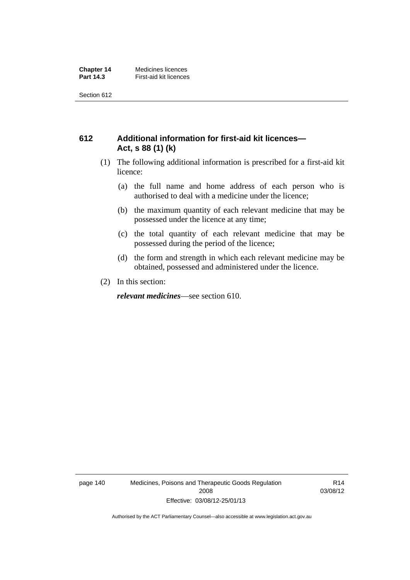## **612 Additional information for first-aid kit licences— Act, s 88 (1) (k)**

- (1) The following additional information is prescribed for a first-aid kit licence:
	- (a) the full name and home address of each person who is authorised to deal with a medicine under the licence;
	- (b) the maximum quantity of each relevant medicine that may be possessed under the licence at any time;
	- (c) the total quantity of each relevant medicine that may be possessed during the period of the licence;
	- (d) the form and strength in which each relevant medicine may be obtained, possessed and administered under the licence.
- (2) In this section:

*relevant medicines*—see section 610.

page 140 Medicines, Poisons and Therapeutic Goods Regulation 2008 Effective: 03/08/12-25/01/13

R14 03/08/12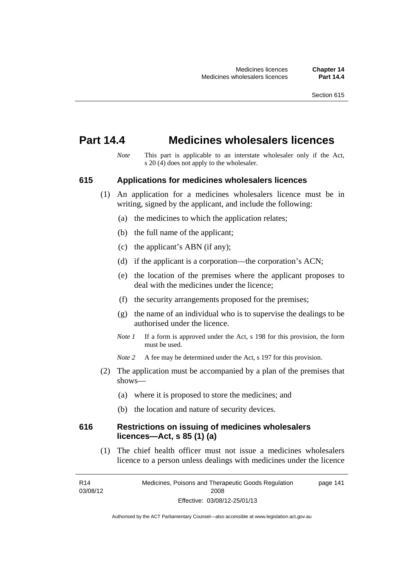## **Part 14.4 Medicines wholesalers licences**

*Note* This part is applicable to an interstate wholesaler only if the Act, s  $20(4)$  does not apply to the wholesaler.

#### **615 Applications for medicines wholesalers licences**

- (1) An application for a medicines wholesalers licence must be in writing, signed by the applicant, and include the following:
	- (a) the medicines to which the application relates;
	- (b) the full name of the applicant;
	- (c) the applicant's ABN (if any);
	- (d) if the applicant is a corporation—the corporation's ACN;
	- (e) the location of the premises where the applicant proposes to deal with the medicines under the licence;
	- (f) the security arrangements proposed for the premises;
	- (g) the name of an individual who is to supervise the dealings to be authorised under the licence.
	- *Note 1* If a form is approved under the Act, s 198 for this provision, the form must be used.
	- *Note* 2 A fee may be determined under the Act, s 197 for this provision.
- (2) The application must be accompanied by a plan of the premises that shows—
	- (a) where it is proposed to store the medicines; and
	- (b) the location and nature of security devices.

#### **616 Restrictions on issuing of medicines wholesalers licences—Act, s 85 (1) (a)**

 (1) The chief health officer must not issue a medicines wholesalers licence to a person unless dealings with medicines under the licence

R14 03/08/12 Medicines, Poisons and Therapeutic Goods Regulation 2008 Effective: 03/08/12-25/01/13 page 141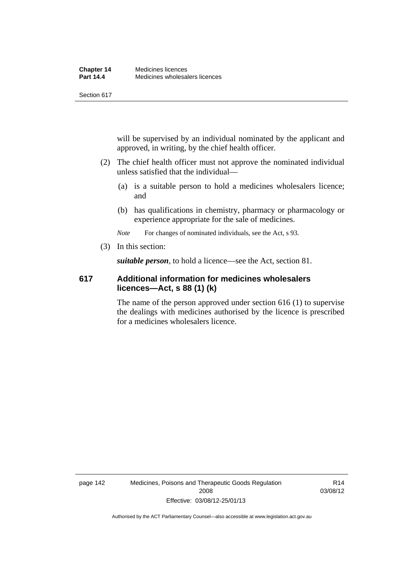will be supervised by an individual nominated by the applicant and approved, in writing, by the chief health officer.

- (2) The chief health officer must not approve the nominated individual unless satisfied that the individual—
	- (a) is a suitable person to hold a medicines wholesalers licence; and
	- (b) has qualifications in chemistry, pharmacy or pharmacology or experience appropriate for the sale of medicines.

*Note* For changes of nominated individuals, see the Act, s 93.

(3) In this section:

*suitable person*, to hold a licence—see the Act, section 81.

#### **617 Additional information for medicines wholesalers licences—Act, s 88 (1) (k)**

The name of the person approved under section 616 (1) to supervise the dealings with medicines authorised by the licence is prescribed for a medicines wholesalers licence.

page 142 Medicines, Poisons and Therapeutic Goods Regulation 2008 Effective: 03/08/12-25/01/13

R14 03/08/12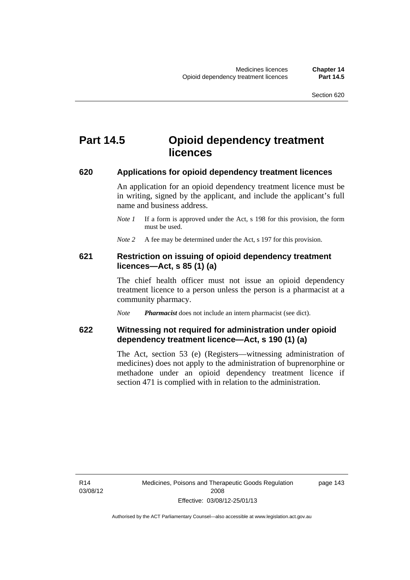## **Part 14.5 Opioid dependency treatment licences**

#### **620 Applications for opioid dependency treatment licences**

An application for an opioid dependency treatment licence must be in writing, signed by the applicant, and include the applicant's full name and business address.

- *Note 1* If a form is approved under the Act, s 198 for this provision, the form must be used.
- *Note 2* A fee may be determined under the Act, s 197 for this provision.

#### **621 Restriction on issuing of opioid dependency treatment licences—Act, s 85 (1) (a)**

The chief health officer must not issue an opioid dependency treatment licence to a person unless the person is a pharmacist at a community pharmacy.

*Note Pharmacist* does not include an intern pharmacist (see dict).

## **622 Witnessing not required for administration under opioid dependency treatment licence—Act, s 190 (1) (a)**

The Act, section 53 (e) (Registers—witnessing administration of medicines) does not apply to the administration of buprenorphine or methadone under an opioid dependency treatment licence if section 471 is complied with in relation to the administration.

R14 03/08/12 page 143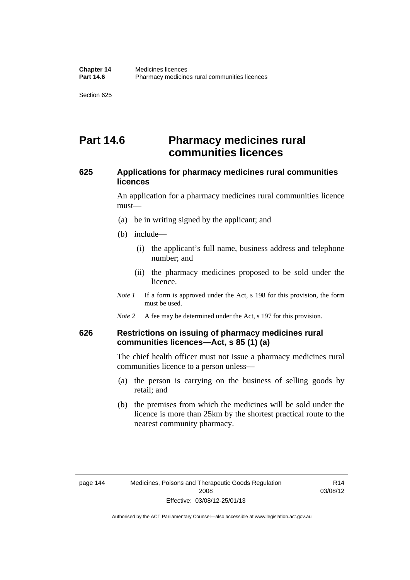# **Part 14.6 Pharmacy medicines rural communities licences**

## **625 Applications for pharmacy medicines rural communities licences**

An application for a pharmacy medicines rural communities licence must—

- (a) be in writing signed by the applicant; and
- (b) include—
	- (i) the applicant's full name, business address and telephone number; and
	- (ii) the pharmacy medicines proposed to be sold under the licence.
- *Note 1* If a form is approved under the Act, s 198 for this provision, the form must be used.
- *Note 2* A fee may be determined under the Act, s 197 for this provision.

## **626 Restrictions on issuing of pharmacy medicines rural communities licences—Act, s 85 (1) (a)**

The chief health officer must not issue a pharmacy medicines rural communities licence to a person unless—

- (a) the person is carrying on the business of selling goods by retail; and
- (b) the premises from which the medicines will be sold under the licence is more than 25km by the shortest practical route to the nearest community pharmacy.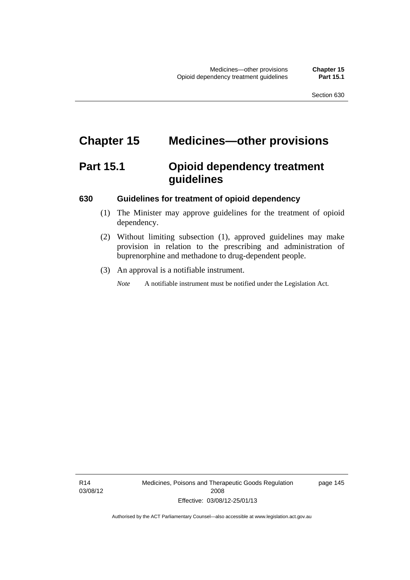# **Chapter 15 Medicines—other provisions**

# **Part 15.1 Opioid dependency treatment guidelines**

#### **630 Guidelines for treatment of opioid dependency**

- (1) The Minister may approve guidelines for the treatment of opioid dependency.
- (2) Without limiting subsection (1), approved guidelines may make provision in relation to the prescribing and administration of buprenorphine and methadone to drug-dependent people.
- (3) An approval is a notifiable instrument.

*Note* A notifiable instrument must be notified under the Legislation Act.

R14 03/08/12 Medicines, Poisons and Therapeutic Goods Regulation 2008 Effective: 03/08/12-25/01/13

page 145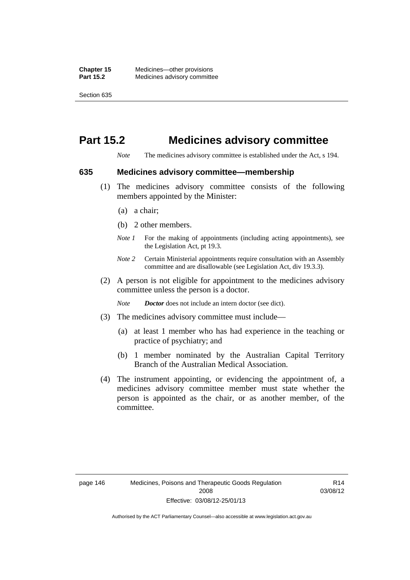# **Part 15.2 Medicines advisory committee**

*Note* The medicines advisory committee is established under the Act, s 194.

#### **635 Medicines advisory committee—membership**

- (1) The medicines advisory committee consists of the following members appointed by the Minister:
	- (a) a chair;
	- (b) 2 other members.
	- *Note 1* For the making of appointments (including acting appointments), see the Legislation Act, pt 19.3.
	- *Note 2* Certain Ministerial appointments require consultation with an Assembly committee and are disallowable (see Legislation Act, div 19.3.3).
- (2) A person is not eligible for appointment to the medicines advisory committee unless the person is a doctor.

*Note Doctor* does not include an intern doctor (see dict).

- (3) The medicines advisory committee must include—
	- (a) at least 1 member who has had experience in the teaching or practice of psychiatry; and
	- (b) 1 member nominated by the Australian Capital Territory Branch of the Australian Medical Association.
- (4) The instrument appointing, or evidencing the appointment of, a medicines advisory committee member must state whether the person is appointed as the chair, or as another member, of the committee.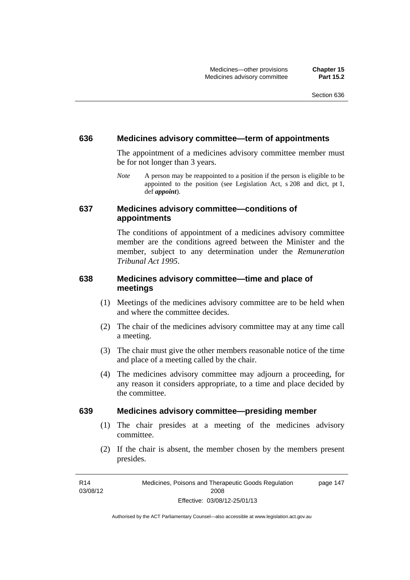#### **636 Medicines advisory committee—term of appointments**

The appointment of a medicines advisory committee member must be for not longer than 3 years.

*Note* A person may be reappointed to a position if the person is eligible to be appointed to the position (see Legislation Act, s 208 and dict, pt 1, def *appoint*).

#### **637 Medicines advisory committee—conditions of appointments**

The conditions of appointment of a medicines advisory committee member are the conditions agreed between the Minister and the member, subject to any determination under the *Remuneration Tribunal Act 1995*.

### **638 Medicines advisory committee—time and place of meetings**

- (1) Meetings of the medicines advisory committee are to be held when and where the committee decides.
- (2) The chair of the medicines advisory committee may at any time call a meeting.
- (3) The chair must give the other members reasonable notice of the time and place of a meeting called by the chair.
- (4) The medicines advisory committee may adjourn a proceeding, for any reason it considers appropriate, to a time and place decided by the committee.

#### **639 Medicines advisory committee—presiding member**

- (1) The chair presides at a meeting of the medicines advisory committee.
- (2) If the chair is absent, the member chosen by the members present presides.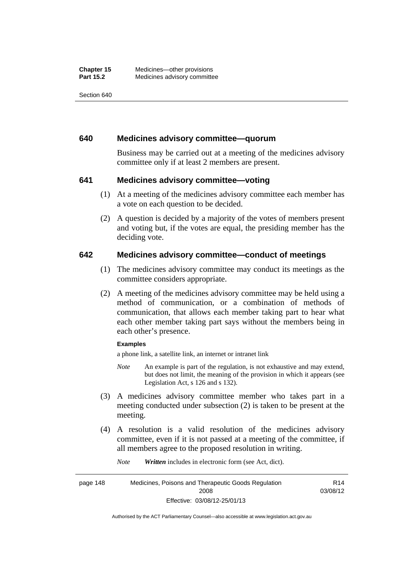#### **640 Medicines advisory committee—quorum**

Business may be carried out at a meeting of the medicines advisory committee only if at least 2 members are present.

#### **641 Medicines advisory committee—voting**

- (1) At a meeting of the medicines advisory committee each member has a vote on each question to be decided.
- (2) A question is decided by a majority of the votes of members present and voting but, if the votes are equal, the presiding member has the deciding vote.

#### **642 Medicines advisory committee—conduct of meetings**

- (1) The medicines advisory committee may conduct its meetings as the committee considers appropriate.
- (2) A meeting of the medicines advisory committee may be held using a method of communication, or a combination of methods of communication, that allows each member taking part to hear what each other member taking part says without the members being in each other's presence.

#### **Examples**

a phone link, a satellite link, an internet or intranet link

- *Note* An example is part of the regulation, is not exhaustive and may extend, but does not limit, the meaning of the provision in which it appears (see Legislation Act, s 126 and s 132).
- (3) A medicines advisory committee member who takes part in a meeting conducted under subsection (2) is taken to be present at the meeting.
- (4) A resolution is a valid resolution of the medicines advisory committee, even if it is not passed at a meeting of the committee, if all members agree to the proposed resolution in writing.

*Note Written* includes in electronic form (see Act, dict).

page 148 Medicines, Poisons and Therapeutic Goods Regulation 2008 Effective: 03/08/12-25/01/13 R14 03/08/12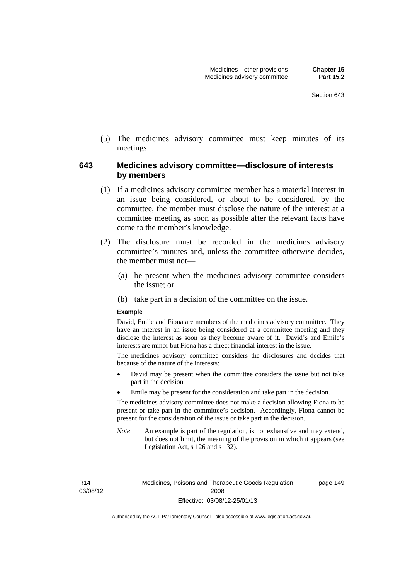(5) The medicines advisory committee must keep minutes of its meetings.

#### **643 Medicines advisory committee—disclosure of interests by members**

- (1) If a medicines advisory committee member has a material interest in an issue being considered, or about to be considered, by the committee, the member must disclose the nature of the interest at a committee meeting as soon as possible after the relevant facts have come to the member's knowledge.
- (2) The disclosure must be recorded in the medicines advisory committee's minutes and, unless the committee otherwise decides, the member must not—
	- (a) be present when the medicines advisory committee considers the issue; or
	- (b) take part in a decision of the committee on the issue.

#### **Example**

David, Emile and Fiona are members of the medicines advisory committee. They have an interest in an issue being considered at a committee meeting and they disclose the interest as soon as they become aware of it. David's and Emile's interests are minor but Fiona has a direct financial interest in the issue.

The medicines advisory committee considers the disclosures and decides that because of the nature of the interests:

- David may be present when the committee considers the issue but not take part in the decision
- Emile may be present for the consideration and take part in the decision.

The medicines advisory committee does not make a decision allowing Fiona to be present or take part in the committee's decision. Accordingly, Fiona cannot be present for the consideration of the issue or take part in the decision.

*Note* An example is part of the regulation, is not exhaustive and may extend, but does not limit, the meaning of the provision in which it appears (see Legislation Act, s 126 and s 132).

R14 03/08/12 page 149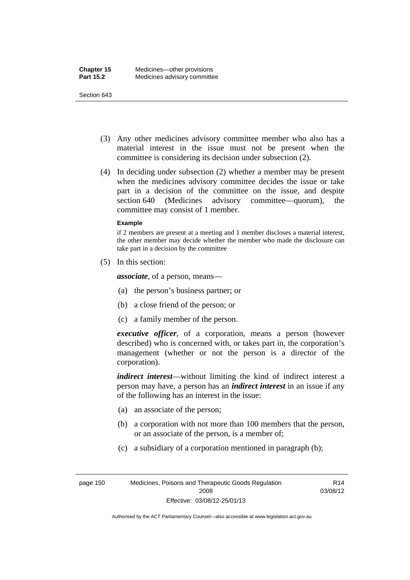- (3) Any other medicines advisory committee member who also has a material interest in the issue must not be present when the committee is considering its decision under subsection (2).
- (4) In deciding under subsection (2) whether a member may be present when the medicines advisory committee decides the issue or take part in a decision of the committee on the issue, and despite section 640 (Medicines advisory committee—quorum), the committee may consist of 1 member.

#### **Example**

if 2 members are present at a meeting and 1 member discloses a material interest, the other member may decide whether the member who made the disclosure can take part in a decision by the committee

(5) In this section:

*associate*, of a person, means—

- (a) the person's business partner; or
- (b) a close friend of the person; or
- (c) a family member of the person.

*executive officer*, of a corporation, means a person (however described) who is concerned with, or takes part in, the corporation's management (whether or not the person is a director of the corporation).

*indirect interest*—without limiting the kind of indirect interest a person may have, a person has an *indirect interest* in an issue if any of the following has an interest in the issue:

- (a) an associate of the person;
- (b) a corporation with not more than 100 members that the person, or an associate of the person, is a member of;
- (c) a subsidiary of a corporation mentioned in paragraph (b);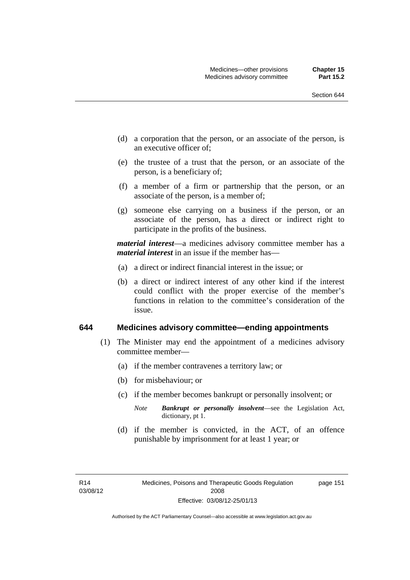- (d) a corporation that the person, or an associate of the person, is an executive officer of;
- (e) the trustee of a trust that the person, or an associate of the person, is a beneficiary of;
- (f) a member of a firm or partnership that the person, or an associate of the person, is a member of;
- (g) someone else carrying on a business if the person, or an associate of the person, has a direct or indirect right to participate in the profits of the business.

*material interest*—a medicines advisory committee member has a *material interest* in an issue if the member has—

- (a) a direct or indirect financial interest in the issue; or
- (b) a direct or indirect interest of any other kind if the interest could conflict with the proper exercise of the member's functions in relation to the committee's consideration of the issue.

#### **644 Medicines advisory committee—ending appointments**

- (1) The Minister may end the appointment of a medicines advisory committee member—
	- (a) if the member contravenes a territory law; or
	- (b) for misbehaviour; or
	- (c) if the member becomes bankrupt or personally insolvent; or
		- *Note Bankrupt or personally insolvent*—see the Legislation Act, dictionary, pt 1.
	- (d) if the member is convicted, in the ACT, of an offence punishable by imprisonment for at least 1 year; or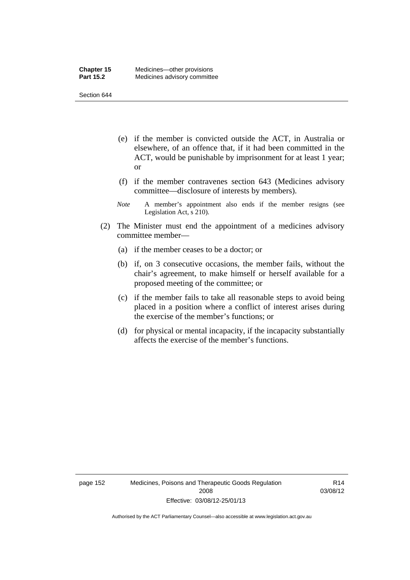- (e) if the member is convicted outside the ACT, in Australia or elsewhere, of an offence that, if it had been committed in the ACT, would be punishable by imprisonment for at least 1 year; or
- (f) if the member contravenes section 643 (Medicines advisory committee—disclosure of interests by members).
- *Note* A member's appointment also ends if the member resigns (see Legislation Act, s 210).
- (2) The Minister must end the appointment of a medicines advisory committee member—
	- (a) if the member ceases to be a doctor; or
	- (b) if, on 3 consecutive occasions, the member fails, without the chair's agreement, to make himself or herself available for a proposed meeting of the committee; or
	- (c) if the member fails to take all reasonable steps to avoid being placed in a position where a conflict of interest arises during the exercise of the member's functions; or
	- (d) for physical or mental incapacity, if the incapacity substantially affects the exercise of the member's functions.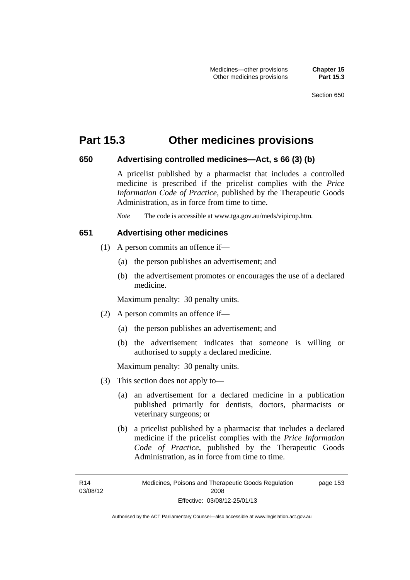## **Part 15.3 Other medicines provisions**

#### **650 Advertising controlled medicines—Act, s 66 (3) (b)**

A pricelist published by a pharmacist that includes a controlled medicine is prescribed if the pricelist complies with the *Price Information Code of Practice*, published by the Therapeutic Goods Administration, as in force from time to time.

*Note* The code is accessible at www.tga.gov.au/meds/vipicop.htm.

#### **651 Advertising other medicines**

- (1) A person commits an offence if—
	- (a) the person publishes an advertisement; and
	- (b) the advertisement promotes or encourages the use of a declared medicine.

Maximum penalty: 30 penalty units.

- (2) A person commits an offence if—
	- (a) the person publishes an advertisement; and
	- (b) the advertisement indicates that someone is willing or authorised to supply a declared medicine.

Maximum penalty: 30 penalty units.

- (3) This section does not apply to—
	- (a) an advertisement for a declared medicine in a publication published primarily for dentists, doctors, pharmacists or veterinary surgeons; or
	- (b) a pricelist published by a pharmacist that includes a declared medicine if the pricelist complies with the *Price Information Code of Practice*, published by the Therapeutic Goods Administration, as in force from time to time.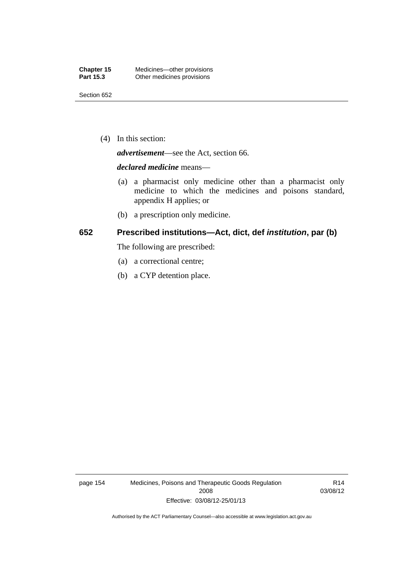(4) In this section:

*advertisement*—see the Act, section 66.

#### *declared medicine* means—

- (a) a pharmacist only medicine other than a pharmacist only medicine to which the medicines and poisons standard, appendix H applies; or
- (b) a prescription only medicine.

## **652 Prescribed institutions—Act, dict, def** *institution***, par (b)**

The following are prescribed:

- (a) a correctional centre;
- (b) a CYP detention place.

page 154 Medicines, Poisons and Therapeutic Goods Regulation 2008 Effective: 03/08/12-25/01/13

R14 03/08/12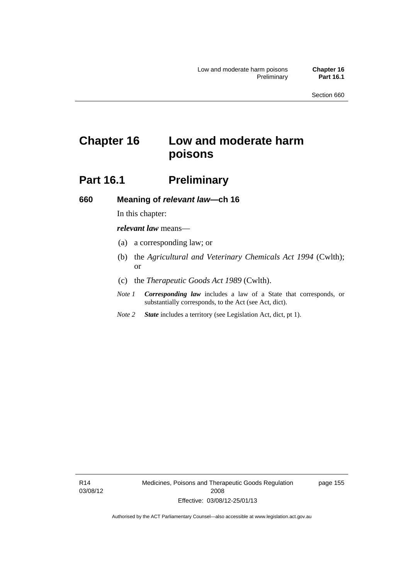# **Chapter 16 Low and moderate harm poisons**

## **Part 16.1** Preliminary

**660 Meaning of** *relevant law***—ch 16** 

## In this chapter:

*relevant law* means—

- (a) a corresponding law; or
- (b) the *Agricultural and Veterinary Chemicals Act 1994* (Cwlth); or
- (c) the *Therapeutic Goods Act 1989* (Cwlth).
- *Note 1 Corresponding law* includes a law of a State that corresponds, or substantially corresponds, to the Act (see Act, dict).
- *Note 2 State* includes a territory (see Legislation Act, dict, pt 1).

R14 03/08/12 Medicines, Poisons and Therapeutic Goods Regulation 2008 Effective: 03/08/12-25/01/13

page 155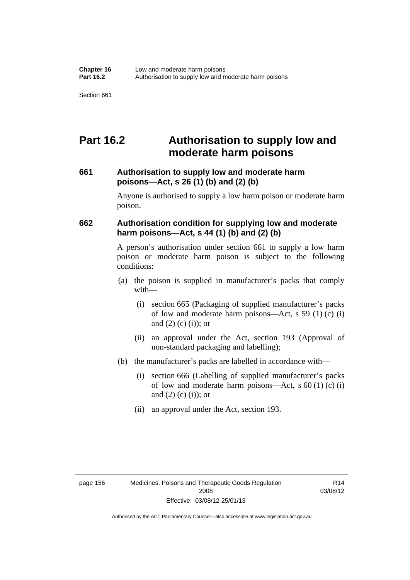## **Part 16.2 Authorisation to supply low and moderate harm poisons**

## **661 Authorisation to supply low and moderate harm poisons—Act, s 26 (1) (b) and (2) (b)**

Anyone is authorised to supply a low harm poison or moderate harm poison.

## **662 Authorisation condition for supplying low and moderate harm poisons—Act, s 44 (1) (b) and (2) (b)**

A person's authorisation under section 661 to supply a low harm poison or moderate harm poison is subject to the following conditions:

- (a) the poison is supplied in manufacturer's packs that comply with—
	- (i) section 665 (Packaging of supplied manufacturer's packs of low and moderate harm poisons—Act, s 59 (1) (c) (i) and  $(2)$  (c) (i)); or
	- (ii) an approval under the Act, section 193 (Approval of non-standard packaging and labelling);
- (b) the manufacturer's packs are labelled in accordance with—
	- (i) section 666 (Labelling of supplied manufacturer's packs of low and moderate harm poisons—Act, s  $60(1)(c)(i)$ and  $(2)$   $(c)$   $(i)$ ; or
	- (ii) an approval under the Act, section 193.

R14 03/08/12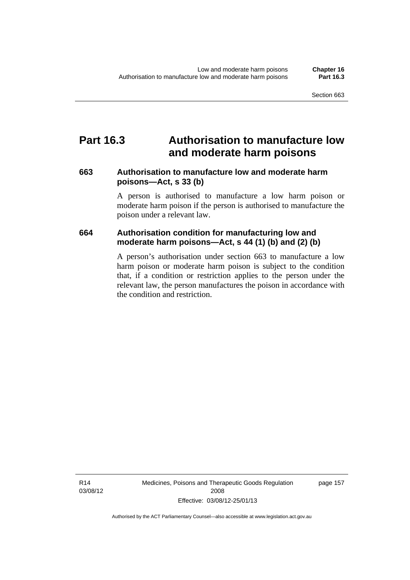## **Part 16.3 Authorisation to manufacture low and moderate harm poisons**

### **663 Authorisation to manufacture low and moderate harm poisons—Act, s 33 (b)**

A person is authorised to manufacture a low harm poison or moderate harm poison if the person is authorised to manufacture the poison under a relevant law.

## **664 Authorisation condition for manufacturing low and moderate harm poisons—Act, s 44 (1) (b) and (2) (b)**

A person's authorisation under section 663 to manufacture a low harm poison or moderate harm poison is subject to the condition that, if a condition or restriction applies to the person under the relevant law, the person manufactures the poison in accordance with the condition and restriction.

page 157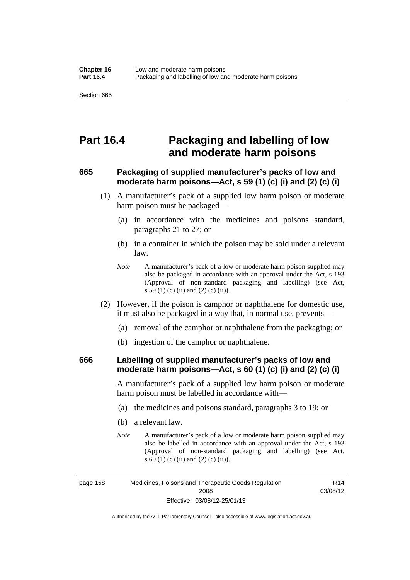## **Part 16.4 Packaging and labelling of low and moderate harm poisons**

## **665 Packaging of supplied manufacturer's packs of low and moderate harm poisons—Act, s 59 (1) (c) (i) and (2) (c) (i)**

- (1) A manufacturer's pack of a supplied low harm poison or moderate harm poison must be packaged—
	- (a) in accordance with the medicines and poisons standard, paragraphs 21 to 27; or
	- (b) in a container in which the poison may be sold under a relevant law.
	- *Note* A manufacturer's pack of a low or moderate harm poison supplied may also be packaged in accordance with an approval under the Act, s 193 (Approval of non-standard packaging and labelling) (see Act, s 59 (1) (c) (ii) and (2) (c) (ii)).
- (2) However, if the poison is camphor or naphthalene for domestic use, it must also be packaged in a way that, in normal use, prevents—
	- (a) removal of the camphor or naphthalene from the packaging; or
	- (b) ingestion of the camphor or naphthalene.

#### **666 Labelling of supplied manufacturer's packs of low and moderate harm poisons—Act, s 60 (1) (c) (i) and (2) (c) (i)**

A manufacturer's pack of a supplied low harm poison or moderate harm poison must be labelled in accordance with—

- (a) the medicines and poisons standard, paragraphs 3 to 19; or
- (b) a relevant law.
- *Note* A manufacturer's pack of a low or moderate harm poison supplied may also be labelled in accordance with an approval under the Act, s 193 (Approval of non-standard packaging and labelling) (see Act, s 60 (1) (c) (ii) and (2) (c) (ii)).

R14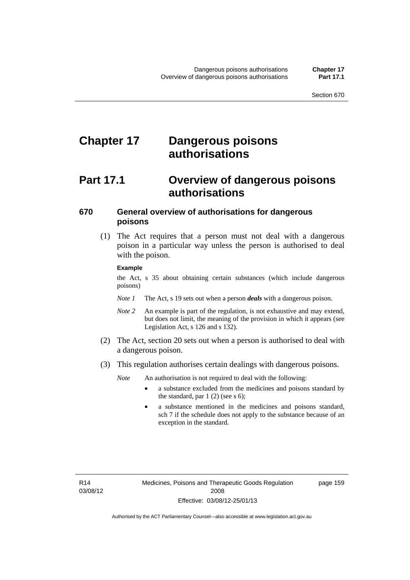# **Chapter 17 Dangerous poisons authorisations**

## **Part 17.1 Overview of dangerous poisons authorisations**

### **670 General overview of authorisations for dangerous poisons**

 (1) The Act requires that a person must not deal with a dangerous poison in a particular way unless the person is authorised to deal with the poison.

#### **Example**

the Act, s 35 about obtaining certain substances (which include dangerous poisons)

- *Note 1* The Act, s 19 sets out when a person *deals* with a dangerous poison.
- *Note 2* An example is part of the regulation, is not exhaustive and may extend, but does not limit, the meaning of the provision in which it appears (see Legislation Act, s 126 and s 132).
- (2) The Act, section 20 sets out when a person is authorised to deal with a dangerous poison.
- (3) This regulation authorises certain dealings with dangerous poisons.

*Note* An authorisation is not required to deal with the following:

- a substance excluded from the medicines and poisons standard by the standard, par  $1(2)$  (see s 6);
- a substance mentioned in the medicines and poisons standard, sch 7 if the schedule does not apply to the substance because of an exception in the standard.

R14 03/08/12 page 159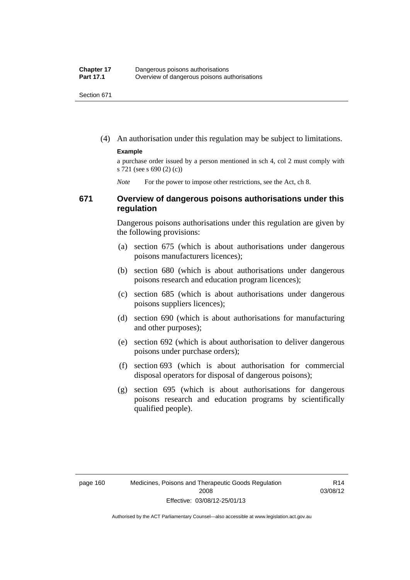(4) An authorisation under this regulation may be subject to limitations.

#### **Example**

a purchase order issued by a person mentioned in sch 4, col 2 must comply with s 721 (see s 690 (2) (c))

*Note* For the power to impose other restrictions, see the Act, ch 8.

#### **671 Overview of dangerous poisons authorisations under this regulation**

Dangerous poisons authorisations under this regulation are given by the following provisions:

- (a) section 675 (which is about authorisations under dangerous poisons manufacturers licences);
- (b) section 680 (which is about authorisations under dangerous poisons research and education program licences);
- (c) section 685 (which is about authorisations under dangerous poisons suppliers licences);
- (d) section 690 (which is about authorisations for manufacturing and other purposes);
- (e) section 692 (which is about authorisation to deliver dangerous poisons under purchase orders);
- (f) section 693 (which is about authorisation for commercial disposal operators for disposal of dangerous poisons);
- (g) section 695 (which is about authorisations for dangerous poisons research and education programs by scientifically qualified people).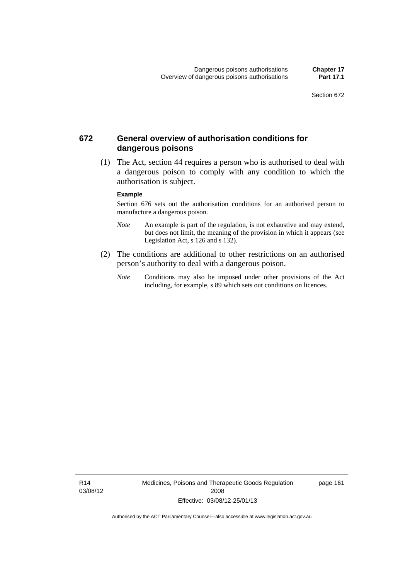#### **672 General overview of authorisation conditions for dangerous poisons**

 (1) The Act, section 44 requires a person who is authorised to deal with a dangerous poison to comply with any condition to which the authorisation is subject.

#### **Example**

Section 676 sets out the authorisation conditions for an authorised person to manufacture a dangerous poison.

- *Note* An example is part of the regulation, is not exhaustive and may extend, but does not limit, the meaning of the provision in which it appears (see Legislation Act, s  $126$  and s  $132$ ).
- (2) The conditions are additional to other restrictions on an authorised person's authority to deal with a dangerous poison.
	- *Note* Conditions may also be imposed under other provisions of the Act including, for example, s 89 which sets out conditions on licences.

R14 03/08/12 Medicines, Poisons and Therapeutic Goods Regulation 2008 Effective: 03/08/12-25/01/13

page 161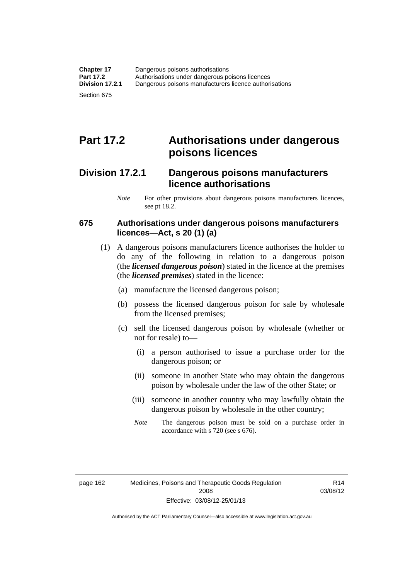## **Part 17.2 Authorisations under dangerous poisons licences**

### **Division 17.2.1 Dangerous poisons manufacturers licence authorisations**

*Note* For other provisions about dangerous poisons manufacturers licences, see pt 18.2.

#### **675 Authorisations under dangerous poisons manufacturers licences—Act, s 20 (1) (a)**

- (1) A dangerous poisons manufacturers licence authorises the holder to do any of the following in relation to a dangerous poison (the *licensed dangerous poison*) stated in the licence at the premises (the *licensed premises*) stated in the licence:
	- (a) manufacture the licensed dangerous poison;
	- (b) possess the licensed dangerous poison for sale by wholesale from the licensed premises;
	- (c) sell the licensed dangerous poison by wholesale (whether or not for resale) to—
		- (i) a person authorised to issue a purchase order for the dangerous poison; or
		- (ii) someone in another State who may obtain the dangerous poison by wholesale under the law of the other State; or
		- (iii) someone in another country who may lawfully obtain the dangerous poison by wholesale in the other country;
		- *Note* The dangerous poison must be sold on a purchase order in accordance with s 720 (see s 676).

R14 03/08/12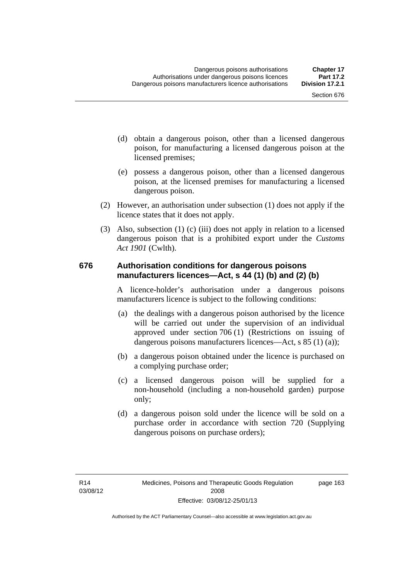- (d) obtain a dangerous poison, other than a licensed dangerous poison, for manufacturing a licensed dangerous poison at the licensed premises;
- (e) possess a dangerous poison, other than a licensed dangerous poison, at the licensed premises for manufacturing a licensed dangerous poison.
- (2) However, an authorisation under subsection (1) does not apply if the licence states that it does not apply.
- (3) Also, subsection (1) (c) (iii) does not apply in relation to a licensed dangerous poison that is a prohibited export under the *Customs Act 1901* (Cwlth).

#### **676 Authorisation conditions for dangerous poisons manufacturers licences—Act, s 44 (1) (b) and (2) (b)**

A licence-holder's authorisation under a dangerous poisons manufacturers licence is subject to the following conditions:

- (a) the dealings with a dangerous poison authorised by the licence will be carried out under the supervision of an individual approved under section 706 (1) (Restrictions on issuing of dangerous poisons manufacturers licences—Act, s 85 (1) (a));
- (b) a dangerous poison obtained under the licence is purchased on a complying purchase order;
- (c) a licensed dangerous poison will be supplied for a non-household (including a non-household garden) purpose only;
- (d) a dangerous poison sold under the licence will be sold on a purchase order in accordance with section 720 (Supplying dangerous poisons on purchase orders);

page 163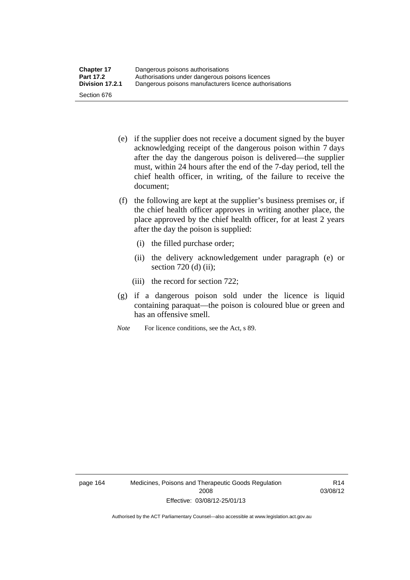- (e) if the supplier does not receive a document signed by the buyer acknowledging receipt of the dangerous poison within 7 days after the day the dangerous poison is delivered—the supplier must, within 24 hours after the end of the 7-day period, tell the chief health officer, in writing, of the failure to receive the document;
- (f) the following are kept at the supplier's business premises or, if the chief health officer approves in writing another place, the place approved by the chief health officer, for at least 2 years after the day the poison is supplied:
	- (i) the filled purchase order;
	- (ii) the delivery acknowledgement under paragraph (e) or section 720 (d) (ii);
	- (iii) the record for section 722;
- (g) if a dangerous poison sold under the licence is liquid containing paraquat—the poison is coloured blue or green and has an offensive smell.
- *Note* For licence conditions, see the Act, s 89.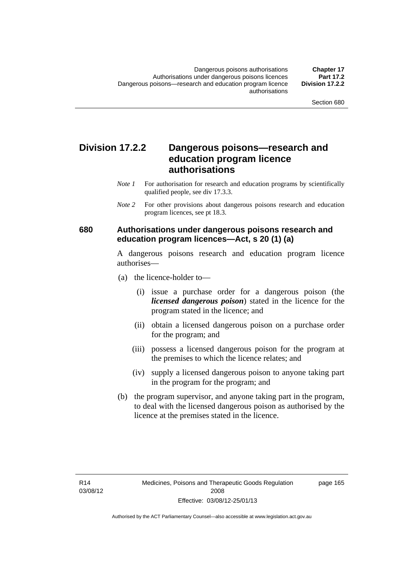### **Division 17.2.2 Dangerous poisons—research and education program licence authorisations**

- *Note 1* For authorisation for research and education programs by scientifically qualified people, see div 17.3.3.
- *Note 2* For other provisions about dangerous poisons research and education program licences, see pt 18.3.

#### **680 Authorisations under dangerous poisons research and education program licences—Act, s 20 (1) (a)**

A dangerous poisons research and education program licence authorises—

- (a) the licence-holder to—
	- (i) issue a purchase order for a dangerous poison (the *licensed dangerous poison*) stated in the licence for the program stated in the licence; and
	- (ii) obtain a licensed dangerous poison on a purchase order for the program; and
	- (iii) possess a licensed dangerous poison for the program at the premises to which the licence relates; and
	- (iv) supply a licensed dangerous poison to anyone taking part in the program for the program; and
- (b) the program supervisor, and anyone taking part in the program, to deal with the licensed dangerous poison as authorised by the licence at the premises stated in the licence.

page 165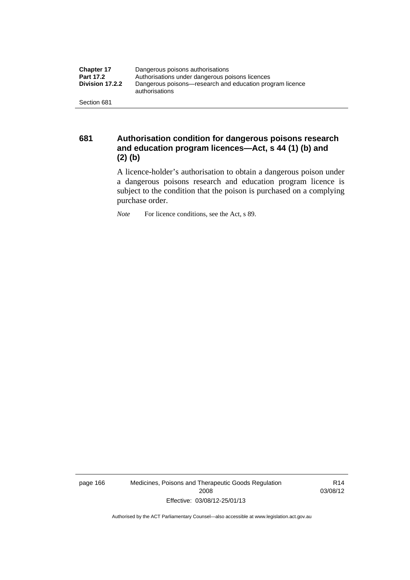| <b>Chapter 17</b> | Dangerous poisons authorisations                                           |  |
|-------------------|----------------------------------------------------------------------------|--|
| <b>Part 17.2</b>  | Authorisations under dangerous poisons licences                            |  |
| Division 17.2.2   | Dangerous poisons—research and education program licence<br>authorisations |  |
| Section 681       |                                                                            |  |

**681 Authorisation condition for dangerous poisons research and education program licences—Act, s 44 (1) (b) and (2) (b)** 

A licence-holder's authorisation to obtain a dangerous poison under a dangerous poisons research and education program licence is subject to the condition that the poison is purchased on a complying purchase order.

*Note* For licence conditions, see the Act, s 89.

page 166 Medicines, Poisons and Therapeutic Goods Regulation 2008 Effective: 03/08/12-25/01/13

R14 03/08/12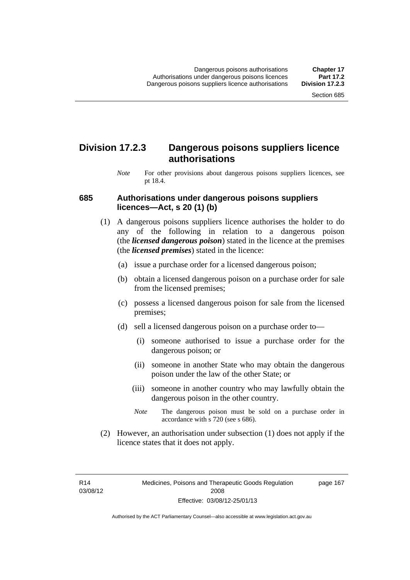### **Division 17.2.3 Dangerous poisons suppliers licence authorisations**

*Note* For other provisions about dangerous poisons suppliers licences, see pt 18.4.

#### **685 Authorisations under dangerous poisons suppliers licences—Act, s 20 (1) (b)**

- (1) A dangerous poisons suppliers licence authorises the holder to do any of the following in relation to a dangerous poison (the *licensed dangerous poison*) stated in the licence at the premises (the *licensed premises*) stated in the licence:
	- (a) issue a purchase order for a licensed dangerous poison;
	- (b) obtain a licensed dangerous poison on a purchase order for sale from the licensed premises;
	- (c) possess a licensed dangerous poison for sale from the licensed premises;
	- (d) sell a licensed dangerous poison on a purchase order to—
		- (i) someone authorised to issue a purchase order for the dangerous poison; or
		- (ii) someone in another State who may obtain the dangerous poison under the law of the other State; or
		- (iii) someone in another country who may lawfully obtain the dangerous poison in the other country.
		- *Note* The dangerous poison must be sold on a purchase order in accordance with s 720 (see s 686).
- (2) However, an authorisation under subsection (1) does not apply if the licence states that it does not apply.

R14 03/08/12 page 167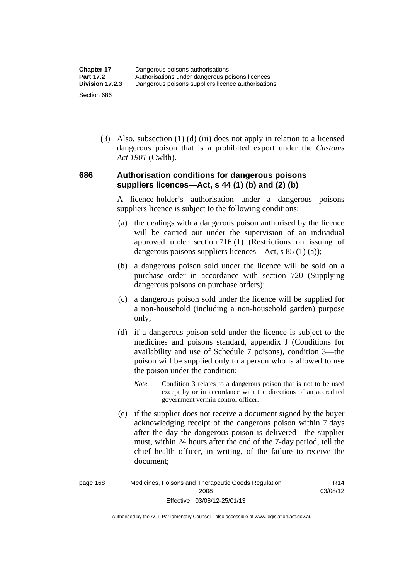(3) Also, subsection (1) (d) (iii) does not apply in relation to a licensed dangerous poison that is a prohibited export under the *Customs Act 1901* (Cwlth).

#### **686 Authorisation conditions for dangerous poisons suppliers licences—Act, s 44 (1) (b) and (2) (b)**

A licence-holder's authorisation under a dangerous poisons suppliers licence is subject to the following conditions:

- (a) the dealings with a dangerous poison authorised by the licence will be carried out under the supervision of an individual approved under section 716 (1) (Restrictions on issuing of dangerous poisons suppliers licences—Act, s 85 (1) (a));
- (b) a dangerous poison sold under the licence will be sold on a purchase order in accordance with section 720 (Supplying dangerous poisons on purchase orders);
- (c) a dangerous poison sold under the licence will be supplied for a non-household (including a non-household garden) purpose only;
- (d) if a dangerous poison sold under the licence is subject to the medicines and poisons standard, appendix J (Conditions for availability and use of Schedule 7 poisons), condition 3—the poison will be supplied only to a person who is allowed to use the poison under the condition;
	- *Note* Condition 3 relates to a dangerous poison that is not to be used except by or in accordance with the directions of an accredited government vermin control officer.
- (e) if the supplier does not receive a document signed by the buyer acknowledging receipt of the dangerous poison within 7 days after the day the dangerous poison is delivered—the supplier must, within 24 hours after the end of the 7-day period, tell the chief health officer, in writing, of the failure to receive the document;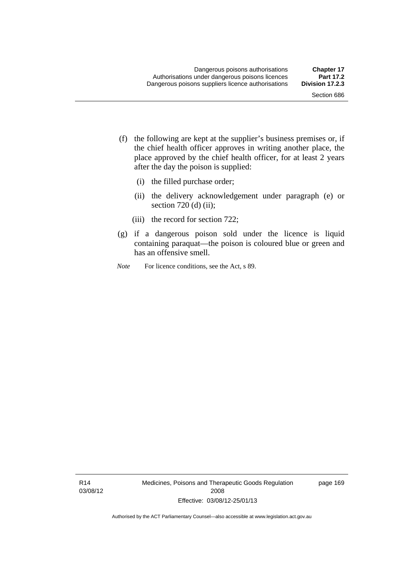- (f) the following are kept at the supplier's business premises or, if the chief health officer approves in writing another place, the place approved by the chief health officer, for at least 2 years after the day the poison is supplied:
	- (i) the filled purchase order;
	- (ii) the delivery acknowledgement under paragraph (e) or section 720 (d) (ii);
	- (iii) the record for section 722;
- (g) if a dangerous poison sold under the licence is liquid containing paraquat—the poison is coloured blue or green and has an offensive smell.
- *Note* For licence conditions, see the Act, s 89.

R14 03/08/12 Medicines, Poisons and Therapeutic Goods Regulation 2008 Effective: 03/08/12-25/01/13

page 169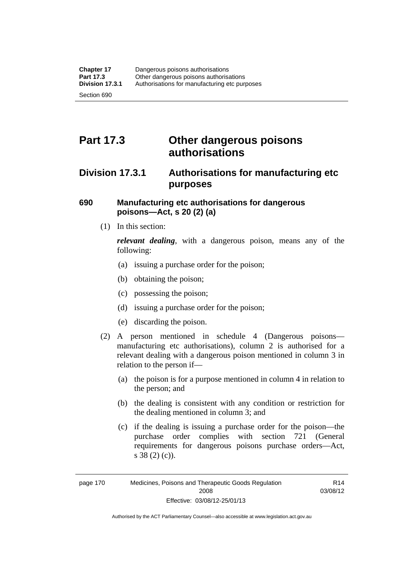# **Part 17.3 Other dangerous poisons authorisations**

### **Division 17.3.1 Authorisations for manufacturing etc purposes**

#### **690 Manufacturing etc authorisations for dangerous poisons—Act, s 20 (2) (a)**

(1) In this section:

*relevant dealing*, with a dangerous poison, means any of the following:

- (a) issuing a purchase order for the poison;
- (b) obtaining the poison;
- (c) possessing the poison;
- (d) issuing a purchase order for the poison;
- (e) discarding the poison.
- (2) A person mentioned in schedule 4 (Dangerous poisons manufacturing etc authorisations), column 2 is authorised for a relevant dealing with a dangerous poison mentioned in column 3 in relation to the person if—
	- (a) the poison is for a purpose mentioned in column 4 in relation to the person; and
	- (b) the dealing is consistent with any condition or restriction for the dealing mentioned in column 3; and
	- (c) if the dealing is issuing a purchase order for the poison—the purchase order complies with section 721 (General requirements for dangerous poisons purchase orders—Act, s 38 (2) (c)).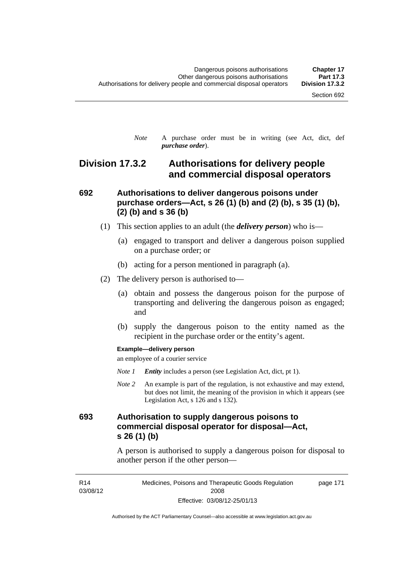*Note* A purchase order must be in writing (see Act, dict, def *purchase order*).

### **Division 17.3.2 Authorisations for delivery people and commercial disposal operators**

#### **692 Authorisations to deliver dangerous poisons under purchase orders—Act, s 26 (1) (b) and (2) (b), s 35 (1) (b), (2) (b) and s 36 (b)**

- (1) This section applies to an adult (the *delivery person*) who is—
	- (a) engaged to transport and deliver a dangerous poison supplied on a purchase order; or
	- (b) acting for a person mentioned in paragraph (a).
- (2) The delivery person is authorised to—
	- (a) obtain and possess the dangerous poison for the purpose of transporting and delivering the dangerous poison as engaged; and
	- (b) supply the dangerous poison to the entity named as the recipient in the purchase order or the entity's agent.

#### **Example—delivery person**

an employee of a courier service

- *Note 1 Entity* includes a person (see Legislation Act, dict, pt 1).
- *Note 2* An example is part of the regulation, is not exhaustive and may extend, but does not limit, the meaning of the provision in which it appears (see Legislation Act, s 126 and s 132).

### **693 Authorisation to supply dangerous poisons to commercial disposal operator for disposal—Act, s 26 (1) (b)**

A person is authorised to supply a dangerous poison for disposal to another person if the other person—

R14 03/08/12 Medicines, Poisons and Therapeutic Goods Regulation 2008 Effective: 03/08/12-25/01/13 page 171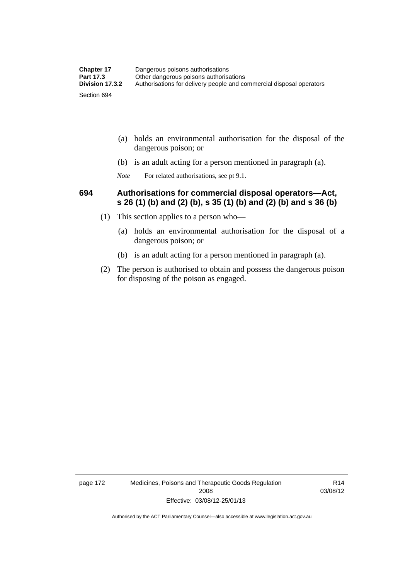| <b>Chapter 17</b> | Dangerous poisons authorisations                                     |  |
|-------------------|----------------------------------------------------------------------|--|
| <b>Part 17.3</b>  | Other dangerous poisons authorisations                               |  |
| Division 17.3.2   | Authorisations for delivery people and commercial disposal operators |  |
| Section 694       |                                                                      |  |

- (a) holds an environmental authorisation for the disposal of the dangerous poison; or
- (b) is an adult acting for a person mentioned in paragraph (a).
- *Note* For related authorisations, see pt 9.1.

#### **694 Authorisations for commercial disposal operators—Act, s 26 (1) (b) and (2) (b), s 35 (1) (b) and (2) (b) and s 36 (b)**

- (1) This section applies to a person who—
	- (a) holds an environmental authorisation for the disposal of a dangerous poison; or
	- (b) is an adult acting for a person mentioned in paragraph (a).
- (2) The person is authorised to obtain and possess the dangerous poison for disposing of the poison as engaged.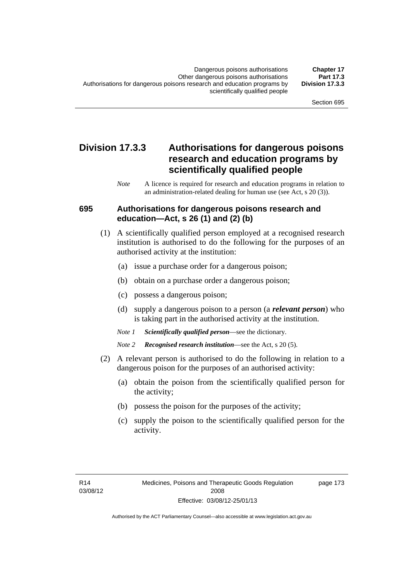### **Division 17.3.3 Authorisations for dangerous poisons research and education programs by scientifically qualified people**

*Note* A licence is required for research and education programs in relation to an administration-related dealing for human use (see Act, s 20 (3)).

#### **695 Authorisations for dangerous poisons research and education—Act, s 26 (1) and (2) (b)**

- (1) A scientifically qualified person employed at a recognised research institution is authorised to do the following for the purposes of an authorised activity at the institution:
	- (a) issue a purchase order for a dangerous poison;
	- (b) obtain on a purchase order a dangerous poison;
	- (c) possess a dangerous poison;
	- (d) supply a dangerous poison to a person (a *relevant person*) who is taking part in the authorised activity at the institution.
	- *Note 1 Scientifically qualified person*—see the dictionary.
	- *Note 2 Recognised research institution*—see the Act, s 20 (5).
- (2) A relevant person is authorised to do the following in relation to a dangerous poison for the purposes of an authorised activity:
	- (a) obtain the poison from the scientifically qualified person for the activity;
	- (b) possess the poison for the purposes of the activity;
	- (c) supply the poison to the scientifically qualified person for the activity.

page 173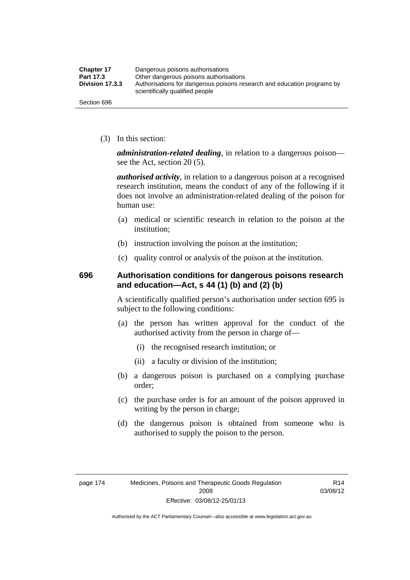| <b>Chapter 17</b> | Dangerous poisons authorisations                                                                           |  |
|-------------------|------------------------------------------------------------------------------------------------------------|--|
| Part 17.3         | Other dangerous poisons authorisations                                                                     |  |
| Division 17.3.3   | Authorisations for dangerous poisons research and education programs by<br>scientifically qualified people |  |
| Section 696       |                                                                                                            |  |

(3) In this section:

*administration-related dealing*, in relation to a dangerous poison see the Act, section 20 (5).

*authorised activity*, in relation to a dangerous poison at a recognised research institution, means the conduct of any of the following if it does not involve an administration-related dealing of the poison for human use:

- (a) medical or scientific research in relation to the poison at the institution;
- (b) instruction involving the poison at the institution;
- (c) quality control or analysis of the poison at the institution.

#### **696 Authorisation conditions for dangerous poisons research and education—Act, s 44 (1) (b) and (2) (b)**

A scientifically qualified person's authorisation under section 695 is subject to the following conditions:

- (a) the person has written approval for the conduct of the authorised activity from the person in charge of—
	- (i) the recognised research institution; or
	- (ii) a faculty or division of the institution;
- (b) a dangerous poison is purchased on a complying purchase order;
- (c) the purchase order is for an amount of the poison approved in writing by the person in charge;
- (d) the dangerous poison is obtained from someone who is authorised to supply the poison to the person.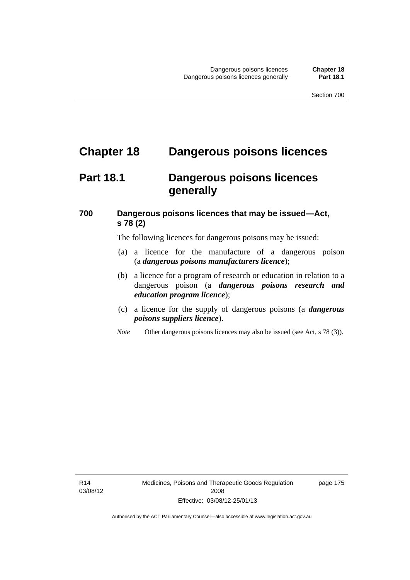## **Chapter 18 Dangerous poisons licences**

## **Part 18.1 Dangerous poisons licences generally**

### **700 Dangerous poisons licences that may be issued—Act, s 78 (2)**

The following licences for dangerous poisons may be issued:

- (a) a licence for the manufacture of a dangerous poison (a *dangerous poisons manufacturers licence*);
- (b) a licence for a program of research or education in relation to a dangerous poison (a *dangerous poisons research and education program licence*);
- (c) a licence for the supply of dangerous poisons (a *dangerous poisons suppliers licence*).
- *Note* Other dangerous poisons licences may also be issued (see Act, s 78 (3)).

R14 03/08/12 page 175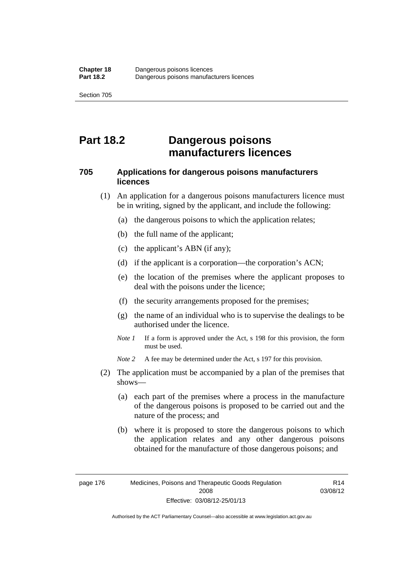## **Part 18.2 Dangerous poisons manufacturers licences**

#### **705 Applications for dangerous poisons manufacturers licences**

- (1) An application for a dangerous poisons manufacturers licence must be in writing, signed by the applicant, and include the following:
	- (a) the dangerous poisons to which the application relates;
	- (b) the full name of the applicant;
	- (c) the applicant's ABN (if any);
	- (d) if the applicant is a corporation—the corporation's ACN;
	- (e) the location of the premises where the applicant proposes to deal with the poisons under the licence;
	- (f) the security arrangements proposed for the premises;
	- (g) the name of an individual who is to supervise the dealings to be authorised under the licence.
	- *Note 1* If a form is approved under the Act, s 198 for this provision, the form must be used.

*Note 2* A fee may be determined under the Act, s 197 for this provision.

- (2) The application must be accompanied by a plan of the premises that shows—
	- (a) each part of the premises where a process in the manufacture of the dangerous poisons is proposed to be carried out and the nature of the process; and
	- (b) where it is proposed to store the dangerous poisons to which the application relates and any other dangerous poisons obtained for the manufacture of those dangerous poisons; and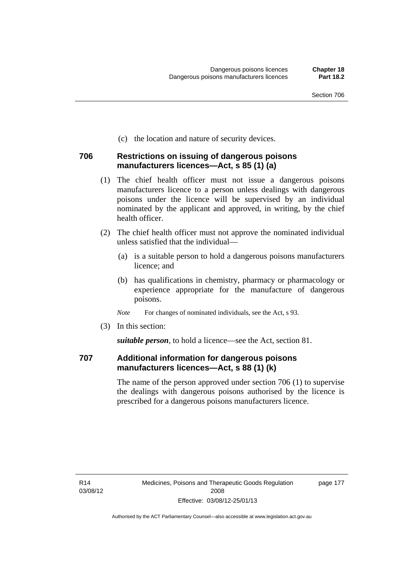(c) the location and nature of security devices.

#### **706 Restrictions on issuing of dangerous poisons manufacturers licences—Act, s 85 (1) (a)**

- (1) The chief health officer must not issue a dangerous poisons manufacturers licence to a person unless dealings with dangerous poisons under the licence will be supervised by an individual nominated by the applicant and approved, in writing, by the chief health officer.
- (2) The chief health officer must not approve the nominated individual unless satisfied that the individual—
	- (a) is a suitable person to hold a dangerous poisons manufacturers licence; and
	- (b) has qualifications in chemistry, pharmacy or pharmacology or experience appropriate for the manufacture of dangerous poisons.
	- *Note* For changes of nominated individuals, see the Act, s 93.
- (3) In this section:

*suitable person*, to hold a licence—see the Act, section 81.

#### **707 Additional information for dangerous poisons manufacturers licences—Act, s 88 (1) (k)**

The name of the person approved under section 706 (1) to supervise the dealings with dangerous poisons authorised by the licence is prescribed for a dangerous poisons manufacturers licence.

page 177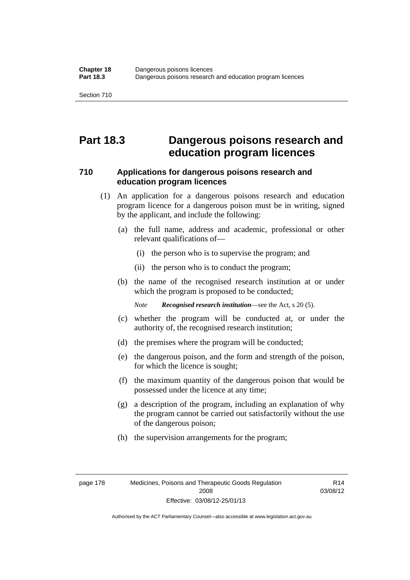## **Part 18.3 Dangerous poisons research and education program licences**

#### **710 Applications for dangerous poisons research and education program licences**

- (1) An application for a dangerous poisons research and education program licence for a dangerous poison must be in writing, signed by the applicant, and include the following:
	- (a) the full name, address and academic, professional or other relevant qualifications of—
		- (i) the person who is to supervise the program; and
		- (ii) the person who is to conduct the program;
	- (b) the name of the recognised research institution at or under which the program is proposed to be conducted;

*Note Recognised research institution*—see the Act, s 20 (5).

- (c) whether the program will be conducted at, or under the authority of, the recognised research institution;
- (d) the premises where the program will be conducted;
- (e) the dangerous poison, and the form and strength of the poison, for which the licence is sought;
- (f) the maximum quantity of the dangerous poison that would be possessed under the licence at any time;
- (g) a description of the program, including an explanation of why the program cannot be carried out satisfactorily without the use of the dangerous poison;
- (h) the supervision arrangements for the program;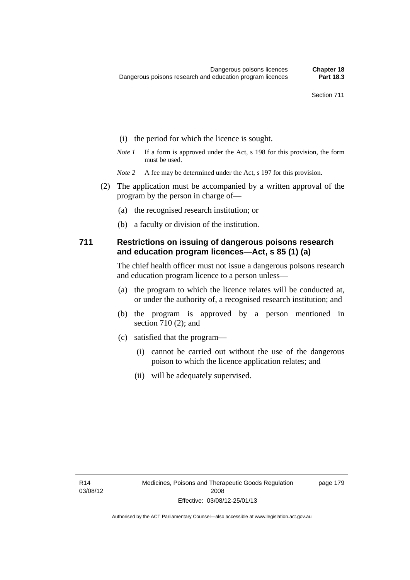- (i) the period for which the licence is sought.
- *Note 1* If a form is approved under the Act, s 198 for this provision, the form must be used.
- *Note* 2 A fee may be determined under the Act, s 197 for this provision.
- (2) The application must be accompanied by a written approval of the program by the person in charge of—
	- (a) the recognised research institution; or
	- (b) a faculty or division of the institution.

#### **711 Restrictions on issuing of dangerous poisons research and education program licences—Act, s 85 (1) (a)**

The chief health officer must not issue a dangerous poisons research and education program licence to a person unless—

- (a) the program to which the licence relates will be conducted at, or under the authority of, a recognised research institution; and
- (b) the program is approved by a person mentioned in section 710 (2); and
- (c) satisfied that the program—
	- (i) cannot be carried out without the use of the dangerous poison to which the licence application relates; and
	- (ii) will be adequately supervised.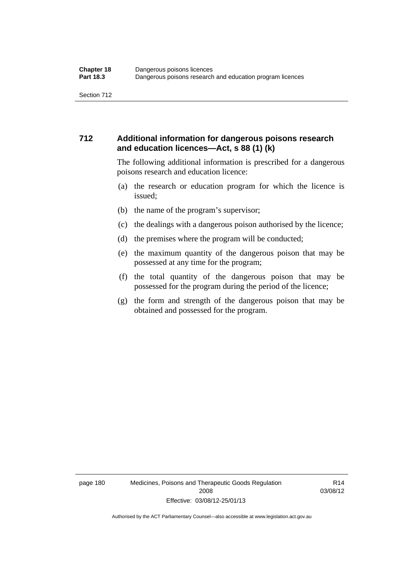#### **712 Additional information for dangerous poisons research and education licences—Act, s 88 (1) (k)**

The following additional information is prescribed for a dangerous poisons research and education licence:

- (a) the research or education program for which the licence is issued;
- (b) the name of the program's supervisor;
- (c) the dealings with a dangerous poison authorised by the licence;
- (d) the premises where the program will be conducted;
- (e) the maximum quantity of the dangerous poison that may be possessed at any time for the program;
- (f) the total quantity of the dangerous poison that may be possessed for the program during the period of the licence;
- (g) the form and strength of the dangerous poison that may be obtained and possessed for the program.

page 180 Medicines, Poisons and Therapeutic Goods Regulation 2008 Effective: 03/08/12-25/01/13

R14 03/08/12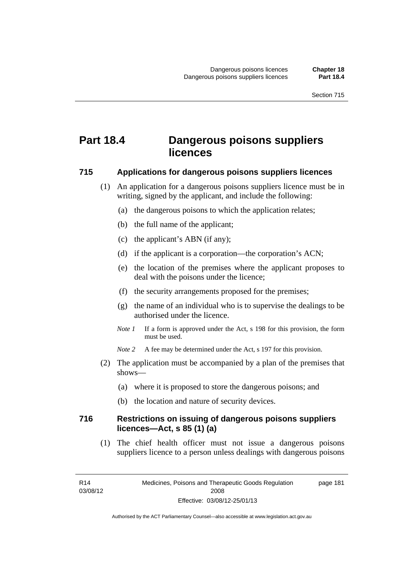## **Part 18.4 Dangerous poisons suppliers licences**

#### **715 Applications for dangerous poisons suppliers licences**

- (1) An application for a dangerous poisons suppliers licence must be in writing, signed by the applicant, and include the following:
	- (a) the dangerous poisons to which the application relates;
	- (b) the full name of the applicant;
	- (c) the applicant's ABN (if any);
	- (d) if the applicant is a corporation—the corporation's ACN;
	- (e) the location of the premises where the applicant proposes to deal with the poisons under the licence;
	- (f) the security arrangements proposed for the premises;
	- (g) the name of an individual who is to supervise the dealings to be authorised under the licence.
	- *Note 1* If a form is approved under the Act, s 198 for this provision, the form must be used.
	- *Note* 2 A fee may be determined under the Act, s 197 for this provision.
- (2) The application must be accompanied by a plan of the premises that shows—
	- (a) where it is proposed to store the dangerous poisons; and
	- (b) the location and nature of security devices.

#### **716 Restrictions on issuing of dangerous poisons suppliers licences—Act, s 85 (1) (a)**

(1) The chief health officer must not issue a dangerous poisons suppliers licence to a person unless dealings with dangerous poisons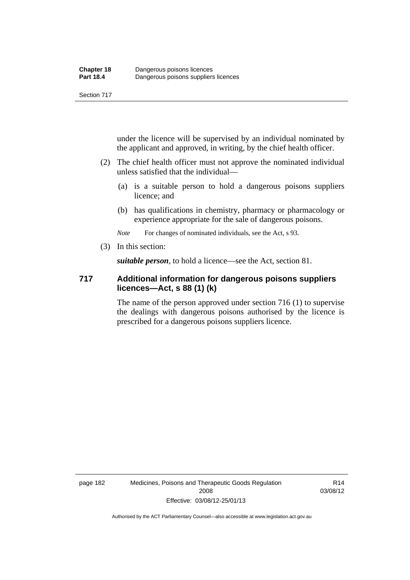under the licence will be supervised by an individual nominated by the applicant and approved, in writing, by the chief health officer.

- (2) The chief health officer must not approve the nominated individual unless satisfied that the individual—
	- (a) is a suitable person to hold a dangerous poisons suppliers licence; and
	- (b) has qualifications in chemistry, pharmacy or pharmacology or experience appropriate for the sale of dangerous poisons.

*Note* For changes of nominated individuals, see the Act, s 93.

(3) In this section:

*suitable person*, to hold a licence—see the Act, section 81.

#### **717 Additional information for dangerous poisons suppliers licences—Act, s 88 (1) (k)**

The name of the person approved under section 716 (1) to supervise the dealings with dangerous poisons authorised by the licence is prescribed for a dangerous poisons suppliers licence.

page 182 Medicines, Poisons and Therapeutic Goods Regulation 2008 Effective: 03/08/12-25/01/13

R14 03/08/12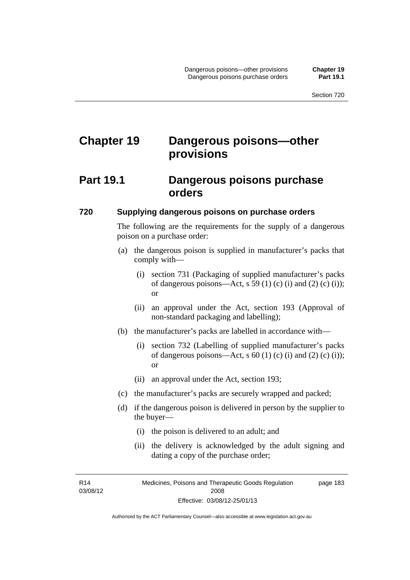# **Chapter 19 Dangerous poisons—other provisions**

### **Part 19.1 Dangerous poisons purchase orders**

#### **720 Supplying dangerous poisons on purchase orders**

The following are the requirements for the supply of a dangerous poison on a purchase order:

- (a) the dangerous poison is supplied in manufacturer's packs that comply with—
	- (i) section 731 (Packaging of supplied manufacturer's packs of dangerous poisons—Act, s 59 (1) (c) (i) and (2) (c) (i)); or
	- (ii) an approval under the Act, section 193 (Approval of non-standard packaging and labelling);
- (b) the manufacturer's packs are labelled in accordance with—
	- (i) section 732 (Labelling of supplied manufacturer's packs of dangerous poisons—Act,  $s$  60 (1) (c) (i) and (2) (c) (i)); or
	- (ii) an approval under the Act, section 193;
- (c) the manufacturer's packs are securely wrapped and packed;
- (d) if the dangerous poison is delivered in person by the supplier to the buyer—
	- (i) the poison is delivered to an adult; and
	- (ii) the delivery is acknowledged by the adult signing and dating a copy of the purchase order;

R14 03/08/12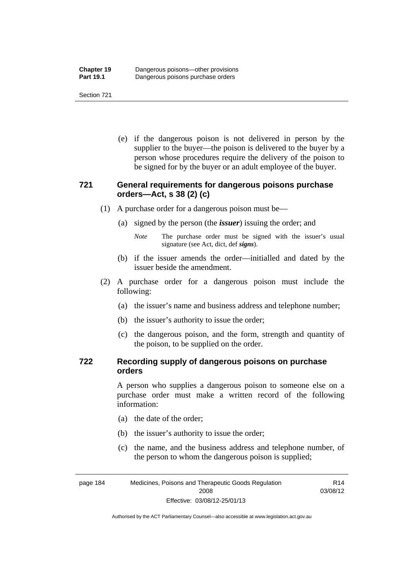(e) if the dangerous poison is not delivered in person by the supplier to the buyer—the poison is delivered to the buyer by a person whose procedures require the delivery of the poison to be signed for by the buyer or an adult employee of the buyer.

#### **721 General requirements for dangerous poisons purchase orders—Act, s 38 (2) (c)**

- (1) A purchase order for a dangerous poison must be—
	- (a) signed by the person (the *issuer*) issuing the order; and
		- *Note* The purchase order must be signed with the issuer's usual signature (see Act, dict, def *signs*).
	- (b) if the issuer amends the order—initialled and dated by the issuer beside the amendment.
- (2) A purchase order for a dangerous poison must include the following:
	- (a) the issuer's name and business address and telephone number;
	- (b) the issuer's authority to issue the order;
	- (c) the dangerous poison, and the form, strength and quantity of the poison, to be supplied on the order.

#### **722 Recording supply of dangerous poisons on purchase orders**

A person who supplies a dangerous poison to someone else on a purchase order must make a written record of the following information:

- (a) the date of the order;
- (b) the issuer's authority to issue the order;
- (c) the name, and the business address and telephone number, of the person to whom the dangerous poison is supplied;

R14 03/08/12

page 184 Medicines, Poisons and Therapeutic Goods Regulation 2008 Effective: 03/08/12-25/01/13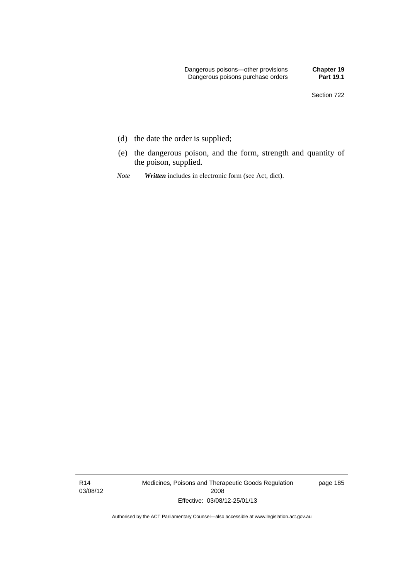- (d) the date the order is supplied;
- (e) the dangerous poison, and the form, strength and quantity of the poison, supplied.
- *Note Written* includes in electronic form (see Act, dict).

R14 03/08/12 Medicines, Poisons and Therapeutic Goods Regulation 2008 Effective: 03/08/12-25/01/13

page 185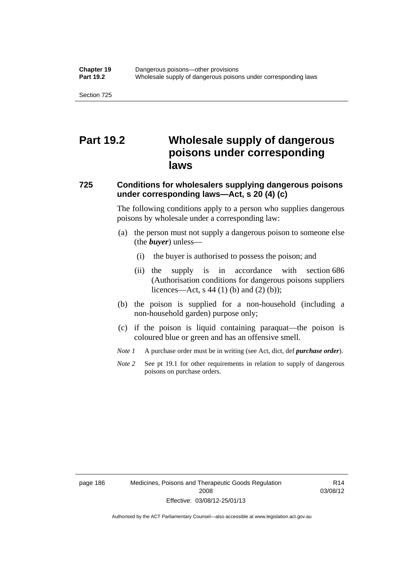## **Part 19.2 Wholesale supply of dangerous poisons under corresponding laws**

### **725 Conditions for wholesalers supplying dangerous poisons under corresponding laws—Act, s 20 (4) (c)**

The following conditions apply to a person who supplies dangerous poisons by wholesale under a corresponding law:

- (a) the person must not supply a dangerous poison to someone else (the *buyer*) unless—
	- (i) the buyer is authorised to possess the poison; and
	- (ii) the supply is in accordance with section 686 (Authorisation conditions for dangerous poisons suppliers licences—Act, s 44 (1) (b) and (2) (b));
- (b) the poison is supplied for a non-household (including a non-household garden) purpose only;
- (c) if the poison is liquid containing paraquat—the poison is coloured blue or green and has an offensive smell.
- *Note 1* A purchase order must be in writing (see Act, dict, def *purchase order*).
- *Note* 2 See pt 19.1 for other requirements in relation to supply of dangerous poisons on purchase orders.

page 186 Medicines, Poisons and Therapeutic Goods Regulation 2008 Effective: 03/08/12-25/01/13

R14 03/08/12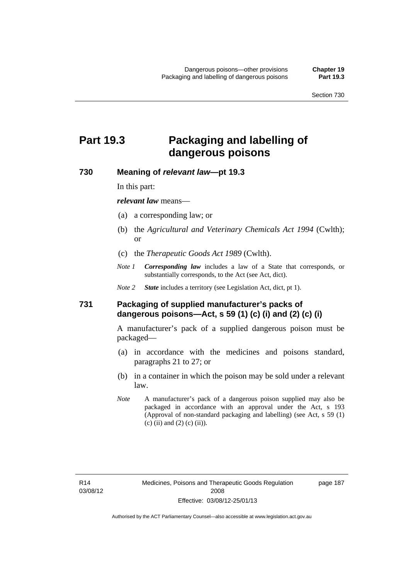# **Part 19.3 Packaging and labelling of dangerous poisons**

#### **730 Meaning of** *relevant law***—pt 19.3**

In this part:

*relevant law* means—

- (a) a corresponding law; or
- (b) the *Agricultural and Veterinary Chemicals Act 1994* (Cwlth); or
- (c) the *Therapeutic Goods Act 1989* (Cwlth).
- *Note 1 Corresponding law* includes a law of a State that corresponds, or substantially corresponds, to the Act (see Act, dict).

*Note 2 State* includes a territory (see Legislation Act, dict, pt 1).

#### **731 Packaging of supplied manufacturer's packs of dangerous poisons—Act, s 59 (1) (c) (i) and (2) (c) (i)**

A manufacturer's pack of a supplied dangerous poison must be packaged—

- (a) in accordance with the medicines and poisons standard, paragraphs 21 to 27; or
- (b) in a container in which the poison may be sold under a relevant law.
- *Note* A manufacturer's pack of a dangerous poison supplied may also be packaged in accordance with an approval under the Act, s 193 (Approval of non-standard packaging and labelling) (see Act, s 59 (1) (c) (ii) and (2) (c) (ii)).

page 187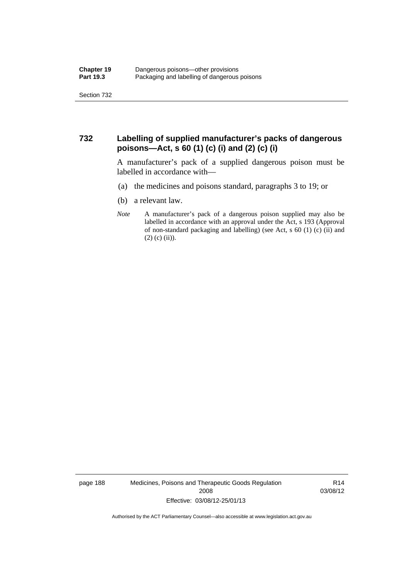#### **732 Labelling of supplied manufacturer's packs of dangerous poisons—Act, s 60 (1) (c) (i) and (2) (c) (i)**

A manufacturer's pack of a supplied dangerous poison must be labelled in accordance with—

- (a) the medicines and poisons standard, paragraphs 3 to 19; or
- (b) a relevant law.
- *Note* A manufacturer's pack of a dangerous poison supplied may also be labelled in accordance with an approval under the Act, s 193 (Approval of non-standard packaging and labelling) (see Act, s 60 (1) (c) (ii) and  $(2)$  (c) (ii)).

page 188 Medicines, Poisons and Therapeutic Goods Regulation 2008 Effective: 03/08/12-25/01/13

R14 03/08/12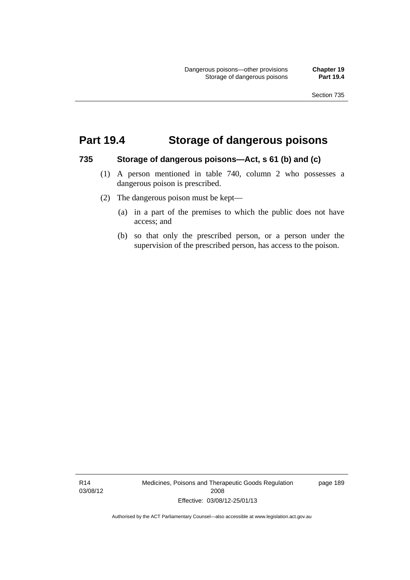## **Part 19.4 Storage of dangerous poisons**

#### **735 Storage of dangerous poisons—Act, s 61 (b) and (c)**

- (1) A person mentioned in table 740, column 2 who possesses a dangerous poison is prescribed.
- (2) The dangerous poison must be kept—
	- (a) in a part of the premises to which the public does not have access; and
	- (b) so that only the prescribed person, or a person under the supervision of the prescribed person, has access to the poison.

R14 03/08/12 Medicines, Poisons and Therapeutic Goods Regulation 2008 Effective: 03/08/12-25/01/13

page 189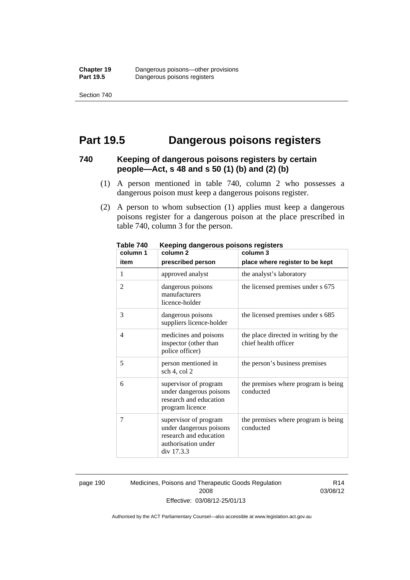## **Part 19.5 Dangerous poisons registers**

#### **740 Keeping of dangerous poisons registers by certain people—Act, s 48 and s 50 (1) (b) and (2) (b)**

- (1) A person mentioned in table 740, column 2 who possesses a dangerous poison must keep a dangerous poisons register.
- (2) A person to whom subsection (1) applies must keep a dangerous poisons register for a dangerous poison at the place prescribed in table 740, column 3 for the person.

| 1 ANIC 140<br>column 1 | <u>Reepiriy dariyerous poisons registers</u><br>column <sub>2</sub>                                             | column 3                                                     |
|------------------------|-----------------------------------------------------------------------------------------------------------------|--------------------------------------------------------------|
| item                   | prescribed person                                                                                               | place where register to be kept                              |
| 1                      | approved analyst                                                                                                | the analyst's laboratory                                     |
| $\overline{2}$         | dangerous poisons<br>manufacturers<br>licence-holder                                                            | the licensed premises under s 675                            |
| 3                      | dangerous poisons<br>suppliers licence-holder                                                                   | the licensed premises under s 685                            |
| 4                      | medicines and poisons<br>inspector (other than<br>police officer)                                               | the place directed in writing by the<br>chief health officer |
| 5                      | person mentioned in<br>sch 4, col 2                                                                             | the person's business premises                               |
| 6                      | supervisor of program<br>under dangerous poisons<br>research and education<br>program licence                   | the premises where program is being<br>conducted             |
| 7                      | supervisor of program<br>under dangerous poisons<br>research and education<br>authorisation under<br>div 17.3.3 | the premises where program is being<br>conducted             |

**Table 740 Keeping dangerous poisons registers** 

page 190 Medicines, Poisons and Therapeutic Goods Regulation 2008 Effective: 03/08/12-25/01/13

R14 03/08/12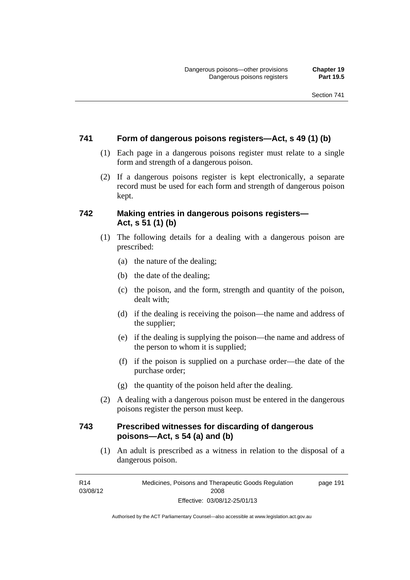#### **741 Form of dangerous poisons registers—Act, s 49 (1) (b)**

- (1) Each page in a dangerous poisons register must relate to a single form and strength of a dangerous poison.
- (2) If a dangerous poisons register is kept electronically, a separate record must be used for each form and strength of dangerous poison kept.

#### **742 Making entries in dangerous poisons registers— Act, s 51 (1) (b)**

- (1) The following details for a dealing with a dangerous poison are prescribed:
	- (a) the nature of the dealing;
	- (b) the date of the dealing;
	- (c) the poison, and the form, strength and quantity of the poison, dealt with;
	- (d) if the dealing is receiving the poison—the name and address of the supplier;
	- (e) if the dealing is supplying the poison—the name and address of the person to whom it is supplied;
	- (f) if the poison is supplied on a purchase order—the date of the purchase order;
	- (g) the quantity of the poison held after the dealing.
- (2) A dealing with a dangerous poison must be entered in the dangerous poisons register the person must keep.

#### **743 Prescribed witnesses for discarding of dangerous poisons—Act, s 54 (a) and (b)**

 (1) An adult is prescribed as a witness in relation to the disposal of a dangerous poison.

R14 03/08/12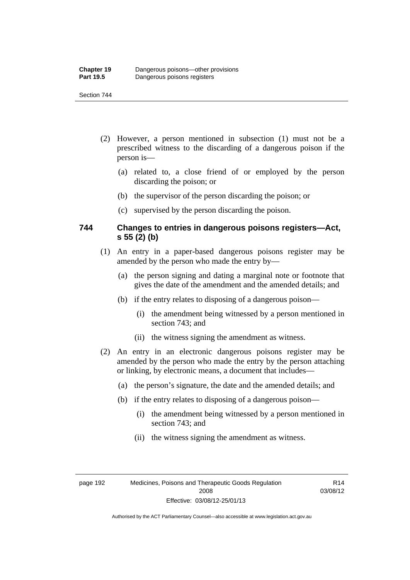- (2) However, a person mentioned in subsection (1) must not be a prescribed witness to the discarding of a dangerous poison if the person is—
	- (a) related to, a close friend of or employed by the person discarding the poison; or
	- (b) the supervisor of the person discarding the poison; or
	- (c) supervised by the person discarding the poison.

#### **744 Changes to entries in dangerous poisons registers—Act, s 55 (2) (b)**

- (1) An entry in a paper-based dangerous poisons register may be amended by the person who made the entry by—
	- (a) the person signing and dating a marginal note or footnote that gives the date of the amendment and the amended details; and
	- (b) if the entry relates to disposing of a dangerous poison—
		- (i) the amendment being witnessed by a person mentioned in section 743; and
		- (ii) the witness signing the amendment as witness.
- (2) An entry in an electronic dangerous poisons register may be amended by the person who made the entry by the person attaching or linking, by electronic means, a document that includes—
	- (a) the person's signature, the date and the amended details; and
	- (b) if the entry relates to disposing of a dangerous poison—
		- (i) the amendment being witnessed by a person mentioned in section 743; and
		- (ii) the witness signing the amendment as witness.

page 192 Medicines, Poisons and Therapeutic Goods Regulation 2008 Effective: 03/08/12-25/01/13

R14 03/08/12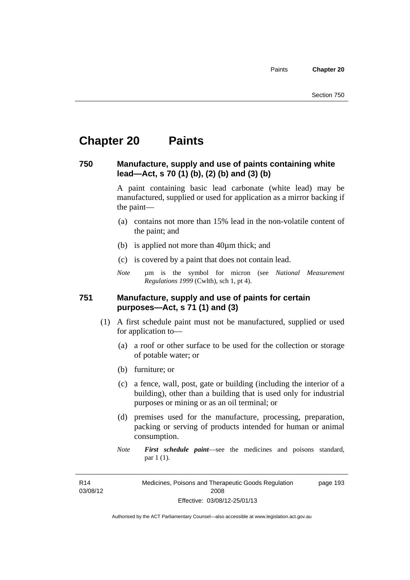# **Chapter 20 Paints**

#### **750 Manufacture, supply and use of paints containing white lead—Act, s 70 (1) (b), (2) (b) and (3) (b)**

A paint containing basic lead carbonate (white lead) may be manufactured, supplied or used for application as a mirror backing if the paint—

- (a) contains not more than 15% lead in the non-volatile content of the paint; and
- (b) is applied not more than 40µm thick; and
- (c) is covered by a paint that does not contain lead.
- *Note* µm is the symbol for micron (see *National Measurement Regulations 1999* (Cwlth), sch 1, pt 4).

#### **751 Manufacture, supply and use of paints for certain purposes—Act, s 71 (1) and (3)**

- (1) A first schedule paint must not be manufactured, supplied or used for application to—
	- (a) a roof or other surface to be used for the collection or storage of potable water; or
	- (b) furniture; or
	- (c) a fence, wall, post, gate or building (including the interior of a building), other than a building that is used only for industrial purposes or mining or as an oil terminal; or
	- (d) premises used for the manufacture, processing, preparation, packing or serving of products intended for human or animal consumption.
	- *Note First schedule paint*—see the medicines and poisons standard, par 1 (1).

R14 03/08/12 Medicines, Poisons and Therapeutic Goods Regulation 2008 Effective: 03/08/12-25/01/13 page 193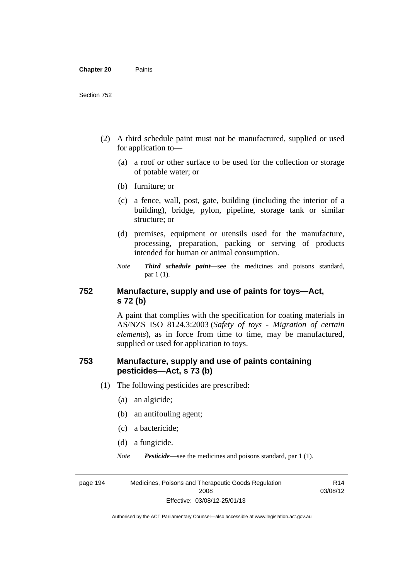- (2) A third schedule paint must not be manufactured, supplied or used for application to—
	- (a) a roof or other surface to be used for the collection or storage of potable water; or
	- (b) furniture; or
	- (c) a fence, wall, post, gate, building (including the interior of a building), bridge, pylon, pipeline, storage tank or similar structure; or
	- (d) premises, equipment or utensils used for the manufacture, processing, preparation, packing or serving of products intended for human or animal consumption.
	- *Note Third schedule paint*—see the medicines and poisons standard, par 1 (1).

### **752 Manufacture, supply and use of paints for toys—Act, s 72 (b)**

A paint that complies with the specification for coating materials in AS/NZS ISO 8124.3:2003 (*Safety of toys - Migration of certain elements*), as in force from time to time, may be manufactured, supplied or used for application to toys.

### **753 Manufacture, supply and use of paints containing pesticides—Act, s 73 (b)**

- (1) The following pesticides are prescribed:
	- (a) an algicide;
	- (b) an antifouling agent;
	- (c) a bactericide;
	- (d) a fungicide.
	- *Note Pesticide*—see the medicines and poisons standard, par 1 (1).

page 194 Medicines, Poisons and Therapeutic Goods Regulation 2008 Effective: 03/08/12-25/01/13

R14 03/08/12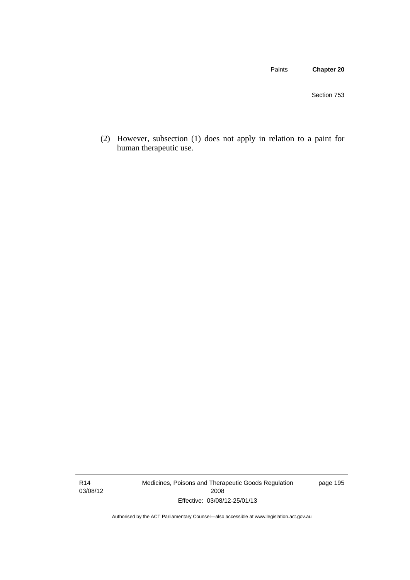Paints **Chapter 20**

 (2) However, subsection (1) does not apply in relation to a paint for human therapeutic use.

R14 03/08/12 Medicines, Poisons and Therapeutic Goods Regulation 2008 Effective: 03/08/12-25/01/13

page 195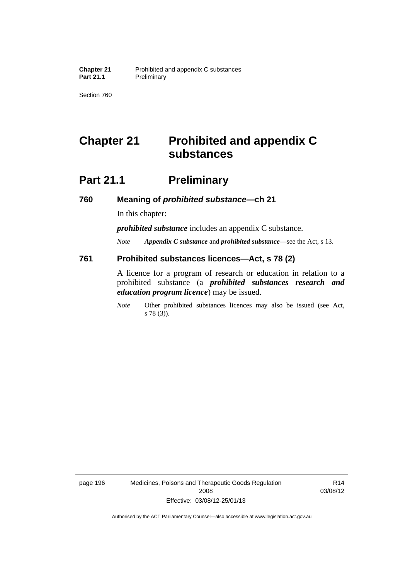Section 760

### **Chapter 21 Prohibited and appendix C substances**

### **Part 21.1** Preliminary

**760 Meaning of** *prohibited substance***—ch 21** 

In this chapter:

*prohibited substance* includes an appendix C substance.

*Note Appendix C substance* and *prohibited substance*—see the Act, s 13.

#### **761 Prohibited substances licences—Act, s 78 (2)**

A licence for a program of research or education in relation to a prohibited substance (a *prohibited substances research and education program licence*) may be issued.

*Note* Other prohibited substances licences may also be issued (see Act, s 78 (3)).

page 196 Medicines, Poisons and Therapeutic Goods Regulation 2008 Effective: 03/08/12-25/01/13

R14 03/08/12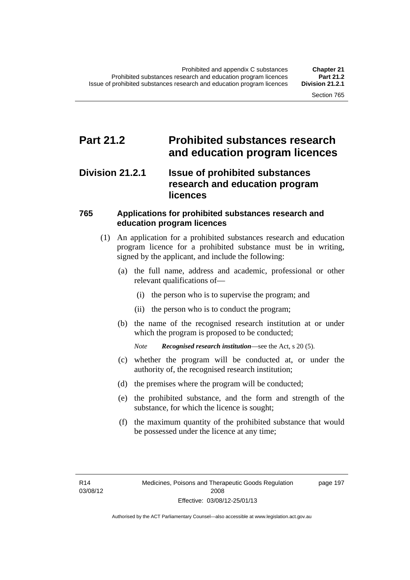### **Part 21.2 Prohibited substances research and education program licences**

#### **Division 21.2.1 Issue of prohibited substances research and education program licences**

#### **765 Applications for prohibited substances research and education program licences**

- (1) An application for a prohibited substances research and education program licence for a prohibited substance must be in writing, signed by the applicant, and include the following:
	- (a) the full name, address and academic, professional or other relevant qualifications of—
		- (i) the person who is to supervise the program; and
		- (ii) the person who is to conduct the program;
	- (b) the name of the recognised research institution at or under which the program is proposed to be conducted;
		- *Note Recognised research institution*—see the Act, s 20 (5).
	- (c) whether the program will be conducted at, or under the authority of, the recognised research institution;
	- (d) the premises where the program will be conducted;
	- (e) the prohibited substance, and the form and strength of the substance, for which the licence is sought;
	- (f) the maximum quantity of the prohibited substance that would be possessed under the licence at any time;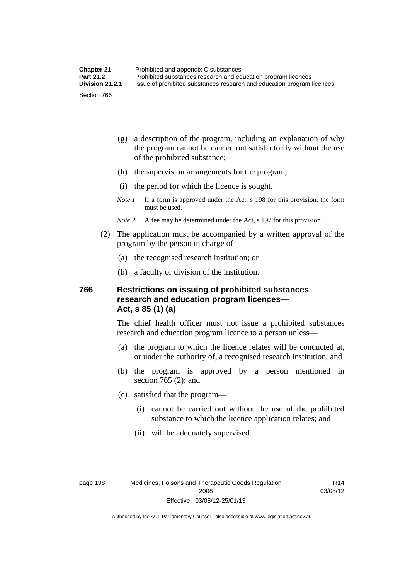- (g) a description of the program, including an explanation of why the program cannot be carried out satisfactorily without the use of the prohibited substance;
- (h) the supervision arrangements for the program;
- (i) the period for which the licence is sought.
- *Note 1* If a form is approved under the Act, s 198 for this provision, the form must be used.
- *Note 2* A fee may be determined under the Act, s 197 for this provision.
- (2) The application must be accompanied by a written approval of the program by the person in charge of—
	- (a) the recognised research institution; or
	- (b) a faculty or division of the institution.

#### **766 Restrictions on issuing of prohibited substances research and education program licences— Act, s 85 (1) (a)**

The chief health officer must not issue a prohibited substances research and education program licence to a person unless—

- (a) the program to which the licence relates will be conducted at, or under the authority of, a recognised research institution; and
- (b) the program is approved by a person mentioned in section 765 (2); and
- (c) satisfied that the program—
	- (i) cannot be carried out without the use of the prohibited substance to which the licence application relates; and
	- (ii) will be adequately supervised.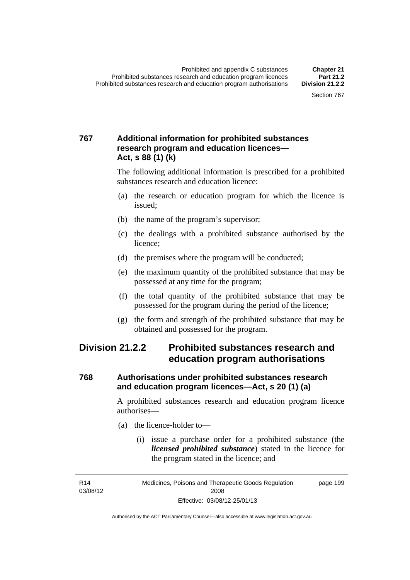#### **767 Additional information for prohibited substances research program and education licences— Act, s 88 (1) (k)**

The following additional information is prescribed for a prohibited substances research and education licence:

- (a) the research or education program for which the licence is issued;
- (b) the name of the program's supervisor;
- (c) the dealings with a prohibited substance authorised by the licence;
- (d) the premises where the program will be conducted;
- (e) the maximum quantity of the prohibited substance that may be possessed at any time for the program;
- (f) the total quantity of the prohibited substance that may be possessed for the program during the period of the licence;
- (g) the form and strength of the prohibited substance that may be obtained and possessed for the program.

### **Division 21.2.2 Prohibited substances research and education program authorisations**

#### **768 Authorisations under prohibited substances research and education program licences—Act, s 20 (1) (a)**

A prohibited substances research and education program licence authorises—

- (a) the licence-holder to—
	- (i) issue a purchase order for a prohibited substance (the *licensed prohibited substance*) stated in the licence for the program stated in the licence; and

R14 03/08/12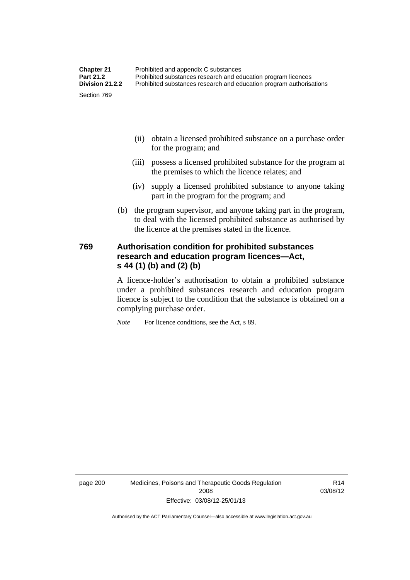- (ii) obtain a licensed prohibited substance on a purchase order for the program; and
- (iii) possess a licensed prohibited substance for the program at the premises to which the licence relates; and
- (iv) supply a licensed prohibited substance to anyone taking part in the program for the program; and
- (b) the program supervisor, and anyone taking part in the program, to deal with the licensed prohibited substance as authorised by the licence at the premises stated in the licence.

#### **769 Authorisation condition for prohibited substances research and education program licences—Act, s 44 (1) (b) and (2) (b)**

A licence-holder's authorisation to obtain a prohibited substance under a prohibited substances research and education program licence is subject to the condition that the substance is obtained on a complying purchase order.

*Note* For licence conditions, see the Act, s 89.

page 200 Medicines, Poisons and Therapeutic Goods Regulation 2008 Effective: 03/08/12-25/01/13

R14 03/08/12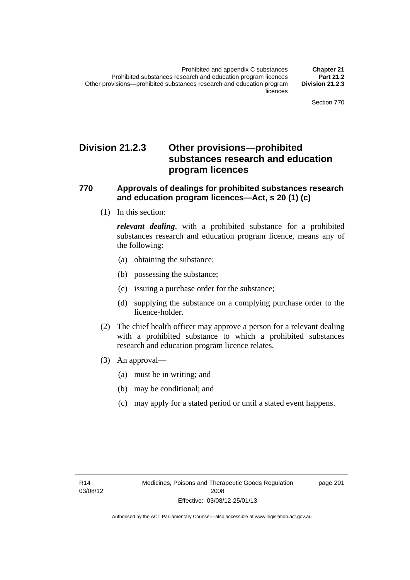### **Division 21.2.3 Other provisions—prohibited substances research and education program licences**

#### **770 Approvals of dealings for prohibited substances research and education program licences—Act, s 20 (1) (c)**

(1) In this section:

*relevant dealing*, with a prohibited substance for a prohibited substances research and education program licence, means any of the following:

- (a) obtaining the substance;
- (b) possessing the substance;
- (c) issuing a purchase order for the substance;
- (d) supplying the substance on a complying purchase order to the licence-holder.
- (2) The chief health officer may approve a person for a relevant dealing with a prohibited substance to which a prohibited substances research and education program licence relates.
- (3) An approval—
	- (a) must be in writing; and
	- (b) may be conditional; and
	- (c) may apply for a stated period or until a stated event happens.

page 201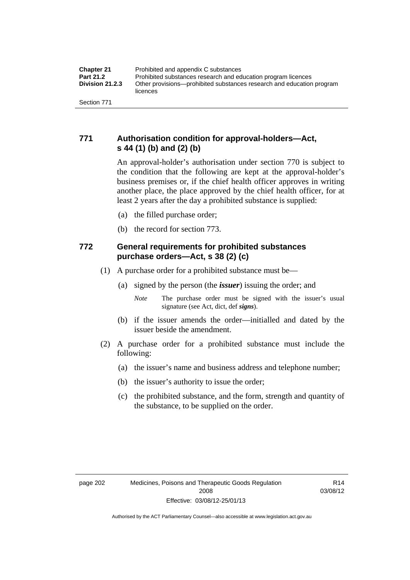#### **771 Authorisation condition for approval-holders—Act, s 44 (1) (b) and (2) (b)**

An approval-holder's authorisation under section 770 is subject to the condition that the following are kept at the approval-holder's business premises or, if the chief health officer approves in writing another place, the place approved by the chief health officer, for at least 2 years after the day a prohibited substance is supplied:

- (a) the filled purchase order;
- (b) the record for section 773.

#### **772 General requirements for prohibited substances purchase orders—Act, s 38 (2) (c)**

- (1) A purchase order for a prohibited substance must be—
	- (a) signed by the person (the *issuer*) issuing the order; and
		- *Note* The purchase order must be signed with the issuer's usual signature (see Act, dict, def *signs*).
	- (b) if the issuer amends the order—initialled and dated by the issuer beside the amendment.
- (2) A purchase order for a prohibited substance must include the following:
	- (a) the issuer's name and business address and telephone number;
	- (b) the issuer's authority to issue the order;
	- (c) the prohibited substance, and the form, strength and quantity of the substance, to be supplied on the order.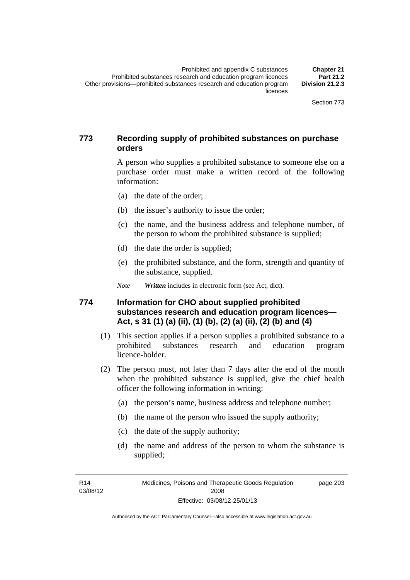#### **773 Recording supply of prohibited substances on purchase orders**

A person who supplies a prohibited substance to someone else on a purchase order must make a written record of the following information:

- (a) the date of the order;
- (b) the issuer's authority to issue the order;
- (c) the name, and the business address and telephone number, of the person to whom the prohibited substance is supplied;
- (d) the date the order is supplied;
- (e) the prohibited substance, and the form, strength and quantity of the substance, supplied.

*Note Written* includes in electronic form (see Act, dict).

#### **774 Information for CHO about supplied prohibited substances research and education program licences— Act, s 31 (1) (a) (ii), (1) (b), (2) (a) (ii), (2) (b) and (4)**

- (1) This section applies if a person supplies a prohibited substance to a prohibited substances research and education program licence-holder.
- (2) The person must, not later than 7 days after the end of the month when the prohibited substance is supplied, give the chief health officer the following information in writing:
	- (a) the person's name, business address and telephone number;
	- (b) the name of the person who issued the supply authority;
	- (c) the date of the supply authority;
	- (d) the name and address of the person to whom the substance is supplied;

R14 03/08/12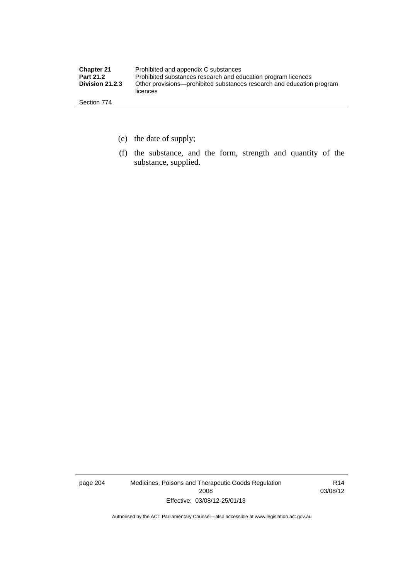| <b>Chapter 21</b>      | Prohibited and appendix C substances                                              |
|------------------------|-----------------------------------------------------------------------------------|
| <b>Part 21.2</b>       | Prohibited substances research and education program licences                     |
| <b>Division 21.2.3</b> | Other provisions—prohibited substances research and education program<br>licences |
| Section 774            |                                                                                   |

- (e) the date of supply;
- (f) the substance, and the form, strength and quantity of the substance, supplied.

page 204 Medicines, Poisons and Therapeutic Goods Regulation 2008 Effective: 03/08/12-25/01/13

R14 03/08/12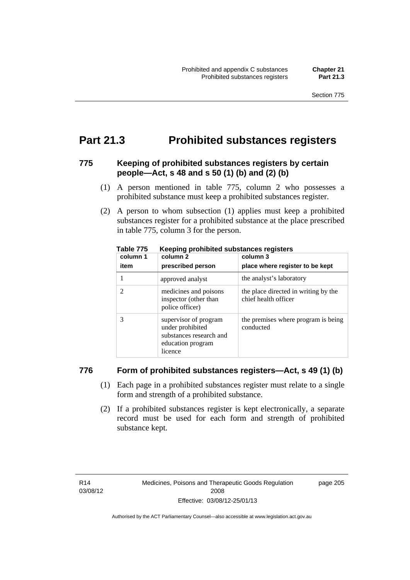### **Part 21.3 Prohibited substances registers**

#### **775 Keeping of prohibited substances registers by certain people—Act, s 48 and s 50 (1) (b) and (2) (b)**

- (1) A person mentioned in table 775, column 2 who possesses a prohibited substance must keep a prohibited substances register.
- (2) A person to whom subsection (1) applies must keep a prohibited substances register for a prohibited substance at the place prescribed in table 775, column 3 for the person.

| column 1 | .<br>column 2                                                                                        | column 3                                                     |
|----------|------------------------------------------------------------------------------------------------------|--------------------------------------------------------------|
| item     | prescribed person                                                                                    | place where register to be kept                              |
|          | approved analyst                                                                                     | the analyst's laboratory                                     |
|          | medicines and poisons<br>inspector (other than<br>police officer)                                    | the place directed in writing by the<br>chief health officer |
|          | supervisor of program<br>under prohibited<br>substances research and<br>education program<br>licence | the premises where program is being<br>conducted             |

**Table 775 Keeping prohibited substances registers** 

#### **776 Form of prohibited substances registers—Act, s 49 (1) (b)**

- (1) Each page in a prohibited substances register must relate to a single form and strength of a prohibited substance.
- (2) If a prohibited substances register is kept electronically, a separate record must be used for each form and strength of prohibited substance kept.

page 205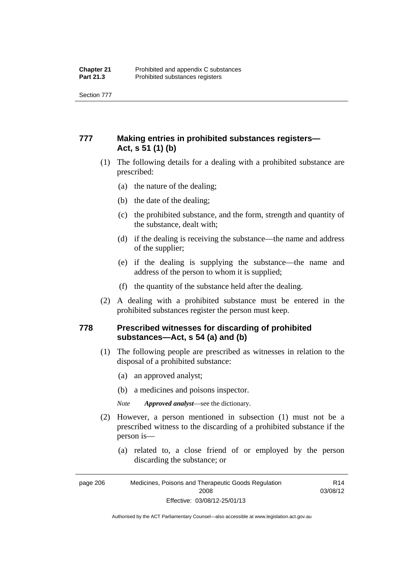Section 777

#### **777 Making entries in prohibited substances registers— Act, s 51 (1) (b)**

- (1) The following details for a dealing with a prohibited substance are prescribed:
	- (a) the nature of the dealing;
	- (b) the date of the dealing;
	- (c) the prohibited substance, and the form, strength and quantity of the substance, dealt with;
	- (d) if the dealing is receiving the substance—the name and address of the supplier;
	- (e) if the dealing is supplying the substance—the name and address of the person to whom it is supplied;
	- (f) the quantity of the substance held after the dealing.
- (2) A dealing with a prohibited substance must be entered in the prohibited substances register the person must keep.

#### **778 Prescribed witnesses for discarding of prohibited substances—Act, s 54 (a) and (b)**

- (1) The following people are prescribed as witnesses in relation to the disposal of a prohibited substance:
	- (a) an approved analyst;
	- (b) a medicines and poisons inspector.

*Note Approved analyst*—see the dictionary.

- (2) However, a person mentioned in subsection (1) must not be a prescribed witness to the discarding of a prohibited substance if the person is—
	- (a) related to, a close friend of or employed by the person discarding the substance; or

page 206 Medicines, Poisons and Therapeutic Goods Regulation 2008 Effective: 03/08/12-25/01/13 R14 03/08/12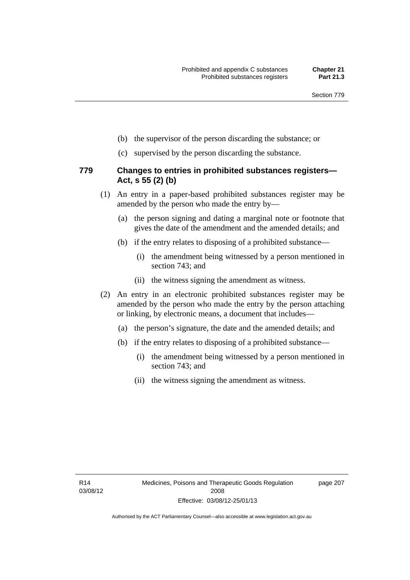- (b) the supervisor of the person discarding the substance; or
- (c) supervised by the person discarding the substance.

#### **779 Changes to entries in prohibited substances registers— Act, s 55 (2) (b)**

- (1) An entry in a paper-based prohibited substances register may be amended by the person who made the entry by—
	- (a) the person signing and dating a marginal note or footnote that gives the date of the amendment and the amended details; and
	- (b) if the entry relates to disposing of a prohibited substance—
		- (i) the amendment being witnessed by a person mentioned in section 743; and
		- (ii) the witness signing the amendment as witness.
- (2) An entry in an electronic prohibited substances register may be amended by the person who made the entry by the person attaching or linking, by electronic means, a document that includes—
	- (a) the person's signature, the date and the amended details; and
	- (b) if the entry relates to disposing of a prohibited substance—
		- (i) the amendment being witnessed by a person mentioned in section 743; and
		- (ii) the witness signing the amendment as witness.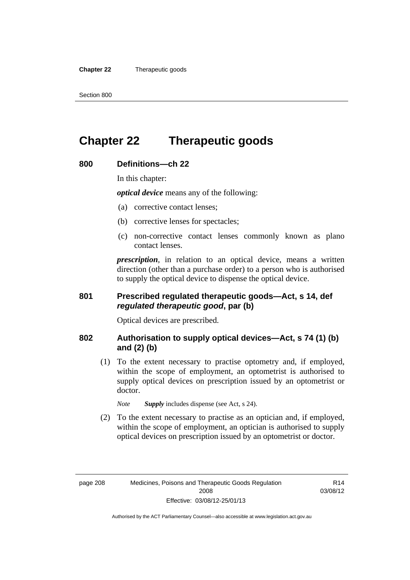**Chapter 22** Therapeutic goods

### **Chapter 22 Therapeutic goods**

#### **800 Definitions—ch 22**

In this chapter:

*optical device* means any of the following:

- (a) corrective contact lenses;
- (b) corrective lenses for spectacles;
- (c) non-corrective contact lenses commonly known as plano contact lenses.

*prescription*, in relation to an optical device, means a written direction (other than a purchase order) to a person who is authorised to supply the optical device to dispense the optical device.

#### **801 Prescribed regulated therapeutic goods—Act, s 14, def**  *regulated therapeutic good***, par (b)**

Optical devices are prescribed.

#### **802 Authorisation to supply optical devices—Act, s 74 (1) (b) and (2) (b)**

 (1) To the extent necessary to practise optometry and, if employed, within the scope of employment, an optometrist is authorised to supply optical devices on prescription issued by an optometrist or doctor.

*Note Supply* includes dispense (see Act, s 24).

 (2) To the extent necessary to practise as an optician and, if employed, within the scope of employment, an optician is authorised to supply optical devices on prescription issued by an optometrist or doctor.

R14 03/08/12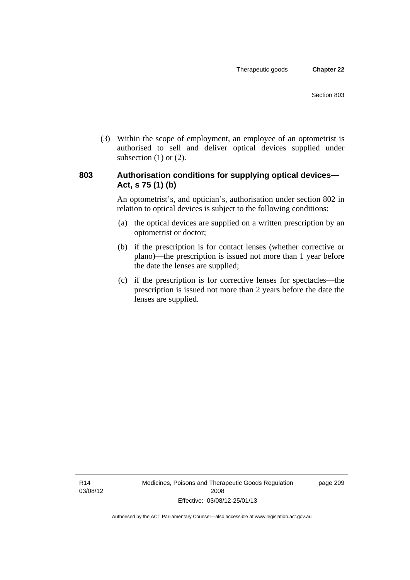(3) Within the scope of employment, an employee of an optometrist is authorised to sell and deliver optical devices supplied under subsection  $(1)$  or  $(2)$ .

#### **803 Authorisation conditions for supplying optical devices— Act, s 75 (1) (b)**

An optometrist's, and optician's, authorisation under section 802 in relation to optical devices is subject to the following conditions:

- (a) the optical devices are supplied on a written prescription by an optometrist or doctor;
- (b) if the prescription is for contact lenses (whether corrective or plano)—the prescription is issued not more than 1 year before the date the lenses are supplied;
- (c) if the prescription is for corrective lenses for spectacles—the prescription is issued not more than 2 years before the date the lenses are supplied.

page 209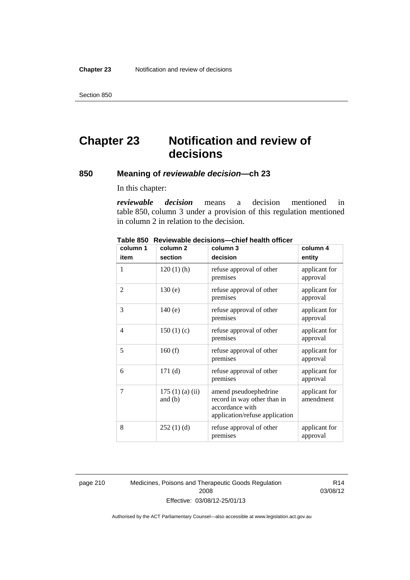Section 850

## **Chapter 23 Notification and review of decisions**

#### **850 Meaning of** *reviewable decision—***ch 23**

In this chapter:

*reviewable decision* means a decision mentioned in table 850, column 3 under a provision of this regulation mentioned in column 2 in relation to the decision.

| column 1       | column <sub>2</sub>        | column 3                                                                                                  | column 4                   |
|----------------|----------------------------|-----------------------------------------------------------------------------------------------------------|----------------------------|
| item           | section                    | decision                                                                                                  | entity                     |
| 1              | $120(1)$ (h)               | refuse approval of other<br>premises                                                                      | applicant for<br>approval  |
| 2              | 130(e)                     | refuse approval of other<br>premises                                                                      | applicant for<br>approval  |
| 3              | 140(e)                     | refuse approval of other<br>premises                                                                      | applicant for<br>approval  |
| $\overline{4}$ | 150(1)(c)                  | refuse approval of other<br>premises                                                                      | applicant for<br>approval  |
| 5              | 160(f)                     | refuse approval of other<br>premises                                                                      | applicant for<br>approval  |
| 6              | 171(d)                     | refuse approval of other<br>premises                                                                      | applicant for<br>approval  |
| 7              | 175(1)(a)(ii)<br>and $(b)$ | amend pseudoephedrine<br>record in way other than in<br>accordance with<br>application/refuse application | applicant for<br>amendment |
| 8              | 252(1)(d)                  | refuse approval of other<br>premises                                                                      | applicant for<br>approval  |

**Table 850 Reviewable decisions—chief health officer** 

page 210 Medicines, Poisons and Therapeutic Goods Regulation 2008 Effective: 03/08/12-25/01/13

R14 03/08/12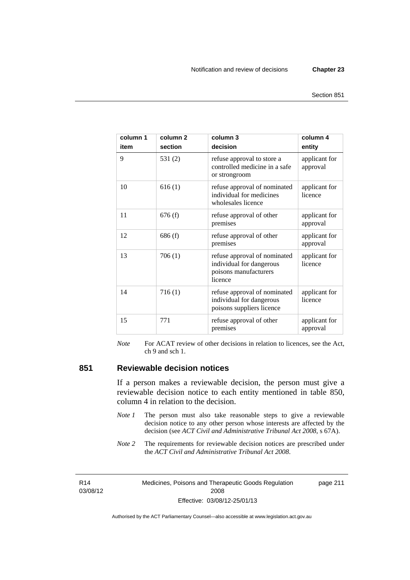page 211

| column 1<br>item | column <sub>2</sub><br>section | column 3<br>decision                                                                         | column 4<br>entity        |
|------------------|--------------------------------|----------------------------------------------------------------------------------------------|---------------------------|
| 9                | 531(2)                         | refuse approval to store a<br>controlled medicine in a safe<br>or strongroom                 | applicant for<br>approval |
| 10               | 616(1)                         | refuse approval of nominated<br>individual for medicines<br>wholesales licence               | applicant for<br>licence  |
| 11               | 676(f)                         | refuse approval of other<br>premises                                                         | applicant for<br>approval |
| 12               | 686(f)                         | refuse approval of other<br>premises                                                         | applicant for<br>approval |
| 13               | 706(1)                         | refuse approval of nominated<br>individual for dangerous<br>poisons manufacturers<br>licence | applicant for<br>licence  |
| 14               | 716(1)                         | refuse approval of nominated<br>individual for dangerous<br>poisons suppliers licence        | applicant for<br>licence  |
| 15               | 771                            | refuse approval of other<br>premises                                                         | applicant for<br>approval |

*Note* For ACAT review of other decisions in relation to licences, see the Act, ch 9 and sch 1.

#### **851 Reviewable decision notices**

If a person makes a reviewable decision, the person must give a reviewable decision notice to each entity mentioned in table 850, column 4 in relation to the decision.

- *Note 1* The person must also take reasonable steps to give a reviewable decision notice to any other person whose interests are affected by the decision (see *ACT Civil and Administrative Tribunal Act 2008*, s 67A).
- *Note* 2 The requirements for reviewable decision notices are prescribed under the *ACT Civil and Administrative Tribunal Act 2008*.

R14 03/08/12 Medicines, Poisons and Therapeutic Goods Regulation 2008 Effective: 03/08/12-25/01/13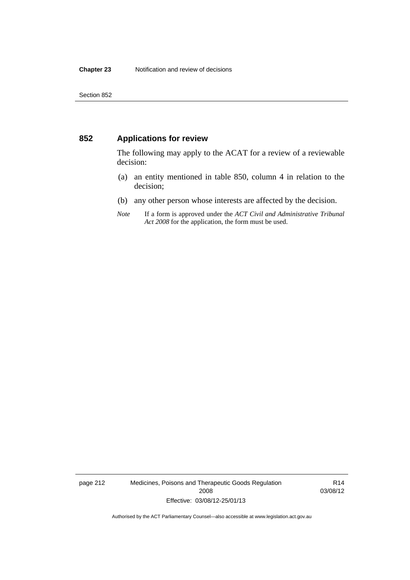#### **852 Applications for review**

The following may apply to the ACAT for a review of a reviewable decision:

- (a) an entity mentioned in table 850, column 4 in relation to the decision;
- (b) any other person whose interests are affected by the decision.
- *Note* If a form is approved under the *ACT Civil and Administrative Tribunal Act 2008* for the application, the form must be used.

page 212 Medicines, Poisons and Therapeutic Goods Regulation 2008 Effective: 03/08/12-25/01/13

R14 03/08/12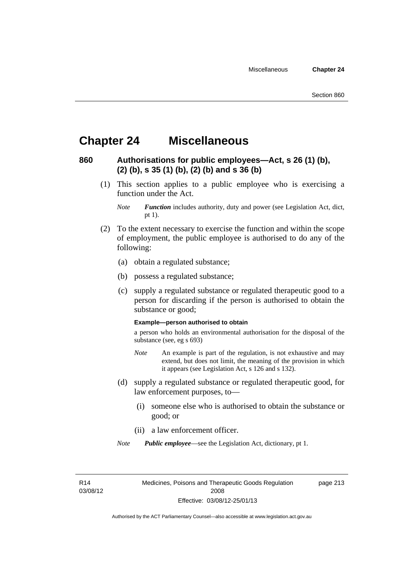### **Chapter 24 Miscellaneous**

#### **860 Authorisations for public employees—Act, s 26 (1) (b), (2) (b), s 35 (1) (b), (2) (b) and s 36 (b)**

 (1) This section applies to a public employee who is exercising a function under the Act.

- (2) To the extent necessary to exercise the function and within the scope of employment, the public employee is authorised to do any of the following:
	- (a) obtain a regulated substance;
	- (b) possess a regulated substance;
	- (c) supply a regulated substance or regulated therapeutic good to a person for discarding if the person is authorised to obtain the substance or good;

#### **Example—person authorised to obtain**

a person who holds an environmental authorisation for the disposal of the substance (see, eg s 693)

- *Note* An example is part of the regulation, is not exhaustive and may extend, but does not limit, the meaning of the provision in which it appears (see Legislation Act, s 126 and s 132).
- (d) supply a regulated substance or regulated therapeutic good, for law enforcement purposes, to—
	- (i) someone else who is authorised to obtain the substance or good; or
	- (ii) a law enforcement officer.

*Note Public employee*—see the Legislation Act, dictionary, pt 1.

R14 03/08/12 Medicines, Poisons and Therapeutic Goods Regulation 2008 Effective: 03/08/12-25/01/13

page 213

*Note Function* includes authority, duty and power (see Legislation Act, dict, pt 1).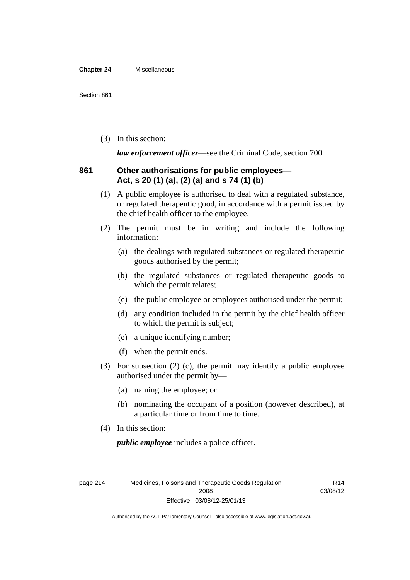#### **Chapter 24** Miscellaneous

(3) In this section:

*law enforcement officer*—see the Criminal Code, section 700.

#### **861 Other authorisations for public employees— Act, s 20 (1) (a), (2) (a) and s 74 (1) (b)**

- (1) A public employee is authorised to deal with a regulated substance, or regulated therapeutic good, in accordance with a permit issued by the chief health officer to the employee.
- (2) The permit must be in writing and include the following information:
	- (a) the dealings with regulated substances or regulated therapeutic goods authorised by the permit;
	- (b) the regulated substances or regulated therapeutic goods to which the permit relates;
	- (c) the public employee or employees authorised under the permit;
	- (d) any condition included in the permit by the chief health officer to which the permit is subject;
	- (e) a unique identifying number;
	- (f) when the permit ends.
- (3) For subsection (2) (c), the permit may identify a public employee authorised under the permit by—
	- (a) naming the employee; or
	- (b) nominating the occupant of a position (however described), at a particular time or from time to time.
- (4) In this section:

*public employee* includes a police officer.

page 214 Medicines, Poisons and Therapeutic Goods Regulation 2008 Effective: 03/08/12-25/01/13

R14 03/08/12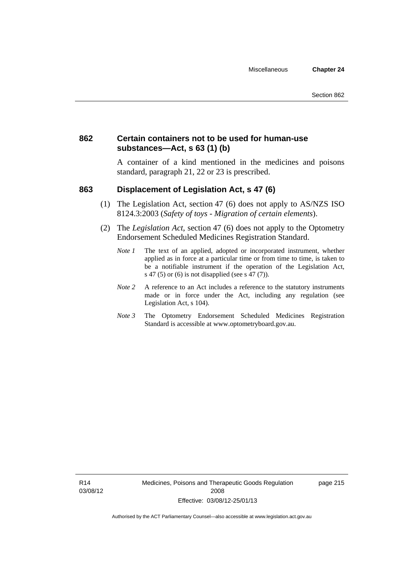#### **862 Certain containers not to be used for human-use substances—Act, s 63 (1) (b)**

A container of a kind mentioned in the medicines and poisons standard, paragraph 21, 22 or 23 is prescribed.

#### **863 Displacement of Legislation Act, s 47 (6)**

- (1) The Legislation Act, section 47 (6) does not apply to AS/NZS ISO 8124.3:2003 (*Safety of toys - Migration of certain elements*).
- (2) The *Legislation Act*, section 47 (6) does not apply to the Optometry Endorsement Scheduled Medicines Registration Standard.
	- *Note 1* The text of an applied, adopted or incorporated instrument, whether applied as in force at a particular time or from time to time, is taken to be a notifiable instrument if the operation of the Legislation Act, s 47 (5) or (6) is not disapplied (see s 47 (7)).
	- *Note 2* A reference to an Act includes a reference to the statutory instruments made or in force under the Act, including any regulation (see Legislation Act, s 104).
	- *Note 3* The Optometry Endorsement Scheduled Medicines Registration Standard is accessible at www.optometryboard.gov.au.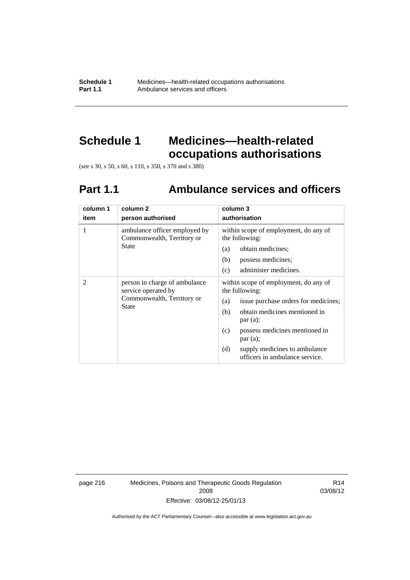**Schedule 1** Medicines—health-related occupations authorisations<br>**Part 1.1** Ambulance services and officers Ambulance services and officers

### **Schedule 1 Medicines—health-related occupations authorisations**

(see s 30, s 50, s 60, s 110, s 350, s 370 and s 380)

## **Part 1.1 Ambulance services and officers**

| column 1<br>item | column 2<br>person authorised                                                                      | column 3<br>authorisation                                                                                                                                                                                                                                                               |
|------------------|----------------------------------------------------------------------------------------------------|-----------------------------------------------------------------------------------------------------------------------------------------------------------------------------------------------------------------------------------------------------------------------------------------|
| 1                | ambulance officer employed by<br>Commonwealth, Territory or<br>State                               | within scope of employment, do any of<br>the following:<br>obtain medicines;<br>(a)<br>(b)<br>possess medicines;<br>administer medicines.<br>(c)                                                                                                                                        |
| 2                | person in charge of ambulance<br>service operated by<br>Commonwealth, Territory or<br><b>State</b> | within scope of employment, do any of<br>the following:<br>issue purchase orders for medicines;<br>(a)<br>obtain medicines mentioned in<br>(b)<br>par(a);<br>possess medicines mentioned in<br>(c)<br>par(a);<br>(d)<br>supply medicines to ambulance<br>officers in ambulance service. |

page 216 Medicines, Poisons and Therapeutic Goods Regulation 2008 Effective: 03/08/12-25/01/13

R14 03/08/12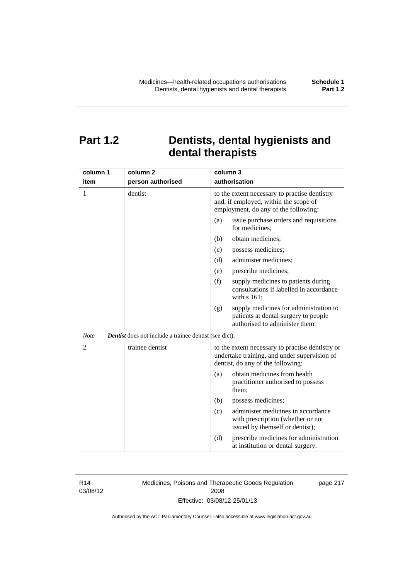### **Part 1.2 Dentists, dental hygienists and dental therapists**

| column 1       | column <sub>2</sub>                                           | column 3                                                                                                                              |
|----------------|---------------------------------------------------------------|---------------------------------------------------------------------------------------------------------------------------------------|
| item           | person authorised                                             | authorisation                                                                                                                         |
| 1              | dentist                                                       | to the extent necessary to practise dentistry<br>and, if employed, within the scope of<br>employment, do any of the following:        |
|                |                                                               | issue purchase orders and requisitions<br>(a)<br>for medicines;                                                                       |
|                |                                                               | obtain medicines;<br>(b)                                                                                                              |
|                |                                                               | possess medicines;<br>(c)                                                                                                             |
|                |                                                               | administer medicines;<br>(d)                                                                                                          |
|                |                                                               | prescribe medicines;<br>(e)                                                                                                           |
|                |                                                               | (f)<br>supply medicines to patients during<br>consultations if labelled in accordance<br>with s 161;                                  |
|                |                                                               | supply medicines for administration to<br>(g)<br>patients at dental surgery to people<br>authorised to administer them.               |
| <b>Note</b>    | <b>Dentist</b> does not include a trainee dentist (see dict). |                                                                                                                                       |
| $\overline{2}$ | trainee dentist                                               | to the extent necessary to practise dentistry or<br>undertake training, and under supervision of<br>dentist, do any of the following: |
|                |                                                               | obtain medicines from health<br>(a)<br>practitioner authorised to possess<br>them:                                                    |
|                |                                                               | (b)<br>possess medicines;                                                                                                             |
|                |                                                               | administer medicines in accordance<br>(c)<br>with prescription (whether or not<br>issued by themself or dentist);                     |
|                |                                                               | (d)<br>prescribe medicines for administration<br>at institution or dental surgery.                                                    |

R14 03/08/12 Medicines, Poisons and Therapeutic Goods Regulation 2008 Effective: 03/08/12-25/01/13

page 217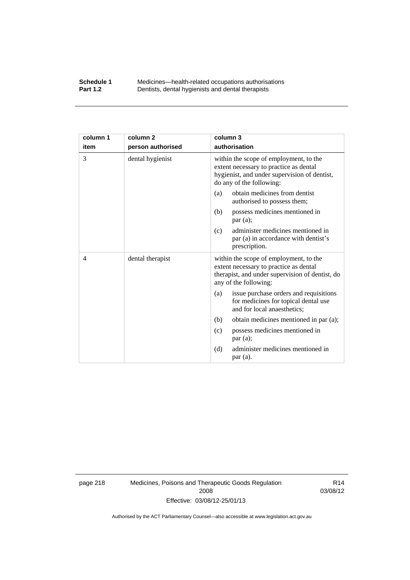#### **Schedule 1** Medicines—health-related occupations authorisations<br>**Part 1.2** Dentists, dental hygienists and dental therapists **Part 1.2** Dentists, dental hygienists and dental therapists

| column 1 | column <sub>2</sub> | column 3                                                                                                                                                     |
|----------|---------------------|--------------------------------------------------------------------------------------------------------------------------------------------------------------|
| item     | person authorised   | authorisation                                                                                                                                                |
| 3        | dental hygienist    | within the scope of employment, to the<br>extent necessary to practice as dental<br>hygienist, and under supervision of dentist,<br>do any of the following: |
|          |                     | obtain medicines from dentist<br>(a)<br>authorised to possess them;                                                                                          |
|          |                     | possess medicines mentioned in<br>(b)<br>par(a);                                                                                                             |
|          |                     | administer medicines mentioned in<br>(c)<br>par (a) in accordance with dentist's<br>prescription.                                                            |
| 4        | dental therapist    | within the scope of employment, to the<br>extent necessary to practice as dental<br>therapist, and under supervision of dentist, do<br>any of the following: |
|          |                     | issue purchase orders and requisitions<br>(a)<br>for medicines for topical dental use<br>and for local anaesthetics;                                         |
|          |                     | obtain medicines mentioned in par (a);<br>(b)                                                                                                                |
|          |                     | possess medicines mentioned in<br>(c)<br>par(a);                                                                                                             |
|          |                     | administer medicines mentioned in<br>(d)<br>par (a).                                                                                                         |

page 218 Medicines, Poisons and Therapeutic Goods Regulation 2008 Effective: 03/08/12-25/01/13

R14 03/08/12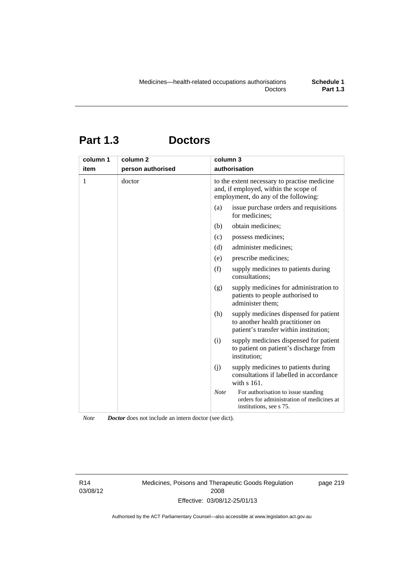# **Part 1.3 Doctors**

| column 1 | column <sub>2</sub> | column 3                                                                                                                      |
|----------|---------------------|-------------------------------------------------------------------------------------------------------------------------------|
| item     | person authorised   | authorisation                                                                                                                 |
| 1        | doctor              | to the extent necessary to practise medicine<br>and, if employed, within the scope of<br>employment, do any of the following: |
|          |                     | issue purchase orders and requisitions<br>(a)<br>for medicines:                                                               |
|          |                     | obtain medicines;<br>(b)                                                                                                      |
|          |                     | (c)<br>possess medicines;                                                                                                     |
|          |                     | administer medicines;<br>(d)                                                                                                  |
|          |                     | prescribe medicines;<br>(e)                                                                                                   |
|          |                     | (f)<br>supply medicines to patients during<br>consultations;                                                                  |
|          |                     | supply medicines for administration to<br>(g)<br>patients to people authorised to<br>administer them;                         |
|          |                     | (h)<br>supply medicines dispensed for patient<br>to another health practitioner on<br>patient's transfer within institution;  |
|          |                     | supply medicines dispensed for patient<br>(i)<br>to patient on patient's discharge from<br>institution:                       |
|          |                     | supply medicines to patients during<br>(j)<br>consultations if labelled in accordance<br>with $s$ 161.                        |
|          |                     | Note<br>For authorisation to issue standing<br>orders for administration of medicines at<br>institutions, see s 75.           |

*Note Doctor* does not include an intern doctor (see dict).

R14 03/08/12 Medicines, Poisons and Therapeutic Goods Regulation 2008 Effective: 03/08/12-25/01/13

page 219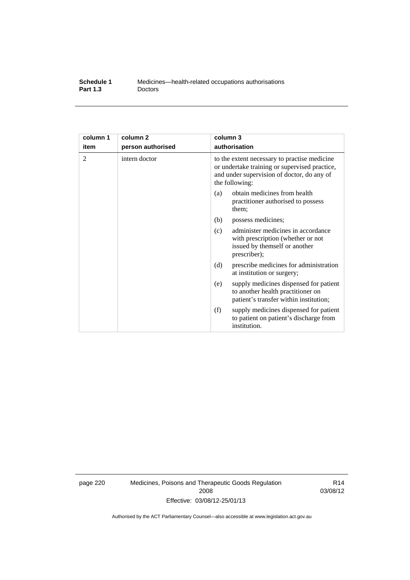| Schedule 1      | Medicines—health-related occupations authorisations |
|-----------------|-----------------------------------------------------|
| <b>Part 1.3</b> | <b>Doctors</b>                                      |

| column 1 | column <sub>2</sub> | column 3                                                                                                                                                      |
|----------|---------------------|---------------------------------------------------------------------------------------------------------------------------------------------------------------|
| item     | person authorised   | authorisation                                                                                                                                                 |
| 2        | intern doctor       | to the extent necessary to practise medicine<br>or undertake training or supervised practice,<br>and under supervision of doctor, do any of<br>the following: |
|          |                     | obtain medicines from health<br>(a)<br>practitioner authorised to possess<br>them:                                                                            |
|          |                     | (b)<br>possess medicines;                                                                                                                                     |
|          |                     | administer medicines in accordance<br>(c)<br>with prescription (whether or not<br>issued by themself or another<br>prescriber);                               |
|          |                     | (d)<br>prescribe medicines for administration<br>at institution or surgery;                                                                                   |
|          |                     | supply medicines dispensed for patient<br>(e)<br>to another health practitioner on<br>patient's transfer within institution;                                  |
|          |                     | (f)<br>supply medicines dispensed for patient<br>to patient on patient's discharge from<br>institution.                                                       |

page 220 Medicines, Poisons and Therapeutic Goods Regulation 2008 Effective: 03/08/12-25/01/13

R14 03/08/12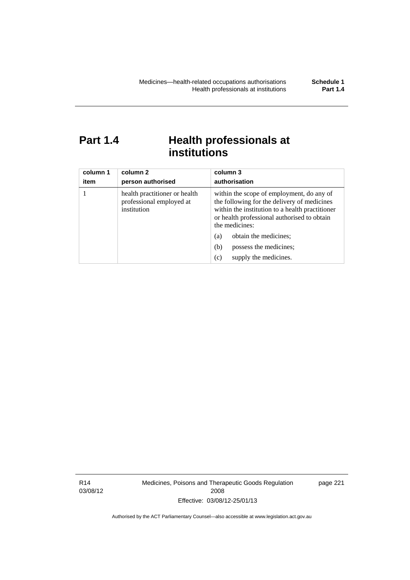### Part 1.4 **Health professionals at institutions**

| column 1<br>item | column 2<br>person authorised                                            | column 3<br>authorisation                                                                                                                                                                                    |
|------------------|--------------------------------------------------------------------------|--------------------------------------------------------------------------------------------------------------------------------------------------------------------------------------------------------------|
|                  | health practitioner or health<br>professional employed at<br>institution | within the scope of employment, do any of<br>the following for the delivery of medicines<br>within the institution to a health practitioner<br>or health professional authorised to obtain<br>the medicines: |
|                  |                                                                          | obtain the medicines;<br>(a)                                                                                                                                                                                 |
|                  |                                                                          | possess the medicines;<br>(b)                                                                                                                                                                                |
|                  |                                                                          | supply the medicines.<br>(c)                                                                                                                                                                                 |

R14 03/08/12 Medicines, Poisons and Therapeutic Goods Regulation 2008 Effective: 03/08/12-25/01/13

page 221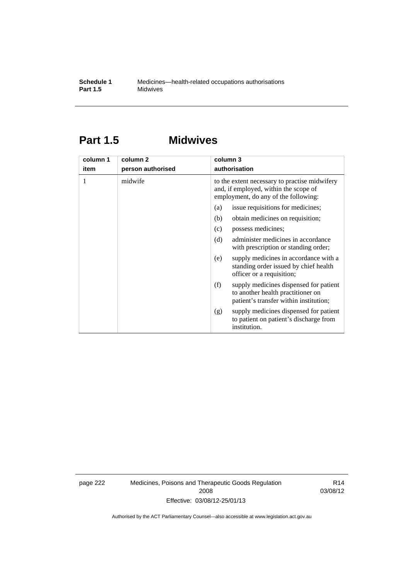### **Part 1.5 Midwives**

| column 1 | column 2          | column 3                                                                                                                       |
|----------|-------------------|--------------------------------------------------------------------------------------------------------------------------------|
| item     | person authorised | authorisation                                                                                                                  |
| 1        | midwife           | to the extent necessary to practise midwifery<br>and, if employed, within the scope of<br>employment, do any of the following: |
|          |                   | issue requisitions for medicines;<br>(a)                                                                                       |
|          |                   | (b)<br>obtain medicines on requisition;                                                                                        |
|          |                   | possess medicines;<br>(c)                                                                                                      |
|          |                   | administer medicines in accordance<br>(d)<br>with prescription or standing order;                                              |
|          |                   | supply medicines in accordance with a<br>(e)<br>standing order issued by chief health<br>officer or a requisition;             |
|          |                   | (f)<br>supply medicines dispensed for patient<br>to another health practitioner on<br>patient's transfer within institution;   |
|          |                   | supply medicines dispensed for patient<br>(g)<br>to patient on patient's discharge from<br>institution.                        |

page 222 Medicines, Poisons and Therapeutic Goods Regulation 2008 Effective: 03/08/12-25/01/13

R14 03/08/12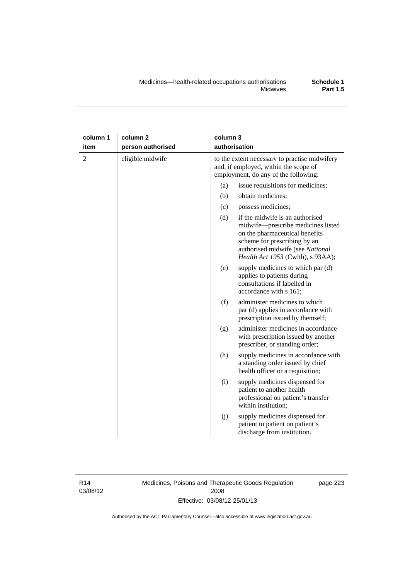| column 1       | column <sub>2</sub><br>column 3 |                                                                                                                                |                                                                                                                                                                                                                  |  |
|----------------|---------------------------------|--------------------------------------------------------------------------------------------------------------------------------|------------------------------------------------------------------------------------------------------------------------------------------------------------------------------------------------------------------|--|
| item           | person authorised               | authorisation                                                                                                                  |                                                                                                                                                                                                                  |  |
| $\overline{2}$ | eligible midwife                | to the extent necessary to practise midwifery<br>and, if employed, within the scope of<br>employment, do any of the following: |                                                                                                                                                                                                                  |  |
|                |                                 | (a)                                                                                                                            | issue requisitions for medicines;                                                                                                                                                                                |  |
|                |                                 | (b)                                                                                                                            | obtain medicines;                                                                                                                                                                                                |  |
|                |                                 | (c)                                                                                                                            | possess medicines;                                                                                                                                                                                               |  |
|                |                                 | (d)                                                                                                                            | if the midwife is an authorised<br>midwife-prescribe medicines listed<br>on the pharmaceutical benefits<br>scheme for prescribing by an<br>authorised midwife (see National<br>Health Act 1953 (Cwlth), s 93AA); |  |
|                |                                 | (e)                                                                                                                            | supply medicines to which par (d)<br>applies to patients during<br>consultations if labelled in<br>accordance with s 161;                                                                                        |  |
|                |                                 | (f)                                                                                                                            | administer medicines to which<br>par (d) applies in accordance with<br>prescription issued by themself;                                                                                                          |  |
|                |                                 | (g)                                                                                                                            | administer medicines in accordance<br>with prescription issued by another<br>prescriber, or standing order;                                                                                                      |  |
|                |                                 | (h)                                                                                                                            | supply medicines in accordance with<br>a standing order issued by chief<br>health officer or a requisition;                                                                                                      |  |
|                |                                 | (i)                                                                                                                            | supply medicines dispensed for<br>patient to another health<br>professional on patient's transfer<br>within institution;                                                                                         |  |
|                |                                 | (j)                                                                                                                            | supply medicines dispensed for<br>patient to patient on patient's<br>discharge from institution.                                                                                                                 |  |

R14 03/08/12 Medicines, Poisons and Therapeutic Goods Regulation 2008 Effective: 03/08/12-25/01/13

page 223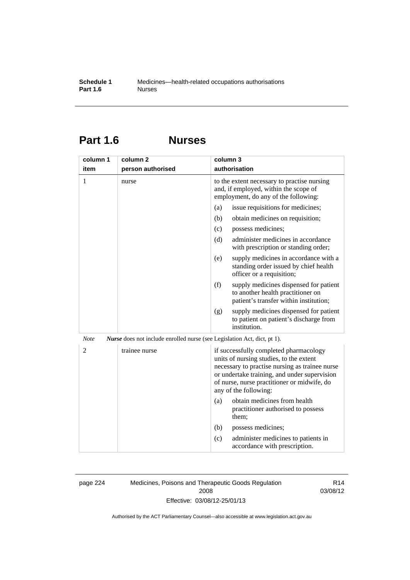### **Part 1.6 Nurses**

| column 1                                                                                       | column 2          | column 3                                                                                                                                                                                                                                                    |  |
|------------------------------------------------------------------------------------------------|-------------------|-------------------------------------------------------------------------------------------------------------------------------------------------------------------------------------------------------------------------------------------------------------|--|
| item                                                                                           | person authorised | authorisation                                                                                                                                                                                                                                               |  |
| $\mathbf{1}$                                                                                   | nurse             | to the extent necessary to practise nursing<br>and, if employed, within the scope of<br>employment, do any of the following:                                                                                                                                |  |
|                                                                                                |                   | issue requisitions for medicines;<br>(a)                                                                                                                                                                                                                    |  |
|                                                                                                |                   | (b)<br>obtain medicines on requisition;                                                                                                                                                                                                                     |  |
|                                                                                                |                   | (c)<br>possess medicines;                                                                                                                                                                                                                                   |  |
|                                                                                                |                   | administer medicines in accordance<br>(d)<br>with prescription or standing order;                                                                                                                                                                           |  |
|                                                                                                |                   | (e)<br>supply medicines in accordance with a<br>standing order issued by chief health<br>officer or a requisition;                                                                                                                                          |  |
|                                                                                                |                   | (f)<br>supply medicines dispensed for patient<br>to another health practitioner on<br>patient's transfer within institution;                                                                                                                                |  |
|                                                                                                |                   | supply medicines dispensed for patient<br>(g)<br>to patient on patient's discharge from<br>institution.                                                                                                                                                     |  |
| <b>Note</b><br><i>Nurse</i> does not include enrolled nurse (see Legislation Act, dict, pt 1). |                   |                                                                                                                                                                                                                                                             |  |
| $\overline{2}$                                                                                 | trainee nurse     | if successfully completed pharmacology<br>units of nursing studies, to the extent<br>necessary to practise nursing as trainee nurse<br>or undertake training, and under supervision<br>of nurse, nurse practitioner or midwife, do<br>any of the following: |  |
|                                                                                                |                   | obtain medicines from health<br>(a)<br>practitioner authorised to possess<br>them;                                                                                                                                                                          |  |
|                                                                                                |                   | (b)<br>possess medicines;                                                                                                                                                                                                                                   |  |
|                                                                                                |                   | (c)<br>administer medicines to patients in<br>accordance with prescription.                                                                                                                                                                                 |  |

page 224 Medicines, Poisons and Therapeutic Goods Regulation 2008 Effective: 03/08/12-25/01/13

R14 03/08/12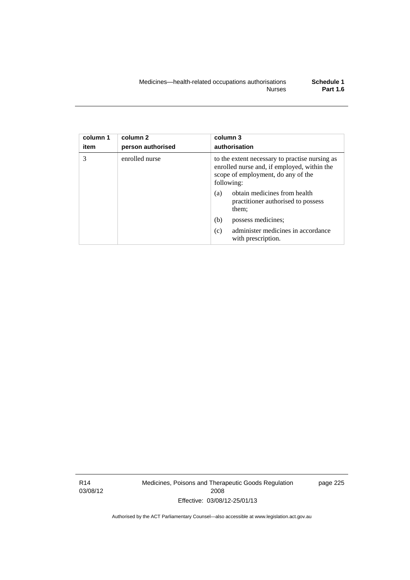| column 1<br>item | column 2<br>person authorised | column 3<br>authorisation                                                                                                                         |  |  |
|------------------|-------------------------------|---------------------------------------------------------------------------------------------------------------------------------------------------|--|--|
| 3                | enrolled nurse                | to the extent necessary to practise nursing as<br>enrolled nurse and, if employed, within the<br>scope of employment, do any of the<br>following: |  |  |
|                  |                               | obtain medicines from health<br>(a)<br>practitioner authorised to possess<br>them;                                                                |  |  |
|                  |                               | (b)<br>possess medicines;                                                                                                                         |  |  |
|                  |                               | administer medicines in accordance<br>(c)<br>with prescription.                                                                                   |  |  |

R14 03/08/12 Medicines, Poisons and Therapeutic Goods Regulation 2008 Effective: 03/08/12-25/01/13

page 225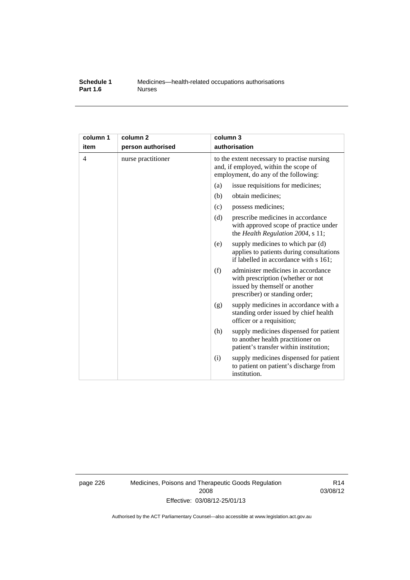#### **Schedule 1** Medicines—health-related occupations authorisations<br>**Part 1.6** Murses **Part 1.6**

| column 1<br>item | column <sub>2</sub><br>person authorised | column 3<br>authorisation                                                                                                                         |  |  |
|------------------|------------------------------------------|---------------------------------------------------------------------------------------------------------------------------------------------------|--|--|
| 4                | nurse practitioner                       | to the extent necessary to practise nursing<br>and, if employed, within the scope of<br>employment, do any of the following:                      |  |  |
|                  |                                          | issue requisitions for medicines;<br>(a)                                                                                                          |  |  |
|                  |                                          | (b)<br>obtain medicines;                                                                                                                          |  |  |
|                  |                                          | possess medicines;<br>(c)                                                                                                                         |  |  |
|                  |                                          | (d)<br>prescribe medicines in accordance<br>with approved scope of practice under<br>the Health Regulation 2004, s 11;                            |  |  |
|                  |                                          | supply medicines to which par (d)<br>(e)<br>applies to patients during consultations<br>if labelled in accordance with s 161;                     |  |  |
|                  |                                          | administer medicines in accordance<br>(f)<br>with prescription (whether or not<br>issued by themself or another<br>prescriber) or standing order; |  |  |
|                  |                                          | supply medicines in accordance with a<br>(g)<br>standing order issued by chief health<br>officer or a requisition;                                |  |  |
|                  |                                          | (h)<br>supply medicines dispensed for patient<br>to another health practitioner on<br>patient's transfer within institution;                      |  |  |
|                  |                                          | supply medicines dispensed for patient<br>(i)<br>to patient on patient's discharge from<br>institution.                                           |  |  |

page 226 Medicines, Poisons and Therapeutic Goods Regulation 2008 Effective: 03/08/12-25/01/13

R14 03/08/12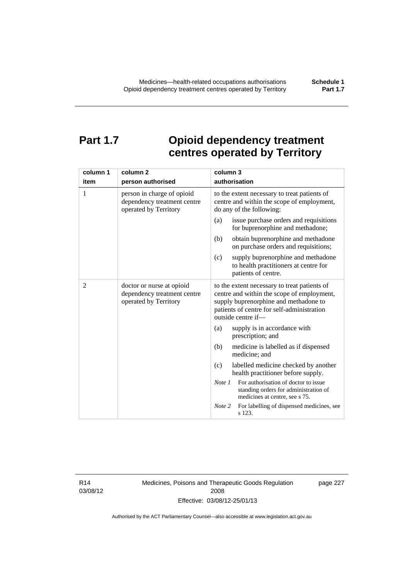### **Part 1.7 Opioid dependency treatment centres operated by Territory**

| column 1       | column <sub>2</sub>                                                                | column 3                                                                                                                                                                                                |  |  |
|----------------|------------------------------------------------------------------------------------|---------------------------------------------------------------------------------------------------------------------------------------------------------------------------------------------------------|--|--|
| item           | person authorised                                                                  | authorisation                                                                                                                                                                                           |  |  |
| 1              | person in charge of opioid<br>dependency treatment centre<br>operated by Territory | to the extent necessary to treat patients of<br>centre and within the scope of employment,<br>do any of the following:                                                                                  |  |  |
|                |                                                                                    | issue purchase orders and requisitions<br>(a)<br>for buprenorphine and methadone;                                                                                                                       |  |  |
|                |                                                                                    | obtain buprenorphine and methadone<br>(b)<br>on purchase orders and requisitions;                                                                                                                       |  |  |
|                |                                                                                    | (c)<br>supply buprenorphine and methadone<br>to health practitioners at centre for<br>patients of centre.                                                                                               |  |  |
| $\overline{c}$ | doctor or nurse at opioid<br>dependency treatment centre<br>operated by Territory  | to the extent necessary to treat patients of<br>centre and within the scope of employment,<br>supply buprenorphine and methadone to<br>patients of centre for self-administration<br>outside centre if- |  |  |
|                |                                                                                    | supply is in accordance with<br>(a)<br>prescription; and                                                                                                                                                |  |  |
|                |                                                                                    | (b)<br>medicine is labelled as if dispensed<br>medicine; and                                                                                                                                            |  |  |
|                |                                                                                    | (c)<br>labelled medicine checked by another<br>health practitioner before supply.                                                                                                                       |  |  |
|                |                                                                                    | For authorisation of doctor to issue<br>Note <sub>1</sub><br>standing orders for administration of<br>medicines at centre, see s 75.                                                                    |  |  |
|                |                                                                                    | For labelling of dispensed medicines, see<br>Note 2<br>s 123.                                                                                                                                           |  |  |

R14 03/08/12 Medicines, Poisons and Therapeutic Goods Regulation 2008 Effective: 03/08/12-25/01/13

page 227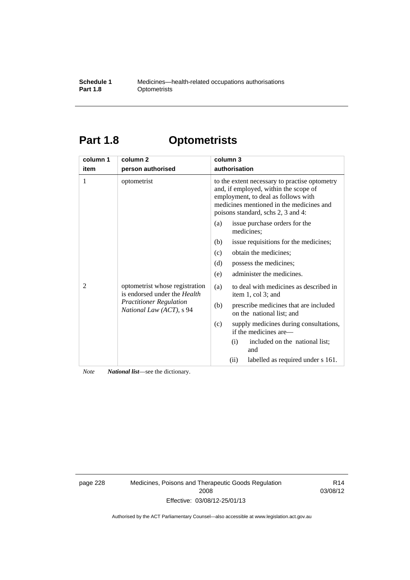#### **Schedule 1** Medicines—health-related occupations authorisations<br>**Part 1.8** Optometrists **Optometrists**

## **Part 1.8 Optometrists**

| column 1 | column <sub>2</sub>                                                                                                          | column 3                                                                                                                                                                                                        |  |  |
|----------|------------------------------------------------------------------------------------------------------------------------------|-----------------------------------------------------------------------------------------------------------------------------------------------------------------------------------------------------------------|--|--|
| item     | person authorised                                                                                                            | authorisation                                                                                                                                                                                                   |  |  |
| 1        | optometrist                                                                                                                  | to the extent necessary to practise optometry<br>and, if employed, within the scope of<br>employment, to deal as follows with<br>medicines mentioned in the medicines and<br>poisons standard, schs 2, 3 and 4: |  |  |
| 2        | optometrist whose registration<br>is endorsed under the Health<br><b>Practitioner Regulation</b><br>National Law (ACT), s 94 | issue purchase orders for the<br>(a)<br>medicines;                                                                                                                                                              |  |  |
|          |                                                                                                                              | issue requisitions for the medicines;<br>(b)                                                                                                                                                                    |  |  |
|          |                                                                                                                              | obtain the medicines;<br>(c)                                                                                                                                                                                    |  |  |
|          |                                                                                                                              | possess the medicines;<br>(d)                                                                                                                                                                                   |  |  |
|          |                                                                                                                              | administer the medicines.<br>(e)                                                                                                                                                                                |  |  |
|          |                                                                                                                              | to deal with medicines as described in<br>(a)<br>item 1, col 3; and                                                                                                                                             |  |  |
|          |                                                                                                                              | prescribe medicines that are included<br>(b)<br>on the national list; and                                                                                                                                       |  |  |
|          |                                                                                                                              | supply medicines during consultations,<br>(c)<br>if the medicines are—                                                                                                                                          |  |  |
|          |                                                                                                                              | included on the national list;<br>(i)<br>and                                                                                                                                                                    |  |  |
|          |                                                                                                                              | (ii)<br>labelled as required under s 161.                                                                                                                                                                       |  |  |

*Note National list*—see the dictionary.

page 228 Medicines, Poisons and Therapeutic Goods Regulation 2008 Effective: 03/08/12-25/01/13

R14 03/08/12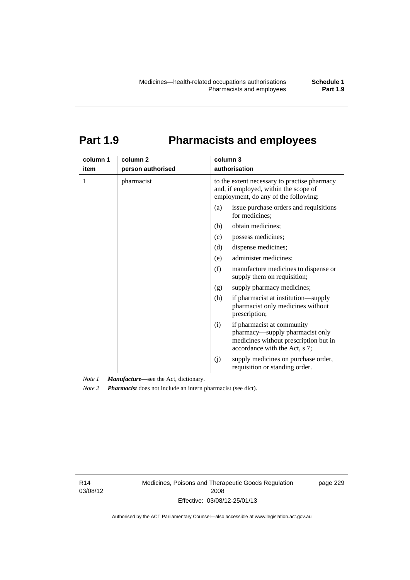# **Part 1.9 Pharmacists and employees**

| column 1<br>item | column <sub>2</sub><br>person authorised | column 3<br>authorisation                                                                                                                      |  |  |
|------------------|------------------------------------------|------------------------------------------------------------------------------------------------------------------------------------------------|--|--|
| 1                | pharmacist                               | to the extent necessary to practise pharmacy<br>and, if employed, within the scope of<br>employment, do any of the following:                  |  |  |
|                  |                                          | issue purchase orders and requisitions<br>(a)<br>for medicines;                                                                                |  |  |
|                  |                                          | obtain medicines;<br>(b)                                                                                                                       |  |  |
|                  |                                          | (c)<br>possess medicines;                                                                                                                      |  |  |
|                  |                                          | dispense medicines;<br>(d)                                                                                                                     |  |  |
|                  |                                          | administer medicines;<br>(e)                                                                                                                   |  |  |
|                  |                                          | (f)<br>manufacture medicines to dispense or<br>supply them on requisition;                                                                     |  |  |
|                  |                                          | supply pharmacy medicines;<br>(g)                                                                                                              |  |  |
|                  |                                          | (h)<br>if pharmacist at institution—supply<br>pharmacist only medicines without<br>prescription;                                               |  |  |
|                  |                                          | if pharmacist at community<br>(i)<br>pharmacy-supply pharmacist only<br>medicines without prescription but in<br>accordance with the Act, s 7; |  |  |
|                  |                                          | supply medicines on purchase order,<br>(j)<br>requisition or standing order.                                                                   |  |  |

*Note 1 Manufacture*—see the Act, dictionary.

*Note 2 Pharmacist* does not include an intern pharmacist (see dict).

R14 03/08/12 Medicines, Poisons and Therapeutic Goods Regulation 2008 Effective: 03/08/12-25/01/13

page 229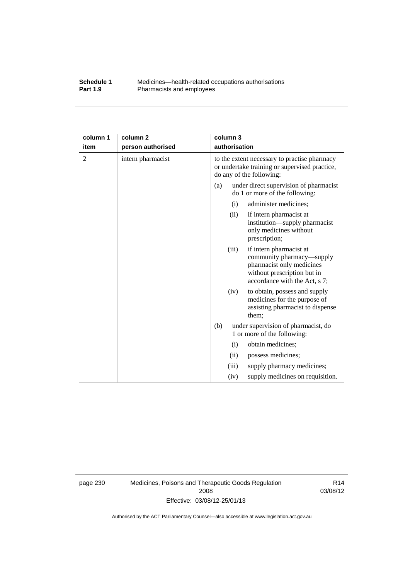#### **Schedule 1** Medicines—health-related occupations authorisations<br>**Part 1.9** Pharmacists and employees Pharmacists and employees

| column 1       | column <sub>2</sub> | column 3                                                                                                                  |       |                                                                                                                                                   |
|----------------|---------------------|---------------------------------------------------------------------------------------------------------------------------|-------|---------------------------------------------------------------------------------------------------------------------------------------------------|
| item           | person authorised   | authorisation                                                                                                             |       |                                                                                                                                                   |
| $\overline{c}$ | intern pharmacist   | to the extent necessary to practise pharmacy<br>or undertake training or supervised practice,<br>do any of the following: |       |                                                                                                                                                   |
|                |                     | under direct supervision of pharmacist<br>(a)<br>do 1 or more of the following:                                           |       |                                                                                                                                                   |
|                |                     |                                                                                                                           | (i)   | administer medicines;                                                                                                                             |
|                |                     |                                                                                                                           | (ii)  | if intern pharmacist at<br>institution—supply pharmacist<br>only medicines without<br>prescription;                                               |
|                |                     |                                                                                                                           | (iii) | if intern pharmacist at<br>community pharmacy—supply<br>pharmacist only medicines<br>without prescription but in<br>accordance with the Act, s 7; |
|                |                     |                                                                                                                           | (iv)  | to obtain, possess and supply<br>medicines for the purpose of<br>assisting pharmacist to dispense<br>them;                                        |
|                |                     | (b)                                                                                                                       |       | under supervision of pharmacist, do<br>1 or more of the following:                                                                                |
|                |                     |                                                                                                                           | (i)   | obtain medicines;                                                                                                                                 |
|                |                     |                                                                                                                           | (ii)  | possess medicines;                                                                                                                                |
|                |                     |                                                                                                                           | (iii) | supply pharmacy medicines;                                                                                                                        |
|                |                     |                                                                                                                           | (iv)  | supply medicines on requisition.                                                                                                                  |

page 230 Medicines, Poisons and Therapeutic Goods Regulation 2008 Effective: 03/08/12-25/01/13

R14 03/08/12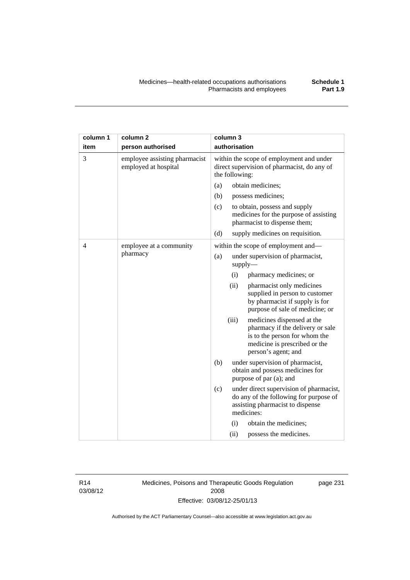| column 1       | column <sub>2</sub>                                   | column 3                                                                                                  |       |                                                                                                                                                         |
|----------------|-------------------------------------------------------|-----------------------------------------------------------------------------------------------------------|-------|---------------------------------------------------------------------------------------------------------------------------------------------------------|
| item           | person authorised                                     | authorisation                                                                                             |       |                                                                                                                                                         |
| 3              | employee assisting pharmacist<br>employed at hospital | within the scope of employment and under<br>direct supervision of pharmacist, do any of<br>the following: |       |                                                                                                                                                         |
|                |                                                       | (a)                                                                                                       |       | obtain medicines;                                                                                                                                       |
|                |                                                       | (b)                                                                                                       |       | possess medicines;                                                                                                                                      |
|                |                                                       | (c)                                                                                                       |       | to obtain, possess and supply<br>medicines for the purpose of assisting<br>pharmacist to dispense them;                                                 |
|                |                                                       | (d)                                                                                                       |       | supply medicines on requisition.                                                                                                                        |
| $\overline{4}$ | employee at a community                               |                                                                                                           |       | within the scope of employment and-                                                                                                                     |
|                | pharmacy                                              | (a)                                                                                                       |       | under supervision of pharmacist,<br>supply                                                                                                              |
|                |                                                       |                                                                                                           | (i)   | pharmacy medicines; or                                                                                                                                  |
|                |                                                       |                                                                                                           | (ii)  | pharmacist only medicines<br>supplied in person to customer<br>by pharmacist if supply is for<br>purpose of sale of medicine; or                        |
|                |                                                       |                                                                                                           | (iii) | medicines dispensed at the<br>pharmacy if the delivery or sale<br>is to the person for whom the<br>medicine is prescribed or the<br>person's agent; and |
|                |                                                       | (b)<br>under supervision of pharmacist,<br>obtain and possess medicines for<br>purpose of par (a); and    |       |                                                                                                                                                         |
|                |                                                       | (c)                                                                                                       |       | under direct supervision of pharmacist,<br>do any of the following for purpose of<br>assisting pharmacist to dispense<br>medicines:                     |
|                |                                                       |                                                                                                           | (i)   | obtain the medicines;                                                                                                                                   |
|                |                                                       |                                                                                                           | (ii)  | possess the medicines.                                                                                                                                  |

R14 03/08/12 Medicines, Poisons and Therapeutic Goods Regulation 2008 Effective: 03/08/12-25/01/13

page 231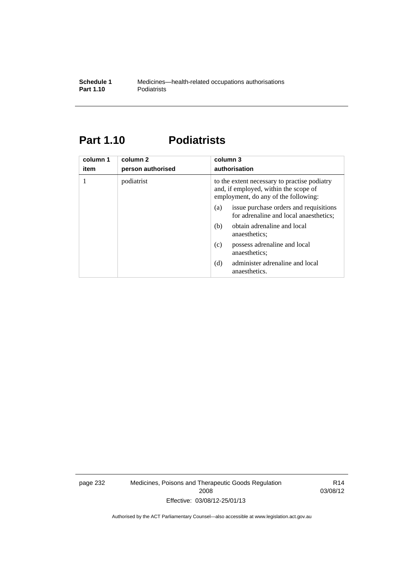# **Part 1.10 Podiatrists**

| column 1<br>item | column 2<br>person authorised | column 3<br>authorisation                                                                                                     |  |
|------------------|-------------------------------|-------------------------------------------------------------------------------------------------------------------------------|--|
|                  | podiatrist                    | to the extent necessary to practise podiatry<br>and, if employed, within the scope of<br>employment, do any of the following: |  |
|                  |                               | issue purchase orders and requisitions<br>(a)<br>for adrenaline and local anaesthetics;                                       |  |
|                  |                               | obtain adrenaline and local<br>(b)<br>anaesthetics:                                                                           |  |
|                  |                               | possess adrenaline and local<br>(c)<br>anaesthetics;                                                                          |  |
|                  |                               | administer adrenaline and local<br>(d)<br>anaesthetics.                                                                       |  |

page 232 Medicines, Poisons and Therapeutic Goods Regulation 2008 Effective: 03/08/12-25/01/13

R14 03/08/12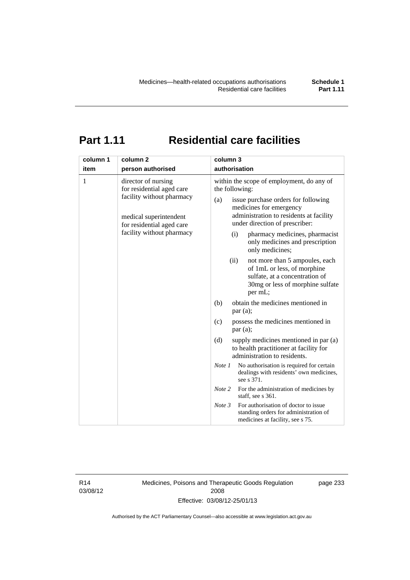# **Part 1.11 Residential care facilities**

| column 1<br>item | column 2<br>person authorised                          | column 3<br>authorisation                                                                                                                              |  |  |
|------------------|--------------------------------------------------------|--------------------------------------------------------------------------------------------------------------------------------------------------------|--|--|
| 1                | director of nursing                                    | within the scope of employment, do any of                                                                                                              |  |  |
|                  | for residential aged care<br>facility without pharmacy | the following:                                                                                                                                         |  |  |
|                  |                                                        | issue purchase orders for following<br>(a)<br>medicines for emergency<br>administration to residents at facility                                       |  |  |
|                  | medical superintendent<br>for residential aged care    | under direction of prescriber:                                                                                                                         |  |  |
|                  | facility without pharmacy                              | pharmacy medicines, pharmacist<br>(i)<br>only medicines and prescription<br>only medicines;                                                            |  |  |
|                  |                                                        | (ii)<br>not more than 5 ampoules, each<br>of 1mL or less, of morphine<br>sulfate, at a concentration of<br>30mg or less of morphine sulfate<br>per mL; |  |  |
|                  |                                                        | obtain the medicines mentioned in<br>(b)<br>par(a);                                                                                                    |  |  |
|                  |                                                        | possess the medicines mentioned in<br>(c)<br>par(a);                                                                                                   |  |  |
|                  |                                                        | (d)<br>supply medicines mentioned in par (a)<br>to health practitioner at facility for<br>administration to residents.                                 |  |  |
|                  |                                                        | No authorisation is required for certain<br>Note 1<br>dealings with residents' own medicines,<br>see s 371.                                            |  |  |
|                  |                                                        | Note 2<br>For the administration of medicines by<br>staff, see s 361.                                                                                  |  |  |
|                  |                                                        | For authorisation of doctor to issue<br>Note 3<br>standing orders for administration of<br>medicines at facility, see s 75.                            |  |  |

R14 03/08/12 Medicines, Poisons and Therapeutic Goods Regulation 2008 Effective: 03/08/12-25/01/13

page 233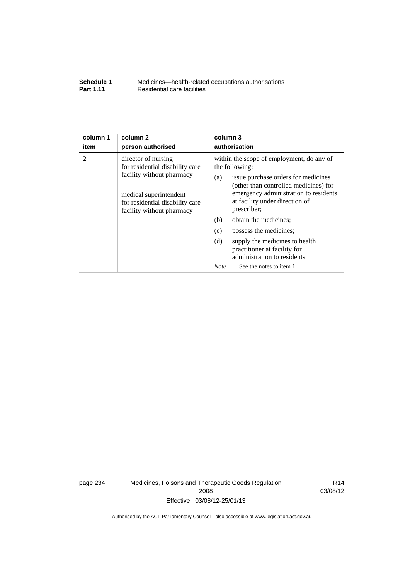### **Schedule 1** Medicines—health-related occupations authorisations<br>**Part 1.11** Residential care facilities **Residential care facilities**

| column 1               | column <sub>2</sub>                                                                                                                                                                                | column 3                                                                                                                                                                                                                                                                                                                                                                |  |
|------------------------|----------------------------------------------------------------------------------------------------------------------------------------------------------------------------------------------------|-------------------------------------------------------------------------------------------------------------------------------------------------------------------------------------------------------------------------------------------------------------------------------------------------------------------------------------------------------------------------|--|
| item<br>$\overline{2}$ | person authorised<br>director of nursing<br>for residential disability care<br>facility without pharmacy<br>medical superintendent<br>for residential disability care<br>facility without pharmacy | authorisation<br>within the scope of employment, do any of<br>the following:<br>issue purchase orders for medicines<br>(a)<br>(other than controlled medicines) for<br>emergency administration to residents<br>at facility under direction of<br>prescriber;<br>(b)<br>obtain the medicines;<br>(c)<br>possess the medicines;<br>(d)<br>supply the medicines to health |  |
|                        |                                                                                                                                                                                                    | practitioner at facility for<br>administration to residents.                                                                                                                                                                                                                                                                                                            |  |
|                        |                                                                                                                                                                                                    | <b>Note</b><br>See the notes to item 1.                                                                                                                                                                                                                                                                                                                                 |  |

page 234 Medicines, Poisons and Therapeutic Goods Regulation 2008 Effective: 03/08/12-25/01/13

R14 03/08/12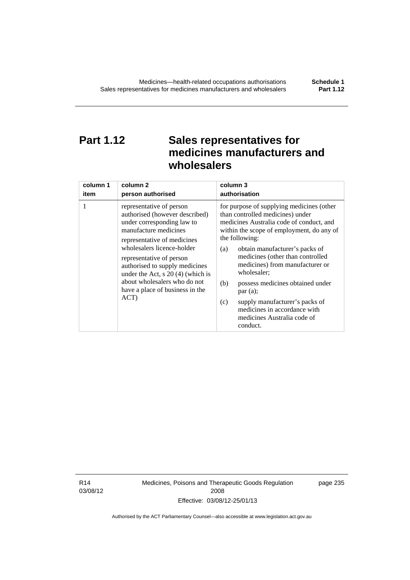# **Part 1.12 Sales representatives for medicines manufacturers and wholesalers**

| column 1 | column 2                                                                                                                                                                                                                                                                                                                                                       | column 3                                                                                                                                                                                                                                                                                                                                                                                                                                                                                          |  |
|----------|----------------------------------------------------------------------------------------------------------------------------------------------------------------------------------------------------------------------------------------------------------------------------------------------------------------------------------------------------------------|---------------------------------------------------------------------------------------------------------------------------------------------------------------------------------------------------------------------------------------------------------------------------------------------------------------------------------------------------------------------------------------------------------------------------------------------------------------------------------------------------|--|
| item     | person authorised                                                                                                                                                                                                                                                                                                                                              | authorisation                                                                                                                                                                                                                                                                                                                                                                                                                                                                                     |  |
| 1        | representative of person<br>authorised (however described)<br>under corresponding law to<br>manufacture medicines<br>representative of medicines<br>wholesalers licence-holder<br>representative of person<br>authorised to supply medicines<br>under the Act, $s$ 20 (4) (which is<br>about wholesalers who do not<br>have a place of business in the<br>ACT) | for purpose of supplying medicines (other<br>than controlled medicines) under<br>medicines Australia code of conduct, and<br>within the scope of employment, do any of<br>the following:<br>obtain manufacturer's packs of<br>(a)<br>medicines (other than controlled<br>medicines) from manufacturer or<br>wholesaler;<br>(b)<br>possess medicines obtained under<br>par(a);<br>supply manufacturer's packs of<br>(c)<br>medicines in accordance with<br>medicines Australia code of<br>conduct. |  |

R14 03/08/12 Medicines, Poisons and Therapeutic Goods Regulation 2008 Effective: 03/08/12-25/01/13

page 235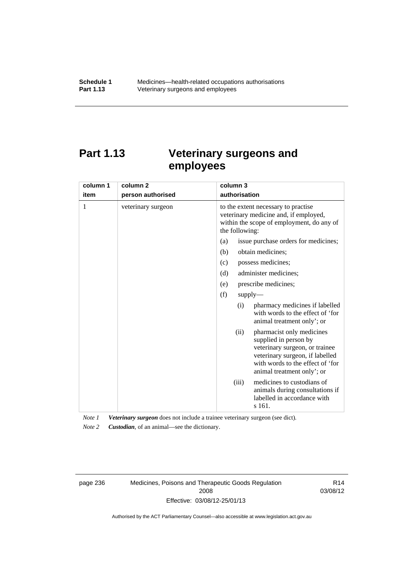# **Part 1.13 Veterinary surgeons and employees**

| column 1 | column <sub>2</sub> | column 3                                                                                                                                                                                          |  |
|----------|---------------------|---------------------------------------------------------------------------------------------------------------------------------------------------------------------------------------------------|--|
| item     | person authorised   | authorisation                                                                                                                                                                                     |  |
| 1        | veterinary surgeon  | to the extent necessary to practise<br>veterinary medicine and, if employed,<br>within the scope of employment, do any of<br>the following:                                                       |  |
|          |                     | issue purchase orders for medicines;<br>(a)                                                                                                                                                       |  |
|          |                     | obtain medicines;<br>(b)                                                                                                                                                                          |  |
|          |                     | possess medicines;<br>(c)                                                                                                                                                                         |  |
|          |                     | (d)<br>administer medicines;                                                                                                                                                                      |  |
|          |                     | prescribe medicines;<br>(e)                                                                                                                                                                       |  |
|          |                     | (f)<br>$supply$ —                                                                                                                                                                                 |  |
|          |                     | pharmacy medicines if labelled<br>(i)<br>with words to the effect of 'for<br>animal treatment only'; or                                                                                           |  |
|          |                     | pharmacist only medicines<br>(ii)<br>supplied in person by<br>veterinary surgeon, or trainee<br>veterinary surgeon, if labelled<br>with words to the effect of 'for<br>animal treatment only'; or |  |
|          |                     | medicines to custodians of<br>(iii)<br>animals during consultations if<br>labelled in accordance with<br>s 161.                                                                                   |  |

*Note 1 Veterinary surgeon* does not include a trainee veterinary surgeon (see dict).

*Note 2 Custodian*, of an animal—see the dictionary.

page 236 Medicines, Poisons and Therapeutic Goods Regulation 2008 Effective: 03/08/12-25/01/13

R14 03/08/12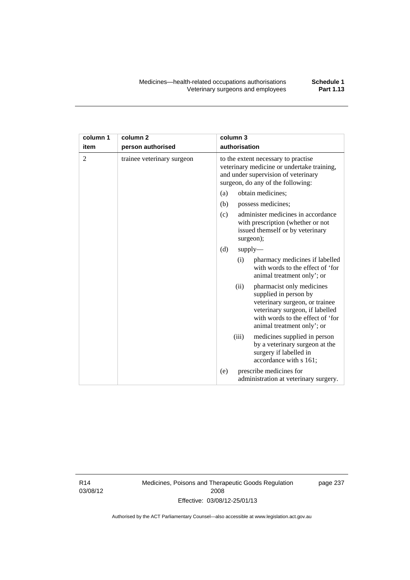| column 1       | column 2                   | column 3                                                                                                                                                                                          |  |
|----------------|----------------------------|---------------------------------------------------------------------------------------------------------------------------------------------------------------------------------------------------|--|
| item           | person authorised          | authorisation                                                                                                                                                                                     |  |
| $\overline{2}$ | trainee veterinary surgeon | to the extent necessary to practise<br>veterinary medicine or undertake training,<br>and under supervision of veterinary<br>surgeon, do any of the following:                                     |  |
|                |                            | obtain medicines;<br>(a)                                                                                                                                                                          |  |
|                |                            | (b)<br>possess medicines;                                                                                                                                                                         |  |
|                |                            | administer medicines in accordance<br>(c)<br>with prescription (whether or not<br>issued themself or by veterinary<br>surgeon);                                                                   |  |
|                |                            | (d)<br>$supply$ —                                                                                                                                                                                 |  |
|                |                            | pharmacy medicines if labelled<br>(i)<br>with words to the effect of 'for<br>animal treatment only'; or                                                                                           |  |
|                |                            | (ii)<br>pharmacist only medicines<br>supplied in person by<br>veterinary surgeon, or trainee<br>veterinary surgeon, if labelled<br>with words to the effect of 'for<br>animal treatment only'; or |  |
|                |                            | (iii)<br>medicines supplied in person<br>by a veterinary surgeon at the<br>surgery if labelled in<br>accordance with s 161;                                                                       |  |
|                |                            | prescribe medicines for<br>(e)<br>administration at veterinary surgery.                                                                                                                           |  |

R14 03/08/12 Medicines, Poisons and Therapeutic Goods Regulation 2008 Effective: 03/08/12-25/01/13

page 237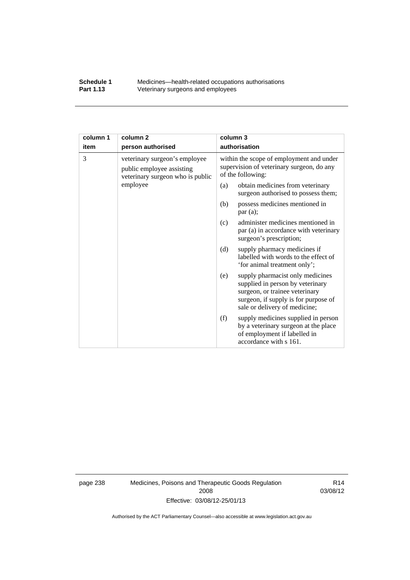### **Schedule 1** Medicines—health-related occupations authorisations<br>**Part 1.13** Veterinary surgeons and employees Veterinary surgeons and employees

| column 1 | column <sub>2</sub>                                                                            | column 3                                                                                                                                                                               |
|----------|------------------------------------------------------------------------------------------------|----------------------------------------------------------------------------------------------------------------------------------------------------------------------------------------|
| item     | person authorised                                                                              | authorisation                                                                                                                                                                          |
| 3        | veterinary surgeon's employee<br>public employee assisting<br>veterinary surgeon who is public | within the scope of employment and under<br>supervision of veterinary surgeon, do any<br>of the following:                                                                             |
|          | employee                                                                                       | obtain medicines from veterinary<br>(a)<br>surgeon authorised to possess them;                                                                                                         |
|          |                                                                                                | possess medicines mentioned in<br>(b)<br>par(a);                                                                                                                                       |
|          |                                                                                                | administer medicines mentioned in<br>(c)<br>par (a) in accordance with veterinary<br>surgeon's prescription;                                                                           |
|          |                                                                                                | (d)<br>supply pharmacy medicines if<br>labelled with words to the effect of<br>'for animal treatment only';                                                                            |
|          |                                                                                                | supply pharmacist only medicines<br>(e)<br>supplied in person by veterinary<br>surgeon, or trainee veterinary<br>surgeon, if supply is for purpose of<br>sale or delivery of medicine; |
|          |                                                                                                | supply medicines supplied in person<br>(f)<br>by a veterinary surgeon at the place<br>of employment if labelled in<br>accordance with s 161.                                           |

page 238 Medicines, Poisons and Therapeutic Goods Regulation 2008 Effective: 03/08/12-25/01/13

R14 03/08/12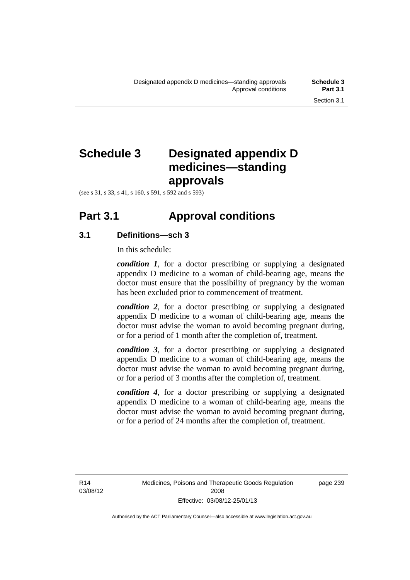# **Schedule 3 Designated appendix D medicines—standing approvals**

(see s 31, s 33, s 41, s 160, s 591, s 592 and s 593)

# **Part 3.1 Approval conditions**

## **3.1 Definitions—sch 3**

In this schedule:

*condition 1*, for a doctor prescribing or supplying a designated appendix D medicine to a woman of child-bearing age, means the doctor must ensure that the possibility of pregnancy by the woman has been excluded prior to commencement of treatment.

*condition 2*, for a doctor prescribing or supplying a designated appendix D medicine to a woman of child-bearing age, means the doctor must advise the woman to avoid becoming pregnant during, or for a period of 1 month after the completion of, treatment.

*condition 3*, for a doctor prescribing or supplying a designated appendix D medicine to a woman of child-bearing age, means the doctor must advise the woman to avoid becoming pregnant during, or for a period of 3 months after the completion of, treatment.

*condition 4*, for a doctor prescribing or supplying a designated appendix D medicine to a woman of child-bearing age, means the doctor must advise the woman to avoid becoming pregnant during, or for a period of 24 months after the completion of, treatment.

R14 03/08/12 page 239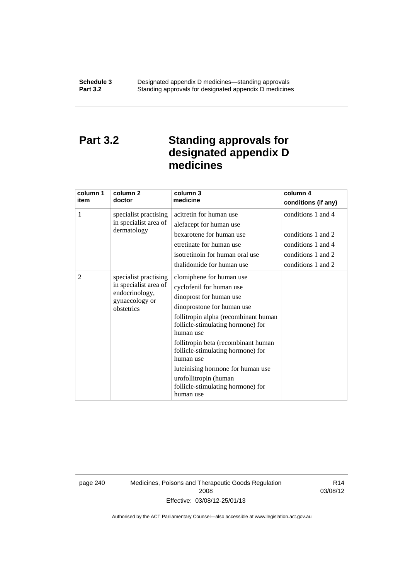# **Part 3.2 Standing approvals for designated appendix D medicines**

| column 1<br>item | column 2<br>doctor                                                                               | column 3<br>medicine                                                                                                                                                                                                                                                                                                                                                                                | column 4<br>conditions (if any)                                                                            |
|------------------|--------------------------------------------------------------------------------------------------|-----------------------------------------------------------------------------------------------------------------------------------------------------------------------------------------------------------------------------------------------------------------------------------------------------------------------------------------------------------------------------------------------------|------------------------------------------------------------------------------------------------------------|
| 1                | specialist practising<br>in specialist area of<br>dermatology                                    | acitretin for human use<br>alefacept for human use<br>bexarotene for human use<br>etretinate for human use<br>isotretinoin for human oral use<br>thalidomide for human use                                                                                                                                                                                                                          | conditions 1 and 4<br>conditions 1 and 2<br>conditions 1 and 4<br>conditions 1 and 2<br>conditions 1 and 2 |
| 2                | specialist practising<br>in specialist area of<br>endocrinology,<br>gynaecology or<br>obstetrics | clomiphene for human use<br>cyclofenil for human use<br>dinoprost for human use<br>dinoprostone for human use<br>follitropin alpha (recombinant human<br>follicle-stimulating hormone) for<br>human use<br>follitropin beta (recombinant human<br>follicle-stimulating hormone) for<br>human use<br>luteinising hormone for human use<br>urofollitropin (human<br>follicle-stimulating hormone) for |                                                                                                            |

page 240 Medicines, Poisons and Therapeutic Goods Regulation 2008 Effective: 03/08/12-25/01/13

R14 03/08/12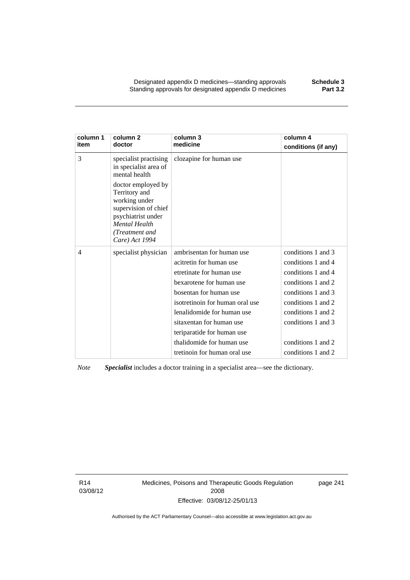Designated appendix D medicines—standing approvals **Schedule 3** Standing approvals for designated appendix D medicines

| column 1<br>item | column <sub>2</sub><br>doctor                                                                                                                                  | column 3<br>medicine            | column 4<br>conditions (if any) |
|------------------|----------------------------------------------------------------------------------------------------------------------------------------------------------------|---------------------------------|---------------------------------|
| 3                | specialist practising<br>in specialist area of<br>mental health                                                                                                | clozapine for human use         |                                 |
|                  | doctor employed by<br>Territory and<br>working under<br>supervision of chief<br>psychiatrist under<br><b>Mental Health</b><br>(Treatment and<br>Care) Act 1994 |                                 |                                 |
| 4                | specialist physician                                                                                                                                           | ambrisentan for human use       | conditions 1 and 3              |
|                  |                                                                                                                                                                | acitretin for human use         | conditions 1 and 4              |
|                  |                                                                                                                                                                | etretinate for human use        | conditions 1 and 4              |
|                  |                                                                                                                                                                | bexarotene for human use        | conditions 1 and 2              |
|                  |                                                                                                                                                                | bosentan for human use          | conditions 1 and 3              |
|                  |                                                                                                                                                                | isotretinoin for human oral use | conditions 1 and 2              |
|                  |                                                                                                                                                                | lenalidomide for human use      | conditions 1 and 2              |
|                  |                                                                                                                                                                | sitaxentan for human use        | conditions 1 and 3              |
|                  |                                                                                                                                                                | teriparatide for human use      |                                 |
|                  |                                                                                                                                                                | thalidomide for human use       | conditions 1 and 2              |
|                  |                                                                                                                                                                | tretinoin for human oral use    | conditions 1 and 2              |

*Note Specialist* includes a doctor training in a specialist area—see the dictionary.

R14 03/08/12 Medicines, Poisons and Therapeutic Goods Regulation 2008 Effective: 03/08/12-25/01/13

page 241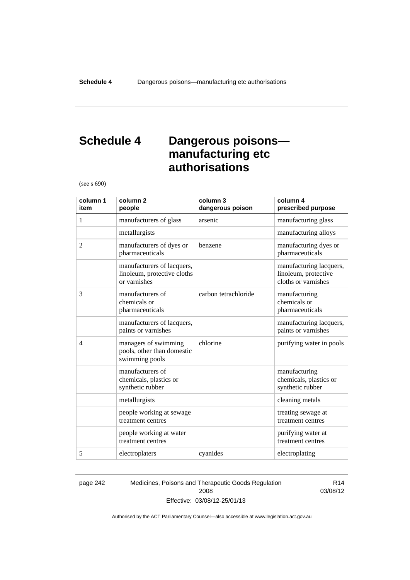# **Schedule 4 Dangerous poisons manufacturing etc authorisations**

(see s 690)

| column 1<br>item | column <sub>2</sub><br>people                                             | column 3<br>dangerous poison | column 4<br>prescribed purpose                                         |
|------------------|---------------------------------------------------------------------------|------------------------------|------------------------------------------------------------------------|
| 1                | manufacturers of glass                                                    | arsenic                      | manufacturing glass                                                    |
|                  | metallurgists                                                             |                              | manufacturing alloys                                                   |
| $\overline{2}$   | manufacturers of dyes or<br>pharmaceuticals                               | benzene                      | manufacturing dyes or<br>pharmaceuticals                               |
|                  | manufacturers of lacquers,<br>linoleum, protective cloths<br>or varnishes |                              | manufacturing lacquers,<br>linoleum, protective<br>cloths or varnishes |
| 3                | manufacturers of<br>chemicals or<br>pharmaceuticals                       | carbon tetrachloride         | manufacturing<br>chemicals or<br>pharmaceuticals                       |
|                  | manufacturers of lacquers,<br>paints or varnishes                         |                              | manufacturing lacquers,<br>paints or varnishes                         |
| $\overline{4}$   | managers of swimming<br>pools, other than domestic<br>swimming pools      | chlorine                     | purifying water in pools                                               |
|                  | manufacturers of<br>chemicals, plastics or<br>synthetic rubber            |                              | manufacturing<br>chemicals, plastics or<br>synthetic rubber            |
|                  | metallurgists                                                             |                              | cleaning metals                                                        |
|                  | people working at sewage<br>treatment centres                             |                              | treating sewage at<br>treatment centres                                |
|                  | people working at water<br>treatment centres                              |                              | purifying water at<br>treatment centres                                |
| 5                | electroplaters                                                            | cyanides                     | electroplating                                                         |

page 242 Medicines, Poisons and Therapeutic Goods Regulation 2008 Effective: 03/08/12-25/01/13

R14 03/08/12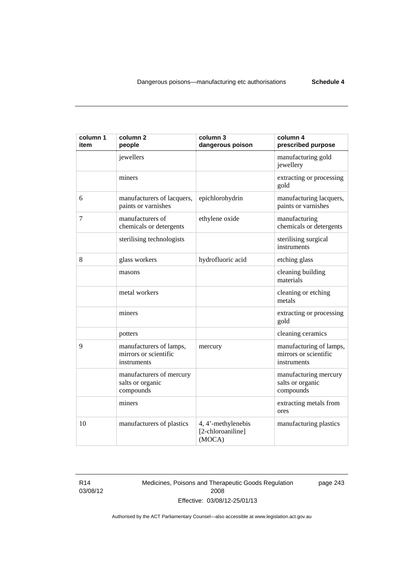| column 1<br>item | column <sub>2</sub><br>people                                   | column 3<br>dangerous poison                      | column 4<br>prescribed purpose                                  |
|------------------|-----------------------------------------------------------------|---------------------------------------------------|-----------------------------------------------------------------|
|                  | jewellers                                                       |                                                   | manufacturing gold<br>jewellery                                 |
|                  | miners                                                          |                                                   | extracting or processing<br>gold                                |
| 6                | manufacturers of lacquers,<br>paints or varnishes               | epichlorohydrin                                   | manufacturing lacquers,<br>paints or varnishes                  |
| 7                | manufacturers of<br>chemicals or detergents                     | ethylene oxide                                    | manufacturing<br>chemicals or detergents                        |
|                  | sterilising technologists                                       |                                                   | sterilising surgical<br>instruments                             |
| 8                | glass workers                                                   | hydrofluoric acid                                 | etching glass                                                   |
|                  | masons                                                          |                                                   | cleaning building<br>materials                                  |
|                  | metal workers                                                   |                                                   | cleaning or etching<br>metals                                   |
|                  | miners                                                          |                                                   | extracting or processing<br>gold                                |
|                  | potters                                                         |                                                   | cleaning ceramics                                               |
| 9                | manufacturers of lamps,<br>mirrors or scientific<br>instruments | mercury                                           | manufacturing of lamps,<br>mirrors or scientific<br>instruments |
|                  | manufacturers of mercury<br>salts or organic<br>compounds       |                                                   | manufacturing mercury<br>salts or organic<br>compounds          |
|                  | miners                                                          |                                                   | extracting metals from<br>ores                                  |
| 10               | manufacturers of plastics                                       | 4, 4'-methylenebis<br>[2-chloroaniline]<br>(MOCA) | manufacturing plastics                                          |

R14 03/08/12 Medicines, Poisons and Therapeutic Goods Regulation 2008 Effective: 03/08/12-25/01/13

page 243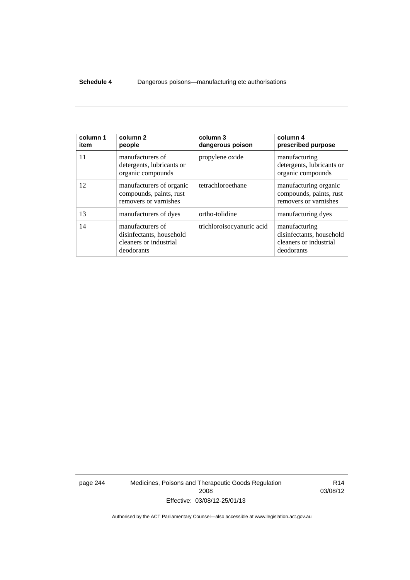### **Schedule 4** Dangerous poisons—manufacturing etc authorisations

| column 1<br>item | column <sub>2</sub><br>people                                                        | column 3<br>dangerous poison | column 4<br>prescribed purpose                                                    |
|------------------|--------------------------------------------------------------------------------------|------------------------------|-----------------------------------------------------------------------------------|
| 11               | manufacturers of<br>detergents, lubricants or<br>organic compounds                   | propylene oxide              | manufacturing<br>detergents, lubricants or<br>organic compounds                   |
| 12               | manufacturers of organic<br>compounds, paints, rust<br>removers or varnishes         | tetrachloroethane            | manufacturing organic<br>compounds, paints, rust<br>removers or varnishes         |
| 13               | manufacturers of dyes                                                                | ortho-tolidine               | manufacturing dyes                                                                |
| 14               | manufacturers of<br>disinfectants, household<br>cleaners or industrial<br>deodorants | trichloroisocyanuric acid    | manufacturing<br>disinfectants, household<br>cleaners or industrial<br>deodorants |

page 244 Medicines, Poisons and Therapeutic Goods Regulation 2008 Effective: 03/08/12-25/01/13

R14 03/08/12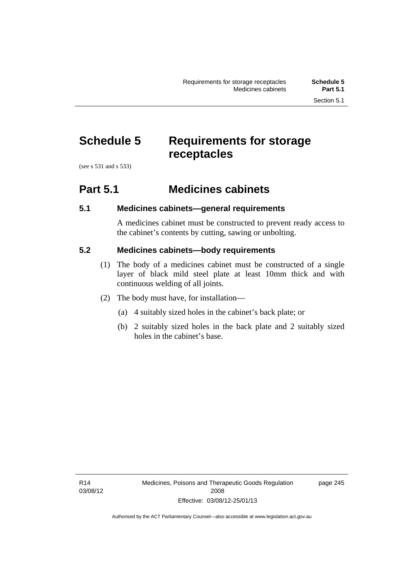# **Schedule 5 Requirements for storage receptacles**

(see s 531 and s 533)

## **Part 5.1 Medicines cabinets**

## **5.1 Medicines cabinets—general requirements**

A medicines cabinet must be constructed to prevent ready access to the cabinet's contents by cutting, sawing or unbolting.

## **5.2 Medicines cabinets—body requirements**

- (1) The body of a medicines cabinet must be constructed of a single layer of black mild steel plate at least 10mm thick and with continuous welding of all joints.
- (2) The body must have, for installation—
	- (a) 4 suitably sized holes in the cabinet's back plate; or
	- (b) 2 suitably sized holes in the back plate and 2 suitably sized holes in the cabinet's base.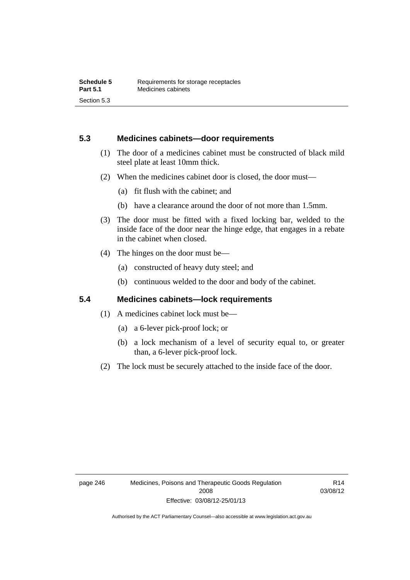## **5.3 Medicines cabinets—door requirements**

- (1) The door of a medicines cabinet must be constructed of black mild steel plate at least 10mm thick.
- (2) When the medicines cabinet door is closed, the door must—
	- (a) fit flush with the cabinet; and
	- (b) have a clearance around the door of not more than 1.5mm.
- (3) The door must be fitted with a fixed locking bar, welded to the inside face of the door near the hinge edge, that engages in a rebate in the cabinet when closed.
- (4) The hinges on the door must be—
	- (a) constructed of heavy duty steel; and
	- (b) continuous welded to the door and body of the cabinet.

## **5.4 Medicines cabinets—lock requirements**

- (1) A medicines cabinet lock must be—
	- (a) a 6-lever pick-proof lock; or
	- (b) a lock mechanism of a level of security equal to, or greater than, a 6-lever pick-proof lock.
- (2) The lock must be securely attached to the inside face of the door.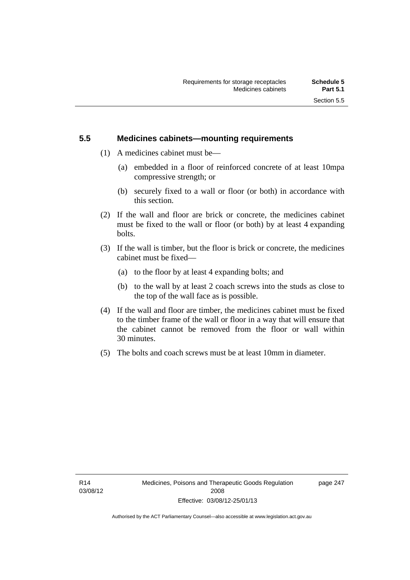## **5.5 Medicines cabinets—mounting requirements**

- (1) A medicines cabinet must be—
	- (a) embedded in a floor of reinforced concrete of at least 10mpa compressive strength; or
	- (b) securely fixed to a wall or floor (or both) in accordance with this section.
- (2) If the wall and floor are brick or concrete, the medicines cabinet must be fixed to the wall or floor (or both) by at least 4 expanding bolts.
- (3) If the wall is timber, but the floor is brick or concrete, the medicines cabinet must be fixed—
	- (a) to the floor by at least 4 expanding bolts; and
	- (b) to the wall by at least 2 coach screws into the studs as close to the top of the wall face as is possible.
- (4) If the wall and floor are timber, the medicines cabinet must be fixed to the timber frame of the wall or floor in a way that will ensure that the cabinet cannot be removed from the floor or wall within 30 minutes.
- (5) The bolts and coach screws must be at least 10mm in diameter.

page 247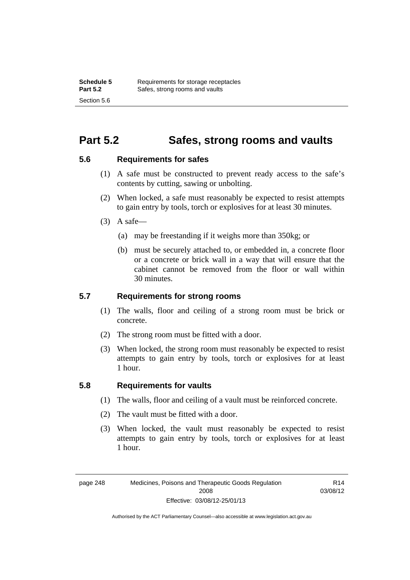## **Part 5.2 Safes, strong rooms and vaults**

## **5.6 Requirements for safes**

- (1) A safe must be constructed to prevent ready access to the safe's contents by cutting, sawing or unbolting.
- (2) When locked, a safe must reasonably be expected to resist attempts to gain entry by tools, torch or explosives for at least 30 minutes.
- $(3)$  A safe-
	- (a) may be freestanding if it weighs more than 350kg; or
	- (b) must be securely attached to, or embedded in, a concrete floor or a concrete or brick wall in a way that will ensure that the cabinet cannot be removed from the floor or wall within 30 minutes.

## **5.7 Requirements for strong rooms**

- (1) The walls, floor and ceiling of a strong room must be brick or concrete.
- (2) The strong room must be fitted with a door.
- (3) When locked, the strong room must reasonably be expected to resist attempts to gain entry by tools, torch or explosives for at least 1 hour.

## **5.8 Requirements for vaults**

- (1) The walls, floor and ceiling of a vault must be reinforced concrete.
- (2) The vault must be fitted with a door.
- (3) When locked, the vault must reasonably be expected to resist attempts to gain entry by tools, torch or explosives for at least 1 hour.

page 248 Medicines, Poisons and Therapeutic Goods Regulation 2008 Effective: 03/08/12-25/01/13

R14 03/08/12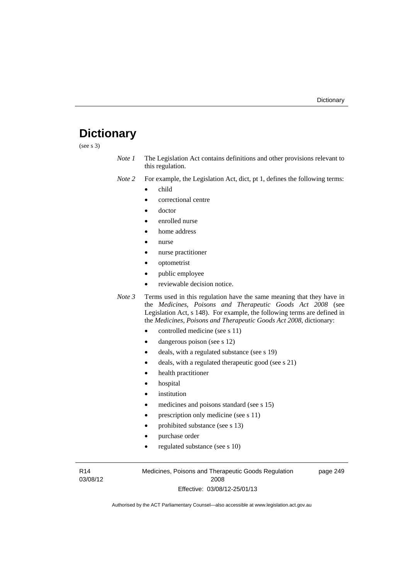# **Dictionary**

(see s 3)

- *Note 1* The Legislation Act contains definitions and other provisions relevant to this regulation.
- *Note 2* For example, the Legislation Act, dict, pt 1, defines the following terms:
	- child
	- correctional centre
	- doctor
	- enrolled nurse
	- home address
	- nurse
	- nurse practitioner
	- optometrist
	- public employee
	- reviewable decision notice.
- *Note 3* Terms used in this regulation have the same meaning that they have in the *Medicines, Poisons and Therapeutic Goods Act 2008* (see Legislation Act, s 148). For example, the following terms are defined in the *Medicines, Poisons and Therapeutic Goods Act 2008*, dictionary:
	- controlled medicine (see s 11)
	- dangerous poison (see s 12)
	- deals, with a regulated substance (see s 19)
	- deals, with a regulated therapeutic good (see s 21)
	- health practitioner
	- hospital
	- institution
	- medicines and poisons standard (see s 15)
	- prescription only medicine (see s 11)
	- prohibited substance (see s 13)
	- purchase order
	- regulated substance (see s 10)

R14 03/08/12 Medicines, Poisons and Therapeutic Goods Regulation 2008 Effective: 03/08/12-25/01/13

page 249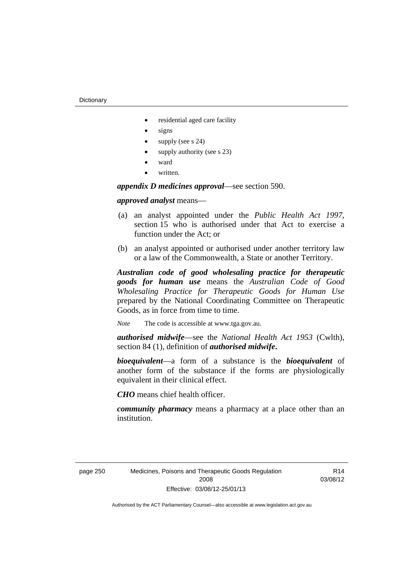- residential aged care facility
- signs
- supply (see s 24)
- supply authority (see s 23)
- ward
- written.

*appendix D medicines approval*—see section 590.

## *approved analyst* means—

- (a) an analyst appointed under the *Public Health Act 1997*, section 15 who is authorised under that Act to exercise a function under the Act; or
- (b) an analyst appointed or authorised under another territory law or a law of the Commonwealth, a State or another Territory.

*Australian code of good wholesaling practice for therapeutic goods for human use* means the *Australian Code of Good Wholesaling Practice for Therapeutic Goods for Human Use*  prepared by the National Coordinating Committee on Therapeutic Goods, as in force from time to time.

*Note* The code is accessible at www.tga.gov.au.

*authorised midwife*—see the *National Health Act 1953* (Cwlth), section 84 (1), definition of *authorised midwife***.**

*bioequivalent*—a form of a substance is the *bioequivalent* of another form of the substance if the forms are physiologically equivalent in their clinical effect.

*CHO* means chief health officer.

*community pharmacy* means a pharmacy at a place other than an institution.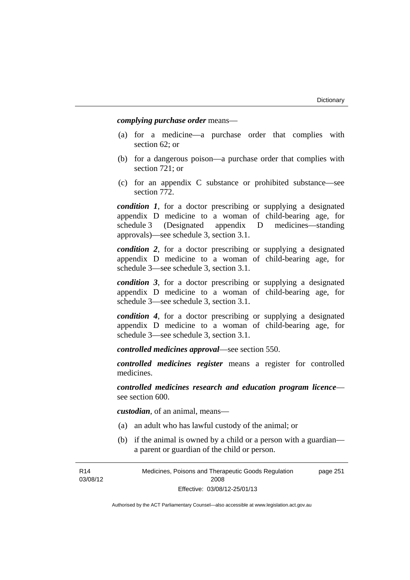*complying purchase order* means—

- (a) for a medicine—a purchase order that complies with section 62; or
- (b) for a dangerous poison—a purchase order that complies with section 721; or
- (c) for an appendix C substance or prohibited substance—see section 772.

*condition 1*, for a doctor prescribing or supplying a designated appendix D medicine to a woman of child-bearing age, for schedule 3 (Designated appendix D medicines—standing approvals)—see schedule 3, section 3.1.

*condition 2*, for a doctor prescribing or supplying a designated appendix D medicine to a woman of child-bearing age, for schedule 3—see schedule 3, section 3.1.

*condition 3*, for a doctor prescribing or supplying a designated appendix D medicine to a woman of child-bearing age, for schedule 3—see schedule 3, section 3.1.

*condition 4*, for a doctor prescribing or supplying a designated appendix D medicine to a woman of child-bearing age, for schedule 3—see schedule 3, section 3.1.

*controlled medicines approval*—see section 550.

*controlled medicines register* means a register for controlled medicines.

*controlled medicines research and education program licence* see section 600.

*custodian*, of an animal, means—

- (a) an adult who has lawful custody of the animal; or
- (b) if the animal is owned by a child or a person with a guardian a parent or guardian of the child or person.

R14 03/08/12 Medicines, Poisons and Therapeutic Goods Regulation 2008 Effective: 03/08/12-25/01/13 page 251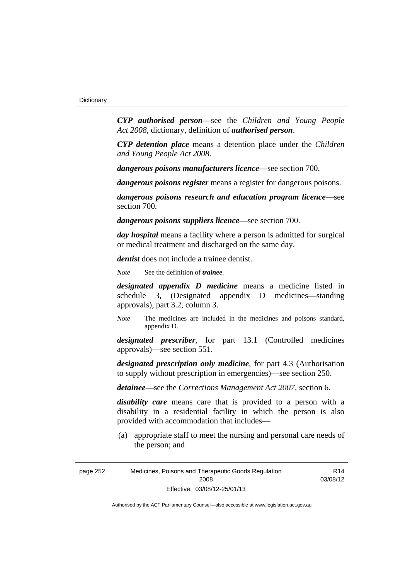*CYP authorised person*—see the *Children and Young People Act 2008*, dictionary, definition of *authorised person*.

*CYP detention place* means a detention place under the *Children and Young People Act 2008*.

*dangerous poisons manufacturers licence*—see section 700.

*dangerous poisons register* means a register for dangerous poisons.

*dangerous poisons research and education program licence*—see section 700.

*dangerous poisons suppliers licence*—see section 700.

*day hospital* means a facility where a person is admitted for surgical or medical treatment and discharged on the same day.

*dentist* does not include a trainee dentist.

*Note* See the definition of *trainee*.

*designated appendix D medicine* means a medicine listed in schedule 3, (Designated appendix D medicines—standing approvals), part 3.2, column 3.

*Note* The medicines are included in the medicines and poisons standard, appendix D.

*designated prescriber*, for part 13.1 (Controlled medicines approvals)—see section 551.

*designated prescription only medicine*, for part 4.3 (Authorisation to supply without prescription in emergencies)—see section 250.

*detainee*—see the *Corrections Management Act 2007*, section 6.

*disability care* means care that is provided to a person with a disability in a residential facility in which the person is also provided with accommodation that includes—

 (a) appropriate staff to meet the nursing and personal care needs of the person; and

R14 03/08/12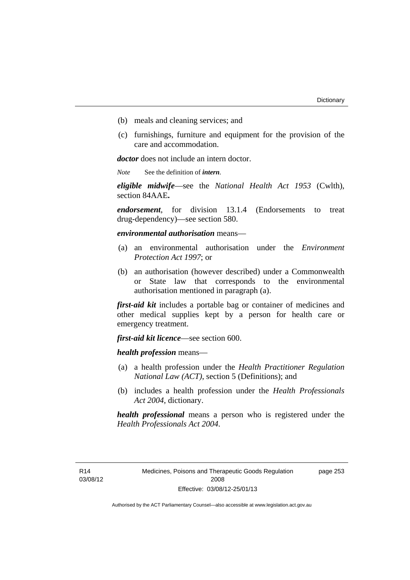- (b) meals and cleaning services; and
- (c) furnishings, furniture and equipment for the provision of the care and accommodation.

*doctor* does not include an intern doctor.

*Note* See the definition of *intern*.

*eligible midwife*—see the *National Health Act 1953* (Cwlth), section 84AAE**.**

*endorsement*, for division 13.1.4 (Endorsements to treat drug-dependency)—see section 580.

*environmental authorisation* means—

- (a) an environmental authorisation under the *Environment Protection Act 1997*; or
- (b) an authorisation (however described) under a Commonwealth or State law that corresponds to the environmental authorisation mentioned in paragraph (a).

*first-aid kit* includes a portable bag or container of medicines and other medical supplies kept by a person for health care or emergency treatment.

*first-aid kit licence*—see section 600.

*health profession* means—

- (a) a health profession under the *Health Practitioner Regulation National Law (ACT)*, section 5 (Definitions); and
- (b) includes a health profession under the *Health Professionals Act 2004*, dictionary.

*health professional* means a person who is registered under the *Health Professionals Act 2004*.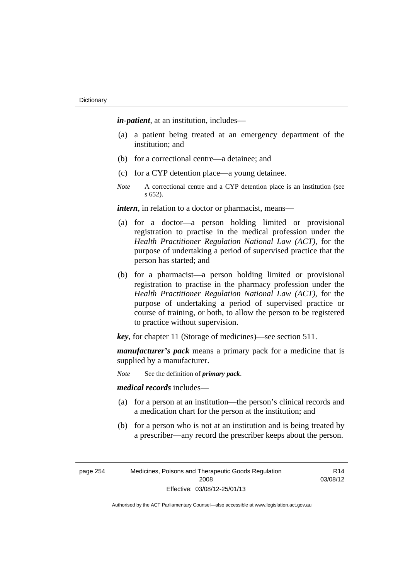*in-patient*, at an institution, includes—

- (a) a patient being treated at an emergency department of the institution; and
- (b) for a correctional centre—a detainee; and
- (c) for a CYP detention place—a young detainee.
- *Note* A correctional centre and a CYP detention place is an institution (see s 652).

*intern*, in relation to a doctor or pharmacist, means—

- (a) for a doctor—a person holding limited or provisional registration to practise in the medical profession under the *Health Practitioner Regulation National Law (ACT)*, for the purpose of undertaking a period of supervised practice that the person has started; and
- (b) for a pharmacist—a person holding limited or provisional registration to practise in the pharmacy profession under the *Health Practitioner Regulation National Law (ACT)*, for the purpose of undertaking a period of supervised practice or course of training, or both, to allow the person to be registered to practice without supervision.

*key*, for chapter 11 (Storage of medicines)—see section 511.

*manufacturer's pack* means a primary pack for a medicine that is supplied by a manufacturer.

*Note* See the definition of *primary pack*.

*medical records* includes—

- (a) for a person at an institution—the person's clinical records and a medication chart for the person at the institution; and
- (b) for a person who is not at an institution and is being treated by a prescriber—any record the prescriber keeps about the person.

| page 254 | Medicines, Poisons and Therapeutic Goods Regulation |
|----------|-----------------------------------------------------|
|          | 2008                                                |
|          | Effective: 03/08/12-25/01/13                        |

R14 03/08/12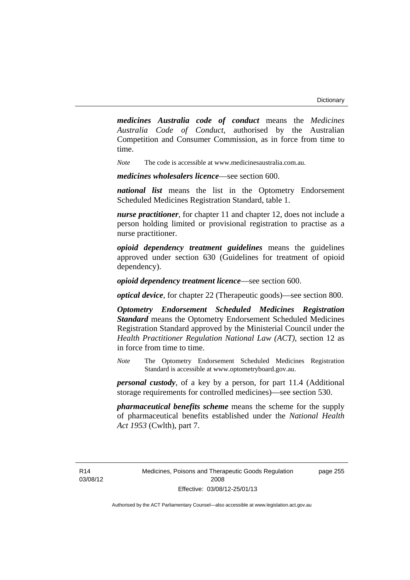*medicines Australia code of conduct* means the *Medicines Australia Code of Conduct*, authorised by the Australian Competition and Consumer Commission, as in force from time to time.

*Note* The code is accessible at www.medicinesaustralia.com.au.

*medicines wholesalers licence*—see section 600.

*national list* means the list in the Optometry Endorsement Scheduled Medicines Registration Standard, table 1.

*nurse practitioner*, for chapter 11 and chapter 12, does not include a person holding limited or provisional registration to practise as a nurse practitioner.

*opioid dependency treatment guidelines* means the guidelines approved under section 630 (Guidelines for treatment of opioid dependency).

*opioid dependency treatment licence*—see section 600.

*optical device*, for chapter 22 (Therapeutic goods)—see section 800.

*Optometry Endorsement Scheduled Medicines Registration Standard* means the Optometry Endorsement Scheduled Medicines Registration Standard approved by the Ministerial Council under the *Health Practitioner Regulation National Law (ACT)*, section 12 as in force from time to time.

*Note* The Optometry Endorsement Scheduled Medicines Registration Standard is accessible at www.optometryboard.gov.au.

*personal custody*, of a key by a person, for part 11.4 (Additional storage requirements for controlled medicines)—see section 530.

*pharmaceutical benefits scheme* means the scheme for the supply of pharmaceutical benefits established under the *National Health Act 1953* (Cwlth), part 7.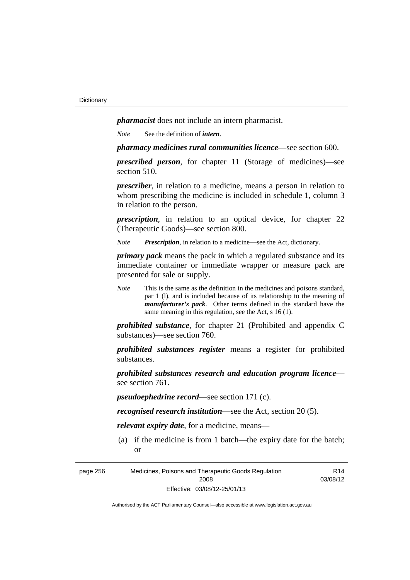*pharmacist* does not include an intern pharmacist.

*Note* See the definition of *intern*.

*pharmacy medicines rural communities licence*—see section 600.

*prescribed person*, for chapter 11 (Storage of medicines)—see section 510.

*prescriber*, in relation to a medicine, means a person in relation to whom prescribing the medicine is included in schedule 1, column 3 in relation to the person.

*prescription*, in relation to an optical device, for chapter 22 (Therapeutic Goods)—see section 800.

*Note Prescription*, in relation to a medicine—see the Act, dictionary.

*primary pack* means the pack in which a regulated substance and its immediate container or immediate wrapper or measure pack are presented for sale or supply.

*Note* This is the same as the definition in the medicines and poisons standard, par 1 (l), and is included because of its relationship to the meaning of *manufacturer's pack*. Other terms defined in the standard have the same meaning in this regulation, see the Act, s 16 (1).

*prohibited substance*, for chapter 21 (Prohibited and appendix C substances)—see section 760.

*prohibited substances register* means a register for prohibited substances.

*prohibited substances research and education program licence* see section 761.

*pseudoephedrine record*—see section 171 (c).

*recognised research institution*—see the Act, section 20 (5).

*relevant expiry date*, for a medicine, means—

 (a) if the medicine is from 1 batch—the expiry date for the batch; or

page 256 Medicines, Poisons and Therapeutic Goods Regulation 2008 Effective: 03/08/12-25/01/13

R14 03/08/12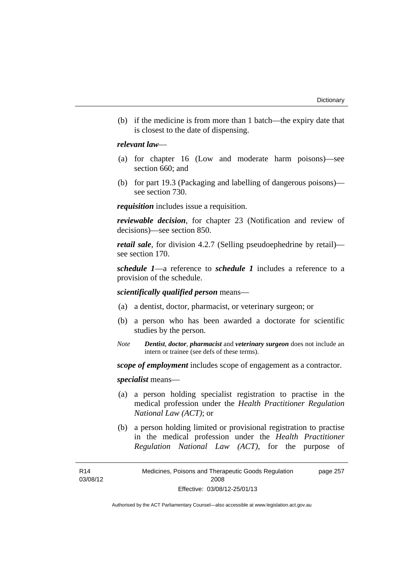(b) if the medicine is from more than 1 batch—the expiry date that is closest to the date of dispensing.

### *relevant law*—

- (a) for chapter 16 (Low and moderate harm poisons)—see section 660; and
- (b) for part 19.3 (Packaging and labelling of dangerous poisons) see section 730.

*requisition* includes issue a requisition.

*reviewable decision*, for chapter 23 (Notification and review of decisions)—see section 850.

*retail sale*, for division 4.2.7 (Selling pseudoephedrine by retail) see section 170.

*schedule 1*—a reference to *schedule 1* includes a reference to a provision of the schedule.

*scientifically qualified person* means—

- (a) a dentist, doctor, pharmacist, or veterinary surgeon; or
- (b) a person who has been awarded a doctorate for scientific studies by the person.
- *Note Dentist*, *doctor*, *pharmacist* and *veterinary surgeon* does not include an intern or trainee (see defs of these terms).

*scope of employment* includes scope of engagement as a contractor.

*specialist* means—

- (a) a person holding specialist registration to practise in the medical profession under the *Health Practitioner Regulation National Law (ACT)*; or
- (b) a person holding limited or provisional registration to practise in the medical profession under the *Health Practitioner Regulation National Law (ACT)*, for the purpose of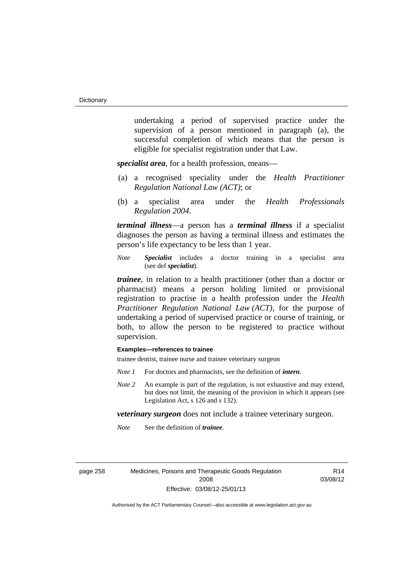undertaking a period of supervised practice under the supervision of a person mentioned in paragraph (a), the successful completion of which means that the person is eligible for specialist registration under that Law.

*specialist area*, for a health profession, means—

- (a) a recognised speciality under the *Health Practitioner Regulation National Law (ACT)*; or
- (b) a specialist area under the *Health Professionals Regulation 2004*.

*terminal illness*—a person has a *terminal illness* if a specialist diagnoses the person as having a terminal illness and estimates the person's life expectancy to be less than 1 year.

*Note Specialist* includes a doctor training in a specialist area (see def *specialist*).

*trainee*, in relation to a health practitioner (other than a doctor or pharmacist) means a person holding limited or provisional registration to practise in a health profession under the *Health Practitioner Regulation National Law (ACT)*, for the purpose of undertaking a period of supervised practice or course of training, or both, to allow the person to be registered to practice without supervision.

#### **Examples—references to trainee**

trainee dentist, trainee nurse and trainee veterinary surgeon

- *Note 1* For doctors and pharmacists, see the definition of *intern*.
- *Note 2* An example is part of the regulation, is not exhaustive and may extend, but does not limit, the meaning of the provision in which it appears (see Legislation Act, s 126 and s 132).

*veterinary surgeon* does not include a trainee veterinary surgeon.

*Note* See the definition of *trainee*.

page 258 Medicines, Poisons and Therapeutic Goods Regulation 2008 Effective: 03/08/12-25/01/13

R14 03/08/12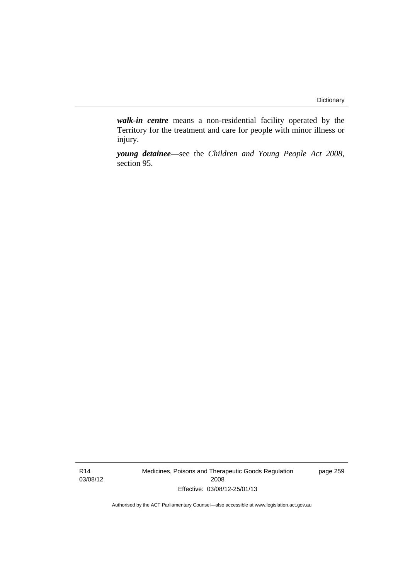*walk-in centre* means a non-residential facility operated by the Territory for the treatment and care for people with minor illness or injury.

*young detainee*—see the *Children and Young People Act 2008*, section 95.

R14 03/08/12 Medicines, Poisons and Therapeutic Goods Regulation 2008 Effective: 03/08/12-25/01/13

page 259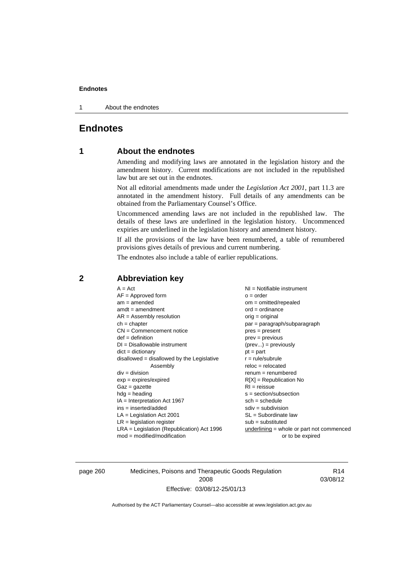1 About the endnotes

## **Endnotes**

## **1 About the endnotes**

Amending and modifying laws are annotated in the legislation history and the amendment history. Current modifications are not included in the republished law but are set out in the endnotes.

Not all editorial amendments made under the *Legislation Act 2001*, part 11.3 are annotated in the amendment history. Full details of any amendments can be obtained from the Parliamentary Counsel's Office.

Uncommenced amending laws are not included in the republished law. The details of these laws are underlined in the legislation history. Uncommenced expiries are underlined in the legislation history and amendment history.

If all the provisions of the law have been renumbered, a table of renumbered provisions gives details of previous and current numbering.

The endnotes also include a table of earlier republications.

| $A = Act$<br>$AF =$ Approved form<br>$am = amended$<br>$amdt = amendment$<br>$AR = Assembly resolution$<br>$ch = chapter$<br>$CN =$ Commencement notice<br>$def = definition$<br>$DI = Disallowable instrument$<br>$dict = dictionary$<br>disallowed = disallowed by the Legislative<br>Assembly<br>$div = division$<br>$exp = expires/expired$<br>$Gaz = gazette$<br>$hdg = heading$<br>$IA = Interpretation Act 1967$<br>$ins = inserted/added$<br>$LA =$ Legislation Act 2001<br>$LR =$ legislation register | NI = Notifiable instrument<br>$o = order$<br>$om = omitted/repealed$<br>$ord = ordinance$<br>$orig = original$<br>par = paragraph/subparagraph<br>$pres = present$<br>$prev = previous$<br>$(\text{prev}) = \text{previously}$<br>$pt = part$<br>$r = rule/subrule$<br>$reloc = relocated$<br>$renum = renumbered$<br>$R[X]$ = Republication No<br>$RI = reissue$<br>$s = section/subsection$<br>$sch = schedule$<br>$sdiv = subdivision$<br>$SL = Subordinate$ law<br>$sub =$ substituted |
|-----------------------------------------------------------------------------------------------------------------------------------------------------------------------------------------------------------------------------------------------------------------------------------------------------------------------------------------------------------------------------------------------------------------------------------------------------------------------------------------------------------------|--------------------------------------------------------------------------------------------------------------------------------------------------------------------------------------------------------------------------------------------------------------------------------------------------------------------------------------------------------------------------------------------------------------------------------------------------------------------------------------------|
| $LRA =$ Legislation (Republication) Act 1996<br>$mod = modified/modification$                                                                                                                                                                                                                                                                                                                                                                                                                                   | underlining = whole or part not commenced<br>or to be expired                                                                                                                                                                                                                                                                                                                                                                                                                              |
|                                                                                                                                                                                                                                                                                                                                                                                                                                                                                                                 |                                                                                                                                                                                                                                                                                                                                                                                                                                                                                            |

## **2 Abbreviation key**

page 260 Medicines, Poisons and Therapeutic Goods Regulation 2008 Effective: 03/08/12-25/01/13

R14 03/08/12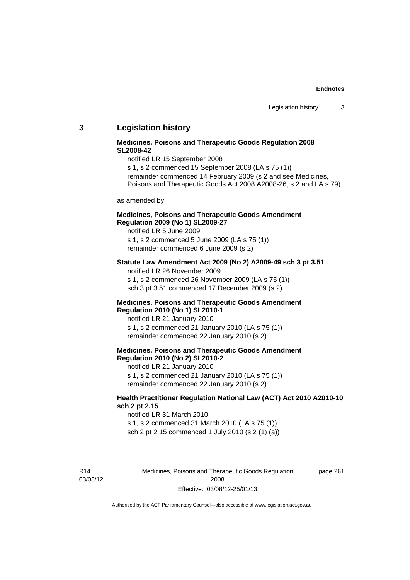### **3 Legislation history**

### **Medicines, Poisons and Therapeutic Goods Regulation 2008 SL2008-42**

notified LR 15 September 2008

s 1, s 2 commenced 15 September 2008 (LA s 75 (1))

- remainder commenced 14 February 2009 (s 2 and see Medicines,
- Poisons and Therapeutic Goods Act 2008 A2008-26, s 2 and LA s 79)

as amended by

### **Medicines, Poisons and Therapeutic Goods Amendment Regulation 2009 (No 1) SL2009-27**

notified LR 5 June 2009 s 1, s 2 commenced 5 June 2009 (LA s 75 (1)) remainder commenced 6 June 2009 (s 2)

#### **Statute Law Amendment Act 2009 (No 2) A2009-49 sch 3 pt 3.51**

notified LR 26 November 2009

s 1, s 2 commenced 26 November 2009 (LA s 75 (1))

sch 3 pt 3.51 commenced 17 December 2009 (s 2)

#### **Medicines, Poisons and Therapeutic Goods Amendment Regulation 2010 (No 1) SL2010-1**

notified LR 21 January 2010 s 1, s 2 commenced 21 January 2010 (LA s 75 (1)) remainder commenced 22 January 2010 (s 2)

### **Medicines, Poisons and Therapeutic Goods Amendment Regulation 2010 (No 2) SL2010-2**

notified LR 21 January 2010 s 1, s 2 commenced 21 January 2010 (LA s 75 (1)) remainder commenced 22 January 2010 (s 2)

### **Health Practitioner Regulation National Law (ACT) Act 2010 A2010-10 sch 2 pt 2.15**

notified LR 31 March 2010 s 1, s 2 commenced 31 March 2010 (LA s 75 (1)) sch 2 pt 2.15 commenced 1 July 2010 (s 2 (1) (a))

R14 03/08/12 Medicines, Poisons and Therapeutic Goods Regulation 2008 Effective: 03/08/12-25/01/13

page 261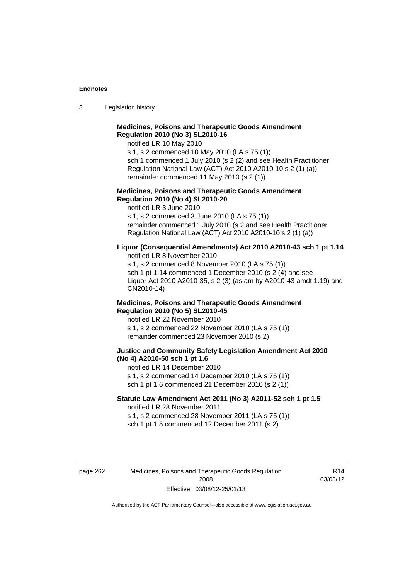3 Legislation history

## **Medicines, Poisons and Therapeutic Goods Amendment Regulation 2010 (No 3) SL2010-16**

notified LR 10 May 2010

s 1, s 2 commenced 10 May 2010 (LA s 75 (1)) sch 1 commenced 1 July 2010 (s 2 (2) and see Health Practitioner Regulation National Law (ACT) Act 2010 A2010-10 s 2 (1) (a)) remainder commenced 11 May 2010 (s 2 (1))

#### **Medicines, Poisons and Therapeutic Goods Amendment Regulation 2010 (No 4) SL2010-20**

notified LR 3 June 2010 s 1, s 2 commenced 3 June 2010 (LA s 75 (1)) remainder commenced 1 July 2010 (s 2 and see Health Practitioner Regulation National Law (ACT) Act 2010 A2010-10 s 2 (1) (a))

#### **Liquor (Consequential Amendments) Act 2010 A2010-43 sch 1 pt 1.14**

notified LR 8 November 2010

s 1, s 2 commenced 8 November 2010 (LA s 75 (1)) sch 1 pt 1.14 commenced 1 December 2010 (s 2 (4) and see Liquor Act 2010 A2010-35, s 2 (3) (as am by A2010-43 amdt 1.19) and CN2010-14)

#### **Medicines, Poisons and Therapeutic Goods Amendment Regulation 2010 (No 5) SL2010-45**

notified LR 22 November 2010 s 1, s 2 commenced 22 November 2010 (LA s 75 (1)) remainder commenced 23 November 2010 (s 2)

#### **Justice and Community Safety Legislation Amendment Act 2010 (No 4) A2010-50 sch 1 pt 1.6**

notified LR 14 December 2010 s 1, s 2 commenced 14 December 2010 (LA s 75 (1)) sch 1 pt 1.6 commenced 21 December 2010 (s 2 (1))

### **Statute Law Amendment Act 2011 (No 3) A2011-52 sch 1 pt 1.5**  notified LR 28 November 2011

s 1, s 2 commenced 28 November 2011 (LA s 75 (1)) sch 1 pt 1.5 commenced 12 December 2011 (s 2)

page 262 Medicines, Poisons and Therapeutic Goods Regulation 2008 Effective: 03/08/12-25/01/13

R14 03/08/12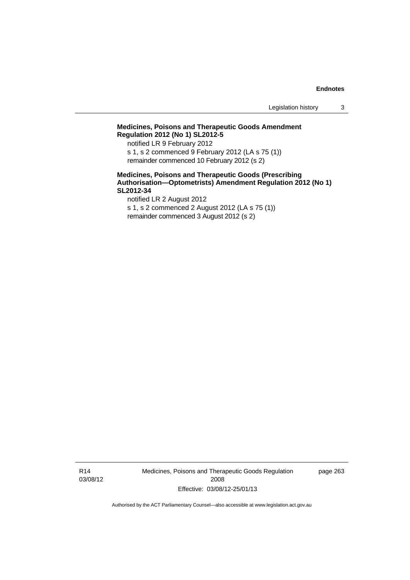Legislation history 3

## **Medicines, Poisons and Therapeutic Goods Amendment Regulation 2012 (No 1) SL2012-5**

notified LR 9 February 2012 s 1, s 2 commenced 9 February 2012 (LA s 75 (1)) remainder commenced 10 February 2012 (s 2)

### **Medicines, Poisons and Therapeutic Goods (Prescribing Authorisation—Optometrists) Amendment Regulation 2012 (No 1) SL2012-34**

notified LR 2 August 2012 s 1, s 2 commenced 2 August 2012 (LA s 75 (1)) remainder commenced 3 August 2012 (s 2)

R14 03/08/12 Medicines, Poisons and Therapeutic Goods Regulation 2008 Effective: 03/08/12-25/01/13

page 263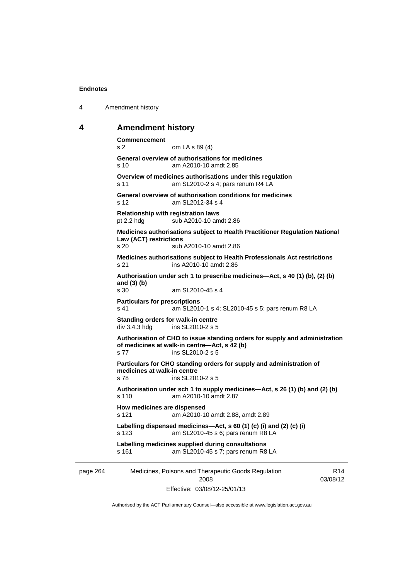4 Amendment history

### **4 Amendment history**

page 264 Medicines, Poisons and Therapeutic Goods Regulation 2008 R14 03/08/12 **Commencement**  s 2 om LA s 89 (4) **General overview of authorisations for medicines**  s 10 am A2010-10 amdt 2.85 **Overview of medicines authorisations under this regulation**  s 11 am SL2010-2 s 4; pars renum R4 LA **General overview of authorisation conditions for medicines**  s 12 am SL2012-34 s 4 **Relationship with registration laws**  pt 2.2 hdg sub A2010-10 amdt 2.86 **Medicines authorisations subject to Health Practitioner Regulation National Law (ACT) restrictions**  s 20 sub A2010-10 amdt 2.86 **Medicines authorisations subject to Health Professionals Act restrictions**  s 21 ins A2010-10 amdt 2.86 **Authorisation under sch 1 to prescribe medicines—Act, s 40 (1) (b), (2) (b) and (3) (b)**  am SL2010-45 s 4 **Particulars for prescriptions**  s 41 am SL2010-1 s 4; SL2010-45 s 5; pars renum R8 LA **Standing orders for walk-in centre**  div 3.4.3 hdg ins SL2010-2 s 5 **Authorisation of CHO to issue standing orders for supply and administration of medicines at walk-in centre—Act, s 42 (b)**  s 77 ins SL2010-2 s 5 **Particulars for CHO standing orders for supply and administration of medicines at walk-in centre**  s 78 ins SL2010-2 s 5 **Authorisation under sch 1 to supply medicines—Act, s 26 (1) (b) and (2) (b)**  s 110 am A2010-10 amdt 2.87 **How medicines are dispensed**<br>s 121 am A2010-1 am A2010-10 amdt 2.88, amdt 2.89 **Labelling dispensed medicines—Act, s 60 (1) (c) (i) and (2) (c) (i)**  s 123 am SL2010-45 s 6; pars renum R8 LA **Labelling medicines supplied during consultations**  s 161 am SL2010-45 s 7; pars renum R8 LA

Effective: 03/08/12-25/01/13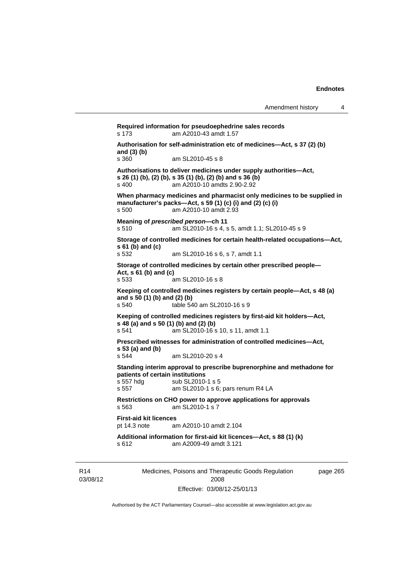**Required information for pseudoephedrine sales records**  s 173 am A2010-43 amdt 1.57 **Authorisation for self-administration etc of medicines—Act, s 37 (2) (b) and (3) (b)**  am SL2010-45 s 8 **Authorisations to deliver medicines under supply authorities—Act, s 26 (1) (b), (2) (b), s 35 (1) (b), (2) (b) and s 36 (b)**  s 400 am A2010-10 amdts 2.90-2.92 **When pharmacy medicines and pharmacist only medicines to be supplied in manufacturer's packs—Act, s 59 (1) (c) (i) and (2) (c) (i)**  s 500 am A2010-10 amdt 2.93 **Meaning of** *prescribed person***—ch 11**  s 510 am SL2010-16 s 4, s 5, amdt 1.1; SL2010-45 s 9 **Storage of controlled medicines for certain health-related occupations—Act, s 61 (b) and (c)**<br>**s** 532 am SL2010-16 s 6, s 7, amdt 1.1 **Storage of controlled medicines by certain other prescribed people— Act, s 61 (b) and (c)**  s 533 am SL2010-16 s 8 **Keeping of controlled medicines registers by certain people—Act, s 48 (a) and s 50 (1) (b) and (2) (b)**  s 540 table 540 am SL2010-16 s 9 **Keeping of controlled medicines registers by first-aid kit holders—Act, s 48 (a) and s 50 (1) (b) and (2) (b)**  s 541 am SL2010-16 s 10, s 11, amdt 1.1 **Prescribed witnesses for administration of controlled medicines—Act, s 53 (a) and (b)**  s 544 am SL2010-20 s 4 **Standing interim approval to prescribe buprenorphine and methadone for patients of certain institutions**  s 557 hdg sub SL2010-1 s 5<br>s 557 am SL2010-1 s 6: am SL2010-1 s 6; pars renum R4 LA **Restrictions on CHO power to approve applications for approvals**  s 563 am SL2010-1 s 7 **First-aid kit licences**<br>pt 14.3 note are am A2010-10 amdt 2.104 **Additional information for first-aid kit licences—Act, s 88 (1) (k)**  s 612 am A2009-49 amdt 3.121

R14 03/08/12 Medicines, Poisons and Therapeutic Goods Regulation 2008 Effective: 03/08/12-25/01/13

page 265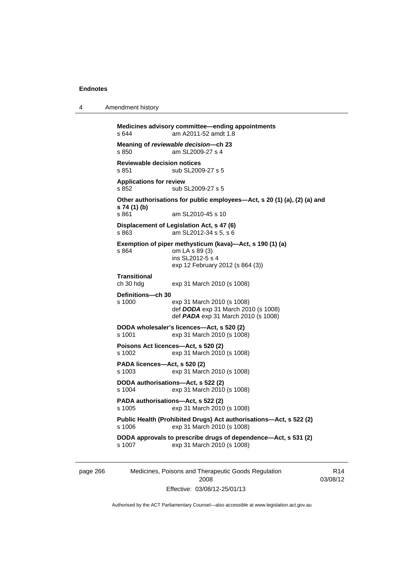4 Amendment history

```
Medicines advisory committee—ending appointments 
s 644 am A2011-52 amdt 1.8 
Meaning of reviewable decision—ch 23 
                 am SL2009-27 s 4
Reviewable decision notices 
s 851 sub SL2009-27 s 5
Applications for review 
s 852 sub SL2009-27 s 5 
Other authorisations for public employees—Act, s 20 (1) (a), (2) (a) and 
s 74 (1) (b) 
                 am SL2010-45 s 10
Displacement of Legislation Act, s 47 (6) <br>s 863 am SL2012-34 s 5, s 6
                 am SL2012-34 s 5, s 6
Exemption of piper methysticum (kava)—Act, s 190 (1) (a) 
s 864 om LA s 89 (3) 
                  ins SL2012-5 s 4 
                  exp 12 February 2012 (s 864 (3)) 
Transitional 
ch 30 hdg exp 31 March 2010 (s 1008) 
Definitions—ch 30 
s 1000 exp 31 March 2010 (s 1008) 
                  def DODA exp 31 March 2010 (s 1008) 
                  def PADA exp 31 March 2010 (s 1008) 
DODA wholesaler's licences—Act, s 520 (2) 
s 1001 exp 31 March 2010 (s 1008) 
Poisons Act licences—Act, s 520 (2) 
s 1002 exp 31 March 2010 (s 1008) 
PADA licences—Act, s 520 (2) 
s 1003 exp 31 March 2010 (s 1008) 
DODA authorisations—Act, s 522 (2) 
s 1004 exp 31 March 2010 (s 1008) 
PADA authorisations—Act, s 522 (2) 
s 1005 exp 31 March 2010 (s 1008) 
Public Health (Prohibited Drugs) Act authorisations—Act, s 522 (2) 
s 1006 exp 31 March 2010 (s 1008) 
DODA approvals to prescribe drugs of dependence—Act, s 531 (2) 
                 exp 31 March 2010 (s 1008)
```
page 266 Medicines, Poisons and Therapeutic Goods Regulation 2008 Effective: 03/08/12-25/01/13

R14 03/08/12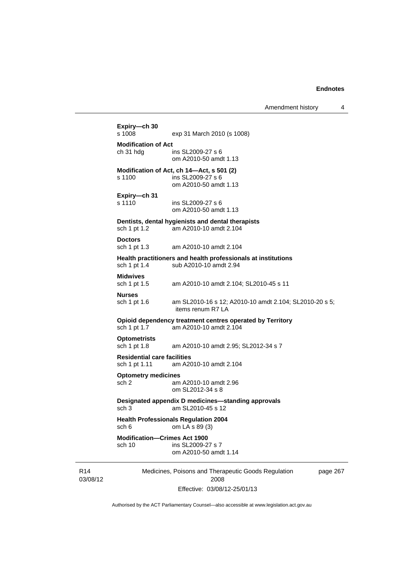Amendment history 4

```
Medicines, Poisons and Therapeutic Goods Regulation 
                              2008 
                   Effective: 03/08/12-25/01/13 
                                                                 page 267 
Expiry—ch 30 
                  exp 31 March 2010 (s 1008)
Modification of Act 
ch 31 hdg ins SL2009-27 s 6 
                  om A2010-50 amdt 1.13 
Modification of Act, ch 14—Act, s 501 (2) 
s 1100 ins SL2009-27 s 6 
                  om A2010-50 amdt 1.13 
Expiry—ch 31 
s 1110 ins SL2009-27 s 6 
                  om A2010-50 amdt 1.13 
Dentists, dental hygienists and dental therapists 
sch 1 pt 1.2 am A2010-10 amdt 2.104 
Doctors 
sch 1 pt 1.3 am A2010-10 amdt 2.104 
Health practitioners and health professionals at institutions 
sch 1 pt 1.4 sub A2010-10 amdt 2.94 
Midwives 
sch 1 pt 1.5 am A2010-10 amdt 2.104; SL2010-45 s 11 
Nurses 
sch 1 pt 1.6 am SL2010-16 s 12; A2010-10 amdt 2.104; SL2010-20 s 5; 
                   items renum R7 LA 
Opioid dependency treatment centres operated by Territory sch 1 pt 1.7 am A2010-10 amdt 2.104
                 am A2010-10 amdt 2.104
Optometrists 
sch 1 pt 1.8 am A2010-10 amdt 2.95; SL2012-34 s 7 
Residential care facilities 
sch 1 pt 1.11 am A2010-10 amdt 2.104 
Optometry medicines 
sch 2 am A2010-10 amdt 2.96 
                  om SL2012-34 s 8 
Designated appendix D medicines—standing approvals 
sch 3 am SL2010-45 s 12 
Health Professionals Regulation 2004 
sch 6 om LA s 89 (3) 
Modification—Crimes Act 1900 
                  ins SL2009-27 s 7
                   om A2010-50 amdt 1.14
```
Authorised by the ACT Parliamentary Counsel—also accessible at www.legislation.act.gov.au

R14 03/08/12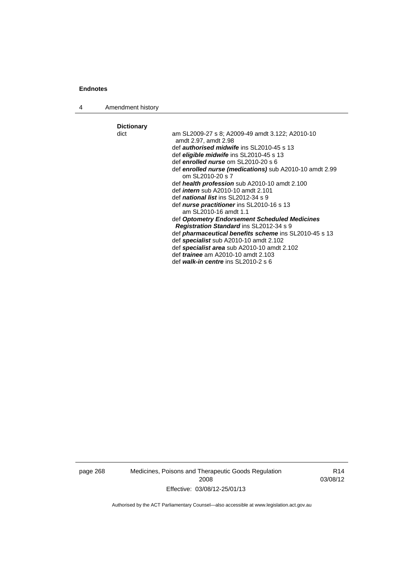4 Amendment history

**Dictionary**  am SL2009-27 s 8; A2009-49 amdt 3.122; A2010-10 amdt 2.97, amdt 2.98 def *authorised midwife* ins SL2010-45 s 13 def *eligible midwife* ins SL2010-45 s 13 def *enrolled nurse* om SL2010-20 s 6 def *enrolled nurse (medications)* sub A2010-10 amdt 2.99 om SL2010-20 s 7 def *health profession* sub A2010-10 amdt 2.100 def *intern* sub A2010-10 amdt 2.101 def *national list* ins SL2012-34 s 9 def *nurse practitioner* ins SL2010-16 s 13 am SL2010-16 amdt 1.1 def *Optometry Endorsement Scheduled Medicines Registration Standard* ins SL2012-34 s 9 def *pharmaceutical benefits scheme* ins SL2010-45 s 13 def *specialist* sub A2010-10 amdt 2.102 def *specialist area* sub A2010-10 amdt 2.102 def *trainee* am A2010-10 amdt 2.103 def *walk-in centre* ins SL2010-2 s 6

page 268 Medicines, Poisons and Therapeutic Goods Regulation 2008 Effective: 03/08/12-25/01/13

R14 03/08/12

Authorised by the ACT Parliamentary Counsel—also accessible at www.legislation.act.gov.au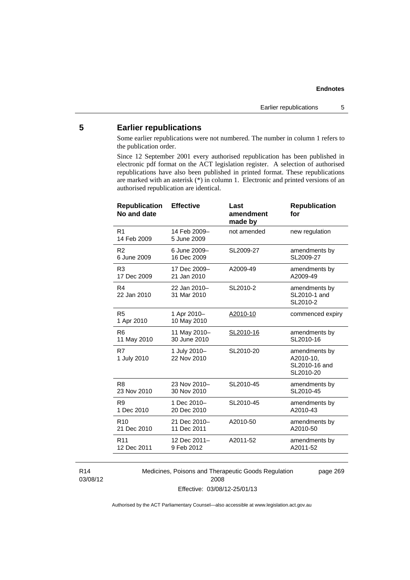# **5 Earlier republications**

Some earlier republications were not numbered. The number in column 1 refers to the publication order.

Since 12 September 2001 every authorised republication has been published in electronic pdf format on the ACT legislation register. A selection of authorised republications have also been published in printed format. These republications are marked with an asterisk (\*) in column 1. Electronic and printed versions of an authorised republication are identical.

| R <sub>1</sub><br>14 Feb 2009-<br>not amended<br>new regulation<br>14 Feb 2009<br>5 June 2009<br>R <sub>2</sub><br>6 June 2009-<br>SL2009-27<br>amendments by<br>6 June 2009<br>16 Dec 2009<br>SL2009-27<br>R <sub>3</sub><br>17 Dec 2009-<br>amendments by<br>A2009-49<br>A2009-49<br>17 Dec 2009<br>21 Jan 2010<br>R4<br>22 Jan 2010-<br>SL2010-2<br>amendments by<br>31 Mar 2010<br>SL2010-1 and<br>22 Jan 2010<br>SL2010-2<br>R <sub>5</sub><br>1 Apr 2010-<br>A2010-10<br>commenced expiry<br>10 May 2010<br>1 Apr 2010<br>11 May 2010-<br>R <sub>6</sub><br>SL2010-16<br>amendments by<br>30 June 2010<br>SL2010-16<br>11 May 2010<br>R7<br>1 July 2010-<br>SL2010-20<br>amendments by<br>22 Nov 2010<br>A2010-10,<br>1 July 2010<br>SL2010-16 and<br>SL2010-20<br>23 Nov 2010-<br>SL2010-45<br>R <sub>8</sub><br>amendments by<br>SL2010-45<br>23 Nov 2010<br>30 Nov 2010<br>R <sub>9</sub><br>1 Dec 2010-<br>SL2010-45<br>amendments by | <b>Republication</b><br>No and date | <b>Effective</b> | Last<br>amendment<br>made by | <b>Republication</b><br>for |
|-------------------------------------------------------------------------------------------------------------------------------------------------------------------------------------------------------------------------------------------------------------------------------------------------------------------------------------------------------------------------------------------------------------------------------------------------------------------------------------------------------------------------------------------------------------------------------------------------------------------------------------------------------------------------------------------------------------------------------------------------------------------------------------------------------------------------------------------------------------------------------------------------------------------------------------------------|-------------------------------------|------------------|------------------------------|-----------------------------|
|                                                                                                                                                                                                                                                                                                                                                                                                                                                                                                                                                                                                                                                                                                                                                                                                                                                                                                                                                 |                                     |                  |                              |                             |
|                                                                                                                                                                                                                                                                                                                                                                                                                                                                                                                                                                                                                                                                                                                                                                                                                                                                                                                                                 |                                     |                  |                              |                             |
|                                                                                                                                                                                                                                                                                                                                                                                                                                                                                                                                                                                                                                                                                                                                                                                                                                                                                                                                                 |                                     |                  |                              |                             |
|                                                                                                                                                                                                                                                                                                                                                                                                                                                                                                                                                                                                                                                                                                                                                                                                                                                                                                                                                 |                                     |                  |                              |                             |
|                                                                                                                                                                                                                                                                                                                                                                                                                                                                                                                                                                                                                                                                                                                                                                                                                                                                                                                                                 |                                     |                  |                              |                             |
|                                                                                                                                                                                                                                                                                                                                                                                                                                                                                                                                                                                                                                                                                                                                                                                                                                                                                                                                                 |                                     |                  |                              |                             |
|                                                                                                                                                                                                                                                                                                                                                                                                                                                                                                                                                                                                                                                                                                                                                                                                                                                                                                                                                 |                                     |                  |                              |                             |
|                                                                                                                                                                                                                                                                                                                                                                                                                                                                                                                                                                                                                                                                                                                                                                                                                                                                                                                                                 |                                     |                  |                              |                             |
|                                                                                                                                                                                                                                                                                                                                                                                                                                                                                                                                                                                                                                                                                                                                                                                                                                                                                                                                                 | 1 Dec 2010                          | 20 Dec 2010      |                              | A2010-43                    |
| 21 Dec 2010-<br>A2010-50<br>R <sub>10</sub><br>amendments by<br>21 Dec 2010<br>A2010-50<br>11 Dec 2011                                                                                                                                                                                                                                                                                                                                                                                                                                                                                                                                                                                                                                                                                                                                                                                                                                          |                                     |                  |                              |                             |
| 12 Dec 2011-<br>A2011-52<br>R <sub>11</sub><br>amendments by<br>12 Dec 2011<br>9 Feb 2012<br>A2011-52                                                                                                                                                                                                                                                                                                                                                                                                                                                                                                                                                                                                                                                                                                                                                                                                                                           |                                     |                  |                              |                             |

R14 03/08/12 Medicines, Poisons and Therapeutic Goods Regulation 2008 Effective: 03/08/12-25/01/13

page 269

Authorised by the ACT Parliamentary Counsel—also accessible at www.legislation.act.gov.au